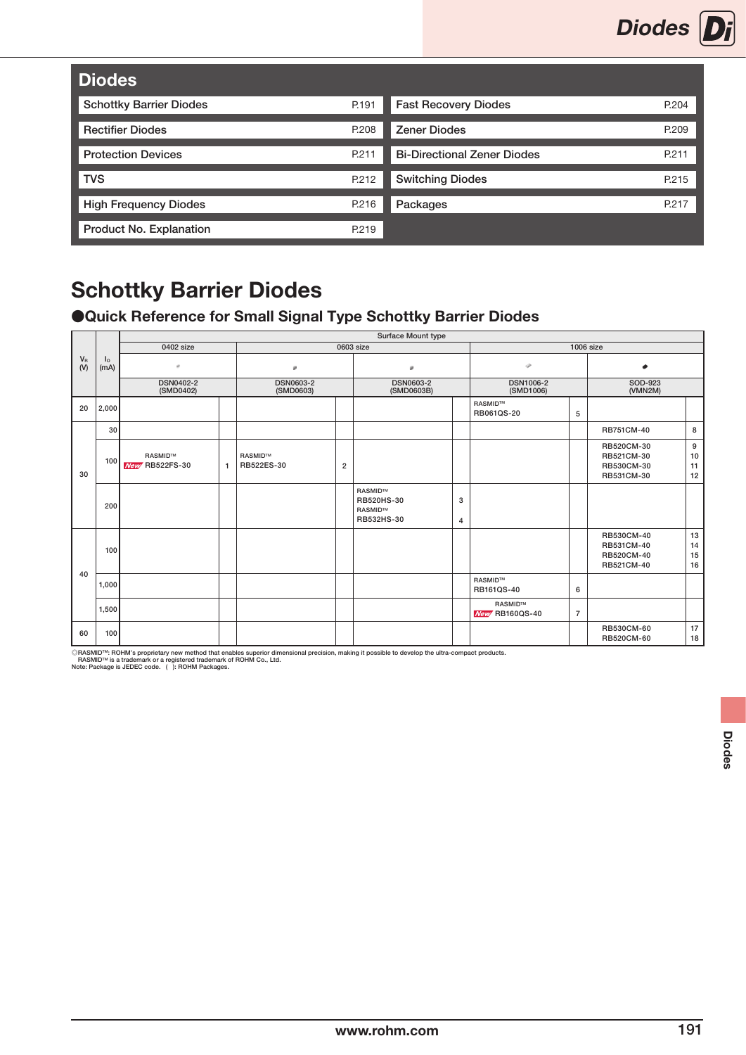

| <b>Diodes</b>                  |       |                                    |       |
|--------------------------------|-------|------------------------------------|-------|
| <b>Schottky Barrier Diodes</b> | P.191 | <b>Fast Recovery Diodes</b>        | P.204 |
| <b>Rectifier Diodes</b>        | P.208 | <b>Zener Diodes</b>                | P.209 |
| <b>Protection Devices</b>      | P.211 | <b>Bi-Directional Zener Diodes</b> | P.211 |
| <b>TVS</b>                     | P.212 | <b>Switching Diodes</b>            | P.215 |
| <b>High Frequency Diodes</b>   | P.216 | Packages                           | P.217 |
| Product No. Explanation        | P.219 |                                    |       |

### ●Quick Reference for Small Signal Type Schottky Barrier Diodes

|              |                        |                                         |              |                               |                | Surface Mount type                             |        |                                          |                |                                                      |                      |
|--------------|------------------------|-----------------------------------------|--------------|-------------------------------|----------------|------------------------------------------------|--------|------------------------------------------|----------------|------------------------------------------------------|----------------------|
|              |                        | 0402 size                               |              |                               |                | 0603 size                                      |        |                                          |                | <b>1006 size</b>                                     |                      |
| $V_R$<br>(V) | I <sub>o</sub><br>(mA) | ÷                                       |              | ø                             |                | œ.                                             |        | v                                        |                | ۰                                                    |                      |
|              |                        | <b>DSN0402-2</b><br>(SMD0402)           |              | <b>DSN0603-2</b><br>(SMD0603) |                | <b>DSN0603-2</b><br>(SMD0603B)                 |        | <b>DSN1006-2</b><br>(SMD1006)            |                | SOD-923<br>(VMN2M)                                   |                      |
| 20           | 2,000                  |                                         |              |                               |                |                                                |        | <b>RASMID™</b><br>RB061QS-20             | 5              |                                                      |                      |
|              | 30                     |                                         |              |                               |                |                                                |        |                                          |                | RB751CM-40                                           | 8                    |
| 30           | 100                    | <b>RASMID™</b><br><b>New RB522FS-30</b> | $\mathbf{1}$ | <b>RASMIDTM</b><br>RB522ES-30 | $\overline{2}$ |                                                |        |                                          |                | RB520CM-30<br>RB521CM-30<br>RB530CM-30<br>RB531CM-30 | 9<br>10<br>11<br>12  |
|              | 200                    |                                         |              |                               |                | RASMID™<br>RB520HS-30<br>RASMID™<br>RB532HS-30 | 3<br>4 |                                          |                |                                                      |                      |
|              | 100                    |                                         |              |                               |                |                                                |        |                                          |                | RB530CM-40<br>RB531CM-40<br>RB520CM-40<br>RB521CM-40 | 13<br>14<br>15<br>16 |
| 40           | 1,000                  |                                         |              |                               |                |                                                |        | <b>RASMIDTM</b><br>RB161QS-40            | 6              |                                                      |                      |
|              | 1,500                  |                                         |              |                               |                |                                                |        | <b>RASMIDTM</b><br><b>New RB160QS-40</b> | $\overline{7}$ |                                                      |                      |
| 60           | 100                    |                                         |              |                               |                |                                                |        |                                          |                | RB530CM-60<br>RB520CM-60                             | 17<br>18             |

©RASMID™: ROHM's proprietary new method that enables superior dimensional precision, making it possible to develop the ultra-compact products.<br>\_ RASMID™ is a trademark or a registered trademark of ROHM Co., Ltd.<br>Note: Pac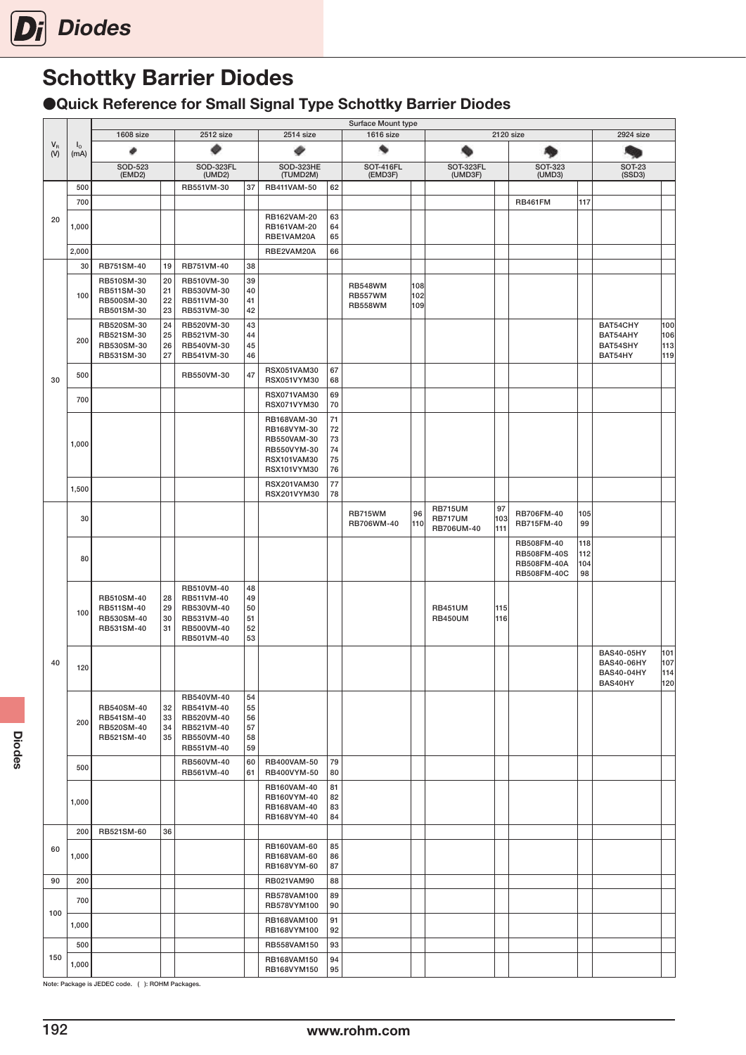

●Quick Reference for Small Signal Type Schottky Barrier Diodes

|         |             | 1608 size                |          | 2512 size                |          | 2514 size                  |          | Surface Mount type<br>1616 size  |            |                              |            | 2120 size                         |           | 2924 size                              |            |
|---------|-------------|--------------------------|----------|--------------------------|----------|----------------------------|----------|----------------------------------|------------|------------------------------|------------|-----------------------------------|-----------|----------------------------------------|------------|
| $V_{R}$ | $I_{\circ}$ |                          |          |                          |          |                            |          |                                  |            |                              |            |                                   |           |                                        |            |
| (V)     | (mA)        |                          |          |                          |          | ø                          |          |                                  |            |                              |            |                                   |           | <b>SOT-23</b>                          |            |
|         |             | SOD-523<br>(EMD2)        |          | SOD-323FL<br>(UMD2)      |          | SOD-323HE<br>(TUMD2M)      |          | <b>SOT-416FL</b><br>(EMD3F)      |            | SOT-323FL<br>(UMD3F)         |            | <b>SOT-323</b><br>(UMD3)          |           | (SSD3)                                 |            |
|         | 500         |                          |          | RB551VM-30               | 37       | RB411VAM-50                | 62       |                                  |            |                              |            |                                   |           |                                        |            |
|         | 700         |                          |          |                          |          |                            |          |                                  |            |                              |            | <b>RB461FM</b>                    | 117       |                                        |            |
| 20      | 1,000       |                          |          |                          |          | RB162VAM-20<br>RB161VAM-20 | 63<br>64 |                                  |            |                              |            |                                   |           |                                        |            |
|         |             |                          |          |                          |          | RBE1VAM20A                 | 65       |                                  |            |                              |            |                                   |           |                                        |            |
|         | 2,000       |                          |          |                          |          | RBE2VAM20A                 | 66       |                                  |            |                              |            |                                   |           |                                        |            |
|         | 30          | RB751SM-40<br>RB510SM-30 | 19<br>20 | RB751VM-40<br>RB510VM-30 | 38<br>39 |                            |          |                                  |            |                              |            |                                   |           |                                        |            |
|         | 100         | RB511SM-30               | 21       | RB530VM-30               | 40       |                            |          | <b>RB548WM</b><br><b>RB557WM</b> | 108<br>102 |                              |            |                                   |           |                                        |            |
|         |             | RB500SM-30<br>RB501SM-30 | 22<br>23 | RB511VM-30<br>RB531VM-30 | 41<br>42 |                            |          | <b>RB558WM</b>                   | 109        |                              |            |                                   |           |                                        |            |
|         |             | RB520SM-30               | 24       | RB520VM-30               | 43       |                            |          |                                  |            |                              |            |                                   |           | BAT54CHY                               | 100        |
|         | 200         | RB521SM-30<br>RB530SM-30 | 25<br>26 | RB521VM-30<br>RB540VM-30 | 44<br>45 |                            |          |                                  |            |                              |            |                                   |           | BAT54AHY<br>BAT54SHY                   | 106<br>113 |
|         |             | RB531SM-30               | 27       | RB541VM-30               | 46       |                            |          |                                  |            |                              |            |                                   |           | BAT54HY                                | 119        |
| 30      | 500         |                          |          | RB550VM-30               | 47       | RSX051VAM30<br>RSX051VYM30 | 67<br>68 |                                  |            |                              |            |                                   |           |                                        |            |
|         |             |                          |          |                          |          | <b>RSX071VAM30</b>         | 69       |                                  |            |                              |            |                                   |           |                                        |            |
|         | 700         |                          |          |                          |          | <b>RSX071VYM30</b>         | 70       |                                  |            |                              |            |                                   |           |                                        |            |
|         |             |                          |          |                          |          | RB168VAM-30<br>RB168VYM-30 | 71<br>72 |                                  |            |                              |            |                                   |           |                                        |            |
|         | 1,000       |                          |          |                          |          | RB550VAM-30                | 73       |                                  |            |                              |            |                                   |           |                                        |            |
|         |             |                          |          |                          |          | RB550VYM-30<br>RSX101VAM30 | 74<br>75 |                                  |            |                              |            |                                   |           |                                        |            |
|         |             |                          |          |                          |          | <b>RSX101VYM30</b>         | 76       |                                  |            |                              |            |                                   |           |                                        |            |
|         | 1,500       |                          |          |                          |          | RSX201VAM30<br>RSX201VYM30 | 77<br>78 |                                  |            |                              |            |                                   |           |                                        |            |
|         |             |                          |          |                          |          |                            |          |                                  |            | <b>RB715UM</b>               | 97         |                                   |           |                                        |            |
|         | 30          |                          |          |                          |          |                            |          | RB715WM<br>RB706WM-40            | 96<br>110  | <b>RB717UM</b><br>RB706UM-40 | 103<br>111 | RB706FM-40<br>RB715FM-40          | 105<br>99 |                                        |            |
|         |             |                          |          |                          |          |                            |          |                                  |            |                              |            | RB508FM-40                        | 118       |                                        |            |
|         | 80          |                          |          |                          |          |                            |          |                                  |            |                              |            | RB508FM-40S                       | 112       |                                        |            |
|         |             |                          |          |                          |          |                            |          |                                  |            |                              |            | <b>RB508FM-40A</b><br>RB508FM-40C | 104<br>98 |                                        |            |
|         |             |                          |          | RB510VM-40               | 48       |                            |          |                                  |            |                              |            |                                   |           |                                        |            |
|         |             | RB510SM-40<br>RB511SM-40 | 28<br>29 | RB511VM-40<br>RB530VM-40 | 49<br>50 |                            |          |                                  |            | <b>RB451UM</b>               | 115        |                                   |           |                                        |            |
|         | 100         | RB530SM-40<br>RB531SM-40 | 30<br>31 | RB531VM-40<br>RB500VM-40 | 51<br>52 |                            |          |                                  |            | <b>RB450UM</b>               | 116        |                                   |           |                                        |            |
|         |             |                          |          | RB501VM-40               | 53       |                            |          |                                  |            |                              |            |                                   |           |                                        |            |
| 40      |             |                          |          |                          |          |                            |          |                                  |            |                              |            |                                   |           | <b>BAS40-05HY</b>                      | 101<br>107 |
|         | 120         |                          |          |                          |          |                            |          |                                  |            |                              |            |                                   |           | <b>BAS40-06HY</b><br><b>BAS40-04HY</b> | 114        |
|         |             |                          |          |                          |          |                            |          |                                  |            |                              |            |                                   |           | BAS40HY                                | 120        |
|         |             | RB540SM-40               | 32       | RB540VM-40<br>RB541VM-40 | 54<br>55 |                            |          |                                  |            |                              |            |                                   |           |                                        |            |
|         | 200         | RB541SM-40               | 33<br>34 | RB520VM-40               | 56<br>57 |                            |          |                                  |            |                              |            |                                   |           |                                        |            |
|         |             | RB520SM-40<br>RB521SM-40 | 35       | RB521VM-40<br>RB550VM-40 | 58       |                            |          |                                  |            |                              |            |                                   |           |                                        |            |
|         |             |                          |          | RB551VM-40               | 59       |                            |          |                                  |            |                              |            |                                   |           |                                        |            |
|         | 500         |                          |          | RB560VM-40<br>RB561VM-40 | 60<br>61 | RB400VAM-50<br>RB400VYM-50 | 79<br>80 |                                  |            |                              |            |                                   |           |                                        |            |
|         |             |                          |          |                          |          | RB160VAM-40                | 81       |                                  |            |                              |            |                                   |           |                                        |            |
|         | 1,000       |                          |          |                          |          | RB160VYM-40<br>RB168VAM-40 | 82<br>83 |                                  |            |                              |            |                                   |           |                                        |            |
|         |             |                          |          |                          |          | RB168VYM-40                | 84       |                                  |            |                              |            |                                   |           |                                        |            |
|         | 200         | RB521SM-60               | 36       |                          |          |                            |          |                                  |            |                              |            |                                   |           |                                        |            |
| 60      | 1,000       |                          |          |                          |          | RB160VAM-60<br>RB168VAM-60 | 85<br>86 |                                  |            |                              |            |                                   |           |                                        |            |
|         |             |                          |          |                          |          | RB168VYM-60                | 87       |                                  |            |                              |            |                                   |           |                                        |            |
| 90      | 200         |                          |          |                          |          | RB021VAM90                 | 88       |                                  |            |                              |            |                                   |           |                                        |            |
|         | 700         |                          |          |                          |          | RB578VAM100<br>RB578VYM100 | 89<br>90 |                                  |            |                              |            |                                   |           |                                        |            |
| 100     | 1,000       |                          |          |                          |          | RB168VAM100                | 91       |                                  |            |                              |            |                                   |           |                                        |            |
|         |             |                          |          |                          |          | RB168VYM100                | 92       |                                  |            |                              |            |                                   |           |                                        |            |
| 150     | 500         |                          |          |                          |          | RB558VAM150<br>RB168VAM150 | 93<br>94 |                                  |            |                              |            |                                   |           |                                        |            |
|         | 1,000       |                          |          |                          |          | RB168VYM150                | 95       |                                  |            |                              |            |                                   |           |                                        |            |

Note: Package is JEDEC code. ( ): ROHM Packages.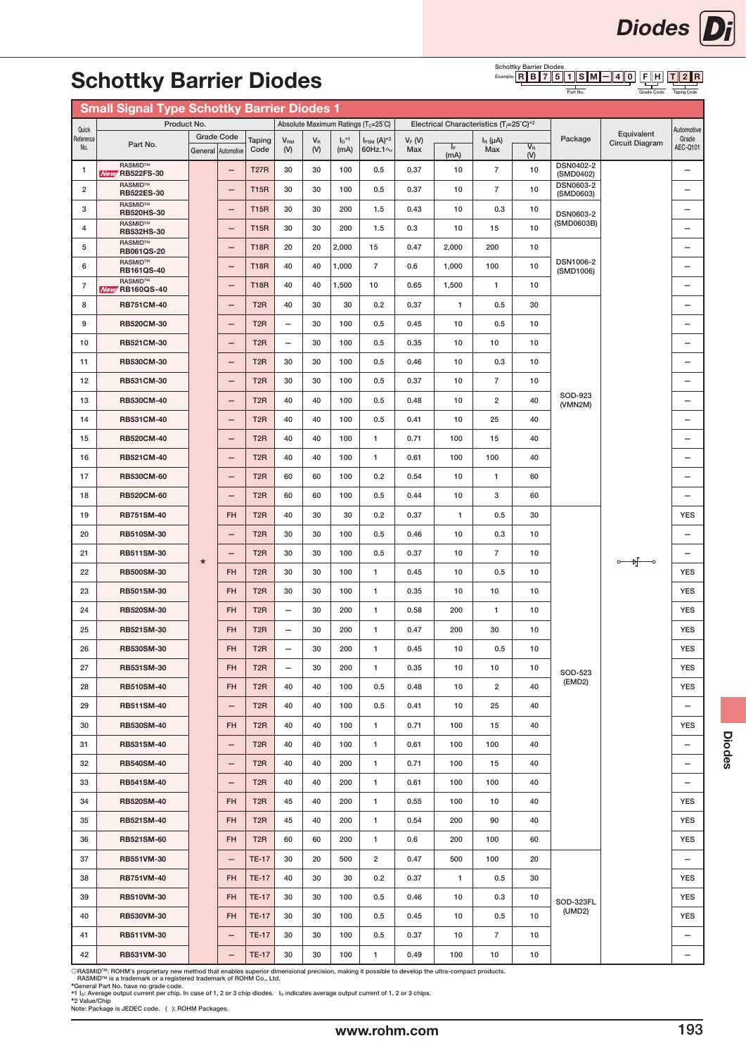# **Schottky Barrie**

Quick eferen No.

#### Example: R || B || 7 || 5 || 1 || S || M || -|| 4 || 0 || F || H || || T || 2 || R

|                         | <b>Schottky Barrier Diodes</b>                     |         |                                         |                  |                              |                    |                             |                                                 |                 |                                                     |                        | <b>Schottky Barrier Diodes</b> | $Example:$ R B 7 5 1 S M      | 4 <br>$\mathbf{0}$<br>F.<br>IH.      |                          |
|-------------------------|----------------------------------------------------|---------|-----------------------------------------|------------------|------------------------------|--------------------|-----------------------------|-------------------------------------------------|-----------------|-----------------------------------------------------|------------------------|--------------------------------|-------------------------------|--------------------------------------|--------------------------|
|                         |                                                    |         |                                         |                  |                              |                    |                             |                                                 |                 |                                                     |                        |                                | Part No.                      | Grade Code                           |                          |
|                         | <b>Small Signal Type Schottky Barrier Diodes 1</b> |         |                                         |                  |                              |                    |                             |                                                 |                 |                                                     |                        |                                |                               |                                      |                          |
| <b>Quick</b>            | Product No.                                        |         |                                         |                  |                              |                    |                             | Absolute Maximum Ratings (T <sub>c</sub> =25°C) |                 | Electrical Characteristics (T <sub>i</sub> =25°C)*2 |                        |                                |                               |                                      | Automotive               |
| ference<br>No.          | Part No.                                           |         | <b>Grade Code</b><br>General Automotive | Taping<br>Code   | <b>V<sub>RM</sub></b><br>(V) | $V_{\rm R}$<br>(V) | $I_0$ <sup>*1</sup><br>(mA) | $I_{FSM}$ $(A)^{*2}$<br>60Hz.1 <sup>o</sup>     | $V_F(W)$<br>Max | $\mathsf{I}_\mathsf{F}$<br>(mA)                     | $IR$ ( $\mu$ A)<br>Max | $V_{R}$<br>(V)                 | Package                       | Equivalent<br><b>Circuit Diagram</b> | Grade<br>AEC-Q101        |
| $\mathbf{1}$            | RASMID™<br><b>New RB522FS-30</b>                   |         | -                                       | <b>T27R</b>      | 30                           | 30                 | 100                         | 0.5                                             | 0.37            | 10                                                  | $\overline{7}$         | 10                             | <b>DSN0402-2</b><br>(SMD0402) |                                      | $\overline{\phantom{0}}$ |
| $\overline{\mathbf{c}}$ | RASMID™<br><b>RB522ES-30</b>                       |         | —                                       | <b>T15R</b>      | 30                           | 30                 | 100                         | 0.5                                             | 0.37            | 10                                                  | $\overline{7}$         | 10                             | <b>DSN0603-2</b><br>(SMD0603) |                                      |                          |
| 3                       | RASMID™<br><b>RB520HS-30</b>                       |         | $\overline{\phantom{0}}$                | <b>T15R</b>      | 30                           | 30                 | 200                         | 1.5                                             | 0.43            | 10                                                  | 0.3                    | 10                             | <b>DSN0603-2</b>              |                                      | $\overline{\phantom{0}}$ |
| 4                       | RASMID™<br>RB532HS-30                              |         | $\qquad \qquad -$                       | <b>T15R</b>      | 30                           | 30                 | 200                         | 1.5                                             | 0.3             | 10                                                  | 15                     | 10                             | (SMD0603B)                    |                                      | $\qquad \qquad$          |
| 5                       | RASMID™<br><b>RB061QS-20</b>                       |         | $\overline{\phantom{0}}$                | <b>T18R</b>      | 20                           | 20                 | 2,000                       | 15                                              | 0.47            | 2,000                                               | 200                    | 10                             |                               |                                      | $\overline{\phantom{0}}$ |
| 6                       | RASMID™<br><b>RB161QS-40</b>                       |         | $\qquad \qquad$                         | <b>T18R</b>      | 40                           | 40                 | 1,000                       | $\overline{7}$                                  | 0.6             | 1,000                                               | 100                    | 10                             | <b>DSN1006-2</b><br>(SMD1006) |                                      | $\overline{\phantom{0}}$ |
| $\overline{7}$          | RASMID™<br><b>New RB160QS-40</b>                   |         | $\overline{\phantom{0}}$                | <b>T18R</b>      | 40                           | 40                 | 1,500                       | 10                                              | 0.65            | 1,500                                               | 1                      | 10                             |                               |                                      | $\overline{\phantom{0}}$ |
| 8                       | <b>RB751CM-40</b>                                  |         |                                         | T <sub>2</sub> R | 40                           | 30                 | 30                          | 0.2                                             | 0.37            | $\mathbf{1}$                                        | 0.5                    | 30                             |                               |                                      | $\overline{\phantom{0}}$ |
| 9                       | <b>RB520CM-30</b>                                  |         | $\overline{\phantom{0}}$                | T <sub>2R</sub>  |                              | 30                 | 100                         | 0.5                                             | 0.45            | 10                                                  | 0.5                    | 10                             |                               |                                      | $\overline{\phantom{0}}$ |
| 10                      | RB521CM-30                                         |         |                                         | T <sub>2</sub> R | $\overline{\phantom{0}}$     | 30                 | 100                         | 0.5                                             | 0.35            | 10                                                  | 10                     | 10                             |                               |                                      | $\overline{\phantom{0}}$ |
| 11                      | <b>RB530CM-30</b>                                  |         | —                                       | T <sub>2</sub> R | 30                           | 30                 | 100                         | 0.5                                             | 0.46            | 10                                                  | 0.3                    | 10                             |                               |                                      |                          |
| 12                      | RB531CM-30                                         |         |                                         | T <sub>2</sub> R | 30                           | 30                 | 100                         | 0.5                                             | 0.37            | 10                                                  | $\overline{7}$         | 10                             |                               |                                      | $\overline{\phantom{0}}$ |
| 13                      | <b>RB530CM-40</b>                                  |         | $\overline{\phantom{0}}$                | T <sub>2</sub> R | 40                           | 40                 | 100                         | 0.5                                             | 0.48            | 10                                                  | $\overline{2}$         | 40                             | SOD-923<br>(VMN2M)            |                                      |                          |
| 14                      | <b>RB531CM-40</b>                                  |         | -                                       | T <sub>2</sub> R | 40                           | 40                 | 100                         | 0.5                                             | 0.41            | 10                                                  | 25                     | 40                             |                               |                                      |                          |
| 15                      | <b>RB520CM-40</b>                                  |         | —                                       | T <sub>2</sub> R | 40                           | 40                 | 100                         | $\mathbf{1}$                                    | 0.71            | 100                                                 | 15                     | 40                             |                               |                                      |                          |
| 16                      | <b>RB521CM-40</b>                                  |         | -                                       | T <sub>2</sub> R | 40                           | 40                 | 100                         | 1                                               | 0.61            | 100                                                 | 100                    | 40                             |                               |                                      | $\overline{\phantom{0}}$ |
| 17                      | <b>RB530CM-60</b>                                  |         | $\qquad \qquad -$                       | T <sub>2</sub> R | 60                           | 60                 | 100                         | 0.2                                             | 0.54            | 10                                                  | $\mathbf{1}$           | 60                             |                               |                                      |                          |
| 18                      | <b>RB520CM-60</b>                                  |         | —                                       | T <sub>2</sub> R | 60                           | 60                 | 100                         | 0.5                                             | 0.44            | 10                                                  | 3                      | 60                             |                               |                                      | -                        |
| 19                      | <b>RB751SM-40</b>                                  |         | <b>FH</b>                               | T <sub>2</sub> R | 40                           | 30                 | 30                          | 0.2                                             | 0.37            | $\mathbf{1}$                                        | 0.5                    | 30                             |                               |                                      | <b>YES</b>               |
| 20                      | <b>RB510SM-30</b>                                  |         | $\qquad \qquad -$                       | T <sub>2</sub> R | 30                           | 30                 | 100                         | 0.5                                             | 0.46            | 10                                                  | 0.3                    | 10                             |                               |                                      | $\overline{\phantom{0}}$ |
| 21                      | RB511SM-30                                         | $\star$ | $\qquad \qquad -$                       | T <sub>2</sub> R | 30                           | 30                 | 100                         | 0.5                                             | 0.37            | 10                                                  | $\overline{7}$         | 10                             |                               | $\circ$ $\overline{\bullet}$         | $\qquad \qquad -$        |
|                         |                                                    |         |                                         |                  |                              |                    |                             |                                                 |                 |                                                     |                        |                                |                               |                                      |                          |

Diodes

| 19 | <b>RB751SM-40</b>                                                                                                                                                                                                   |         | <b>FH</b>                | T <sub>2</sub> R | 40                       | 30 | 30  | 0.2            | 0.37 | $\mathbf{1}$ | 0.5            | 30 |           |                       | <b>YES</b> |
|----|---------------------------------------------------------------------------------------------------------------------------------------------------------------------------------------------------------------------|---------|--------------------------|------------------|--------------------------|----|-----|----------------|------|--------------|----------------|----|-----------|-----------------------|------------|
| 20 | <b>RB510SM-30</b>                                                                                                                                                                                                   |         | $\qquad \qquad -$        | T <sub>2</sub> R | 30                       | 30 | 100 | 0.5            | 0.46 | 10           | 0.3            | 10 |           |                       |            |
| 21 | RB511SM-30                                                                                                                                                                                                          | $\star$ | $\qquad \qquad -$        | T <sub>2</sub> R | 30                       | 30 | 100 | 0.5            | 0.37 | 10           | $\overline{7}$ | 10 |           | $\circ$ $\rightarrow$ |            |
| 22 | <b>RB500SM-30</b>                                                                                                                                                                                                   |         | <b>FH</b>                | T <sub>2</sub> R | 30                       | 30 | 100 | $\mathbf{1}$   | 0.45 | 10           | 0.5            | 10 |           |                       | <b>YES</b> |
| 23 | RB501SM-30                                                                                                                                                                                                          |         | FH.                      | T <sub>2</sub> R | 30                       | 30 | 100 | $\mathbf{1}$   | 0.35 | 10           | 10             | 10 |           |                       | <b>YES</b> |
| 24 | <b>RB520SM-30</b>                                                                                                                                                                                                   |         | FH                       | T <sub>2R</sub>  | $\qquad \qquad -$        | 30 | 200 | $\mathbf{1}$   | 0.58 | 200          | $\mathbf{1}$   | 10 |           |                       | <b>YES</b> |
| 25 | RB521SM-30                                                                                                                                                                                                          |         | <b>FH</b>                | T <sub>2</sub> R | $\overline{\phantom{0}}$ | 30 | 200 | $\mathbf{1}$   | 0.47 | 200          | 30             | 10 |           |                       | <b>YES</b> |
| 26 | RB530SM-30                                                                                                                                                                                                          |         | FH                       | T <sub>2</sub> R | $\overline{\phantom{0}}$ | 30 | 200 | 1              | 0.45 | 10           | 0.5            | 10 |           |                       | <b>YES</b> |
| 27 | RB531SM-30                                                                                                                                                                                                          |         | <b>FH</b>                | T <sub>2</sub> R | $\overline{\phantom{0}}$ | 30 | 200 | $\mathbf{1}$   | 0.35 | 10           | 10             | 10 | SOD-523   |                       | <b>YES</b> |
| 28 | <b>RB510SM-40</b>                                                                                                                                                                                                   |         | FH                       | T <sub>2</sub> R | 40                       | 40 | 100 | 0.5            | 0.48 | 10           | $\overline{2}$ | 40 | (EMD2)    |                       | <b>YES</b> |
| 29 | <b>RB511SM-40</b>                                                                                                                                                                                                   |         | $\qquad \qquad -$        | T <sub>2</sub> R | 40                       | 40 | 100 | 0.5            | 0.41 | 10           | 25             | 40 |           |                       |            |
| 30 | <b>RB530SM-40</b>                                                                                                                                                                                                   |         | FH                       | T <sub>2</sub> R | 40                       | 40 | 100 | $\mathbf{1}$   | 0.71 | 100          | 15             | 40 |           |                       | <b>YES</b> |
| 31 | <b>RB531SM-40</b>                                                                                                                                                                                                   |         | $\overline{\phantom{m}}$ | T <sub>2</sub> R | 40                       | 40 | 100 | $\mathbf{1}$   | 0.61 | 100          | 100            | 40 |           |                       |            |
| 32 | <b>RB540SM-40</b>                                                                                                                                                                                                   |         | -                        | T <sub>2R</sub>  | 40                       | 40 | 200 | $\mathbf{1}$   | 0.71 | 100          | 15             | 40 |           |                       |            |
| 33 | <b>RB541SM-40</b>                                                                                                                                                                                                   |         | $\overline{\phantom{0}}$ | T <sub>2R</sub>  | 40                       | 40 | 200 | $\mathbf{1}$   | 0.61 | 100          | 100            | 40 |           |                       |            |
| 34 | <b>RB520SM-40</b>                                                                                                                                                                                                   |         | FH                       | T <sub>2</sub> R | 45                       | 40 | 200 | 1              | 0.55 | 100          | 10             | 40 |           |                       | <b>YES</b> |
| 35 | RB521SM-40                                                                                                                                                                                                          |         | FH                       | T <sub>2</sub> R | 45                       | 40 | 200 | $\mathbf{1}$   | 0.54 | 200          | 90             | 40 |           |                       | <b>YES</b> |
| 36 | <b>RB521SM-60</b>                                                                                                                                                                                                   |         | <b>FH</b>                | T <sub>2</sub> R | 60                       | 60 | 200 | 1              | 0.6  | 200          | 100            | 60 |           |                       | <b>YES</b> |
| 37 | RB551VM-30                                                                                                                                                                                                          |         | $\overline{\phantom{m}}$ | <b>TE-17</b>     | 30                       | 20 | 500 | $\overline{2}$ | 0.47 | 500          | 100            | 20 |           |                       |            |
| 38 | <b>RB751VM-40</b>                                                                                                                                                                                                   |         | FH                       | <b>TE-17</b>     | 40                       | 30 | 30  | 0.2            | 0.37 | $\mathbf{1}$ | 0.5            | 30 |           |                       | <b>YES</b> |
| 39 | <b>RB510VM-30</b>                                                                                                                                                                                                   |         | FH                       | <b>TE-17</b>     | 30                       | 30 | 100 | 0.5            | 0.46 | 10           | 0.3            | 10 | SOD-323FL |                       | <b>YES</b> |
| 40 | RB530VM-30                                                                                                                                                                                                          |         | FH                       | <b>TE-17</b>     | 30                       | 30 | 100 | 0.5            | 0.45 | 10           | 0.5            | 10 | (UMD2)    |                       | <b>YES</b> |
| 41 | RB511VM-30                                                                                                                                                                                                          |         | $\qquad \qquad -$        | <b>TE-17</b>     | 30                       | 30 | 100 | 0.5            | 0.37 | 10           | $\overline{7}$ | 10 |           |                       |            |
| 42 | RB531VM-30                                                                                                                                                                                                          |         | —                        | <b>TE-17</b>     | 30                       | 30 | 100 | $\mathbf{1}$   | 0.49 | 100          | 10             | 10 |           |                       |            |
|    | ©RASMID™: ROHM's proprietary new method that enables superior dimensional precision, making it possible to develop the ultra-compact products.<br>RASMID™ is a trademark or a registered trademark of ROHM Co. Ltd. |         |                          |                  |                          |    |     |                |      |              |                |    |           |                       |            |

่ RASMID™ is a trademark or a registered trademark of ROHM Co., Ltd.<br>\*General Part No. have no grade code.<br>\*1 l<sub>o</sub>: Average output current per chip. In case of 1, 2 or 3 chip diodes. l<sub>o</sub> indicates average output curre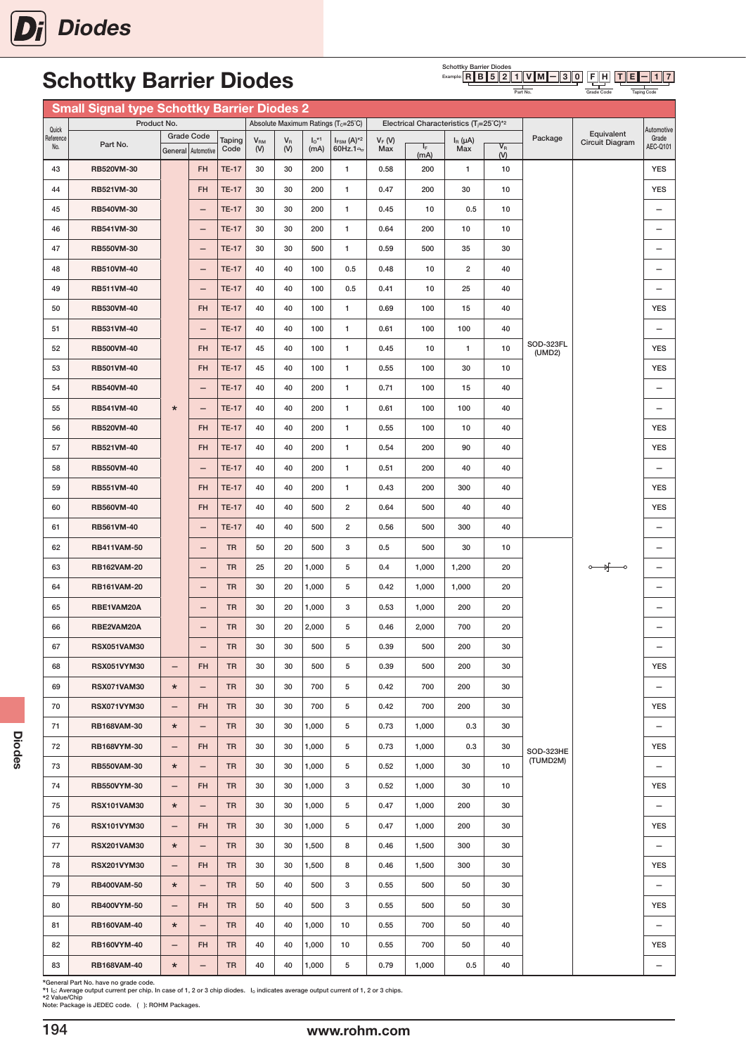#### Schottky Barrier Diodes<br>Example: **R B 5 2** F H T E  $-$  1 7  $R \| B \| 5 \| 2 \| 1 \| V \| M \| - 3 \| 0$

Grade Code

Taping Code

Part No.

|                  | <b>Small Signal type Schottky Barrier Diodes 2</b> |                              |                                |                        |                     |                |                  |                                                    |                  |                                                     |                     |                  |                       |                        |                                        |
|------------------|----------------------------------------------------|------------------------------|--------------------------------|------------------------|---------------------|----------------|------------------|----------------------------------------------------|------------------|-----------------------------------------------------|---------------------|------------------|-----------------------|------------------------|----------------------------------------|
| Quick            | Product No.                                        |                              |                                |                        |                     |                |                  | Absolute Maximum Ratings (T <sub>c</sub> =25°C)    |                  | Electrical Characteristics $(T_i=25^{\circ}C)^{*2}$ |                     |                  |                       | Equivalent             | Automotive                             |
| Reference<br>No. | Part No.                                           | <b>Grade Code</b><br>General | Automotive                     | Taping<br>Code         | $V_{\rm RM}$<br>(V) | $V_{R}$<br>(V) | $I_0$ *1<br>(mA) | $I_{FSM}$ (A) <sup>*2</sup><br>60Hz.1 <sup>o</sup> | $V_F$ (V)<br>Max | IF.<br>(mA)                                         | $I_R(\mu A)$<br>Max | $V_{R}$<br>$(V)$ | Package               | <b>Circuit Diagram</b> | Grade<br>AEC-Q101                      |
| 43               | RB520VM-30                                         |                              | <b>FH</b>                      | <b>TE-17</b>           | 30                  | 30             | 200              | $\mathbf{1}$                                       | 0.58             | 200                                                 | 1                   | 10               |                       |                        | <b>YES</b>                             |
| 44               | RB521VM-30                                         |                              | <b>FH</b>                      | <b>TE-17</b>           | 30                  | 30             | 200              | $\mathbf{1}$                                       | 0.47             | 200                                                 | 30                  | 10               |                       |                        | <b>YES</b>                             |
| 45               | RB540VM-30                                         |                              | $\qquad \qquad -$              | <b>TE-17</b>           | 30                  | 30             | 200              | 1                                                  | 0.45             | 10                                                  | 0.5                 | 10               |                       |                        | $\overline{\phantom{0}}$               |
| 46               | RB541VM-30                                         |                              | $\qquad \qquad -$              | <b>TE-17</b>           | 30                  | 30             | 200              | $\mathbf{1}$                                       | 0.64             | 200                                                 | 10                  | 10               |                       |                        | $\overline{\phantom{0}}$               |
| 47               | RB550VM-30                                         |                              | $\overline{\phantom{0}}$       | <b>TE-17</b>           | 30                  | 30             | 500              | $\mathbf{1}$                                       | 0.59             | 500                                                 | 35                  | 30               |                       |                        | $\overbrace{\phantom{123221111}}$      |
| 48               | RB510VM-40                                         |                              | $\qquad \qquad -$              | <b>TE-17</b>           | 40                  | 40             | 100              | 0.5                                                | 0.48             | 10                                                  | $\overline{2}$      | 40               |                       |                        | $\overline{\phantom{0}}$               |
| 49               | RB511VM-40                                         |                              | $\overline{\phantom{0}}$       | <b>TE-17</b>           | 40                  | 40             | 100              | 0.5                                                | 0.41             | 10                                                  | 25                  | 40               |                       |                        | $\overline{\phantom{0}}$               |
| 50               | RB530VM-40                                         |                              | <b>FH</b>                      | <b>TE-17</b>           | 40                  | 40             | 100              | 1                                                  | 0.69             | 100                                                 | 15                  | 40               |                       |                        | <b>YES</b>                             |
| 51               | RB531VM-40                                         |                              | $\overline{\phantom{0}}$       | <b>TE-17</b>           | 40                  | 40             | 100              | 1                                                  | 0.61             | 100                                                 | 100                 | 40               |                       |                        | $\overline{\phantom{0}}$               |
| 52               | <b>RB500VM-40</b>                                  |                              | <b>FH</b>                      | <b>TE-17</b>           | 45                  | 40             | 100              | $\mathbf{1}$                                       | 0.45             | 10                                                  | 1                   | 10               | SOD-323FL<br>(UMD2)   |                        | <b>YES</b>                             |
| 53               | RB501VM-40                                         |                              | <b>FH</b>                      | <b>TE-17</b>           | 45                  | 40             | 100              | $\mathbf{1}$                                       | 0.55             | 100                                                 | 30                  | 10               |                       |                        | <b>YES</b>                             |
| 54               | <b>RB540VM-40</b>                                  |                              | $\qquad \qquad -$              | <b>TE-17</b>           | 40                  | 40             | 200              | 1                                                  | 0.71             | 100                                                 | 15                  | 40               |                       |                        | $\qquad \qquad -$                      |
| 55               | RB541VM-40                                         | $\ast$                       | $\qquad \qquad -$              | <b>TE-17</b>           | 40                  | 40             | 200              | 1                                                  | 0.61             | 100                                                 | 100                 | 40               |                       |                        |                                        |
| 56               | RB520VM-40                                         |                              | FH                             | <b>TE-17</b>           | 40                  | 40             | 200              | $\mathbf{1}$                                       | 0.55             | 100                                                 | 10                  | 40               |                       |                        | <b>YES</b>                             |
| 57               | RB521VM-40                                         |                              | <b>FH</b>                      | <b>TE-17</b>           | 40                  | 40             | 200              | 1                                                  | 0.54             | 200                                                 | 90                  | 40               |                       |                        | <b>YES</b>                             |
| 58               | <b>RB550VM-40</b>                                  |                              |                                | <b>TE-17</b>           | 40                  | 40             | 200              | 1                                                  | 0.51             | 200                                                 | 40                  | 40               |                       |                        | $\overline{\phantom{0}}$               |
| 59               | <b>RB551VM-40</b>                                  |                              | <b>FH</b>                      | <b>TE-17</b>           | 40                  | 40             | 200              | 1                                                  | 0.43             | 200                                                 | 300                 | 40               |                       |                        | <b>YES</b>                             |
| 60               | <b>RB560VM-40</b>                                  |                              | <b>FH</b>                      | <b>TE-17</b>           | 40                  | 40             | 500              | $\overline{2}$                                     | 0.64             | 500                                                 | 40                  | 40               |                       |                        | <b>YES</b>                             |
| 61               | RB561VM-40                                         |                              | $\qquad \qquad -$              | <b>TE-17</b>           | 40                  | 40             | 500              | $\overline{2}$                                     | 0.56             | 500                                                 | 300                 | 40               |                       |                        | $\overline{\phantom{0}}$               |
| 62               | <b>RB411VAM-50</b>                                 |                              | $\qquad \qquad -$              | <b>TR</b>              | 50                  | 20             | 500              | 3                                                  | 0.5              | 500                                                 | 30                  | 10               |                       |                        | $\overline{\phantom{0}}$               |
| 63               | <b>RB162VAM-20</b>                                 |                              | $\qquad \qquad -$              | <b>TR</b>              | 25                  | 20             | 1,000            | 5                                                  | 0.4              | 1,000                                               | 1,200               | 20               |                       | $\circ$ of $\circ$     | $\overline{\phantom{0}}$               |
| 64               | <b>RB161VAM-20</b>                                 |                              | $\overline{\phantom{m}}$       | <b>TR</b>              | 30                  | 20             | 1,000            | 5                                                  | 0.42             | 1,000                                               | 1,000               | 20               |                       |                        | $\overline{\phantom{0}}$               |
| 65               | RBE1VAM20A                                         |                              | $\qquad \qquad -$              | <b>TR</b>              | 30                  | 20             | 1,000            | 3                                                  | 0.53             | 1,000                                               | 200                 | 20               |                       |                        |                                        |
| 66               | RBE2VAM20A                                         |                              | -                              | <b>TR</b>              | 30                  | 20             | 2,000            | 5                                                  | 0.46             | 2,000                                               | 700                 | 20               |                       |                        | $\overline{\phantom{0}}$               |
| 67               | <b>RSX051VAM30</b>                                 |                              | $\qquad \qquad -$              | <b>TR</b>              | 30                  | 30             | 500              | 5                                                  | 0.39             | 500                                                 | 200                 | 30               |                       |                        | $\qquad \qquad -$                      |
| 68               | RSX051VYM30                                        | $\qquad \qquad -$            | <b>FH</b>                      | TR                     | 30                  | 30             | 500              | 5                                                  | 0.39             | 500                                                 | 200                 | 30               |                       |                        | <b>YES</b>                             |
| 69               | <b>RSX071VAM30</b>                                 | $\star$                      | $\qquad \qquad -$              | <b>TR</b>              | 30                  | 30             | 700              | 5                                                  | 0.42             | 700                                                 | 200                 | 30               |                       |                        |                                        |
| 70               | <b>RSX071VYM30</b>                                 | -                            | <b>FH</b>                      | <b>TR</b>              | 30                  | 30             | 700              | 5                                                  | 0.42             | 700                                                 | 200                 | 30               |                       |                        | <b>YES</b>                             |
| 71               | <b>RB168VAM-30</b>                                 | $\ast$                       | $\overline{\phantom{m}}$       | <b>TR</b>              | 30                  | 30             | 1,000            | 5                                                  | 0.73             | 1,000                                               | 0.3                 | 30               |                       |                        | $\overline{\phantom{0}}$               |
| 72               | RB168VYM-30                                        | -                            | <b>FH</b>                      | <b>TR</b>              | 30                  | 30             | 1,000            | 5                                                  | 0.73             | 1,000                                               | 0.3                 | 30               | SOD-323HE<br>(TUMD2M) |                        | <b>YES</b>                             |
| 73               | <b>RB550VAM-30</b>                                 | $\star$                      | $\qquad \qquad -$              | <b>TR</b>              | 30                  | 30             | 1,000            | 5                                                  | 0.52             | 1,000                                               | 30                  | 10               |                       |                        | $\qquad \qquad -$                      |
| 74               | <b>RB550VYM-30</b>                                 | -                            | <b>FH</b>                      | <b>TR</b>              | 30                  | 30             | 1,000            | 3                                                  | 0.52             | 1,000                                               | 30                  | 10               |                       |                        | <b>YES</b>                             |
| 75               | <b>RSX101VAM30</b>                                 | $\star$                      | $\overline{\phantom{0}}$       | <b>TR</b>              | 30                  | 30             | 1,000            | 5                                                  | 0.47             | 1,000                                               | 200                 | 30               |                       |                        | $\overline{\phantom{0}}$               |
| 76               | <b>RSX101VYM30</b>                                 | -                            | <b>FH</b>                      | <b>TR</b>              | 30                  | 30             | 1,000            | 5                                                  | 0.47             | 1,000                                               | 200                 | 30               |                       |                        | <b>YES</b>                             |
| 77               | <b>RSX201VAM30</b>                                 | $\ast$                       | $\qquad \qquad -$              | <b>TR</b><br><b>TR</b> | 30                  | 30             | 1,500            | 8                                                  | 0.46             | 1,500                                               | 300                 | 30               |                       |                        | $\overline{\phantom{0}}$               |
| 78               | <b>RSX201VYM30</b>                                 | -                            | <b>FH</b>                      |                        | 30                  | 30             | 1,500            | 8                                                  | 0.46             | 1,500                                               | 300                 | 30               |                       |                        | <b>YES</b>                             |
| 79<br>80         | <b>RB400VAM-50</b><br>RB400VYM-50                  | $\star$<br>—                 | $\qquad \qquad -$<br><b>FH</b> | <b>TR</b><br><b>TR</b> | 50<br>50            | 40<br>40       | 500<br>500       | 3<br>3                                             | 0.55<br>0.55     | 500<br>500                                          | 50<br>50            | 30<br>30         |                       |                        | $\overline{\phantom{0}}$<br><b>YES</b> |
| 81               | <b>RB160VAM-40</b>                                 | $\ast$                       | $\overline{\phantom{m}}$       | <b>TR</b>              | 40                  | 40             | 1,000            | 10                                                 | 0.55             | 700                                                 | 50                  | 40               |                       |                        | $\overline{\phantom{0}}$               |
| 82               | <b>RB160VYM-40</b>                                 | -                            | <b>FH</b>                      | <b>TR</b>              | 40                  | 40             | 1,000            | 10                                                 | 0.55             | 700                                                 | 50                  | 40               |                       |                        | <b>YES</b>                             |
| 83               | <b>RB168VAM-40</b>                                 | $\ast$                       | $\qquad \qquad -$              | TR                     | 40                  | 40             | 1,000            | 5                                                  | 0.79             | 1,000                                               | 0.5                 | 40               |                       |                        | $\qquad \qquad -$                      |
|                  |                                                    |                              |                                |                        |                     |                |                  |                                                    |                  |                                                     |                     |                  |                       |                        |                                        |

\*General Part No. have no grade code.<br>\*1 l<sub>o</sub>: Average output current per chip. In case of 1, 2 or 3 chip diodes. I<sub>o</sub> indicates average output current of 1, 2 or 3 chips.<br>\*2 Value/Chip<br>Note: Package is JEDEC code. (): ROH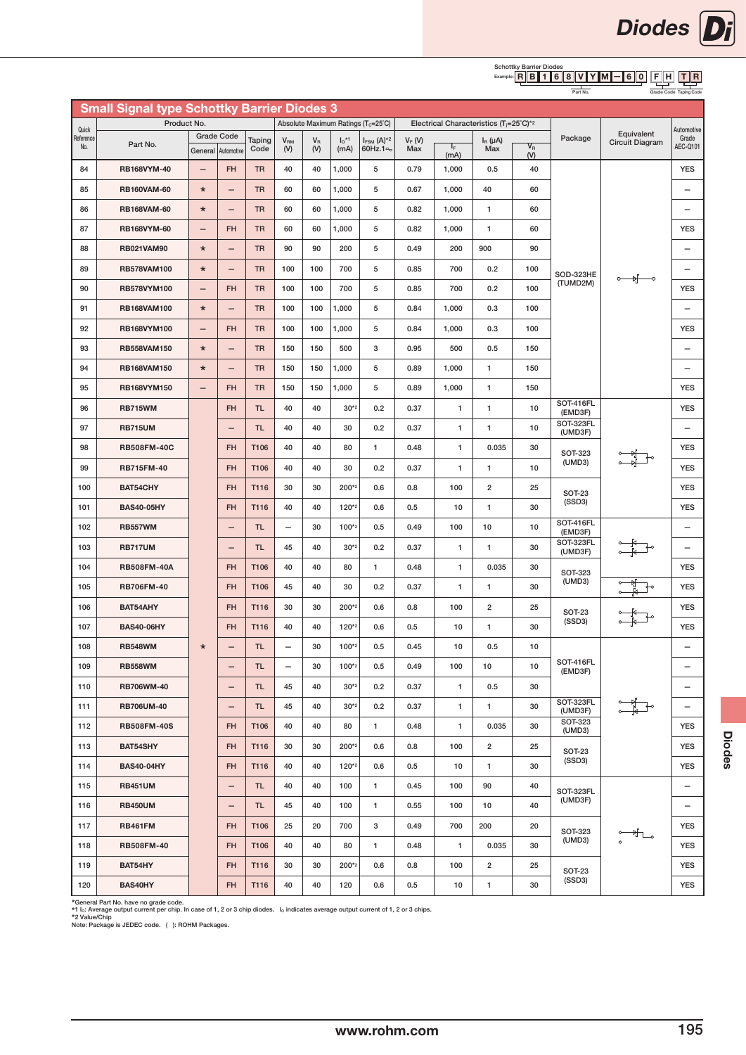#### Schottky Barrier Diodes<br>Example: R B B 1 6 F H T || R R || B || 1 || 6 || 8 || V || Y || M || -|| 6 || 0

| Part No. | Grade Code Taping Code |  |
|----------|------------------------|--|

|                    | <b>Small Signal type Schottky Barrier Diodes 3</b> |                          |                          |                |                          |                                |                             |                                                    |                 |               |                                                     |                                           |                          |                                                                                                                                                                                                                                                                                                                                                     |                          |
|--------------------|----------------------------------------------------|--------------------------|--------------------------|----------------|--------------------------|--------------------------------|-----------------------------|----------------------------------------------------|-----------------|---------------|-----------------------------------------------------|-------------------------------------------|--------------------------|-----------------------------------------------------------------------------------------------------------------------------------------------------------------------------------------------------------------------------------------------------------------------------------------------------------------------------------------------------|--------------------------|
|                    | Product No.                                        |                          |                          |                |                          |                                |                             | Absolute Maximum Ratings (T <sub>c</sub> =25°C)    |                 |               | Electrical Characteristics (T <sub>i</sub> =25°C)*2 |                                           |                          |                                                                                                                                                                                                                                                                                                                                                     |                          |
| Quick<br>Reference |                                                    |                          | <b>Grade Code</b>        |                |                          |                                |                             |                                                    |                 |               |                                                     |                                           | Package                  | Equivalent                                                                                                                                                                                                                                                                                                                                          | Automotive<br>Grade      |
| No.                | Part No.                                           |                          | General Automotive       | Taping<br>Code | V <sub>RM</sub><br>(V)   | $\mathsf{V}_\mathsf{R}$<br>(V) | $I_0$ <sup>*1</sup><br>(mA) | $I_{FSM}$ (A) <sup>*2</sup><br>60Hz.1 <sup>o</sup> | $V_F(W)$<br>Max | $I_F$<br>(mA) | $I_R(\mu A)$<br>Max                                 | $\overline{\mathsf{V}}_\mathsf{R}$<br>(V) |                          | Circuit Diagram                                                                                                                                                                                                                                                                                                                                     | AEC-Q101                 |
| 84                 | RB168VYM-40                                        | $\overline{\phantom{0}}$ | <b>FH</b>                | <b>TR</b>      | 40                       | 40                             | 1,000                       | 5                                                  | 0.79            | 1,000         | 0.5                                                 | 40                                        |                          |                                                                                                                                                                                                                                                                                                                                                     | <b>YES</b>               |
| 85                 | <b>RB160VAM-60</b>                                 | $\star$                  | —                        | <b>TR</b>      | 60                       | 60                             | 1,000                       | 5                                                  | 0.67            | 1,000         | 40                                                  | 60                                        |                          |                                                                                                                                                                                                                                                                                                                                                     | -                        |
| 86                 | <b>RB168VAM-60</b>                                 | $\star$                  | -                        | <b>TR</b>      | 60                       | 60                             | 1,000                       | 5                                                  | 0.82            | 1,000         | $\mathbf{1}$                                        | 60                                        |                          |                                                                                                                                                                                                                                                                                                                                                     | -                        |
| 87                 | RB168VYM-60                                        | $\overline{\phantom{0}}$ | <b>FH</b>                | <b>TR</b>      | 60                       | 60                             | 1,000                       | 5                                                  | 0.82            | 1,000         | 1                                                   | 60                                        |                          |                                                                                                                                                                                                                                                                                                                                                     | <b>YES</b>               |
| 88                 | <b>RB021VAM90</b>                                  | $\star$                  | $\overline{\phantom{0}}$ | <b>TR</b>      | 90                       | 90                             | 200                         | 5                                                  | 0.49            | 200           | 900                                                 | 90                                        |                          |                                                                                                                                                                                                                                                                                                                                                     | $\overline{\phantom{0}}$ |
| 89                 | <b>RB578VAM100</b>                                 | $\star$                  | -                        | <b>TR</b>      | 100                      | 100                            | 700                         | 5                                                  | 0.85            | 700           | 0.2                                                 | 100                                       | SOD-323HE                | ०— भूं—०                                                                                                                                                                                                                                                                                                                                            | -                        |
| 90                 | RB578VYM100                                        |                          | <b>FH</b>                | <b>TR</b>      | 100                      | 100                            | 700                         | 5                                                  | 0.85            | 700           | 0.2                                                 | 100                                       | (TUMD2M)                 |                                                                                                                                                                                                                                                                                                                                                     | <b>YES</b>               |
| 91                 | RB168VAM100                                        | $\star$                  | $\overline{\phantom{0}}$ | <b>TR</b>      | 100                      | 100                            | 1,000                       | 5                                                  | 0.84            | 1,000         | 0.3                                                 | 100                                       |                          |                                                                                                                                                                                                                                                                                                                                                     | $\overline{\phantom{0}}$ |
| 92                 | RB168VYM100                                        |                          | <b>FH</b>                | <b>TR</b>      | 100                      | 100                            | 1,000                       | 5                                                  | 0.84            | 1,000         | 0.3                                                 | 100                                       |                          |                                                                                                                                                                                                                                                                                                                                                     | <b>YES</b>               |
| 93                 | <b>RB558VAM150</b>                                 | $\star$                  | $\qquad \qquad -$        | <b>TR</b>      | 150                      | 150                            | 500                         | 3                                                  | 0.95            | 500           | 0.5                                                 | 150                                       |                          |                                                                                                                                                                                                                                                                                                                                                     | $\overline{\phantom{0}}$ |
| 94                 | <b>RB168VAM150</b>                                 | $\star$                  | $\overline{\phantom{0}}$ | <b>TR</b>      | 150                      | 150                            | 1,000                       | 5                                                  | 0.89            | 1,000         | 1                                                   | 150                                       |                          |                                                                                                                                                                                                                                                                                                                                                     | $\overline{\phantom{0}}$ |
| 95                 | RB168VYM150                                        | $\overline{\phantom{0}}$ | <b>FH</b>                | <b>TR</b>      | 150                      | 150                            | 1,000                       | 5                                                  | 0.89            | 1,000         | 1                                                   | 150                                       |                          |                                                                                                                                                                                                                                                                                                                                                     | <b>YES</b>               |
| 96                 | <b>RB715WM</b>                                     |                          | <b>FH</b>                | <b>TL</b>      | 40                       | 40                             | $30*2$                      | 0.2                                                | 0.37            | 1             | 1                                                   | 10                                        | SOT-416FL<br>(EMD3F)     |                                                                                                                                                                                                                                                                                                                                                     | <b>YES</b>               |
| 97                 | <b>RB715UM</b>                                     |                          | -                        | <b>TL</b>      | 40                       | 40                             | 30                          | 0.2                                                | 0.37            | 1             | 1                                                   | 10                                        | SOT-323FL<br>(UMD3F)     |                                                                                                                                                                                                                                                                                                                                                     | -                        |
| 98                 | <b>RB508FM-40C</b>                                 |                          | <b>FH</b>                | T106           | 40                       | 40                             | 80                          | $\mathbf{1}$                                       | 0.48            | $\mathbf{1}$  | 0.035                                               | 30                                        | <b>SOT-323</b>           |                                                                                                                                                                                                                                                                                                                                                     | <b>YES</b>               |
| 99                 | <b>RB715FM-40</b>                                  |                          | <b>FH</b>                | T106           | 40                       | 40                             | 30                          | 0.2                                                | 0.37            | 1             | 1                                                   | 10                                        | (UMD3)                   |                                                                                                                                                                                                                                                                                                                                                     | <b>YES</b>               |
| 100                | BAT54CHY                                           |                          | <b>FH</b>                | T116           | 30                       | 30                             | 200*2                       | 0.6                                                | 0.8             | 100           | $\overline{\mathbf{2}}$                             | 25                                        | <b>SOT-23</b>            |                                                                                                                                                                                                                                                                                                                                                     | <b>YES</b>               |
| 101                | <b>BAS40-05HY</b>                                  |                          | <b>FH</b>                | T116           | 40                       | 40                             | 120*2                       | 0.6                                                | 0.5             | 10            | 1                                                   | 30                                        | (SSD3)                   |                                                                                                                                                                                                                                                                                                                                                     | <b>YES</b>               |
| 102                | <b>RB557WM</b>                                     |                          | -                        | <b>TL</b>      | $\qquad \qquad -$        | 30                             | 100*2                       | 0.5                                                | 0.49            | 100           | 10                                                  | 10                                        | SOT-416FL<br>(EMD3F)     |                                                                                                                                                                                                                                                                                                                                                     |                          |
| 103                | <b>RB717UM</b>                                     |                          | -                        | <b>TL</b>      | 45                       | 40                             | $30*2$                      | 0.2                                                | 0.37            | 1             | 1                                                   | 30                                        | SOT-323FL<br>(UMD3F)     |                                                                                                                                                                                                                                                                                                                                                     |                          |
| 104                | <b>RB508FM-40A</b>                                 |                          | <b>FH</b>                | T106           | 40                       | 40                             | 80                          | 1                                                  | 0.48            | $\mathbf{1}$  | 0.035                                               | 30                                        | <b>SOT-323</b>           |                                                                                                                                                                                                                                                                                                                                                     | <b>YES</b>               |
| 105                | <b>RB706FM-40</b>                                  |                          | <b>FH</b>                | T106           | 45                       | 40                             | 30                          | 0.2                                                | 0.37            | $\mathbf{1}$  | 1                                                   | 30                                        | (UMD3)                   |                                                                                                                                                                                                                                                                                                                                                     | <b>YES</b>               |
| 106                | BAT54AHY                                           |                          | <b>FH</b>                | T116           | 30                       | 30                             | 200*2                       | 0.6                                                | 0.8             | 100           | $\overline{\mathbf{c}}$                             | 25                                        | <b>SOT-23</b>            |                                                                                                                                                                                                                                                                                                                                                     | <b>YES</b>               |
| 107                | <b>BAS40-06HY</b>                                  |                          | <b>FH</b>                | T116           | 40                       | 40                             | 120*2                       | 0.6                                                | 0.5             | 10            | 1                                                   | 30                                        | (SSD3)                   |                                                                                                                                                                                                                                                                                                                                                     | <b>YES</b>               |
| 108                | <b>RB548WM</b>                                     | $\star$                  | -                        | <b>TL</b>      | $\overline{\phantom{0}}$ | 30                             | 100*2                       | 0.5                                                | 0.45            | 10            | 0.5                                                 | 10                                        |                          |                                                                                                                                                                                                                                                                                                                                                     |                          |
| 109                | <b>RB558WM</b>                                     |                          | -                        | <b>TL</b>      | $\overline{\phantom{0}}$ | 30                             | 100*2                       | 0.5                                                | 0.49            | 100           | 10                                                  | 10                                        | SOT-416FL<br>(EMD3F)     |                                                                                                                                                                                                                                                                                                                                                     |                          |
| 110                | RB706WM-40                                         |                          | $\qquad \qquad -$        | <b>TL</b>      | 45                       | 40                             | $30*2$                      | 0.2                                                | 0.37            | $\mathbf{1}$  | 0.5                                                 | 30                                        |                          |                                                                                                                                                                                                                                                                                                                                                     | $\overline{\phantom{0}}$ |
| 111                | <b>RB706UM-40</b>                                  |                          | -                        | TL.            | 45                       | 40                             | $30*2$                      | 0.2                                                | 0.37            | 1             | 1                                                   | 30                                        | SOT-323FL<br>(UMD3F)     |                                                                                                                                                                                                                                                                                                                                                     | —                        |
| 112                | <b>RB508FM-40S</b>                                 |                          | <b>FH</b>                | T106           | 40                       | 40                             | 80                          | $\mathbf{1}$                                       | 0.48            | $\mathbf{1}$  | 0.035                                               | 30                                        | <b>SOT-323</b><br>(UMD3) |                                                                                                                                                                                                                                                                                                                                                     | <b>YES</b>               |
| 113                | BAT54SHY                                           |                          | <b>FH</b>                | T116           | 30                       | 30                             | 200*2                       | 0.6                                                | 0.8             | 100           | $\overline{2}$                                      | 25                                        | <b>SOT-23</b>            |                                                                                                                                                                                                                                                                                                                                                     | <b>YES</b>               |
| 114                | <b>BAS40-04HY</b>                                  |                          | <b>FH</b>                | T116           | 40                       | 40                             | 120*2                       | 0.6                                                | 0.5             | 10            | $\mathbf{1}$                                        | 30                                        | (SSD3)                   |                                                                                                                                                                                                                                                                                                                                                     | <b>YES</b>               |
| 115                | <b>RB451UM</b>                                     |                          | $\overline{\phantom{0}}$ | <b>TL</b>      | 40                       | 40                             | 100                         | $\mathbf{1}$                                       | 0.45            | 100           | 90                                                  | 40                                        | SOT-323FL                |                                                                                                                                                                                                                                                                                                                                                     |                          |
| 116                | <b>RB450UM</b>                                     |                          | $\qquad \qquad -$        | TL.            | 45                       | 40                             | 100                         | 1                                                  | 0.55            | 100           | 10                                                  | 40                                        | (UMD3F)                  |                                                                                                                                                                                                                                                                                                                                                     | -                        |
| 117                | <b>RB461FM</b>                                     |                          | <b>FH</b>                | T106           | 25                       | 20                             | 700                         | 3                                                  | 0.49            | 700           | 200                                                 | 20                                        | <b>SOT-323</b>           | $\begin{picture}(20,5) \put(0,0){\line(1,0){10}} \put(15,0){\line(1,0){10}} \put(15,0){\line(1,0){10}} \put(15,0){\line(1,0){10}} \put(15,0){\line(1,0){10}} \put(15,0){\line(1,0){10}} \put(15,0){\line(1,0){10}} \put(15,0){\line(1,0){10}} \put(15,0){\line(1,0){10}} \put(15,0){\line(1,0){10}} \put(15,0){\line(1,0){10}} \put(15,0){\line(1,$ | <b>YES</b>               |
| 118                | <b>RB508FM-40</b>                                  |                          | <b>FH</b>                | T106           | 40                       | 40                             | 80                          | 1                                                  | 0.48            | 1             | 0.035                                               | 30                                        | (UMD3)                   |                                                                                                                                                                                                                                                                                                                                                     | <b>YES</b>               |
| 119                | BAT54HY                                            |                          | <b>FH</b>                | T116           | 30                       | 30                             | 200*2                       | 0.6                                                | 0.8             | 100           | 2                                                   | 25                                        | <b>SOT-23</b>            |                                                                                                                                                                                                                                                                                                                                                     | <b>YES</b>               |
| 120                | BAS40HY                                            |                          | <b>FH</b>                | T116           | 40                       | 40                             | 120                         | 0.6                                                | 0.5             | 10            | 1                                                   | 30                                        | (SSD3)                   |                                                                                                                                                                                                                                                                                                                                                     | <b>YES</b>               |

\*General Part No. have no grade code.<br>\*1 l<sub>o</sub>: Average output current per chip. In case of 1, 2 or 3 chip diodes. l<sub>o</sub> indicates average output current of 1, 2 or 3 chips.<br>\*2 Value/Chip<br>Note: Package is JEDEC code. ( ):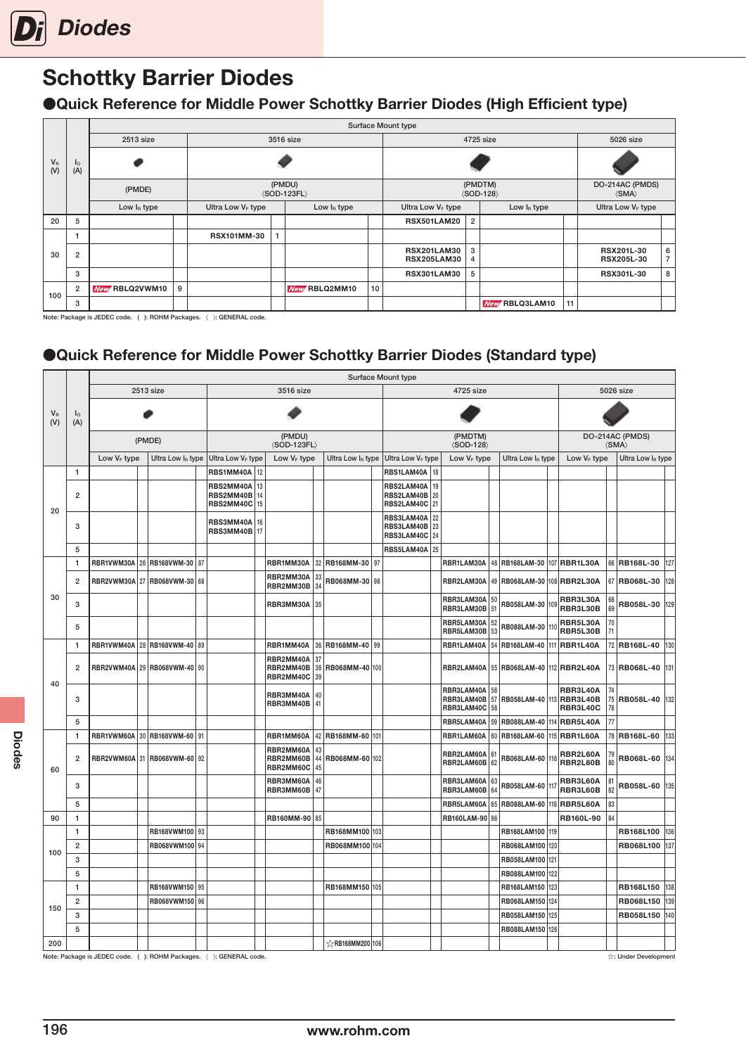

●Quick Reference for Middle Power Schottky Barrier Diodes (High Efficient type)

|                    |                          |                |   |                               |                                         |    | Surface Mount type                       |                |                                        |    |                                            |                     |
|--------------------|--------------------------|----------------|---|-------------------------------|-----------------------------------------|----|------------------------------------------|----------------|----------------------------------------|----|--------------------------------------------|---------------------|
|                    |                          | 2513 size      |   |                               | 3516 size                               |    |                                          |                | 4725 size                              |    | 5026 size                                  |                     |
| $V_{\rm R}$<br>(V) | $I_{\circ}$<br>(A)       |                |   |                               |                                         |    |                                          |                |                                        |    |                                            |                     |
|                    |                          | (PMDE)         |   |                               | (PMDU)<br>$\langle$ SOD-123FL $\rangle$ |    |                                          |                | (PMDTM)<br>$\langle$ SOD-128 $\rangle$ |    | DO-214AC (PMDS)<br>$\langle$ SMA $\rangle$ |                     |
|                    |                          | Low $I_R$ type |   | Ultra Low V <sub>F</sub> type | Low $I_R$ type                          |    | Ultra Low V <sub>F</sub> type            |                | Low $I_R$ type                         |    | Ultra Low V <sub>F</sub> type              |                     |
| 20                 | 5                        |                |   |                               |                                         |    | <b>RSX501LAM20</b>                       | $\overline{2}$ |                                        |    |                                            |                     |
|                    | $\overline{\phantom{a}}$ |                |   | <b>RSX101MM-30</b>            |                                         |    |                                          |                |                                        |    |                                            |                     |
| 30                 | $\overline{2}$           |                |   |                               |                                         |    | <b>RSX201LAM30</b><br><b>RSX205LAM30</b> | 3<br>4         |                                        |    | <b>RSX201L-30</b><br><b>RSX205L-30</b>     | 6<br>$\overline{7}$ |
|                    | 3                        |                |   |                               |                                         |    | <b>RSX301LAM30</b>                       | 5              |                                        |    | RSX301L-30                                 | 8                   |
| 100                | $\overline{2}$           | New RBLQ2VWM10 | 9 |                               | New RBLQ2MM10                           | 10 |                                          |                |                                        |    |                                            |                     |
|                    | 3                        |                |   |                               |                                         |    |                                          |                | New RBLQ3LAM10                         | 11 |                                            |                     |

Note: Package is JEDEC code. ( ): ROHM Packages. 〈 〉: GENERAL code.

### ●Quick Reference for Middle Power Schottky Barrier Diodes (Standard type)

| $V_R$ |                         |                         |    | 2513 size                        |    |                                                                     |                |                                         |          |                      |                                                  |                |                                        |                |                                                |     |                         |          |                                            |     |
|-------|-------------------------|-------------------------|----|----------------------------------|----|---------------------------------------------------------------------|----------------|-----------------------------------------|----------|----------------------|--------------------------------------------------|----------------|----------------------------------------|----------------|------------------------------------------------|-----|-------------------------|----------|--------------------------------------------|-----|
|       |                         |                         |    |                                  |    |                                                                     |                | 3516 size                               |          |                      |                                                  |                | 4725 size                              |                |                                                |     |                         |          | 5026 size                                  |     |
| (V)   | I <sub>o</sub><br>(A)   |                         |    |                                  |    |                                                                     |                |                                         |          |                      |                                                  |                |                                        |                |                                                |     |                         |          |                                            |     |
|       |                         |                         |    | (PMDE)                           |    |                                                                     |                | (PMDU)<br>$\langle$ SOD-123FL $\rangle$ |          |                      |                                                  |                | (PMDTM)<br>$\langle$ SOD-128 $\rangle$ |                |                                                |     |                         |          | DO-214AC (PMDS)<br>$\langle$ SMA $\rangle$ |     |
|       |                         | Low V <sub>F</sub> type |    | Ultra Low IR type                |    | <b>Ultra Low VF type</b>                                            |                | Low V <sub>F</sub> type                 |          | Ultra Low IR type    | Ultra Low V <sub>F</sub> type                    |                | Low V <sub>F</sub> type                |                | Ultra Low IR type                              |     | Low V <sub>F</sub> type |          | Ultra Low IR type                          |     |
|       | $\mathbf{1}$            |                         |    |                                  |    | RBS1MM40A                                                           | 12             |                                         |          |                      | <b>RBS1LAM40A 18</b>                             |                |                                        |                |                                                |     |                         |          |                                            |     |
| 20    | $\overline{2}$          |                         |    |                                  |    | RBS2MM40A<br>RBS2MM40B<br>RBS2MM40C                                 | 13<br>14<br>15 |                                         |          |                      | RBS2LAM40A<br><b>RBS2LAM40B 20</b><br>RBS2LAM40C | 19<br>21       |                                        |                |                                                |     |                         |          |                                            |     |
|       | 3                       |                         |    |                                  |    | RBS3MM40A<br><b>RBS3MM40B 17</b>                                    | 16             |                                         |          |                      | RBS3LAM40A<br>RBS3LAM40B<br>RBS3LAM40C           | 22<br>23<br>24 |                                        |                |                                                |     |                         |          |                                            |     |
|       | 5                       |                         |    |                                  |    |                                                                     |                |                                         |          |                      | <b>RBS5LAM40A 25</b>                             |                |                                        |                |                                                |     |                         |          |                                            |     |
|       | $\mathbf{1}$            | RBR1VWM30A              |    | 26 RB168VWM-30                   | 87 |                                                                     |                | RBR1MM30A                               |          | 32 RB168MM-30 97     |                                                  |                | RBR1LAM30A                             |                | 48 RB168LAM-30                                 |     | 107 RBR1L30A            |          | 66 RB168L-30                               | 127 |
|       | $\overline{2}$          | <b>RBR2VWM30A 27</b>    |    | RB068VWM-30 88                   |    |                                                                     |                | RBR2MM30A<br>RBR2MM30B                  | 33<br>34 | RB068MM-30 98        |                                                  |                |                                        |                | RBR2LAM30A   49   RB068LAM-30   108   RBR2L30A |     |                         |          | 67 RB068L-30                               | 128 |
| 30    | 3                       |                         |    |                                  |    |                                                                     |                | RBR3MM30A                               | 35       |                      |                                                  |                | RBR3LAM30A<br>RBR3LAM30B               | 50<br>51       | RB058LAM-30                                    | 109 | RBR3L30A<br>RBR3L30B    | 68<br>69 | RB058L-30                                  | 129 |
|       | 5                       |                         |    |                                  |    |                                                                     |                |                                         |          |                      |                                                  |                | RBR5LAM30A<br>RBR5LAM30B               | 52<br>53       | RB088LAM-30 110                                |     | RBR5L30A<br>RBR5L30B    | 70<br>71 |                                            |     |
|       | $\mathbf{1}$            | RBR1VWM40A              |    | 28 RB168VWM-40                   | 89 |                                                                     |                | RBR1MM40A                               |          | 36   RB168MM-40   99 |                                                  |                | RBR1LAM40A                             |                | 54 RB168LAM-40                                 |     | 111 RBR1L40A            |          | 72 RB168L-40                               | 130 |
| 40    | $\overline{2}$          |                         |    | RBR2VWM40A 29 RB068VWM-40 90     |    |                                                                     |                | RBR2MM40A<br>RBR2MM40B<br>RBR2MM40C     | 37<br>39 | 38 RB068MM-40 100    |                                                  |                |                                        |                | RBR2LAM40A 55 RB068LAM-40 112 RBR2L40A         |     |                         |          | 73 RB068L-40                               | 131 |
|       | 3                       |                         |    |                                  |    |                                                                     |                | RBR3MM40A<br>RBR3MM40B                  | 40<br>41 |                      |                                                  |                | RBR3LAM40A<br>RBR3LAM40B<br>RBR3LAM40C | 56<br>57<br>58 | RB058LAM-40 113 RBR3L40B                       |     | RBR3L40A<br>RBR3L40C    | 74<br>76 | 75 RB058L-40                               | 132 |
|       | 5                       |                         |    |                                  |    |                                                                     |                |                                         |          |                      |                                                  |                | RBR5LAM40A                             |                | 59 RB088LAM-40 114 RBR5L40A                    |     |                         | 77       |                                            |     |
|       | $\mathbf{1}$            | RBR1VWM60A              | 30 | RB168VWM-60 91                   |    |                                                                     |                | RBR1MM60A                               |          | 42 RB168MM-60 101    |                                                  |                | RBR1LAM60A                             |                | 60 RB168LAM-60                                 |     | 115 RBR1L60A            |          | 78 RB168L-60                               | 133 |
| 60    | $\overline{2}$          |                         |    | RBR2VWM60A 31   RB068VWM-60   92 |    |                                                                     |                | RBR2MM60A<br>RBR2MM60B<br>RBR2MM60C     | 43<br>45 | 44 RB068MM-60 102    |                                                  |                | <b>RBR2LAM60A 61</b><br>RBR2LAM60B     | 62             | RB068LAM-60 116                                |     | RBR2L60A<br>RBR2L60B    | 79<br>80 | RB068L-60 134                              |     |
|       | 3                       |                         |    |                                  |    |                                                                     |                | <b>RBR3MM60A 46</b><br>RBR3MM60B        | 47       |                      |                                                  |                | RBR3LAM60A<br>RBR3LAM60B               | 63<br>64       | RB058LAM-60 117                                |     | RBR3L60A<br>RBR3L60B    | 81<br>82 | <b>RB058L-60</b>                           | 135 |
|       | 5                       |                         |    |                                  |    |                                                                     |                |                                         |          |                      |                                                  |                | RBR5LAM60A                             |                | 65   RB088LAM-60   118   RBR5L60A              |     |                         | 83       |                                            |     |
| 90    | $\mathbf{1}$            |                         |    |                                  |    |                                                                     |                | RB160MM-90 85                           |          |                      |                                                  |                | <b>RB160LAM-90 86</b>                  |                |                                                |     | <b>RB160L-90</b>        | 84       |                                            |     |
|       | 1                       |                         |    | RB168VWM100 93                   |    |                                                                     |                |                                         |          | RB168MM100 103       |                                                  |                |                                        |                | RB168LAM100 119                                |     |                         |          | RB168L100                                  | 136 |
| 100   | $\overline{\mathbf{2}}$ |                         |    | RB068VWM100 94                   |    |                                                                     |                |                                         |          | RB068MM100 104       |                                                  |                |                                        |                | RB068LAM100 120                                |     |                         |          | RB068L100                                  | 137 |
|       | 3                       |                         |    |                                  |    |                                                                     |                |                                         |          |                      |                                                  |                |                                        |                | RB058LAM100 121                                |     |                         |          |                                            |     |
|       | 5                       |                         |    |                                  |    |                                                                     |                |                                         |          |                      |                                                  |                |                                        |                | <b>RB088LAM100</b>                             | 122 |                         |          |                                            |     |
|       | 1                       |                         |    | RB168VWM150 95                   |    |                                                                     |                |                                         |          | RB168MM150 105       |                                                  |                |                                        |                | <b>RB168LAM150</b>                             | 123 |                         |          | RB168L150                                  | 138 |
| 150   | $\overline{2}$          |                         |    | RB068VWM150 96                   |    |                                                                     |                |                                         |          |                      |                                                  |                |                                        |                | <b>RB068LAM150</b>                             | 124 |                         |          | RB068L150                                  | 139 |
|       | 3                       |                         |    |                                  |    |                                                                     |                |                                         |          |                      |                                                  |                |                                        |                | RB058LAM150 125                                |     |                         |          | <b>RB058L150</b>                           | 140 |
|       | 5                       |                         |    |                                  |    |                                                                     |                |                                         |          |                      |                                                  |                |                                        |                | RB088LAM150 126                                |     |                         |          |                                            |     |
| 200   |                         |                         |    |                                  |    | Note: Package is JEDEC code. ( ): ROHM Packages. ( ): GENERAL code. |                |                                         |          | ☆RB168MM200 106      |                                                  |                |                                        |                |                                                |     |                         |          | ☆: Under Development                       |     |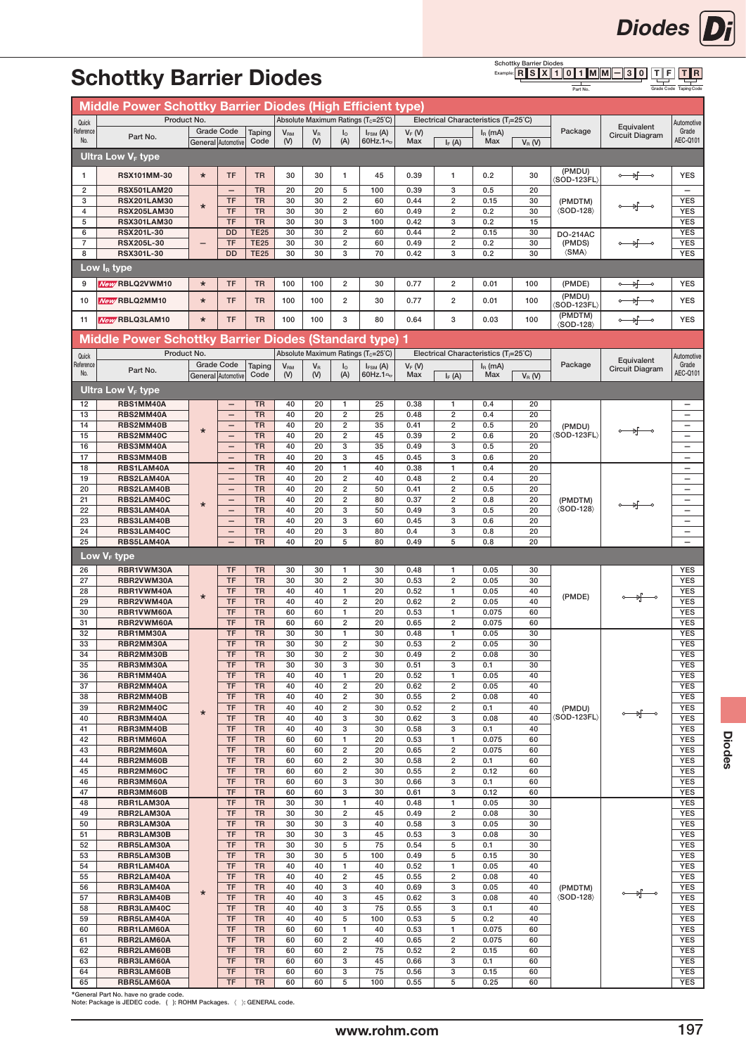

#### Schottky Barrier Diodes  $T \parallel F$ T || R  $R \| S \| X \| 1 \| 0 \| 1 \| M \| M \| - 3 \| 0$

Grade Code Taping Code

|                    | Middle Power Schottky Barrier Diodes (High Efficient type)  |         |                                                      |                        |                 |                  |                                |                                                 |              |                                                   |              |           |                                         |                                      |                          |
|--------------------|-------------------------------------------------------------|---------|------------------------------------------------------|------------------------|-----------------|------------------|--------------------------------|-------------------------------------------------|--------------|---------------------------------------------------|--------------|-----------|-----------------------------------------|--------------------------------------|--------------------------|
|                    | Product No.                                                 |         |                                                      |                        |                 |                  |                                | Absolute Maximum Ratings (T <sub>c</sub> =25°C) |              | Electrical Characteristics (T <sub>i</sub> =25°C) |              |           |                                         |                                      |                          |
| Quick<br>Reference |                                                             |         | <b>Grade Code</b>                                    | Taping                 | V <sub>RM</sub> | $V_{\rm R}$      | $I_{\circ}$                    | $I_{FSM}$ (A)                                   | $V_F(V)$     |                                                   | $I_R$ (mA)   |           | Package                                 | Equivalent                           | Automotive<br>Grade      |
| No.                | Part No.                                                    |         | General Automotive                                   | Code                   | (V)             | (V)              | (A)                            | 60Hz.1 <sup>o</sup>                             | Max          | $I_F(A)$                                          | Max          | $V_R$ (V) |                                         | <b>Circuit Diagram</b>               | AEC-Q101                 |
|                    | <b>Ultra Low V<sub>F</sub> type</b>                         |         |                                                      |                        |                 |                  |                                |                                                 |              |                                                   |              |           |                                         |                                      |                          |
|                    |                                                             |         |                                                      |                        |                 |                  |                                |                                                 |              |                                                   |              |           |                                         |                                      |                          |
| 1                  | RSX101MM-30                                                 | $\star$ | TF                                                   | <b>TR</b>              | 30              | 30               | $\mathbf{1}$                   | 45                                              | 0.39         | $\mathbf{1}$                                      | 0.2          | 30        | (PMDU)<br>$\langle$ SOD-123FL $\rangle$ | ०— भू—०                              | <b>YES</b>               |
| 2                  | <b>RSX501LAM20</b>                                          |         | $\qquad \qquad -$                                    | <b>TR</b>              | 20              | 20               | 5                              | 100                                             | 0.39         | 3                                                 | 0.5          | 20        |                                         |                                      | $\overline{\phantom{0}}$ |
| 3                  | <b>RSX201LAM30</b>                                          |         | TF                                                   | <b>TR</b>              | 30              | 30               | $\overline{2}$                 | 60                                              | 0.44         | $\overline{\mathbf{c}}$                           | 0.15         | 30        | (PMDTM)                                 |                                      | <b>YES</b>               |
| 4                  | <b>RSX205LAM30</b>                                          | $\star$ | <b>TF</b>                                            | <b>TR</b>              | 30              | 30               | $\overline{2}$                 | 60                                              | 0.49         | 2                                                 | 0.2          | 30        | $\langle$ SOD-128 $\rangle$             | $\frac{1}{2}$                        | <b>YES</b>               |
| 5                  | <b>RSX301LAM30</b>                                          |         | TF                                                   | <b>TR</b>              | 30              | 30               | 3                              | 100                                             | 0.42         | 3                                                 | 0.2          | 15        |                                         |                                      | <b>YES</b>               |
| 6                  | <b>RSX201L-30</b>                                           |         | <b>DD</b>                                            | <b>TE25</b>            | 30              | 30               | $\overline{2}$                 | 60                                              | 0.44         | $\overline{2}$                                    | 0.15         | 30        | <b>DO-214AC</b>                         |                                      | <b>YES</b>               |
| $\overline{7}$     | <b>RSX205L-30</b>                                           |         | TF                                                   | <b>TE25</b>            | 30              | 30               | $\overline{\mathbf{c}}$        | 60                                              | 0.49         | $\overline{2}$                                    | 0.2          | 30        | (PMDS)                                  | →∱—∘                                 | <b>YES</b>               |
| 8                  | <b>RSX301L-30</b>                                           |         | <b>DD</b>                                            | <b>TE25</b>            | 30              | 30               | 3                              | 70                                              | 0.42         | 3                                                 | 0.2          | 30        | $\langle$ SMA $\rangle$                 |                                      | <b>YES</b>               |
|                    | Low I $_{\rm R}$ type                                       |         |                                                      |                        |                 |                  |                                |                                                 |              |                                                   |              |           |                                         |                                      |                          |
| 9                  | <b>New RBLQ2VWM10</b>                                       | $\star$ | TF                                                   | <b>TR</b>              | 100             | 100              | $\overline{\mathbf{2}}$        | 30                                              | 0.77         | $\overline{\mathbf{c}}$                           | 0.01         | 100       | (PMDE)                                  | ∱<br>$\overline{\phantom{0}}$        | <b>YES</b>               |
|                    |                                                             | $\star$ |                                                      |                        |                 |                  |                                |                                                 |              | $\overline{2}$                                    |              |           | (PMDU)                                  |                                      |                          |
| 10                 | New RBLQ2MM10                                               |         | TF                                                   | <b>TR</b>              | 100             | 100              | 2                              | 30                                              | 0.77         |                                                   | 0.01         | 100       | SOD-123FL)                              |                                      | <b>YES</b>               |
| 11                 | <b>New RBLQ3LAM10</b>                                       | $\star$ | <b>TF</b>                                            | <b>TR</b>              | 100             | 100              | 3                              | 80                                              | 0.64         | 3                                                 | 0.03         | 100       | (PMDTM)                                 | $\longrightarrow$                    | <b>YES</b>               |
|                    |                                                             |         |                                                      |                        |                 |                  |                                |                                                 |              |                                                   |              |           | $\langle$ SOD-128 $\rangle$             |                                      |                          |
|                    | <b>Middle Power Schottky Barrier Diodes (Standard type)</b> |         |                                                      |                        |                 |                  |                                |                                                 | -1           |                                                   |              |           |                                         |                                      |                          |
| Quick              | Product No.                                                 |         |                                                      |                        |                 |                  |                                | Absolute Maximum Ratings (Tc=25°C)              |              | Electrical Characteristics (Ti=25°C)              |              |           |                                         |                                      | Automotive               |
| Reference          | Part No.                                                    |         | <b>Grade Code</b>                                    | Taping                 | V <sub>RM</sub> | $V_{\mathsf{R}}$ | I <sub>o</sub>                 | $I_{FSM}$ (A)                                   | $V_F(W)$     |                                                   | $IR$ (mA)    |           | Package                                 | Equivalent<br><b>Circuit Diagram</b> | Grade                    |
| No.                |                                                             |         | General Automotive                                   | Code                   | (V)             | (V)              | (A)                            | 60Hz.1~                                         | Max          | $I_F(A)$                                          | Max          | $V_R$ (V) |                                         |                                      | AEC-Q101                 |
|                    | Ultra Low V <sub>F</sub> type                               |         |                                                      |                        |                 |                  |                                |                                                 |              |                                                   |              |           |                                         |                                      |                          |
| 12                 | RBS1MM40A                                                   |         | -                                                    | <b>TR</b>              | 40              | 20               | $\mathbf{1}$                   | 25                                              | 0.38         | 1                                                 | 0.4          | 20        |                                         |                                      |                          |
| 13                 | RBS2MM40A                                                   |         | $\qquad \qquad -$                                    | <b>TR</b>              | 40              | 20               | $\overline{2}$                 | 25                                              | 0.48         | $\mathbf 2$                                       | 0.4          | 20        |                                         |                                      | $\overline{\phantom{m}}$ |
| 14                 | RBS2MM40B                                                   | $\star$ | $\qquad \qquad -$                                    | <b>TR</b>              | 40              | 20               | $\overline{2}$                 | 35                                              | 0.41         | $\overline{2}$                                    | 0.5          | 20        | (PMDU)                                  |                                      | $\overline{\phantom{0}}$ |
| 15                 | RBS2MM40C                                                   |         | $\overline{\phantom{0}}$                             | <b>TR</b>              | 40              | 20               | $\overline{2}$                 | 45                                              | 0.39         | $\overline{2}$                                    | 0.6          | 20        | $\langle$ SOD-123FL $\rangle$           |                                      |                          |
| 16                 | RBS3MM40A                                                   |         |                                                      | <b>TR</b>              | 40              | 20               | 3                              | 35                                              | 0.49         | 3                                                 | 0.5          | 20        |                                         |                                      |                          |
| 17                 | RBS3MM40B                                                   |         |                                                      | <b>TR</b>              | 40              | 20               | 3                              | 45                                              | 0.45         | 3                                                 | 0.6          | 20        |                                         |                                      | $\overline{\phantom{0}}$ |
| 18<br>19           | RBS1LAM40A                                                  |         | $\overline{\phantom{0}}$                             | <b>TR</b><br><b>TR</b> | 40<br>40        | 20<br>20         | $\mathbf{1}$<br>$\overline{2}$ | 40<br>40                                        | 0.38<br>0.48 | $\mathbf{1}$<br>$\overline{2}$                    | 0.4<br>0.4   | 20<br>20  |                                         |                                      | $\overline{\phantom{m}}$ |
| 20                 | RBS2LAM40A<br>RBS2LAM40B                                    |         | $\overline{\phantom{0}}$<br>$\overline{\phantom{0}}$ | <b>TR</b>              | 40              | 20               | $\overline{2}$                 | 50                                              | 0.41         | $\overline{2}$                                    | 0.5          | 20        |                                         |                                      | $\qquad \qquad -$        |
| 21                 | RBS2LAM40C                                                  |         |                                                      | <b>TR</b>              | 40              | 20               | $\overline{2}$                 | 80                                              | 0.37         | $\overline{2}$                                    | 0.8          | 20        | (PMDTM)                                 |                                      | $\overline{\phantom{0}}$ |
| 22                 | RBS3LAM40A                                                  | $\star$ | $\qquad \qquad -$                                    | <b>TR</b>              | 40              | 20               | 3                              | 50                                              | 0.49         | 3                                                 | 0.5          | 20        | $\langle$ SOD-128 $\rangle$             | →⊢                                   |                          |
| 23                 | RBS3LAM40B                                                  |         | $\qquad \qquad -$                                    | <b>TR</b>              | 40              | 20               | 3                              | 60                                              | 0.45         | 3                                                 | 0.6          | 20        |                                         |                                      | $\overline{\phantom{0}}$ |
| 24                 | RBS3LAM40C                                                  |         |                                                      | <b>TR</b>              | 40              | 20               | 3                              | 80                                              | 0.4          | 3                                                 | 0.8          | 20        |                                         |                                      | $\overline{\phantom{0}}$ |
| 25                 | RBS5LAM40A                                                  |         | $\overline{\phantom{0}}$                             | <b>TR</b>              | 40              | 20               | 5                              | 80                                              | 0.49         | 5                                                 | 0.8          | 20        |                                         |                                      |                          |
|                    |                                                             |         |                                                      |                        |                 |                  |                                |                                                 |              |                                                   |              |           |                                         |                                      |                          |
|                    |                                                             |         |                                                      |                        |                 |                  |                                |                                                 |              |                                                   |              |           |                                         |                                      |                          |
|                    | Low V <sub>F</sub> type                                     |         |                                                      |                        |                 |                  | $\mathbf{1}$                   |                                                 |              | 1                                                 |              |           |                                         |                                      |                          |
| 26<br>27           | RBR1VWM30A<br>RBR2VWM30A                                    |         | <b>TF</b><br>TF                                      | <b>TR</b><br><b>TR</b> | 30<br>30        | 30<br>30         | $\overline{2}$                 | 30<br>30                                        | 0.48<br>0.53 | $\mathbf 2$                                       | 0.05<br>0.05 | 30<br>30  |                                         |                                      | <b>YES</b><br><b>YES</b> |
| 28                 | RBR1VWM40A                                                  |         | TF                                                   | <b>TR</b>              | 40              | 40               | $\mathbf{1}$                   | 20                                              | 0.52         | $\mathbf{1}$                                      | 0.05         | 40        |                                         |                                      | <b>YES</b>               |
| 29                 | RBR2VWM40A                                                  | $\star$ | TF                                                   | <b>TR</b>              | 40              | 40               | 2                              | 20                                              | 0.62         | $\overline{2}$                                    | 0.05         | 40        | (PMDE)                                  | ०—ा∦—०                               | <b>YES</b>               |
| 30                 | RBR1VWM60A                                                  |         | TF                                                   | <b>TR</b>              | 60              | 60               | $\mathbf{1}$                   | 20                                              | 0.53         | $\mathbf{1}$                                      | 0.075        | 60        |                                         |                                      | <b>YES</b>               |
| 31                 | RBR2VWM60A                                                  |         | <b>TF</b>                                            | <b>TR</b>              | 60              | 60               | $\overline{2}$                 | 20                                              | 0.65         | $\overline{2}$                                    | 0.075        | 60        |                                         |                                      | <b>YES</b>               |
| 32                 | RBR1MM30A                                                   |         | TF                                                   | <b>TR</b>              | 30              | 30               | $\mathbf{1}$                   | 30                                              | 0.48         | $\mathbf{1}$                                      | 0.05         | 30        |                                         |                                      | <b>YES</b>               |
| 33                 | RBR2MM30A<br>RBR2MM30B                                      |         | <b>TF</b>                                            | <b>TR</b>              | 30              | 30               | $\overline{\mathbf{2}}$        | 30                                              | 0.53         | $\overline{2}$                                    | 0.05         | 30        |                                         |                                      | <b>YES</b>               |
| 34<br>35           | RBR3MM30A                                                   |         | TF<br>TF                                             | <b>TR</b><br><b>TR</b> | 30<br>30        | 30<br>30         | 2<br>3                         | 30<br>30                                        | 0.49<br>0.51 | 2<br>3                                            | 0.08<br>0.1  | 30<br>30  |                                         |                                      | YES<br><b>YES</b>        |
| 36                 | RBR1MM40A                                                   |         | TF                                                   | <b>TR</b>              | 40              | 40               | $\mathbf{1}$                   | 20                                              | 0.52         | $\mathbf{1}$                                      | 0.05         | 40        |                                         |                                      | <b>YES</b>               |
| 37                 | RBR2MM40A                                                   |         | <b>TF</b>                                            | <b>TR</b>              | 40              | 40               | $\overline{2}$                 | 20                                              | 0.62         | $\overline{2}$                                    | 0.05         | 40        |                                         |                                      | <b>YES</b>               |
| 38                 | RBR2MM40B                                                   |         | <b>TF</b>                                            | <b>TR</b>              | 40              | 40               | $\overline{2}$                 | 30                                              | 0.55         | $\overline{2}$                                    | 0.08         | 40        |                                         |                                      | <b>YES</b>               |
| 39                 | RBR2MM40C                                                   | $\star$ | TF                                                   | <b>TR</b>              | 40              | 40               | $\overline{2}$                 | 30                                              | 0.52         | $\overline{2}$                                    | 0.1          | 40        | (PMDU)                                  | ∘—⊮⊸                                 | <b>YES</b>               |
| 40                 | RBR3MM40A                                                   |         | <b>TF</b>                                            | <b>TR</b>              | 40              | 40               | 3                              | 30                                              | 0.62         | 3                                                 | 0.08         | 40        | $\langle$ SOD-123FL $\rangle$           |                                      | <b>YES</b>               |
| 41<br>42           | RBR3MM40B<br>RBR1MM60A                                      |         | TF<br><b>TF</b>                                      | <b>TR</b><br><b>TR</b> | 40<br>60        | 40<br>60         | 3<br>$\mathbf{1}$              | 30<br>20                                        | 0.58<br>0.53 | 3<br>$\mathbf{1}$                                 | 0.1<br>0.075 | 40<br>60  |                                         |                                      | <b>YES</b><br><b>YES</b> |
| 43                 | RBR2MM60A                                                   |         | <b>TF</b>                                            | <b>TR</b>              | 60              | 60               | $\overline{2}$                 | 20                                              | 0.65         | $\overline{2}$                                    | 0.075        | 60        |                                         |                                      | <b>YES</b>               |
| 44                 | RBR2MM60B                                                   |         | <b>TF</b>                                            | <b>TR</b>              | 60              | 60               | 2                              | 30                                              | 0.58         | $\overline{2}$                                    | 0.1          | 60        |                                         |                                      | <b>YES</b>               |
| 45                 | RBR2MM60C                                                   |         | <b>TF</b>                                            | <b>TR</b>              | 60              | 60               | $\overline{2}$                 | 30                                              | 0.55         | $\overline{2}$                                    | 0.12         | 60        |                                         |                                      | <b>YES</b>               |
| 46                 | RBR3MM60A                                                   |         | <b>TF</b>                                            | <b>TR</b>              | 60              | 60               | 3                              | 30                                              | 0.66         | 3                                                 | 0.1          | 60        |                                         |                                      | <b>YES</b>               |
| 47                 | RBR3MM60B                                                   |         | <b>TF</b>                                            | <b>TR</b>              | 60              | 60               | 3                              | 30                                              | 0.61         | 3                                                 | 0.12         | 60        |                                         |                                      | <b>YES</b>               |
| 48                 | RBR1LAM30A                                                  |         | <b>TF</b>                                            | <b>TR</b>              | 30              | 30               | 1                              | 40                                              | 0.48         | $\mathbf{1}$                                      | 0.05         | 30        |                                         |                                      | <b>YES</b>               |
| 49<br>50           | RBR2LAM30A<br>RBR3LAM30A                                    |         | <b>TF</b><br><b>TF</b>                               | <b>TR</b><br><b>TR</b> | 30<br>30        | 30<br>30         | $\overline{2}$<br>3            | 45<br>40                                        | 0.49<br>0.58 | $\overline{\mathbf{c}}$<br>3                      | 0.08<br>0.05 | 30<br>30  |                                         |                                      | <b>YES</b><br><b>YES</b> |
| 51                 | RBR3LAM30B                                                  |         | <b>TF</b>                                            | <b>TR</b>              | 30              | 30               | 3                              | 45                                              | 0.53         | 3                                                 | 0.08         | 30        |                                         |                                      | <b>YES</b>               |
| 52                 | RBR5LAM30A                                                  |         | TF                                                   | <b>TR</b>              | 30              | 30               | 5                              | 75                                              | 0.54         | 5                                                 | 0.1          | 30        |                                         |                                      | <b>YES</b>               |
| 53                 | RBR5LAM30B                                                  |         | <b>TF</b>                                            | <b>TR</b>              | 30              | 30               | 5                              | 100                                             | 0.49         | 5                                                 | 0.15         | 30        |                                         |                                      | <b>YES</b>               |
| 54                 | RBR1LAM40A                                                  |         | <b>TF</b>                                            | <b>TR</b>              | 40              | 40               | $\mathbf{1}$                   | 40                                              | 0.52         | $\mathbf{1}$                                      | 0.05         | 40        |                                         |                                      | <b>YES</b>               |
| 55                 | RBR2LAM40A                                                  |         | <b>TF</b>                                            | <b>TR</b>              | 40              | 40               | $\overline{2}$                 | 45                                              | 0.55         | $\overline{2}$                                    | 0.08         | 40        |                                         |                                      | <b>YES</b>               |
| 56                 | RBR3LAM40A                                                  | $\star$ | <b>TF</b>                                            | <b>TR</b>              | 40              | 40               | 3                              | 40                                              | 0.69         | 3                                                 | 0.05         | 40        | (PMDTM)                                 | ०—ा∦—०                               | <b>YES</b>               |
| 57<br>58           | RBR3LAM40B                                                  |         | <b>TF</b><br><b>TF</b>                               | <b>TR</b><br><b>TR</b> | 40<br>40        | 40<br>40         | 3<br>3                         | 45<br>75                                        | 0.62<br>0.55 | 3<br>3                                            | 0.08<br>0.1  | 40<br>40  | $\langle$ SOD-128 $\rangle$             |                                      | <b>YES</b><br><b>YES</b> |
| 59                 | RBR3LAM40C<br>RBR5LAM40A                                    |         | <b>TF</b>                                            | <b>TR</b>              | 40              | 40               | 5                              | 100                                             | 0.53         | 5                                                 | 0.2          | 40        |                                         |                                      | <b>YES</b>               |
| 60                 | RBR1LAM60A                                                  |         | <b>TF</b>                                            | <b>TR</b>              | 60              | 60               | $\mathbf{1}$                   | 40                                              | 0.53         | $\mathbf{1}$                                      | 0.075        | 60        |                                         |                                      | <b>YES</b>               |
| 61                 | RBR2LAM60A                                                  |         | <b>TF</b>                                            | <b>TR</b>              | 60              | 60               | $\overline{2}$                 | 40                                              | 0.65         | $\overline{2}$                                    | 0.075        | 60        |                                         |                                      | <b>YES</b>               |
| 62                 | RBR2LAM60B                                                  |         | TF                                                   | <b>TR</b>              | 60              | 60               | $\overline{\mathbf{c}}$        | 75                                              | 0.52         | $\overline{2}$                                    | 0.15         | 60        |                                         |                                      | <b>YES</b>               |
| 63<br>64           | RBR3LAM60A<br>RBR3LAM60B                                    |         | TF<br><b>TF</b>                                      | <b>TR</b><br><b>TR</b> | 60<br>60        | 60<br>60         | 3<br>3                         | 45<br>75                                        | 0.66<br>0.56 | 3<br>3                                            | 0.1<br>0.15  | 60<br>60  |                                         |                                      | <b>YES</b><br><b>YES</b> |

\*General Part No. have no grade code. Note: Package is JEDEC code. ( ): ROHM Packages. 〈 〉: GENERAL code.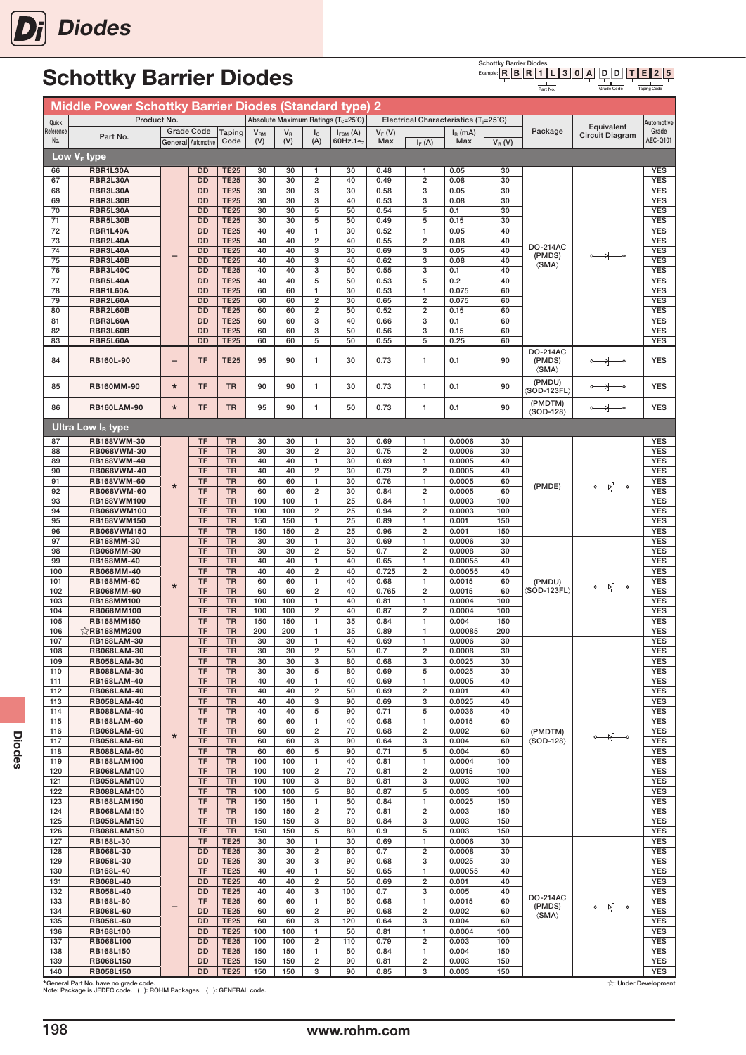

Schottky Barrier Diodes<br>Example: **R B R 1** D D  $T \| E \| 2 \| 5$  $R \| B \| R \| 1 \| L \| 3 \| 0 \| A$ 

Part No.

Grade Code Taping Code

|            | <b>Middle Power Schottky Barrier Diodes (Standard type) 2</b> |         |                        |                            |                 |            |                                  |                                                 |              |                                  |                                                   |            |                                   |                               |                          |
|------------|---------------------------------------------------------------|---------|------------------------|----------------------------|-----------------|------------|----------------------------------|-------------------------------------------------|--------------|----------------------------------|---------------------------------------------------|------------|-----------------------------------|-------------------------------|--------------------------|
| Quick      | Product No.                                                   |         |                        |                            |                 |            |                                  | Absolute Maximum Ratings (T <sub>c</sub> =25°C) |              |                                  | Electrical Characteristics (T <sub>i</sub> =25°C) |            |                                   |                               | Automotive               |
| Reference  | Part No.                                                      |         | <b>Grade Code</b>      | Taping                     | V <sub>RM</sub> | $V_{R}$    | $I_{0}$                          | $I_{FSM}$ (A)                                   | $V_F(V)$     |                                  | $I_R$ (mA)                                        |            | Package                           | Equivalent<br>Circuit Diagram | Grade                    |
| No.        |                                                               |         | General Automotive     | Code                       | (V)             | (V)        | (A)                              | 60Hz.1%                                         | Max          | $I_F(A)$                         | Max                                               | $V_R(V)$   |                                   |                               | AEC-Q101                 |
|            | Low V <sub>F</sub> type                                       |         |                        |                            |                 |            |                                  |                                                 |              |                                  |                                                   |            |                                   |                               |                          |
| 66         | RBR1L30A                                                      |         | <b>DD</b>              | <b>TE25</b>                | 30              | 30         | 1                                | 30                                              | 0.48         | 1                                | 0.05                                              | 30         |                                   |                               | <b>YES</b>               |
| 67         | RBR2L30A                                                      |         | <b>DD</b>              | <b>TE25</b>                | 30              | 30         | $\overline{2}$                   | 40                                              | 0.49         | $\overline{2}$                   | 0.08                                              | 30         |                                   |                               | <b>YES</b>               |
| 68         | RBR3L30A                                                      |         | <b>DD</b>              | <b>TE25</b>                | 30              | 30         | 3                                | 30                                              | 0.58         | 3                                | 0.05                                              | 30         |                                   |                               | <b>YES</b>               |
| 69         | RBR3L30B                                                      |         | <b>DD</b>              | <b>TE25</b>                | 30              | 30         | 3                                | 40                                              | 0.53         | 3                                | 0.08                                              | 30         |                                   |                               | <b>YES</b>               |
| 70<br>71   | RBR5L30A<br>RBR5L30B                                          |         | <b>DD</b><br><b>DD</b> | <b>TE25</b><br><b>TE25</b> | 30<br>30        | 30<br>30   | 5<br>5                           | 50<br>50                                        | 0.54<br>0.49 | 5<br>5                           | 0.1<br>0.15                                       | 30<br>30   |                                   |                               | <b>YES</b><br><b>YES</b> |
| 72         | RBR1L40A                                                      |         | <b>DD</b>              | <b>TE25</b>                | 40              | 40         | 1                                | 30                                              | 0.52         | 1                                | 0.05                                              | 40         |                                   |                               | <b>YES</b>               |
| 73         | RBR2L40A                                                      |         | <b>DD</b>              | <b>TE25</b>                | 40              | 40         | $\overline{2}$                   | 40                                              | 0.55         | $\overline{2}$                   | 0.08                                              | 40         |                                   |                               | <b>YES</b>               |
| 74         | RBR3L40A                                                      |         | <b>DD</b>              | <b>TE25</b>                | 40              | 40         | 3                                | 30                                              | 0.69         | 3                                | 0.05                                              | 40         | <b>DO-214AC</b>                   |                               | <b>YES</b>               |
| 75         | RBR3L40B                                                      |         | <b>DD</b>              | <b>TE25</b>                | 40              | 40         | 3                                | 40                                              | 0.62         | 3                                | 0.08                                              | 40         | (PMDS)<br>$\langle$ SMA $\rangle$ | ⊣⊬                            | <b>YES</b>               |
| 76         | <b>RBR3L40C</b>                                               |         | <b>DD</b>              | <b>TE25</b>                | 40              | 40         | 3                                | 50                                              | 0.55         | 3                                | 0.1                                               | 40         |                                   |                               | <b>YES</b>               |
| 77         | <b>RBR5L40A</b>                                               |         | <b>DD</b>              | <b>TE25</b>                | 40              | 40         | 5                                | 50                                              | 0.53         | 5                                | 0.2                                               | 40         |                                   |                               | <b>YES</b>               |
| 78         | RBR1L60A                                                      |         | <b>DD</b>              | <b>TE25</b>                | 60              | 60         | 1                                | 30                                              | 0.53         | 1                                | 0.075                                             | 60         |                                   |                               | <b>YES</b>               |
| 79<br>80   | RBR2L60A<br>RBR2L60B                                          |         | <b>DD</b><br><b>DD</b> | <b>TE25</b><br><b>TE25</b> | 60<br>60        | 60<br>60   | $\overline{2}$<br>$\overline{2}$ | 30<br>50                                        | 0.65<br>0.52 | $\overline{2}$<br>$\overline{2}$ | 0.075<br>0.15                                     | 60<br>60   |                                   |                               | <b>YES</b><br><b>YES</b> |
| 81         | RBR3L60A                                                      |         | <b>DD</b>              | <b>TE25</b>                | 60              | 60         | 3                                | 40                                              | 0.66         | 3                                | 0.1                                               | 60         |                                   |                               | <b>YES</b>               |
| 82         | RBR3L60B                                                      |         | <b>DD</b>              | <b>TE25</b>                | 60              | 60         | 3                                | 50                                              | 0.56         | 3                                | 0.15                                              | 60         |                                   |                               | <b>YES</b>               |
| 83         | RBR5L60A                                                      |         | <b>DD</b>              | <b>TE25</b>                | 60              | 60         | 5                                | 50                                              | 0.55         | 5                                | 0.25                                              | 60         |                                   |                               | <b>YES</b>               |
|            |                                                               |         |                        |                            |                 |            |                                  |                                                 |              |                                  |                                                   |            | <b>DO-214AC</b>                   |                               |                          |
| 84         | <b>RB160L-90</b>                                              |         | <b>TF</b>              | <b>TE25</b>                | 95              | 90         | 1                                | 30                                              | 0.73         | $\mathbf{1}$                     | 0.1                                               | 90         | (PMDS)<br>$\langle$ SMA $\rangle$ |                               | <b>YES</b>               |
| 85         | <b>RB160MM-90</b>                                             | $\star$ | <b>TF</b>              | <b>TR</b>                  | 90              | 90         | 1                                | 30                                              | 0.73         | $\mathbf{1}$                     | 0.1                                               | 90         | (PMDU)<br>(SOD-123FL)             |                               | <b>YES</b>               |
| 86         | <b>RB160LAM-90</b>                                            | $\star$ | <b>TF</b>              | <b>TR</b>                  | 95              | 90         | 1                                | 50                                              | 0.73         | $\mathbf{1}$                     | 0.1                                               | 90         | (PMDTM)<br><b>(SOD-128)</b>       |                               | <b>YES</b>               |
|            | <b>Ultra Low I<sub>B</sub> type</b>                           |         |                        |                            |                 |            |                                  |                                                 |              |                                  |                                                   |            |                                   |                               |                          |
| 87         | RB168VWM-30                                                   |         | <b>TF</b>              | <b>TR</b>                  | 30              | 30         | 1                                | 30                                              | 0.69         | 1                                | 0.0006                                            | 30         |                                   |                               | <b>YES</b>               |
| 88         | <b>RB068VWM-30</b>                                            |         | <b>TF</b>              | <b>TR</b>                  | 30              | 30         | $\overline{2}$                   | 30                                              | 0.75         | $\overline{2}$                   | 0.0006                                            | 30         |                                   |                               | <b>YES</b>               |
| 89         | <b>RB168VWM-40</b>                                            |         | TF                     | <b>TR</b>                  | 40              | 40         | 1                                | 30                                              | 0.69         | $\mathbf{1}$                     | 0.0005                                            | 40         |                                   |                               | <b>YES</b>               |
| 90         | RB068VWM-40                                                   |         | <b>TF</b>              | <b>TR</b>                  | 40              | 40         | $\overline{\mathbf{c}}$          | 30                                              | 0.79         | $\overline{2}$                   | 0.0005                                            | 40         |                                   |                               | <b>YES</b>               |
| 91         | <b>RB168VWM-60</b>                                            | $\star$ | <b>TF</b>              | <b>TR</b>                  | 60              | 60         | 1                                | 30                                              | 0.76         | $\mathbf{1}$                     | 0.0005                                            | 60         | (PMDE)                            |                               | <b>YES</b>               |
| 92         | <b>RB068VWM-60</b>                                            |         | <b>TF</b>              | <b>TR</b>                  | 60              | 60         | $\overline{\mathbf{c}}$          | 30                                              | 0.84         | $\overline{2}$                   | 0.0005                                            | 60         |                                   |                               | <b>YES</b>               |
| 93<br>94   | RB168VWM100<br><b>RB068VWM100</b>                             |         | <b>TF</b><br>TF        | <b>TR</b><br><b>TR</b>     | 100<br>100      | 100<br>100 | 1<br>$\overline{2}$              | 25<br>25                                        | 0.84<br>0.94 | 1<br>$\overline{2}$              | 0.0003<br>0.0003                                  | 100<br>100 |                                   |                               | <b>YES</b><br><b>YES</b> |
| 95         | RB168VWM150                                                   |         | <b>TF</b>              | <b>TR</b>                  | 150             | 150        | 1                                | 25                                              | 0.89         | 1                                | 0.001                                             | 150        |                                   |                               | <b>YES</b>               |
| 96         | <b>RB068VWM150</b>                                            |         | <b>TF</b>              | <b>TR</b>                  | 150             | 150        | $\overline{\mathbf{c}}$          | 25                                              | 0.96         | $\overline{2}$                   | 0.001                                             | 150        |                                   |                               | <b>YES</b>               |
| 97         | RB168MM-30                                                    |         | <b>TF</b>              | <b>TR</b>                  | 30              | 30         | 1                                | 30                                              | 0.69         | 1                                | 0.0006                                            | 30         |                                   |                               | <b>YES</b>               |
| 98         | RB068MM-30                                                    |         | <b>TF</b>              | <b>TR</b>                  | 30              | 30         | $\overline{\mathbf{c}}$          | 50                                              | 0.7          | $\overline{2}$                   | 0.0008                                            | 30         |                                   |                               | <b>YES</b>               |
| 99         | RB168MM-40                                                    |         | <b>TF</b>              | <b>TR</b>                  | 40              | 40         | 1                                | 40                                              | 0.65         | 1                                | 0.00055                                           | 40         |                                   |                               | <b>YES</b>               |
| 100        | <b>RB068MM-40</b>                                             |         | TF                     | <b>TR</b>                  | 40              | 40         | $\overline{2}$                   | 40                                              | 0.725        | $\overline{2}$                   | 0.00055                                           | 40         |                                   |                               | <b>YES</b>               |
| 101        | <b>RB168MM-60</b>                                             | $\star$ | <b>TF</b>              | <b>TR</b>                  | 60              | 60         | 1                                | 40                                              | 0.68         | 1                                | 0.0015                                            | 60         | (PMDU)                            |                               | <b>YES</b>               |
| 102        | RB068MM-60                                                    |         | TF                     | <b>TR</b>                  | 60              | 60         | $\overline{\mathbf{c}}$          | 40                                              | 0.765        | $\overline{2}$                   | 0.0015                                            | 60         | $\langle$ SOD-123FL $\rangle$     |                               | <b>YES</b>               |
| 103<br>104 | <b>RB168MM100</b><br>RB068MM100                               |         | TF<br>TF               | <b>TR</b><br><b>TR</b>     | 100<br>100      | 100<br>100 | 1<br>$\overline{\mathbf{c}}$     | 40<br>40                                        | 0.81<br>0.87 | 1<br>$\overline{\mathbf{c}}$     | 0.0004<br>0.0004                                  | 100<br>100 |                                   |                               | <b>YES</b><br><b>YES</b> |
| 105        | RB168MM150                                                    |         | <b>TF</b>              | <b>TR</b>                  | 150             | 150        | 1                                | 35                                              | 0.84         | 1                                | 0.004                                             | 150        |                                   |                               | <b>YES</b>               |
| 106        | ☆RB168MM200                                                   |         | TF                     | <b>TR</b>                  | 200             | 200        | $\mathbf{1}$                     | 35                                              | 0.89         | $\mathbf{1}$                     | 0.00085                                           | 200        |                                   |                               | <b>YES</b>               |
| 107        | <b>RB168LAM-30</b>                                            |         | <b>TF</b>              | <b>TR</b>                  | 30              | 30         | 1                                | 40                                              | 0.69         | 1                                | 0.0006                                            | 30         |                                   |                               | <b>YES</b>               |
| 108        | <b>RB068LAM-30</b>                                            |         | TF                     | <b>TR</b>                  | 30              | 30         | $\overline{2}$                   | 50                                              | 0.7          | $\overline{2}$                   | 0.0008                                            | 30         |                                   |                               | <b>YES</b>               |
| 109        | <b>RB058LAM-30</b>                                            |         | TF                     | <b>TR</b>                  | 30              | 30         | 3                                | 80                                              | 0.68         | 3                                | 0.0025                                            | 30         |                                   |                               | <b>YES</b>               |
| 110        | <b>RB088LAM-30</b>                                            |         | <b>TF</b>              | TR                         | 30              | 30         | 5                                | 80                                              | 0.69         | 5                                | 0.0025                                            | 30         |                                   |                               | <b>YES</b>               |
| 111        | <b>RB168LAM-40</b>                                            |         | <b>TF</b>              | <b>TR</b>                  | 40              | 40         | 1                                | 40                                              | 0.69         | 1                                | 0.0005                                            | 40         |                                   |                               | <b>YES</b>               |
| 112        | <b>RB068LAM-40</b>                                            |         | <b>TF</b><br><b>TF</b> | <b>TR</b><br><b>TR</b>     | 40<br>40        | 40<br>40   | $\overline{\mathbf{c}}$<br>3     | 50<br>90                                        | 0.69<br>0.69 | $\overline{2}$                   | 0.001<br>0.0025                                   | 40<br>40   |                                   |                               | <b>YES</b>               |
| 113<br>114 | <b>RB058LAM-40</b><br><b>RB088LAM-40</b>                      |         | <b>TF</b>              | <b>TR</b>                  | 40              | 40         | 5                                | 90                                              | 0.71         | 3<br>5                           | 0.0036                                            | 40         |                                   |                               | <b>YES</b><br><b>YES</b> |
| 115        | <b>RB168LAM-60</b>                                            |         | <b>TF</b>              | <b>TR</b>                  | 60              | 60         | 1                                | 40                                              | 0.68         | 1                                | 0.0015                                            | 60         |                                   |                               | <b>YES</b>               |
| 116        | <b>RB068LAM-60</b>                                            | $\star$ | <b>TF</b>              | <b>TR</b>                  | 60              | 60         | $\overline{\mathbf{c}}$          | 70                                              | 0.68         | $\overline{\mathbf{c}}$          | 0.002                                             | 60         | (PMDTM)                           |                               | <b>YES</b>               |
| 117        | <b>RB058LAM-60</b>                                            |         | TF                     | <b>TR</b>                  | 60              | 60         | 3                                | 90                                              | 0.64         | 3                                | 0.004                                             | 60         | $\langle$ SOD-128 $\rangle$       | ०— भृं—०                      | <b>YES</b>               |
| 118        | <b>RB088LAM-60</b>                                            |         | TF                     | <b>TR</b>                  | 60              | 60         | 5                                | 90                                              | 0.71         | 5                                | 0.004                                             | 60         |                                   |                               | <b>YES</b>               |
| 119        | <b>RB168LAM100</b>                                            |         | <b>TF</b>              | <b>TR</b>                  | 100             | 100        | 1                                | 40                                              | 0.81         | 1                                | 0.0004                                            | 100        |                                   |                               | <b>YES</b>               |
| 120        | <b>RB068LAM100</b>                                            |         | <b>TF</b><br><b>TF</b> | <b>TR</b><br><b>TR</b>     | 100             | 100        | $\overline{\mathbf{c}}$          | 70                                              | 0.81         | $\overline{2}$                   | 0.0015                                            | 100        |                                   |                               | <b>YES</b>               |
| 121<br>122 | <b>RB058LAM100</b><br><b>RB088LAM100</b>                      |         | <b>TF</b>              | <b>TR</b>                  | 100<br>100      | 100<br>100 | 3<br>5                           | 80<br>80                                        | 0.81<br>0.87 | 3<br>5                           | 0.003<br>0.003                                    | 100<br>100 |                                   |                               | <b>YES</b><br><b>YES</b> |
| 123        | <b>RB168LAM150</b>                                            |         | <b>TF</b>              | <b>TR</b>                  | 150             | 150        | 1                                | 50                                              | 0.84         | $\mathbf{1}$                     | 0.0025                                            | 150        |                                   |                               | <b>YES</b>               |
| 124        | <b>RB068LAM150</b>                                            |         | <b>TF</b>              | <b>TR</b>                  | 150             | 150        | $\overline{\mathbf{c}}$          | 70                                              | 0.81         | $\overline{2}$                   | 0.003                                             | 150        |                                   |                               | <b>YES</b>               |
| 125        | <b>RB058LAM150</b>                                            |         | <b>TF</b>              | <b>TR</b>                  | 150             | 150        | 3                                | 80                                              | 0.84         | 3                                | 0.003                                             | 150        |                                   |                               | <b>YES</b>               |
| 126        | <b>RB088LAM150</b>                                            |         | TF                     | <b>TR</b>                  | 150             | 150        | 5                                | 80                                              | 0.9          | 5                                | 0.003                                             | 150        |                                   |                               | <b>YES</b>               |
| 127        | RB168L-30                                                     |         | <b>TF</b>              | <b>TE25</b>                | 30              | 30         | 1                                | 30                                              | 0.69         | 1                                | 0.0006                                            | 30         |                                   |                               | <b>YES</b>               |
| 128        | RB068L-30                                                     |         | <b>DD</b>              | <b>TE25</b>                | 30              | 30         | $\overline{\mathbf{c}}$          | 60                                              | 0.7          | $\overline{\mathbf{c}}$          | 0.0008                                            | 30         |                                   |                               | <b>YES</b>               |
| 129<br>130 | RB058L-30<br>RB168L-40                                        |         | <b>DD</b><br><b>TF</b> | <b>TE25</b><br><b>TE25</b> | 30<br>40        | 30<br>40   | 3<br>1                           | 90<br>50                                        | 0.68<br>0.65 | 3<br>1                           | 0.0025<br>0.00055                                 | 30<br>40   |                                   |                               | <b>YES</b><br><b>YES</b> |
| 131        | RB068L-40                                                     |         | <b>DD</b>              | <b>TE25</b>                | 40              | 40         | $\overline{\mathbf{c}}$          | 50                                              | 0.69         | $\overline{\mathbf{c}}$          | 0.001                                             | 40         |                                   |                               | <b>YES</b>               |
| 132        | <b>RB058L-40</b>                                              |         | <b>DD</b>              | <b>TE25</b>                | 40              | 40         | 3                                | 100                                             | 0.7          | 3                                | 0.005                                             | 40         |                                   |                               | <b>YES</b>               |
| 133        | RB168L-60                                                     |         | <b>TF</b>              | <b>TE25</b>                | 60              | 60         | 1                                | 50                                              | 0.68         | 1                                | 0.0015                                            | 60         | <b>DO-214AC</b>                   |                               | <b>YES</b>               |
| 134        | <b>RB068L-60</b>                                              |         | <b>DD</b>              | <b>TE25</b>                | 60              | 60         | $\overline{2}$                   | 90                                              | 0.68         | $\overline{2}$                   | 0.002                                             | 60         | (PMDS)<br>$\langle$ SMA $\rangle$ | $\circ$ of $\circ$            | <b>YES</b>               |
| 135        | RB058L-60                                                     |         | <b>DD</b>              | <b>TE25</b>                | 60              | 60         | 3                                | 120                                             | 0.64         | 3                                | 0.004                                             | 60         |                                   |                               | <b>YES</b>               |
| 136        | RB168L100                                                     |         | <b>DD</b>              | <b>TE25</b>                | 100             | 100        | 1                                | 50                                              | 0.81         | $\mathbf{1}$                     | 0.0004                                            | 100        |                                   |                               | <b>YES</b>               |
| 137        | RB068L100                                                     |         | <b>DD</b>              | <b>TE25</b>                | 100             | 100        | $\overline{\mathbf{c}}$          | 110                                             | 0.79         | $\overline{2}$                   | 0.003                                             | 100        |                                   |                               | <b>YES</b>               |
| 138<br>139 | RB168L150<br><b>RB068L150</b>                                 |         | <b>DD</b><br><b>DD</b> | <b>TE25</b><br><b>TE25</b> | 150<br>150      | 150<br>150 | 1<br>$\overline{\mathbf{c}}$     | 50<br>90                                        | 0.84<br>0.81 | 1<br>$\overline{\mathbf{c}}$     | 0.004<br>0.003                                    | 150<br>150 |                                   |                               | <b>YES</b><br><b>YES</b> |
| 140        | <b>RB058L150</b>                                              |         | <b>DD</b>              | <b>TE25</b>                | 150             | 150        | 3                                | 90                                              | 0.85         | 3                                | 0.003                                             | 150        |                                   |                               | <b>YES</b>               |

\*General Part No. have no grade code.<br>Note: Package is JEDEC code. ( ): ROHM Packages. 〈 ): GENERAL code.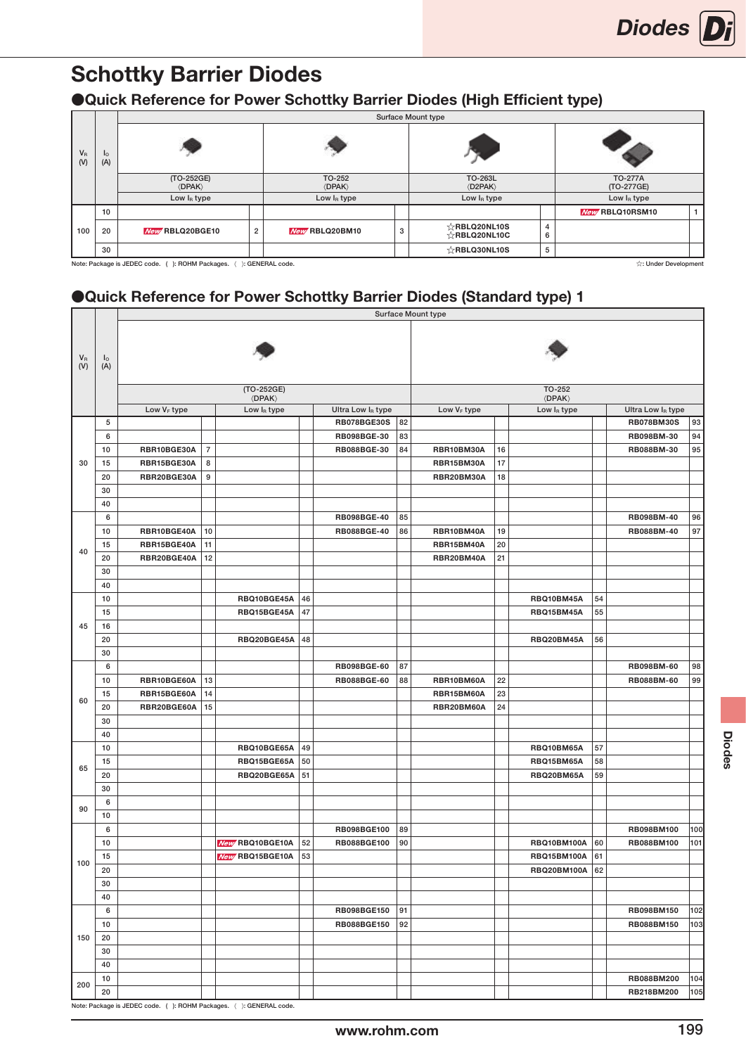### ●Quick Reference for Power Schottky Barrier Diodes (High Efficient type)

|                |                                                                                                          |                                                  |                |                                       |   | Surface Mount type                               |        |                              |  |  |  |  |  |  |  |
|----------------|----------------------------------------------------------------------------------------------------------|--------------------------------------------------|----------------|---------------------------------------|---|--------------------------------------------------|--------|------------------------------|--|--|--|--|--|--|--|
| $V_{R}$<br>(V) | I <sub>O</sub><br>(A)                                                                                    |                                                  |                |                                       |   |                                                  |        |                              |  |  |  |  |  |  |  |
|                |                                                                                                          | (TO-252GE)<br><b><i><u>(DPAK)</u></i></b>        |                | TO-252<br><b><i><u>(DPAK)</u></i></b> |   | TO-263L<br>$\langle$ D2PAK $\rangle$             |        | <b>TO-277A</b><br>(TO-277GE) |  |  |  |  |  |  |  |
|                | Low I <sub>R</sub> type<br>Low I <sub>R</sub> type<br>Low I <sub>R</sub> type<br>Low I <sub>R</sub> type |                                                  |                |                                       |   |                                                  |        |                              |  |  |  |  |  |  |  |
|                | New RBLQ10RSM10<br>10                                                                                    |                                                  |                |                                       |   |                                                  |        |                              |  |  |  |  |  |  |  |
| 100            | 20                                                                                                       | New RBLQ20BGE10                                  | $\overline{2}$ | New RBLQ20BM10                        | 3 | $\sqrt{x}$ RBLQ20NL10S<br>$\sqrt{2}$ RBLQ20NL10C | 4<br>6 |                              |  |  |  |  |  |  |  |
|                | 30                                                                                                       |                                                  |                |                                       |   | $\sqrt{x}$ RBLQ30NL10S                           | 5      |                              |  |  |  |  |  |  |  |
|                |                                                                                                          | Note: Package is JEDEC code. ( ): ROHM Packages. |                | : GENERAL code.                       |   |                                                  |        | ☆: Under Development         |  |  |  |  |  |  |  |

### ●Quick Reference for Power Schottky Barrier Diodes (Standard type) 1

|                           |           |                         |                |                                                                     |    |                    |    | Surface Mount type      |    |                                    |    |                   |     |
|---------------------------|-----------|-------------------------|----------------|---------------------------------------------------------------------|----|--------------------|----|-------------------------|----|------------------------------------|----|-------------------|-----|
| $V_{R}$<br>$(\mathsf{V})$ | Ιo<br>(A) |                         |                |                                                                     |    |                    |    |                         |    |                                    |    |                   |     |
|                           |           |                         |                | (TO-252GE)<br>$\langle$ DPAK $\rangle$                              |    |                    |    |                         |    | TO-252<br>$\langle$ DPAK $\rangle$ |    |                   |     |
|                           |           | Low V <sub>F</sub> type |                | Low IR type                                                         |    | Ultra Low IR type  |    | Low V <sub>F</sub> type |    | Low IR type                        |    | Ultra Low IR type |     |
|                           | 5         |                         |                |                                                                     |    | <b>RB078BGE30S</b> | 82 |                         |    |                                    |    | <b>RB078BM30S</b> | 93  |
|                           | 6         |                         |                |                                                                     |    | RB098BGE-30        | 83 |                         |    |                                    |    | RB098BM-30        | 94  |
|                           | 10        | RBR10BGE30A             | $\overline{7}$ |                                                                     |    | RB088BGE-30        | 84 | RBR10BM30A              | 16 |                                    |    | RB088BM-30        | 95  |
| 30                        | 15        | RBR15BGE30A             | 8              |                                                                     |    |                    |    | RBR15BM30A              | 17 |                                    |    |                   |     |
|                           | 20        | RBR20BGE30A             | 9              |                                                                     |    |                    |    | RBR20BM30A              | 18 |                                    |    |                   |     |
|                           | 30        |                         |                |                                                                     |    |                    |    |                         |    |                                    |    |                   |     |
|                           | 40        |                         |                |                                                                     |    |                    |    |                         |    |                                    |    |                   |     |
|                           | 6         |                         |                |                                                                     |    | RB098BGE-40        | 85 |                         |    |                                    |    | RB098BM-40        | 96  |
|                           | 10        | RBR10BGE40A             | 10             |                                                                     |    | RB088BGE-40        | 86 | RBR10BM40A              | 19 |                                    |    | RB088BM-40        | 97  |
|                           | 15        | RBR15BGE40A             | 11             |                                                                     |    |                    |    | RBR15BM40A              | 20 |                                    |    |                   |     |
| 40                        | 20        | RBR20BGE40A             | 12             |                                                                     |    |                    |    | RBR20BM40A              | 21 |                                    |    |                   |     |
|                           | 30        |                         |                |                                                                     |    |                    |    |                         |    |                                    |    |                   |     |
|                           | 40        |                         |                |                                                                     |    |                    |    |                         |    |                                    |    |                   |     |
|                           | 10        |                         |                | RBQ10BGE45A                                                         | 46 |                    |    |                         |    | RBQ10BM45A                         | 54 |                   |     |
|                           | 15        |                         |                | RBQ15BGE45A                                                         | 47 |                    |    |                         |    | RBQ15BM45A                         | 55 |                   |     |
| 45                        | 16        |                         |                |                                                                     |    |                    |    |                         |    |                                    |    |                   |     |
|                           | 20        |                         |                | RBQ20BGE45A                                                         | 48 |                    |    |                         |    | RBQ20BM45A                         | 56 |                   |     |
|                           | 30        |                         |                |                                                                     |    |                    |    |                         |    |                                    |    |                   |     |
|                           | 6         |                         |                |                                                                     |    | RB098BGE-60        | 87 |                         |    |                                    |    | RB098BM-60        | 98  |
|                           | 10        | RBR10BGE60A             | 13             |                                                                     |    | RB088BGE-60        | 88 | RBR10BM60A              | 22 |                                    |    | RB088BM-60        | 99  |
|                           | 15        | RBR15BGE60A             | 14             |                                                                     |    |                    |    | RBR15BM60A              | 23 |                                    |    |                   |     |
| 60                        | 20        | RBR20BGE60A             | 15             |                                                                     |    |                    |    | RBR20BM60A              | 24 |                                    |    |                   |     |
|                           | 30        |                         |                |                                                                     |    |                    |    |                         |    |                                    |    |                   |     |
|                           | 40        |                         |                |                                                                     |    |                    |    |                         |    |                                    |    |                   |     |
|                           | 10        |                         |                | RBQ10BGE65A                                                         | 49 |                    |    |                         |    | RBQ10BM65A                         | 57 |                   |     |
|                           | 15        |                         |                | RBQ15BGE65A                                                         | 50 |                    |    |                         |    | RBQ15BM65A                         | 58 |                   |     |
| 65                        | 20        |                         |                | RBQ20BGE65A                                                         | 51 |                    |    |                         |    | RBQ20BM65A                         | 59 |                   |     |
|                           | 30        |                         |                |                                                                     |    |                    |    |                         |    |                                    |    |                   |     |
|                           | 6         |                         |                |                                                                     |    |                    |    |                         |    |                                    |    |                   |     |
| 90                        | 10        |                         |                |                                                                     |    |                    |    |                         |    |                                    |    |                   |     |
|                           | 6         |                         |                |                                                                     |    | RB098BGE100        | 89 |                         |    |                                    |    | RB098BM100        | 100 |
|                           | 10        |                         |                | New RBQ10BGE10A                                                     | 52 | RB088BGE100        | 90 |                         |    | <b>RBQ10BM100A</b>                 | 60 | RB088BM100        | 101 |
|                           | 15        |                         |                | New RBQ15BGE10A                                                     | 53 |                    |    |                         |    | <b>RBQ15BM100A</b>                 | 61 |                   |     |
| 100                       | 20        |                         |                |                                                                     |    |                    |    |                         |    | <b>RBQ20BM100A 62</b>              |    |                   |     |
|                           | 30        |                         |                |                                                                     |    |                    |    |                         |    |                                    |    |                   |     |
|                           | 40        |                         |                |                                                                     |    |                    |    |                         |    |                                    |    |                   |     |
|                           | 6         |                         |                |                                                                     |    | RB098BGE150        | 91 |                         |    |                                    |    | RB098BM150        | 102 |
|                           | 10        |                         |                |                                                                     |    | <b>RB088BGE150</b> | 92 |                         |    |                                    |    | RB088BM150        | 103 |
| 150                       | 20        |                         |                |                                                                     |    |                    |    |                         |    |                                    |    |                   |     |
|                           | $30\,$    |                         |                |                                                                     |    |                    |    |                         |    |                                    |    |                   |     |
|                           | 40        |                         |                |                                                                     |    |                    |    |                         |    |                                    |    |                   |     |
|                           | 10        |                         |                |                                                                     |    |                    |    |                         |    |                                    |    | RB088BM200        | 104 |
| 200                       | 20        |                         |                |                                                                     |    |                    |    |                         |    |                                    |    | RB218BM200        | 105 |
|                           |           |                         |                | Note: Package is JEDEC code. ( ): ROHM Packages. ( ): GENERAL code. |    |                    |    |                         |    |                                    |    |                   |     |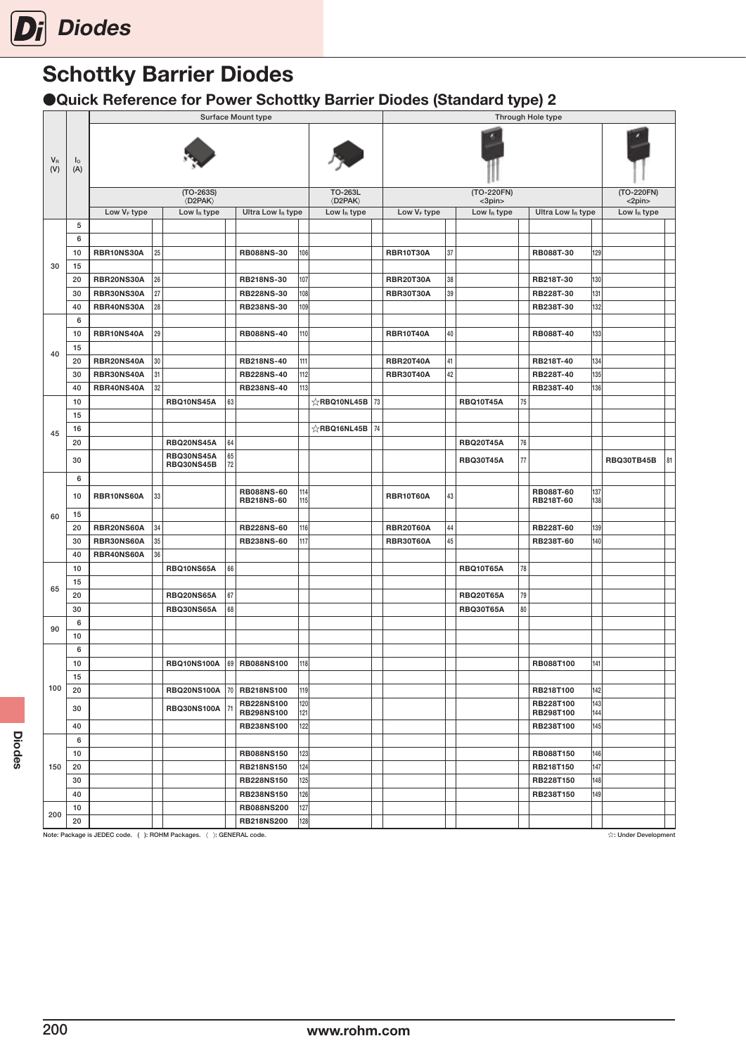### ●Quick Reference for Power Schottky Barrier Diodes (Standard type) 2

|                |                       |                |        |                                       |    | <b>Surface Mount type</b>       |            |                                      |    |                         |    |                      |        | Through Hole type      |            |                            |    |
|----------------|-----------------------|----------------|--------|---------------------------------------|----|---------------------------------|------------|--------------------------------------|----|-------------------------|----|----------------------|--------|------------------------|------------|----------------------------|----|
| $V_{R}$<br>(V) | I <sub>O</sub><br>(A) |                |        |                                       |    |                                 |            |                                      |    |                         |    |                      |        |                        |            |                            |    |
|                |                       |                |        | $(TO-263S)$<br><b><d2pak></d2pak></b> |    |                                 |            | TO-263L<br>$\langle$ D2PAK $\rangle$ |    |                         |    | (TO-220FN)<br><3pin> |        |                        |            | (TO-220FN)<br>$<$ 2pin $>$ |    |
|                |                       | Low $V_F$ type |        | Low $I_R$ type                        |    | Ultra Low IR type               |            | Low $I_R$ type                       |    | Low V <sub>F</sub> type |    | Low $I_R$ type       |        | Ultra Low IR type      |            | Low $I_R$ type             |    |
|                | 5                     |                |        |                                       |    |                                 |            |                                      |    |                         |    |                      |        |                        |            |                            |    |
|                | 6                     |                |        |                                       |    |                                 |            |                                      |    |                         |    |                      |        |                        |            |                            |    |
|                | 10                    | RBR10NS30A     | 25     |                                       |    | <b>RB088NS-30</b>               | 106        |                                      |    | <b>RBR10T30A</b>        | 37 |                      |        | RB088T-30              | 129        |                            |    |
| 30             | 15                    |                |        |                                       |    |                                 |            |                                      |    |                         |    |                      |        |                        |            |                            |    |
|                | 20                    | RBR20NS30A     | 26     |                                       |    | <b>RB218NS-30</b>               | 107        |                                      |    | <b>RBR20T30A</b>        | 38 |                      |        | RB218T-30              | 130        |                            |    |
|                | 30                    | RBR30NS30A     | 27     |                                       |    | <b>RB228NS-30</b>               | 108        |                                      |    | <b>RBR30T30A</b>        | 39 |                      |        | RB228T-30              | 131        |                            |    |
|                | 40                    | RBR40NS30A     | 28     |                                       |    | RB238NS-30                      | 109        |                                      |    |                         |    |                      |        | RB238T-30              | 132        |                            |    |
|                | 6                     |                |        |                                       |    |                                 |            |                                      |    |                         |    |                      |        |                        |            |                            |    |
|                | 10                    | RBR10NS40A     | 29     |                                       |    | <b>RB088NS-40</b>               | 110        |                                      |    | <b>RBR10T40A</b>        | 40 |                      |        | RB088T-40              | 133        |                            |    |
|                | 15                    |                |        |                                       |    |                                 |            |                                      |    |                         |    |                      |        |                        |            |                            |    |
| 40             | 20                    | RBR20NS40A     | $30\,$ |                                       |    | <b>RB218NS-40</b>               | 111        |                                      |    | <b>RBR20T40A</b>        | 41 |                      |        | RB218T-40              | 134        |                            |    |
|                | 30                    | RBR30NS40A     | 31     |                                       |    | <b>RB228NS-40</b>               | 112        |                                      |    | <b>RBR30T40A</b>        | 42 |                      |        | RB228T-40              | 135        |                            |    |
|                | 40                    | RBR40NS40A     | 32     |                                       |    | RB238NS-40                      | 113        |                                      |    |                         |    |                      |        | RB238T-40              | 136        |                            |    |
|                | 10                    |                |        | RBQ10NS45A                            | 63 |                                 |            | $\chi$ RBQ10NL45B                    | 73 |                         |    | <b>RBQ10T45A</b>     | 75     |                        |            |                            |    |
|                | 15                    |                |        |                                       |    |                                 |            |                                      |    |                         |    |                      |        |                        |            |                            |    |
|                | 16                    |                |        |                                       |    |                                 |            | ☆RBQ16NL45B 74                       |    |                         |    |                      |        |                        |            |                            |    |
| 45             | 20                    |                |        | RBQ20NS45A                            | 64 |                                 |            |                                      |    |                         |    | <b>RBQ20T45A</b>     | 76     |                        |            |                            |    |
|                |                       |                |        | RBQ30NS45A                            | 65 |                                 |            |                                      |    |                         |    |                      |        |                        |            |                            |    |
|                | 30                    |                |        | RBQ30NS45B                            | 72 |                                 |            |                                      |    |                         |    | <b>RBQ30T45A</b>     | $77\,$ |                        |            | RBQ30TB45B                 | 81 |
|                | 6                     |                |        |                                       |    |                                 |            |                                      |    |                         |    |                      |        |                        |            |                            |    |
|                | 10                    | RBR10NS60A     | 33     |                                       |    | <b>RB088NS-60</b>               | 114        |                                      |    | <b>RBR10T60A</b>        | 43 |                      |        | RB088T-60              | 137        |                            |    |
|                |                       |                |        |                                       |    | <b>RB218NS-60</b>               | 115        |                                      |    |                         |    |                      |        | RB218T-60              | 138        |                            |    |
| 60             | 15                    |                |        |                                       |    |                                 |            |                                      |    |                         |    |                      |        |                        |            |                            |    |
|                | 20                    | RBR20NS60A     | 34     |                                       |    | <b>RB228NS-60</b>               | 116        |                                      |    | <b>RBR20T60A</b>        | 44 |                      |        | RB228T-60              | 139        |                            |    |
|                | 30                    | RBR30NS60A     | $35\,$ |                                       |    | <b>RB238NS-60</b>               | 117        |                                      |    | <b>RBR30T60A</b>        | 45 |                      |        | RB238T-60              | 140        |                            |    |
|                | 40                    | RBR40NS60A     | 36     |                                       |    |                                 |            |                                      |    |                         |    |                      |        |                        |            |                            |    |
|                | 10                    |                |        | RBQ10NS65A                            | 66 |                                 |            |                                      |    |                         |    | <b>RBQ10T65A</b>     | 78     |                        |            |                            |    |
| 65             | 15                    |                |        |                                       |    |                                 |            |                                      |    |                         |    |                      |        |                        |            |                            |    |
|                | 20                    |                |        | RBQ20NS65A                            | 67 |                                 |            |                                      |    |                         |    | <b>RBQ20T65A</b>     | 79     |                        |            |                            |    |
|                | 30                    |                |        | RBQ30NS65A                            | 68 |                                 |            |                                      |    |                         |    | <b>RBQ30T65A</b>     | 80     |                        |            |                            |    |
| 90             | 6                     |                |        |                                       |    |                                 |            |                                      |    |                         |    |                      |        |                        |            |                            |    |
|                | 10                    |                |        |                                       |    |                                 |            |                                      |    |                         |    |                      |        |                        |            |                            |    |
|                | 6                     |                |        |                                       |    |                                 |            |                                      |    |                         |    |                      |        |                        |            |                            |    |
|                | 10                    |                |        | <b>RBQ10NS100A</b>                    |    | 69 RB088NS100                   | 118        |                                      |    |                         |    |                      |        | RB088T100              | 141        |                            |    |
|                | 15                    |                |        |                                       |    |                                 |            |                                      |    |                         |    |                      |        |                        |            |                            |    |
| 100            | 20                    |                |        | <b>RBQ20NS100A</b>                    |    | 70   RB218NS100                 | 119        |                                      |    |                         |    |                      |        | RB218T100              | 142        |                            |    |
|                | 30                    |                |        | RBQ30NS100A                           | 71 | <b>RB228NS100</b><br>RB298NS100 | 120<br>121 |                                      |    |                         |    |                      |        | RB228T100<br>RB298T100 | 143<br>144 |                            |    |
|                | 40                    |                |        |                                       |    | <b>RB238NS100</b>               | 122        |                                      |    |                         |    |                      |        | RB238T100              | 145        |                            |    |
|                | 6                     |                |        |                                       |    |                                 |            |                                      |    |                         |    |                      |        |                        |            |                            |    |
|                | 10                    |                |        |                                       |    | <b>RB088NS150</b>               | 123        |                                      |    |                         |    |                      |        | RB088T150              | 146        |                            |    |
| 150            | 20                    |                |        |                                       |    | <b>RB218NS150</b>               | 124        |                                      |    |                         |    |                      |        | RB218T150              | 147        |                            |    |
|                | 30                    |                |        |                                       |    | <b>RB228NS150</b>               | 125        |                                      |    |                         |    |                      |        | RB228T150              | 148        |                            |    |
|                | 40                    |                |        |                                       |    | <b>RB238NS150</b>               | 126        |                                      |    |                         |    |                      |        | RB238T150              | 149        |                            |    |
|                | 10                    |                |        |                                       |    | <b>RB088NS200</b>               | 127        |                                      |    |                         |    |                      |        |                        |            |                            |    |
| 200            | 20                    |                |        |                                       |    | <b>RB218NS200</b>               | 128        |                                      |    |                         |    |                      |        |                        |            |                            |    |

Note: Package is JEDEC code. ( ): ROHM Packages. ( ): GENERAL code. <br>Note: Package is JEDEC code. ( ): ROHM Packages. ( ): GENERAL code.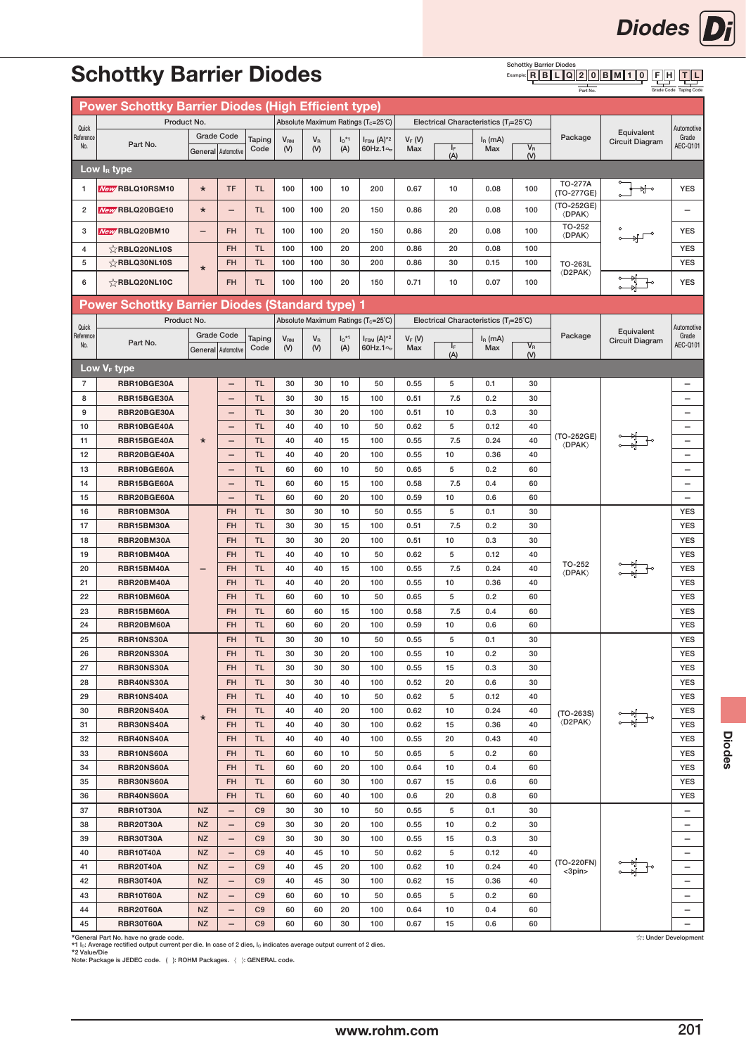

#### Schottky Barrier Diodes<br>Example: R B L L Q F H T L

Part No.

Grade Code Taping Code

|                    | <b>Power Schottky Barrier Diodes (High Efficient type)</b> |           |                          |                |                              |                  |                     |                                                 |                 |                                                   |                  |                                                                                                                                                                                                                                                                                                                                                                                                                                                                                                                                        |                                                                                             |                                                                |                          |
|--------------------|------------------------------------------------------------|-----------|--------------------------|----------------|------------------------------|------------------|---------------------|-------------------------------------------------|-----------------|---------------------------------------------------|------------------|----------------------------------------------------------------------------------------------------------------------------------------------------------------------------------------------------------------------------------------------------------------------------------------------------------------------------------------------------------------------------------------------------------------------------------------------------------------------------------------------------------------------------------------|---------------------------------------------------------------------------------------------|----------------------------------------------------------------|--------------------------|
|                    | Product No.                                                |           |                          |                |                              |                  |                     | Absolute Maximum Ratings (T <sub>c</sub> =25°C) |                 | Electrical Characteristics $(T_i=25^{\circ}C)$    |                  |                                                                                                                                                                                                                                                                                                                                                                                                                                                                                                                                        |                                                                                             |                                                                |                          |
| Quick<br>Reference |                                                            |           | <b>Grade Code</b>        | Taping         |                              | $V_{\mathsf{R}}$ | $I_0$ <sup>*1</sup> | $I_{FSM}$ $(A)^{*2}$                            |                 |                                                   |                  |                                                                                                                                                                                                                                                                                                                                                                                                                                                                                                                                        | Package                                                                                     | Equivalent                                                     | Automotive<br>Grade      |
| No.                | Part No.                                                   |           | General Automotive       | Code           | <b>V<sub>RM</sub></b><br>(V) | (V)              | (A)                 | 60Hz.1 <sup>o</sup>                             | $V_F(V)$<br>Max | IF.                                               | $IR$ (mA)<br>Max | $V_{R}$                                                                                                                                                                                                                                                                                                                                                                                                                                                                                                                                |                                                                                             |                                                                | AEC-Q101                 |
|                    |                                                            |           |                          |                |                              |                  |                     |                                                 |                 | (A)                                               |                  | (V)                                                                                                                                                                                                                                                                                                                                                                                                                                                                                                                                    |                                                                                             |                                                                |                          |
|                    | Low IR type                                                |           |                          |                |                              |                  |                     |                                                 |                 |                                                   |                  |                                                                                                                                                                                                                                                                                                                                                                                                                                                                                                                                        |                                                                                             |                                                                |                          |
| 1                  | New RBLQ10RSM10                                            | $\star$   | <b>TF</b>                | <b>TL</b>      | 100                          | 100              | 10                  | 200                                             | 0.67            | 10                                                | 0.08             | 100                                                                                                                                                                                                                                                                                                                                                                                                                                                                                                                                    | <b>TO-277A</b><br>(TO-277GE)                                                                | ∱∘                                                             | <b>YES</b>               |
| 2                  | New RBLQ20BGE10                                            | ¥         | $\overline{\phantom{0}}$ | TL.            | 100                          | 100              | 20                  | 150                                             | 0.86            | 20                                                | 0.08             | 100                                                                                                                                                                                                                                                                                                                                                                                                                                                                                                                                    | (TO-252GE)<br>$\langle$ DPAK $\rangle$                                                      |                                                                |                          |
| 3                  | New RBLQ20BM10                                             | —         | <b>FH</b>                | <b>TL</b>      | 100                          | 100              | 20                  | 150                                             | 0.86            | 20                                                | 0.08             | 100                                                                                                                                                                                                                                                                                                                                                                                                                                                                                                                                    | TO-252<br>$\langle$ DPAK $\rangle$                                                          |                                                                | <b>YES</b>               |
| 4                  | $\&$ RBLQ20NL10S                                           |           | <b>FH</b>                | <b>TL</b>      | 100                          | 100              | 20                  | 200                                             | 0.86            | 20                                                | 0.08             | 100                                                                                                                                                                                                                                                                                                                                                                                                                                                                                                                                    |                                                                                             |                                                                | <b>YES</b>               |
| 5                  | $\sqrt{2}$ RBLQ30NL10S                                     | $\star$   | <b>FH</b>                | <b>TL</b>      | 100                          | 100              | 30                  | 200                                             | 0.86            | 30                                                | 0.15             | 100                                                                                                                                                                                                                                                                                                                                                                                                                                                                                                                                    | TO-263L                                                                                     | <b>Circuit Diagram</b><br>Equivalent<br><b>Circuit Diagram</b> | <b>YES</b>               |
| 6                  | ☆RBLQ20NL10C                                               |           | <b>FH</b>                | <b>TL</b>      | 100                          | 100              | 20                  | 150                                             | 0.71            | 10                                                | 0.07             | 100                                                                                                                                                                                                                                                                                                                                                                                                                                                                                                                                    |                                                                                             |                                                                | <b>YES</b>               |
|                    |                                                            |           |                          |                |                              |                  |                     |                                                 |                 |                                                   |                  |                                                                                                                                                                                                                                                                                                                                                                                                                                                                                                                                        |                                                                                             |                                                                |                          |
|                    | <b>Power Schottky Barrier Diodes (Standard type) 1</b>     |           |                          |                |                              |                  |                     |                                                 |                 |                                                   |                  |                                                                                                                                                                                                                                                                                                                                                                                                                                                                                                                                        |                                                                                             |                                                                |                          |
| Quick              | Product No.                                                |           |                          |                |                              |                  |                     | Absolute Maximum Ratings (Tc=25°C)              |                 | Electrical Characteristics (T <sub>i</sub> =25°C) |                  |                                                                                                                                                                                                                                                                                                                                                                                                                                                                                                                                        |                                                                                             |                                                                | Automotive               |
| Reference          | Part No.                                                   |           | <b>Grade Code</b>        | Taping         | V <sub>RM</sub>              | $V_{\rm R}$      | $I_0$ <sup>*1</sup> | $I_{FSM}$ (A) <sup>*2</sup>                     | $V_F(V)$        |                                                   | $I_R$ (mA)       |                                                                                                                                                                                                                                                                                                                                                                                                                                                                                                                                        | Package                                                                                     |                                                                | Grade                    |
| No.                |                                                            |           | General Automotive       | Code           | (V)                          | (V)              | (A)                 | 60Hz.1 $\approx$                                | Max             | IF.<br>(A)                                        | Max              | $V_{R}$<br>(V)                                                                                                                                                                                                                                                                                                                                                                                                                                                                                                                         |                                                                                             |                                                                | AEC-Q101                 |
|                    | Low V <sub>F</sub> type                                    |           |                          |                |                              |                  |                     |                                                 |                 |                                                   |                  |                                                                                                                                                                                                                                                                                                                                                                                                                                                                                                                                        |                                                                                             |                                                                |                          |
| 7                  | RBR10BGE30A                                                |           | $\overline{\phantom{0}}$ | <b>TL</b>      | 30                           | 30               | 10                  | 50                                              | 0.55            | 5                                                 | 0.1              | 30                                                                                                                                                                                                                                                                                                                                                                                                                                                                                                                                     |                                                                                             |                                                                | $\overline{\phantom{0}}$ |
| 8                  | RBR15BGE30A                                                |           | $\overline{\phantom{0}}$ | <b>TL</b>      | 30                           | 30               | 15                  | 100                                             | 0.51            | 7.5                                               | 0.2              | 30                                                                                                                                                                                                                                                                                                                                                                                                                                                                                                                                     |                                                                                             |                                                                | $\overline{\phantom{0}}$ |
| 9                  | RBR20BGE30A                                                |           | -                        | <b>TL</b>      | 30                           | 30               | 20                  | 100                                             | 0.51            | 10                                                | 0.3              | 30                                                                                                                                                                                                                                                                                                                                                                                                                                                                                                                                     |                                                                                             |                                                                |                          |
| 10                 | RBR10BGE40A                                                |           | $\overline{\phantom{0}}$ | <b>TL</b>      | 40                           | 40               | 10                  | 50                                              | 0.62            | 5                                                 | 0.12             |                                                                                                                                                                                                                                                                                                                                                                                                                                                                                                                                        |                                                                                             |                                                                |                          |
| 11                 | RBR15BGE40A                                                | $\star$   | $\overline{\phantom{0}}$ | <b>TL</b>      | 40                           | 40               | 15                  | 100                                             | 0.55            | 7.5                                               | 0.24             |                                                                                                                                                                                                                                                                                                                                                                                                                                                                                                                                        | (TO-252GE)                                                                                  |                                                                |                          |
|                    |                                                            |           |                          |                |                              |                  |                     |                                                 |                 |                                                   |                  |                                                                                                                                                                                                                                                                                                                                                                                                                                                                                                                                        | <b><i><u>(DPAK)</u></i></b>                                                                 |                                                                |                          |
| 12                 | RBR20BGE40A                                                |           | -                        | <b>TL</b>      | 40                           | 40               | 20                  | 100                                             | 0.55            | 10<br>5                                           | 0.36             |                                                                                                                                                                                                                                                                                                                                                                                                                                                                                                                                        |                                                                                             |                                                                |                          |
| 13                 | RBR10BGE60A                                                |           | -                        | <b>TL</b>      | 60                           | 60               | 10                  | 50                                              | 0.65            |                                                   | 0.2              |                                                                                                                                                                                                                                                                                                                                                                                                                                                                                                                                        |                                                                                             |                                                                |                          |
| 14                 | RBR15BGE60A                                                |           | -                        | <b>TL</b>      | 60                           | 60               | 15                  | 100                                             | 0.58            | 7.5                                               | 0.4              |                                                                                                                                                                                                                                                                                                                                                                                                                                                                                                                                        |                                                                                             |                                                                |                          |
| 15                 | RBR20BGE60A                                                |           |                          | <b>TL</b>      | 60                           | 60               | 20                  | 100                                             | 0.59            | 10                                                | 0.6              |                                                                                                                                                                                                                                                                                                                                                                                                                                                                                                                                        |                                                                                             |                                                                |                          |
| 16                 | RBR10BM30A                                                 |           | <b>FH</b>                | <b>TL</b>      | 30                           | 30               | 10                  | 50                                              | 0.55            | 5                                                 | 0.1              |                                                                                                                                                                                                                                                                                                                                                                                                                                                                                                                                        |                                                                                             |                                                                |                          |
| 17                 | RBR15BM30A                                                 |           | <b>FH</b>                | <b>TL</b>      | 30                           | 30               | 15                  | 100                                             | 0.51            | 7.5                                               | 0.2              |                                                                                                                                                                                                                                                                                                                                                                                                                                                                                                                                        |                                                                                             |                                                                |                          |
| 18                 | <b>RBR20BM30A</b>                                          |           | <b>FH</b>                | <b>TL</b>      | 30                           | 30               | 20                  | 100                                             | 0.51            | 10                                                | 0.3              |                                                                                                                                                                                                                                                                                                                                                                                                                                                                                                                                        |                                                                                             |                                                                |                          |
| 19                 | RBR10BM40A                                                 |           | <b>FH</b>                | <b>TL</b>      | 40                           | 40               | 10                  | 50                                              | 0.62            | 5                                                 | 0.12             |                                                                                                                                                                                                                                                                                                                                                                                                                                                                                                                                        |                                                                                             |                                                                |                          |
| 20                 | RBR15BM40A                                                 |           | <b>FH</b>                | <b>TL</b>      | 40                           | 40               | 15                  | 100                                             | 0.55            | 7.5                                               | 0.24             |                                                                                                                                                                                                                                                                                                                                                                                                                                                                                                                                        | $\langle$ DPAK $\rangle$                                                                    |                                                                |                          |
| 21                 | RBR20BM40A                                                 |           | <b>FH</b>                | <b>TL</b>      | 40                           | 40               | 20                  | 100                                             | 0.55            | 10                                                | 0.36             |                                                                                                                                                                                                                                                                                                                                                                                                                                                                                                                                        |                                                                                             |                                                                |                          |
| 22                 | RBR10BM60A                                                 |           | <b>FH</b>                | <b>TL</b>      | 60                           | 60               | 10                  | 50                                              | 0.65            | 5                                                 | 0.2              |                                                                                                                                                                                                                                                                                                                                                                                                                                                                                                                                        |                                                                                             |                                                                |                          |
| 23                 | RBR15BM60A                                                 |           | <b>FH</b>                | <b>TL</b>      | 60                           | 60               | 15                  | 100                                             | 0.58            | 7.5                                               | 0.4              |                                                                                                                                                                                                                                                                                                                                                                                                                                                                                                                                        |                                                                                             |                                                                |                          |
| 24                 | RBR20BM60A                                                 |           | <b>FH</b>                | <b>TL</b>      | 60                           | 60               | 20                  | 100                                             | 0.59            | 10                                                | 0.6              |                                                                                                                                                                                                                                                                                                                                                                                                                                                                                                                                        |                                                                                             |                                                                |                          |
| 25                 | RBR10NS30A                                                 |           | <b>FH</b>                | <b>TL</b>      | 30                           | 30               | 10                  | 50                                              | 0.55            | 5                                                 | 0.1              |                                                                                                                                                                                                                                                                                                                                                                                                                                                                                                                                        |                                                                                             |                                                                |                          |
| 26                 | RBR20NS30A                                                 |           | <b>FH</b>                | <b>TL</b>      | 30                           | 30               | 20                  | 100                                             | 0.55            | 10                                                | 0.2              |                                                                                                                                                                                                                                                                                                                                                                                                                                                                                                                                        |                                                                                             |                                                                |                          |
| 27                 | RBR30NS30A                                                 |           | FH.                      | <b>TL</b>      | 30                           | 30               | 30                  | 100                                             | 0.55            | 15                                                | 0.3              | 30                                                                                                                                                                                                                                                                                                                                                                                                                                                                                                                                     |                                                                                             |                                                                | <b>YES</b>               |
| 28                 | RBR40NS30A                                                 |           | <b>FH</b>                | <b>TL</b>      | 30                           | 30               | 40                  | 100                                             | 0.52            | 20                                                | 0.6              | 30                                                                                                                                                                                                                                                                                                                                                                                                                                                                                                                                     |                                                                                             |                                                                | <b>YES</b>               |
| 29                 | RBR10NS40A                                                 |           | <b>FH</b>                | <b>TL</b>      | 40                           | 40               | 10                  | 50                                              | 0.62            | 5                                                 | 0.12             | 40                                                                                                                                                                                                                                                                                                                                                                                                                                                                                                                                     |                                                                                             |                                                                | <b>YES</b>               |
| 30                 | RBR20NS40A                                                 | $\star$   | <b>FH</b>                | <b>TL</b>      | 40                           | 40               | 20                  | 100                                             | 0.62            | 10                                                | 0.24             | 40                                                                                                                                                                                                                                                                                                                                                                                                                                                                                                                                     | $(TO-263S)$                                                                                 |                                                                | <b>YES</b>               |
| 31                 | RBR30NS40A                                                 |           | <b>FH</b>                | <b>TL</b>      | 40                           | 40               | 30                  | 100                                             | 0.62            | 15                                                | 0.36             | 40                                                                                                                                                                                                                                                                                                                                                                                                                                                                                                                                     |                                                                                             |                                                                | <b>YES</b>               |
| 32                 | RBR40NS40A                                                 |           | <b>FH</b>                | <b>TL</b>      | 40                           | 40               | 40                  | 100                                             | 0.55            | 20                                                | 0.43             | 40                                                                                                                                                                                                                                                                                                                                                                                                                                                                                                                                     |                                                                                             |                                                                | <b>YES</b>               |
| 33                 | RBR10NS60A                                                 |           | <b>FH</b>                | <b>TL</b>      | 60                           | 60               | 10                  | 50                                              | 0.65            | 5                                                 | 0.2              | 60                                                                                                                                                                                                                                                                                                                                                                                                                                                                                                                                     |                                                                                             |                                                                | <b>YES</b>               |
| 34                 | RBR20NS60A                                                 |           | <b>FH</b>                | <b>TL</b>      | 60                           | 60               | 20                  | 100                                             | 0.64            | 10                                                | 0.4              | 60                                                                                                                                                                                                                                                                                                                                                                                                                                                                                                                                     |                                                                                             |                                                                | <b>YES</b>               |
| 35                 | RBR30NS60A                                                 |           | <b>FH</b>                | <b>TL</b>      | 60                           | 60               | 30                  | 100                                             | 0.67            | 15                                                | 0.6              | 60                                                                                                                                                                                                                                                                                                                                                                                                                                                                                                                                     | <b><d2pak></d2pak></b><br>TO-252<br>$\langle$ D2PAK $\rangle$<br>(TO-220FN)<br>$<$ 3pin $>$ |                                                                | <b>YES</b>               |
| 36                 | RBR40NS60A                                                 |           | <b>FH</b>                | <b>TL</b>      | 60                           | 60               | 40                  | 100                                             | 0.6             | 20                                                | 0.8              | 60                                                                                                                                                                                                                                                                                                                                                                                                                                                                                                                                     |                                                                                             |                                                                | <b>YES</b>               |
| 37                 | <b>RBR10T30A</b>                                           | <b>NZ</b> | $\qquad \qquad -$        | C <sub>9</sub> | 30                           | 30               | 10                  | 50                                              | 0.55            | 5                                                 | 0.1              | 40<br>$\overline{\phantom{0}}$<br>40<br>$\qquad \qquad -$<br>40<br>-<br>60<br>$\qquad \qquad -$<br>60<br>-<br>60<br>30<br><b>YES</b><br>30<br><b>YES</b><br>30<br><b>YES</b><br>40<br><b>YES</b><br>40<br><b>YES</b><br>40<br><b>YES</b><br>60<br><b>YES</b><br>60<br><b>YES</b><br><b>YES</b><br>60<br>30<br><b>YES</b><br>30<br><b>YES</b><br>30<br>-<br>30<br>$\overline{\phantom{0}}$<br>30<br>—<br>40<br>$\overline{\phantom{0}}$<br>40<br>—<br>40<br>$\overline{\phantom{0}}$<br>60<br>60<br>-<br>60<br>$\overline{\phantom{0}}$ |                                                                                             |                                                                |                          |
| 38                 | <b>RBR20T30A</b>                                           | <b>NZ</b> | $\overline{\phantom{0}}$ | C9             | 30                           | 30               | 20                  | 100                                             | 0.55            | 10                                                | 0.2              |                                                                                                                                                                                                                                                                                                                                                                                                                                                                                                                                        |                                                                                             |                                                                |                          |
| 39                 | <b>RBR30T30A</b>                                           | <b>NZ</b> | $\qquad \qquad -$        | C9             | 30                           | 30               | 30                  | 100                                             | 0.55            | 15                                                | 0.3              |                                                                                                                                                                                                                                                                                                                                                                                                                                                                                                                                        |                                                                                             |                                                                |                          |
| 40                 | <b>RBR10T40A</b>                                           | <b>NZ</b> | $\qquad \qquad -$        | C9             | 40                           | 45               | 10                  | 50                                              | 0.62            | 5                                                 | 0.12             |                                                                                                                                                                                                                                                                                                                                                                                                                                                                                                                                        |                                                                                             |                                                                |                          |
| 41                 | <b>RBR20T40A</b>                                           | <b>NZ</b> | -                        | C9             | 40                           | 45               | 20                  | 100                                             | 0.62            | 10                                                | 0.24             |                                                                                                                                                                                                                                                                                                                                                                                                                                                                                                                                        |                                                                                             |                                                                |                          |
| 42                 | <b>RBR30T40A</b>                                           | <b>NZ</b> | $\qquad \qquad -$        | C9             | 40                           | 45               | 30                  | 100                                             | 0.62            | 15                                                | 0.36             |                                                                                                                                                                                                                                                                                                                                                                                                                                                                                                                                        |                                                                                             |                                                                |                          |
| 43                 | <b>RBR10T60A</b>                                           | <b>NZ</b> | -                        | C9             | 60                           | 60               | 10                  | 50                                              | 0.65            | 5                                                 | 0.2              |                                                                                                                                                                                                                                                                                                                                                                                                                                                                                                                                        |                                                                                             |                                                                |                          |
| 44                 | <b>RBR20T60A</b>                                           | <b>NZ</b> |                          | C9             | 60                           | 60               | 20                  | 100                                             | 0.64            | 10                                                | 0.4              |                                                                                                                                                                                                                                                                                                                                                                                                                                                                                                                                        |                                                                                             |                                                                |                          |
| 45                 | <b>RBR30T60A</b>                                           | <b>NZ</b> | -                        | C <sub>9</sub> | 60                           | 60               | 30                  | 100                                             | 0.67            | 15                                                | 0.6              |                                                                                                                                                                                                                                                                                                                                                                                                                                                                                                                                        |                                                                                             |                                                                |                          |

\*General Part No. have no grade code.<br>\*1 l<sub>o:</sub> Average rectified output current per die. In case of 2 dies, I<sub>o</sub> indicates average output current of 2 dies.<br>\*2 Value/Die<br>Note: Package is JEDEC code. (): ROHM Packages. 〈 ):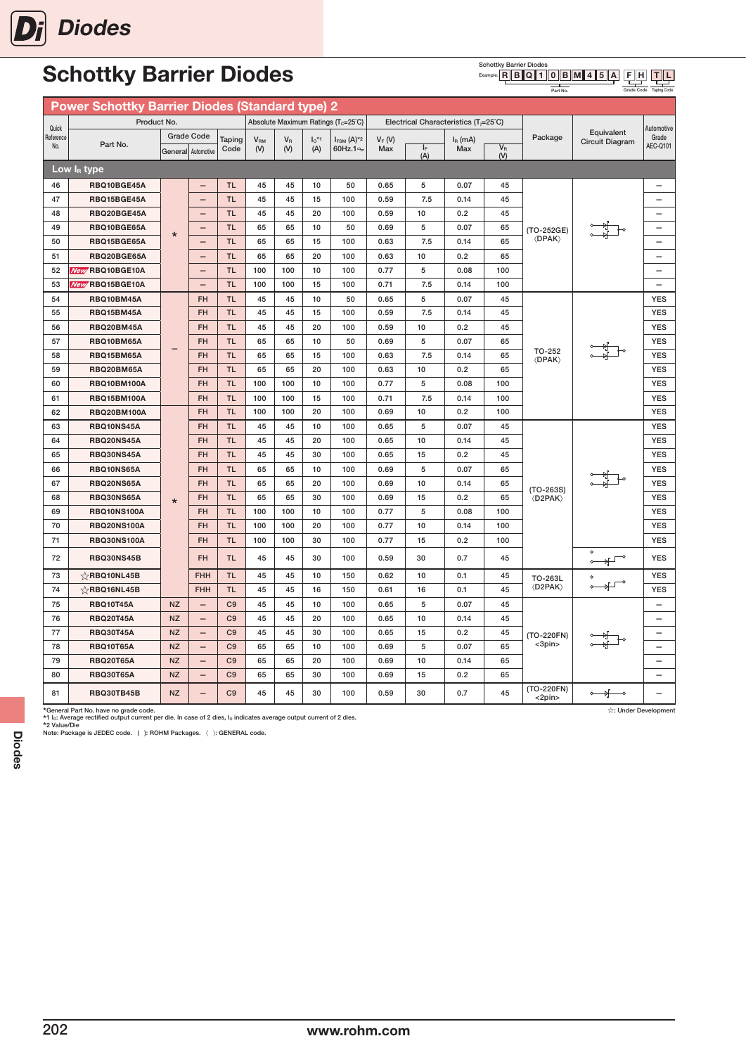

#### Schottky Barrier Diodes<br>Example: **R** B Q 1 F H T L

Grade Code

Taping Code

Part No.

|           | <b>Power Schottky Barrier Diodes (Standard type) 2</b> |                    |                          |                |                 |       |          |                                                 |          |                                                   |           |              |                                |                                         |                          |
|-----------|--------------------------------------------------------|--------------------|--------------------------|----------------|-----------------|-------|----------|-------------------------------------------------|----------|---------------------------------------------------|-----------|--------------|--------------------------------|-----------------------------------------|--------------------------|
| Quick     | Product No.                                            |                    |                          |                |                 |       |          | Absolute Maximum Ratings (T <sub>c</sub> =25°C) |          | Electrical Characteristics (T <sub>i</sub> =25°C) |           |              |                                |                                         | Automotive               |
| Reference |                                                        |                    | <b>Grade Code</b>        | Taping         | V <sub>RM</sub> | $V_R$ | $I_0$ *1 | $I_{FSM}$ $(A)^{*2}$                            | $V_F(W)$ |                                                   | $IR$ (mA) |              | Package                        | Equivalent<br><b>Circuit Diagram</b>    | Grade                    |
| No.       | Part No.                                               | General Automotive |                          | Code           | (V)             | (V)   | (A)      | 60Hz.1 <sup>o</sup>                             | Max      | $I_F$<br>(A)                                      | Max       | $V_R$<br>(V) |                                |                                         | AEC-Q101                 |
|           | Low $I_R$ type                                         |                    |                          |                |                 |       |          |                                                 |          |                                                   |           |              |                                |                                         |                          |
| 46        | RBQ10BGE45A                                            |                    | $\overline{\phantom{0}}$ | <b>TL</b>      | 45              | 45    | 10       | 50                                              | 0.65     | 5                                                 | 0.07      | 45           |                                |                                         | $\overline{\phantom{0}}$ |
| 47        | RBQ15BGE45A                                            |                    | $\overline{\phantom{0}}$ | <b>TL</b>      | 45              | 45    | 15       | 100                                             | 0.59     | 7.5                                               | 0.14      | 45           |                                |                                         |                          |
| 48        | RBQ20BGE45A                                            |                    | $\overline{\phantom{m}}$ | <b>TL</b>      | 45              | 45    | 20       | 100                                             | 0.59     | 10                                                | 0.2       | 45           |                                |                                         |                          |
| 49        | RBQ10BGE65A                                            | $\star$            | $\overline{\phantom{0}}$ | <b>TL</b>      | 65              | 65    | 10       | 50                                              | 0.69     | 5                                                 | 0.07      | 65           | (TO-252GE)                     |                                         |                          |
| 50        | RBQ15BGE65A                                            |                    | $\qquad \qquad -$        | <b>TL</b>      | 65              | 65    | 15       | 100                                             | 0.63     | 7.5                                               | 0.14      | 65           | $\langle$ DPAK $\rangle$       |                                         |                          |
| 51        | RBQ20BGE65A                                            |                    | $\overline{\phantom{0}}$ | <b>TL</b>      | 65              | 65    | 20       | 100                                             | 0.63     | 10                                                | 0.2       | 65           |                                |                                         | $\overline{\phantom{0}}$ |
| 52        | New RBQ10BGE10A                                        |                    | $\qquad \qquad -$        | <b>TL</b>      | 100             | 100   | 10       | 100                                             | 0.77     | 5                                                 | 0.08      | 100          |                                |                                         | $\overline{\phantom{0}}$ |
| 53        | New RBQ15BGE10A                                        |                    | $\overline{\phantom{0}}$ | <b>TL</b>      | 100             | 100   | 15       | 100                                             | 0.71     | 7.5                                               | 0.14      | 100          |                                |                                         |                          |
| 54        | RBQ10BM45A                                             |                    | <b>FH</b>                | <b>TL</b>      | 45              | 45    | 10       | 50                                              | 0.65     | 5                                                 | 0.07      | 45           |                                |                                         | <b>YES</b>               |
| 55        | RBQ15BM45A                                             |                    | <b>FH</b>                | <b>TL</b>      | 45              | 45    | 15       | 100                                             | 0.59     | 7.5                                               | 0.14      | 45           |                                |                                         | <b>YES</b>               |
| 56        | RBQ20BM45A                                             |                    | <b>FH</b>                | <b>TL</b>      | 45              | 45    | 20       | 100                                             | 0.59     | 10                                                | 0.2       | 45           |                                |                                         | <b>YES</b>               |
| 57        | RBQ10BM65A                                             |                    | <b>FH</b>                | <b>TL</b>      | 65              | 65    | 10       | 50                                              | 0.69     | 5                                                 | 0.07      | 65           |                                |                                         | <b>YES</b>               |
| 58        | RBQ15BM65A                                             |                    | <b>FH</b>                | <b>TL</b>      | 65              | 65    | 15       | 100                                             | 0.63     | 7.5                                               | 0.14      | 65           | TO-252<br><b><dpak></dpak></b> |                                         | <b>YES</b>               |
| 59        | RBQ20BM65A                                             |                    | <b>FH</b>                | <b>TL</b>      | 65              | 65    | 20       | 100                                             | 0.63     | 10                                                | 0.2       | 65           |                                |                                         | <b>YES</b>               |
| 60        | <b>RBQ10BM100A</b>                                     |                    | <b>FH</b>                | <b>TL</b>      | 100             | 100   | 10       | 100                                             | 0.77     | 5                                                 | 0.08      | 100          |                                |                                         | <b>YES</b>               |
| 61        | <b>RBQ15BM100A</b>                                     |                    | <b>FH</b>                | <b>TL</b>      | 100             | 100   | 15       | 100                                             | 0.71     | 7.5                                               | 0.14      | 100          |                                |                                         | <b>YES</b>               |
| 62        | <b>RBQ20BM100A</b>                                     |                    | <b>FH</b>                | <b>TL</b>      | 100             | 100   | 20       | 100                                             | 0.69     | 10                                                | 0.2       | 100          |                                |                                         | <b>YES</b>               |
| 63        | RBQ10NS45A                                             |                    | <b>FH</b>                | <b>TL</b>      | 45              | 45    | 10       | 100                                             | 0.65     | 5                                                 | 0.07      | 45           |                                |                                         | <b>YES</b>               |
| 64        | <b>RBQ20NS45A</b>                                      |                    | <b>FH</b>                | <b>TL</b>      | 45              | 45    | 20       | 100                                             | 0.65     | 10                                                | 0.14      | 45           |                                |                                         | <b>YES</b>               |
| 65        | <b>RBQ30NS45A</b>                                      |                    | <b>FH</b>                | <b>TL</b>      | 45              | 45    | 30       | 100                                             | 0.65     | 15                                                | 0.2       | 45           |                                |                                         | <b>YES</b>               |
| 66        | RBQ10NS65A                                             |                    | <b>FH</b>                | <b>TL</b>      | 65              | 65    | 10       | 100                                             | 0.69     | 5                                                 | 0.07      | 65           |                                |                                         | <b>YES</b>               |
| 67        | RBQ20NS65A                                             |                    | <b>FH</b>                | <b>TL</b>      | 65              | 65    | 20       | 100                                             | 0.69     | 10                                                | 0.14      | 65           | $(TO-263S)$                    |                                         | <b>YES</b>               |
| 68        | RBQ30NS65A                                             | $\star$            | <b>FH</b>                | TL.            | 65              | 65    | 30       | 100                                             | 0.69     | 15                                                | 0.2       | 65           | <b>(D2PAK)</b>                 |                                         | <b>YES</b>               |
| 69        | <b>RBQ10NS100A</b>                                     |                    | <b>FH</b>                | <b>TL</b>      | 100             | 100   | 10       | 100                                             | 0.77     | 5                                                 | 0.08      | 100          |                                |                                         | <b>YES</b>               |
| 70        | <b>RBQ20NS100A</b>                                     |                    | <b>FH</b>                | <b>TL</b>      | 100             | 100   | 20       | 100                                             | 0.77     | 10                                                | 0.14      | 100          |                                |                                         | <b>YES</b>               |
| 71        | <b>RBQ30NS100A</b>                                     |                    | <b>FH</b>                | <b>TL</b>      | 100             | 100   | 30       | 100                                             | 0.77     | 15                                                | 0.2       | 100          |                                |                                         | <b>YES</b>               |
| 72        | RBQ30NS45B                                             |                    | <b>FH</b>                | <b>TL</b>      | 45              | 45    | 30       | 100                                             | 0.59     | 30                                                | 0.7       | 45           |                                |                                         | <b>YES</b>               |
| 73        | $\sqrt{x}$ RBQ10NL45B                                  |                    | <b>FHH</b>               | <b>TL</b>      | 45              | 45    | 10       | 150                                             | 0.62     | 10                                                | 0.1       | 45           | TO-263L                        |                                         | <b>YES</b>               |
| 74        | $\sqrt{2}$ RBQ16NL45B                                  |                    | <b>FHH</b>               | <b>TL</b>      | 45              | 45    | 16       | 150                                             | 0.61     | 16                                                | 0.1       | 45           | <d2pak></d2pak>                |                                         | <b>YES</b>               |
| 75        | <b>RBQ10T45A</b>                                       | <b>NZ</b>          | $\qquad \qquad -$        | C <sub>9</sub> | 45              | 45    | 10       | 100                                             | 0.65     | 5                                                 | 0.07      | 45           |                                |                                         | $\overline{\phantom{0}}$ |
| 76        | <b>RBQ20T45A</b>                                       | <b>NZ</b>          | $\qquad \qquad -$        | C <sub>9</sub> | 45              | 45    | 20       | 100                                             | 0.65     | 10                                                | 0.14      | 45           |                                |                                         | $\overline{\phantom{0}}$ |
| 77        | <b>RBQ30T45A</b>                                       | <b>NZ</b>          | $\qquad \qquad -$        | C <sub>9</sub> | 45              | 45    | 30       | 100                                             | 0.65     | 15                                                | 0.2       | 45           | (TO-220FN)                     |                                         | $\overline{\phantom{0}}$ |
| 78        | <b>RBQ10T65A</b>                                       | <b>NZ</b>          | $\qquad \qquad -$        | C <sub>9</sub> | 65              | 65    | 10       | 100                                             | 0.69     | 5                                                 | 0.07      | 65           | $<$ 3pin $>$                   |                                         | $\qquad \qquad -$        |
| 79        | <b>RBQ20T65A</b>                                       | <b>NZ</b>          | $\overline{\phantom{0}}$ | C <sub>9</sub> | 65              | 65    | 20       | 100                                             | 0.69     | 10                                                | 0.14      | 65           |                                |                                         | $\overline{\phantom{0}}$ |
| 80        | <b>RBQ30T65A</b>                                       | <b>NZ</b>          | $\overline{\phantom{0}}$ | C <sub>9</sub> | 65              | 65    | 30       | 100                                             | 0.69     | 15                                                | 0.2       | 65           |                                |                                         |                          |
| 81        | <b>RBQ30TB45B</b>                                      | <b>NZ</b>          |                          | C <sub>9</sub> | 45              | 45    | 30       | 100                                             | 0.59     | 30                                                | 0.7       | 45           | (TO-220FN)<br>$<$ 2pin $>$     | $\circ$ $\overline{\mathbb{R}}$ $\circ$ |                          |

\*General Part No. have no grade code.<br>\*1 Jc. Average rectified output current per die. In case of 2 dies, I<sub>o</sub> indicates average output current of 2 dies.<br>\*2 Value/Die<br>Note: Package is JEDEC code. (): ROHM Packages. (): GE

202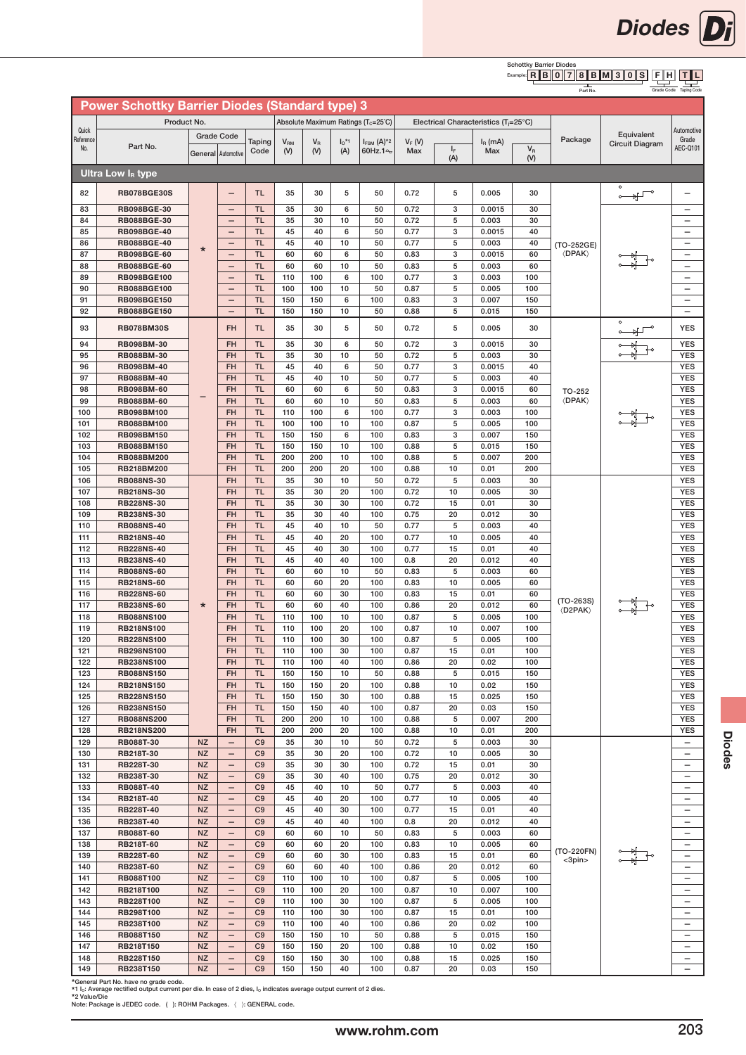

Grade Code

Diodes **Di** 

Taping Code

Part No.

|                    | <b>Power Schottky Barrier Diodes (Standard type) 3</b> |                        |                                               |                                  |                 |             |                     |                                                 |              |                                                    |                 |            |                             |                                   |                                                      |
|--------------------|--------------------------------------------------------|------------------------|-----------------------------------------------|----------------------------------|-----------------|-------------|---------------------|-------------------------------------------------|--------------|----------------------------------------------------|-----------------|------------|-----------------------------|-----------------------------------|------------------------------------------------------|
|                    | Product No.                                            |                        |                                               |                                  |                 |             |                     | Absolute Maximum Ratings (T <sub>c</sub> =25°C) |              | Electrical Characteristics ( $T_i = 25^{\circ}C$ ) |                 |            |                             |                                   |                                                      |
| Quick<br>Reference |                                                        |                        | <b>Grade Code</b>                             | Taping                           | V <sub>RM</sub> | $V_{\rm R}$ | $I_0$ <sup>*1</sup> | $I_{FSM}$ (A) <sup>*2</sup>                     | $V_F(V)$     |                                                    | $I_R$ (mA)      |            | Package                     | Equivalent                        | Automotive<br>Grade                                  |
| No.                | Part No.                                               | General Automotive     |                                               | Code                             | (V)             | (V)         | (A)                 | 60Hz.1 <sup>o</sup> →                           | Max          | ΙF                                                 | Max             | $V_R$      |                             | Circuit Diagram                   | AEC-Q101                                             |
|                    |                                                        |                        |                                               |                                  |                 |             |                     |                                                 |              | (A)                                                |                 | (V)        |                             |                                   |                                                      |
|                    | Ultra Low $I_R$ type                                   |                        |                                               |                                  |                 |             |                     |                                                 |              |                                                    |                 |            |                             |                                   |                                                      |
| 82                 | RB078BGE30S                                            |                        |                                               | <b>TL</b>                        | 35              | 30          | 5                   | 50                                              | 0.72         | 5                                                  | 0.005           | 30         |                             | $\overline{\mathbb{F}}$<br>$\sim$ |                                                      |
| 83                 | <b>RB098BGE-30</b>                                     |                        | $\qquad \qquad -$                             | <b>TL</b>                        | 35              | 30          | 6                   | 50                                              | 0.72         | 3                                                  | 0.0015          | 30         |                             |                                   | -                                                    |
| 84                 | <b>RB088BGE-30</b>                                     |                        | $\qquad \qquad -$                             | <b>TL</b>                        | 35              | 30          | 10                  | 50                                              | 0.72         | 5                                                  | 0.003           | 30         |                             |                                   | $\qquad \qquad -$                                    |
| 85                 | <b>RB098BGE-40</b>                                     |                        | $\qquad \qquad -$                             | <b>TL</b>                        | 45              | 40          | 6                   | 50                                              | 0.77         | 3                                                  | 0.0015          | 40         |                             |                                   | $\overline{\phantom{0}}$                             |
| 86<br>87           | <b>RB088BGE-40</b><br><b>RB098BGE-60</b>               | $\star$                | $\qquad \qquad -$<br>$\qquad \qquad -$        | <b>TL</b><br><b>TL</b>           | 45<br>60        | 40<br>60    | 10<br>6             | 50<br>50                                        | 0.77<br>0.83 | 5<br>3                                             | 0.003<br>0.0015 | 40<br>60   | (TO-252GE)<br><b>(DPAK)</b> |                                   | $\qquad \qquad -$<br>$\overline{\phantom{0}}$        |
| 88                 | <b>RB088BGE-60</b>                                     |                        | $\qquad \qquad -$                             | <b>TL</b>                        | 60              | 60          | 10                  | 50                                              | 0.83         | 5                                                  | 0.003           | 60         |                             |                                   | $\overline{\phantom{0}}$                             |
| 89                 | <b>RB098BGE100</b>                                     |                        | $\qquad \qquad -$                             | <b>TL</b>                        | 110             | 100         | 6                   | 100                                             | 0.77         | 3                                                  | 0.003           | 100        |                             |                                   | $\overline{\phantom{0}}$                             |
| 90                 | <b>RB088BGE100</b>                                     |                        | $\qquad \qquad -$                             | <b>TL</b>                        | 100             | 100         | 10                  | 50                                              | 0.87         | 5                                                  | 0.005           | 100        |                             |                                   | $\qquad \qquad -$                                    |
| 91<br>92           | <b>RB098BGE150</b>                                     |                        | $\qquad \qquad -$                             | <b>TL</b><br><b>TL</b>           | 150<br>150      | 150<br>150  | 6<br>10             | 100<br>50                                       | 0.83<br>0.88 | 3<br>5                                             | 0.007<br>0.015  | 150<br>150 |                             |                                   | $\overline{\phantom{0}}$                             |
|                    | <b>RB088BGE150</b>                                     |                        | $\overline{\phantom{m}}$                      |                                  |                 |             |                     |                                                 |              |                                                    |                 |            |                             | $\circ$                           | $\overline{\phantom{0}}$                             |
| 93                 | <b>RB078BM30S</b>                                      |                        | <b>FH</b>                                     | <b>TL</b>                        | 35              | 30          | 5                   | 50                                              | 0.72         | 5                                                  | 0.005           | 30         |                             | $\circ$                           | <b>YES</b>                                           |
| 94                 | RB098BM-30                                             |                        | <b>FH</b>                                     | <b>TL</b>                        | 35              | 30          | 6                   | 50                                              | 0.72         | 3                                                  | 0.0015          | 30         |                             |                                   | <b>YES</b>                                           |
| 95<br>96           | RB088BM-30<br><b>RB098BM-40</b>                        |                        | <b>FH</b><br><b>FH</b>                        | <b>TL</b><br><b>TL</b>           | 35<br>45        | 30<br>40    | 10<br>6             | 50<br>50                                        | 0.72<br>0.77 | 5<br>3                                             | 0.003<br>0.0015 | 30<br>40   |                             |                                   | <b>YES</b><br><b>YES</b>                             |
| 97                 | <b>RB088BM-40</b>                                      |                        | <b>FH</b>                                     | <b>TL</b>                        | 45              | 40          | 10                  | 50                                              | 0.77         | 5                                                  | 0.003           | 40         |                             |                                   | <b>YES</b>                                           |
| 98                 | <b>RB098BM-60</b>                                      |                        | <b>FH</b>                                     | <b>TL</b>                        | 60              | 60          | 6                   | 50                                              | 0.83         | 3                                                  | 0.0015          | 60         | TO-252                      |                                   | <b>YES</b>                                           |
| 99                 | <b>RB088BM-60</b>                                      |                        | <b>FH</b>                                     | <b>TL</b>                        | 60              | 60          | 10                  | 50                                              | 0.83         | 5                                                  | 0.003           | 60         | <b><dpak></dpak></b>        |                                   | <b>YES</b>                                           |
| 100                | <b>RB098BM100</b>                                      |                        | <b>FH</b>                                     | <b>TL</b>                        | 110             | 100         | 6                   | 100                                             | 0.77         | 3                                                  | 0.003           | 100        |                             |                                   | <b>YES</b>                                           |
| 101<br>102         | <b>RB088BM100</b><br><b>RB098BM150</b>                 |                        | <b>FH</b><br><b>FH</b>                        | <b>TL</b><br><b>TL</b>           | 100<br>150      | 100<br>150  | 10<br>6             | 100<br>100                                      | 0.87<br>0.83 | 5<br>3                                             | 0.005<br>0.007  | 100<br>150 |                             |                                   | <b>YES</b><br><b>YES</b>                             |
| 103                | <b>RB088BM150</b>                                      |                        | <b>FH</b>                                     | <b>TL</b>                        | 150             | 150         | 10                  | 100                                             | 0.88         | 5                                                  | 0.015           | 150        |                             |                                   | <b>YES</b>                                           |
| 104                | RB088BM200                                             |                        | <b>FH</b>                                     | <b>TL</b>                        | 200             | 200         | 10                  | 100                                             | 0.88         | 5                                                  | 0.007           | 200        |                             |                                   | <b>YES</b>                                           |
| 105                | RB218BM200                                             |                        | <b>FH</b>                                     | <b>TL</b>                        | 200             | 200         | 20                  | 100                                             | 0.88         | 10                                                 | 0.01            | 200        |                             |                                   | <b>YES</b>                                           |
| 106<br>107         | <b>RB088NS-30</b><br><b>RB218NS-30</b>                 |                        | FH<br><b>FH</b>                               | <b>TL</b><br><b>TL</b>           | 35<br>35        | 30<br>30    | 10<br>20            | 50<br>100                                       | 0.72<br>0.72 | 5<br>10                                            | 0.003<br>0.005  | 30<br>30   |                             |                                   | <b>YES</b><br><b>YES</b>                             |
| 108                | <b>RB228NS-30</b>                                      |                        | <b>FH</b>                                     | <b>TL</b>                        | 35              | 30          | 30                  | 100                                             | 0.72         | 15                                                 | 0.01            | 30         |                             |                                   | <b>YES</b>                                           |
| 109                | <b>RB238NS-30</b>                                      |                        | <b>FH</b>                                     | <b>TL</b>                        | 35              | 30          | 40                  | 100                                             | 0.75         | 20                                                 | 0.012           | 30         |                             |                                   | <b>YES</b>                                           |
| 110                | <b>RB088NS-40</b>                                      |                        | <b>FH</b>                                     | <b>TL</b>                        | 45              | 40          | 10                  | 50                                              | 0.77         | 5                                                  | 0.003           | 40         |                             |                                   | <b>YES</b>                                           |
| 111                | <b>RB218NS-40</b>                                      |                        | FH                                            | <b>TL</b>                        | 45              | 40          | 20                  | 100                                             | 0.77         | 10                                                 | 0.005           | 40         |                             |                                   | <b>YES</b>                                           |
| 112<br>113         | <b>RB228NS-40</b><br><b>RB238NS-40</b>                 |                        | <b>FH</b><br><b>FH</b>                        | <b>TL</b><br><b>TL</b>           | 45<br>45        | 40<br>40    | 30<br>40            | 100<br>100                                      | 0.77<br>0.8  | 15<br>20                                           | 0.01<br>0.012   | 40<br>40   |                             |                                   | <b>YES</b><br><b>YES</b>                             |
| 114                | <b>RB088NS-60</b>                                      |                        | <b>FH</b>                                     | <b>TL</b>                        | 60              | 60          | 10                  | 50                                              | 0.83         | 5                                                  | 0.003           | 60         |                             |                                   | <b>YES</b>                                           |
| 115                | <b>RB218NS-60</b>                                      |                        | <b>FH</b>                                     | <b>TL</b>                        | 60              | 60          | 20                  | 100                                             | 0.83         | 10                                                 | 0.005           | 60         |                             |                                   | <b>YES</b>                                           |
| 116                | <b>RB228NS-60</b>                                      |                        | <b>FH</b>                                     | <b>TL</b>                        | 60              | 60          | 30                  | 100                                             | 0.83         | 15                                                 | 0.01            | 60         | $(TO-263S)$                 |                                   | <b>YES</b>                                           |
| 117<br>118         | <b>RB238NS-60</b><br><b>RB088NS100</b>                 | $\star$                | <b>FH</b><br><b>FH</b>                        | <b>TL</b><br><b>TL</b>           | 60<br>110       | 60<br>100   | 40<br>10            | 100<br>100                                      | 0.86<br>0.87 | 20<br>5                                            | 0.012<br>0.005  | 60<br>100  | <b>(D2PAK)</b>              |                                   | <b>YES</b><br><b>YES</b>                             |
| 119                | <b>RB218NS100</b>                                      |                        | <b>FH</b>                                     | <b>TL</b>                        | 110             | 100         | 20                  | 100                                             | 0.87         | 10                                                 | 0.007           | 100        |                             |                                   | <b>YES</b>                                           |
| 120                | <b>RB228NS100</b>                                      |                        | <b>FH</b>                                     | <b>TL</b>                        | 110             | 100         | 30                  | 100                                             | 0.87         | 5                                                  | 0.005           | 100        |                             |                                   | <b>YES</b>                                           |
| 121                | <b>RB298NS100</b>                                      |                        | <b>FH</b>                                     | <b>TL</b>                        | 110             | 100         | 30                  | 100                                             | 0.87         | 15                                                 | 0.01            | 100        |                             |                                   | <b>YES</b>                                           |
| 122<br>123         | <b>RB238NS100</b><br><b>RB088NS150</b>                 |                        | <b>FH</b><br><b>FH</b>                        | <b>TL</b><br><b>TL</b>           | 110<br>150      | 100<br>150  | 40<br>10            | 100<br>50                                       | 0.86<br>0.88 | 20<br>5                                            | 0.02<br>0.015   | 100<br>150 |                             |                                   | <b>YES</b><br><b>YES</b>                             |
| 124                | <b>RB218NS150</b>                                      |                        | <b>FH</b>                                     | <b>TL</b>                        | 150             | 150         | 20                  | 100                                             | 0.88         | 10                                                 | 0.02            | 150        |                             |                                   | <b>YES</b>                                           |
| 125                | <b>RB228NS150</b>                                      |                        | <b>FH</b>                                     | <b>TL</b>                        | 150             | 150         | 30                  | 100                                             | 0.88         | 15                                                 | 0.025           | 150        |                             |                                   | <b>YES</b>                                           |
| 126                | <b>RB238NS150</b>                                      |                        | <b>FH</b>                                     | <b>TL</b>                        | 150             | 150         | 40                  | 100                                             | 0.87         | 20                                                 | 0.03            | 150        |                             |                                   | <b>YES</b>                                           |
| 127                | <b>RB088NS200</b>                                      |                        | <b>FH</b>                                     | <b>TL</b>                        | 200             | 200         | 10                  | 100                                             | 0.88         | 5                                                  | 0.007           | 200        |                             |                                   | <b>YES</b>                                           |
| 128<br>129         | <b>RB218NS200</b><br>RB088T-30                         | <b>NZ</b>              | <b>FH</b><br>$\overline{\phantom{0}}$         | <b>TL</b><br>C9                  | 200<br>35       | 200<br>30   | 20<br>10            | 100<br>50                                       | 0.88<br>0.72 | 10<br>5                                            | 0.01<br>0.003   | 200<br>30  |                             |                                   | <b>YES</b><br>$\overline{\phantom{0}}$               |
| 130                | RB218T-30                                              | <b>NZ</b>              | $\overline{\phantom{0}}$                      | C <sub>9</sub>                   | 35              | 30          | 20                  | 100                                             | 0.72         | 10                                                 | 0.005           | 30         |                             |                                   | $\overline{\phantom{0}}$                             |
| 131                | RB228T-30                                              | <b>NZ</b>              | $\qquad \qquad -$                             | C9                               | 35              | 30          | 30                  | 100                                             | 0.72         | 15                                                 | 0.01            | 30         |                             |                                   | $\overline{\phantom{m}}$                             |
| 132                | RB238T-30                                              | <b>NZ</b>              | $\qquad \qquad -$                             | C9                               | 35              | 30          | 40                  | 100                                             | 0.75         | 20                                                 | 0.012           | 30         |                             |                                   | $\qquad \qquad -$                                    |
| 133                | RB088T-40                                              | <b>NZ</b>              | $\qquad \qquad -$                             | C <sub>9</sub>                   | 45              | 40          | 10                  | 50                                              | 0.77         | 5                                                  | 0.003           | 40         |                             |                                   | $\overline{\phantom{m}}$                             |
| 134<br>135         | RB218T-40<br>RB228T-40                                 | <b>NZ</b><br><b>NZ</b> | -<br>$\qquad \qquad -$                        | C <sub>9</sub><br>C <sub>9</sub> | 45<br>45        | 40<br>40    | 20<br>30            | 100<br>100                                      | 0.77<br>0.77 | 10<br>15                                           | 0.005<br>0.01   | 40<br>40   |                             |                                   | $\qquad \qquad -$<br>$\overline{\phantom{m}}$        |
| 136                | RB238T-40                                              | <b>NZ</b>              | $\qquad \qquad -$                             | C <sub>9</sub>                   | 45              | 40          | 40                  | 100                                             | 0.8          | 20                                                 | 0.012           | 40         |                             |                                   | $\qquad \qquad -$                                    |
| 137                | RB088T-60                                              | <b>NZ</b>              | $\qquad \qquad -$                             | C <sub>9</sub>                   | 60              | 60          | 10                  | 50                                              | 0.83         | 5                                                  | 0.003           | 60         |                             |                                   | $\overline{\phantom{m}}$                             |
| 138                | RB218T-60                                              | <b>NZ</b>              | $\qquad \qquad -$                             | C <sub>9</sub>                   | 60              | 60          | 20                  | 100                                             | 0.83         | 10                                                 | 0.005           | 60         | (TO-220FN)                  |                                   | $\qquad \qquad -$                                    |
| 139<br>140         | RB228T-60<br>RB238T-60                                 | <b>NZ</b><br><b>NZ</b> | $\qquad \qquad -$<br>$\qquad \qquad -$        | C <sub>9</sub><br>C <sub>9</sub> | 60<br>60        | 60<br>60    | 30<br>40            | 100<br>100                                      | 0.83<br>0.86 | 15<br>20                                           | 0.01<br>0.012   | 60<br>60   | $<$ 3pin $>$                |                                   | $\overline{\phantom{0}}$<br>$\overline{\phantom{0}}$ |
| 141                | RB088T100                                              | <b>NZ</b>              | $\qquad \qquad -$                             | C <sub>9</sub>                   | 110             | 100         | 10                  | 100                                             | 0.87         | 5                                                  | 0.005           | 100        |                             |                                   | $\overline{\phantom{0}}$                             |
| 142                | RB218T100                                              | <b>NZ</b>              | $\qquad \qquad -$                             | C <sub>9</sub>                   | 110             | 100         | 20                  | 100                                             | 0.87         | 10                                                 | 0.007           | 100        |                             |                                   | $\overline{\phantom{0}}$                             |
| 143                | RB228T100                                              | <b>NZ</b>              | $\qquad \qquad -$                             | C <sub>9</sub>                   | 110             | 100         | 30                  | 100                                             | 0.87         | 5                                                  | 0.005           | 100        |                             |                                   | $\overline{\phantom{0}}$                             |
| 144                | RB298T100                                              | <b>NZ</b>              | $\overline{\phantom{0}}$                      | C <sub>9</sub>                   | 110             | 100         | 30                  | 100                                             | 0.87         | 15                                                 | 0.01            | 100        |                             |                                   | $\overline{\phantom{0}}$                             |
| 145<br>146         | RB238T100<br>RB088T150                                 | <b>NZ</b><br><b>NZ</b> | $\qquad \qquad -$<br>$\overline{\phantom{0}}$ | C <sub>9</sub><br>C <sub>9</sub> | 110<br>150      | 100<br>150  | 40<br>10            | 100<br>50                                       | 0.86<br>0.88 | 20<br>5                                            | 0.02<br>0.015   | 100<br>150 |                             |                                   | $\overline{\phantom{0}}$<br>$\overline{\phantom{0}}$ |
| 147                | RB218T150                                              | <b>NZ</b>              | $\qquad \qquad -$                             | C <sub>9</sub>                   | 150             | 150         | 20                  | 100                                             | 0.88         | 10                                                 | 0.02            | 150        |                             |                                   | $\overline{\phantom{0}}$                             |
| 148                | RB228T150                                              | <b>NZ</b>              | $\qquad \qquad -$                             | C <sub>9</sub>                   | 150             | 150         | 30                  | 100                                             | 0.88         | 15                                                 | 0.025           | 150        |                             |                                   | $\overline{\phantom{0}}$                             |
| 149                | RB238T150                                              | <b>NZ</b>              | $\overline{\phantom{m}}$                      | C <sub>9</sub>                   | 150             | 150         | 40                  | 100                                             | 0.87         | 20                                                 | 0.03            | 150        |                             |                                   | $\overline{\phantom{0}}$                             |

\*General Part No. have no grade code. \*1 IO: Average rectified output current per die. In case of 2 dies, IO indicates average output current of 2 dies. \*2 Value/Die

Note: Package is JEDEC code. ( ): ROHM Packages. 〈 〉: GENERAL code.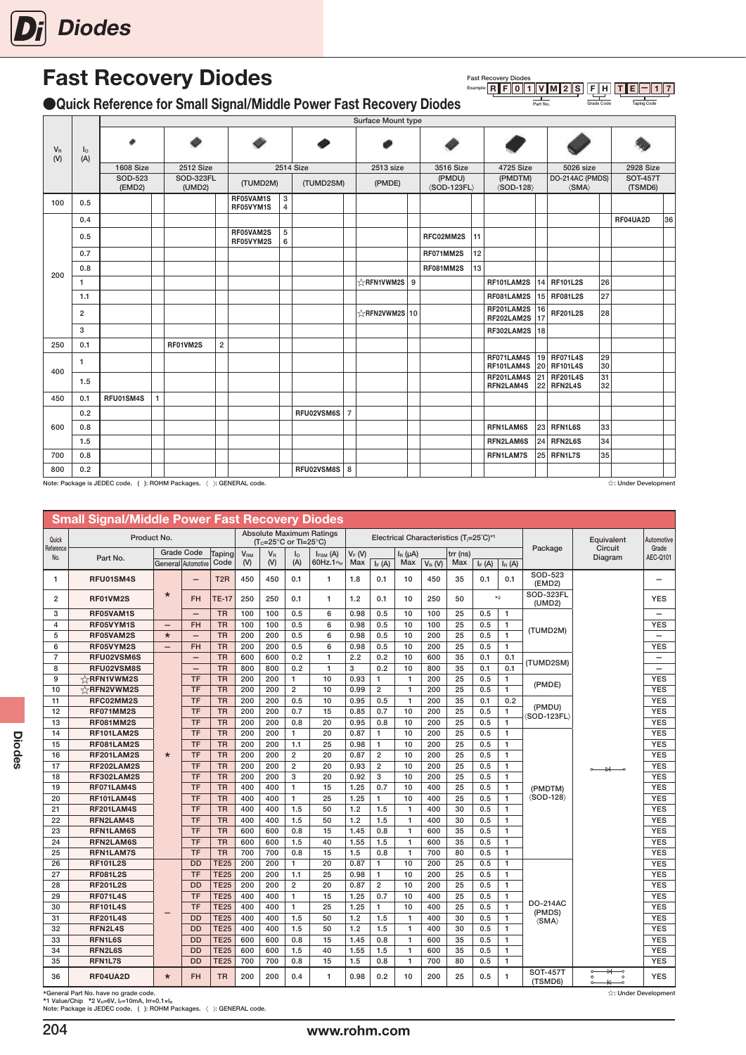<span id="page-13-0"></span>

## Fast Recovery Diodes

●Quick Reference for Small Signal/Middle Power Fast Recovery Diodes

|                    |                       |                   |              |                            |                         |                        |                  |                  |                | Surface Mount type         |   |                                         |    |                                        |          |                                            |          |                            |    |
|--------------------|-----------------------|-------------------|--------------|----------------------------|-------------------------|------------------------|------------------|------------------|----------------|----------------------------|---|-----------------------------------------|----|----------------------------------------|----------|--------------------------------------------|----------|----------------------------|----|
| $V_{\rm R}$<br>(V) | I <sub>0</sub><br>(A) | ۰                 |              |                            |                         |                        |                  |                  |                |                            |   |                                         |    | Ø                                      |          |                                            |          |                            |    |
|                    |                       | <b>1608 Size</b>  |              | <b>2512 Size</b>           |                         |                        |                  | <b>2514 Size</b> |                | 2513 size                  |   | 3516 Size                               |    | 4725 Size                              |          | 5026 size                                  |          | <b>2928 Size</b>           |    |
|                    |                       | SOD-523<br>(EMD2) |              | <b>SOD-323FL</b><br>(UMD2) |                         | (TUMD2M)               |                  | (TUMD2SM)        |                | (PMDE)                     |   | (PMDU)<br>$\langle$ SOD-123FL $\rangle$ |    | (PMDTM)<br>$\langle$ SOD-128 $\rangle$ |          | DO-214AC (PMDS)<br>$\langle$ SMA $\rangle$ |          | <b>SOT-457T</b><br>(TSMD6) |    |
| 100                | 0.5                   |                   |              |                            |                         | RF05VAM1S<br>RF05VYM1S | $\mathbf 3$<br>4 |                  |                |                            |   |                                         |    |                                        |          |                                            |          |                            |    |
|                    | 0.4                   |                   |              |                            |                         |                        |                  |                  |                |                            |   |                                         |    |                                        |          |                                            |          | RF04UA2D                   | 36 |
|                    | 0.5                   |                   |              |                            |                         | RF05VAM2S<br>RF05VYM2S | 5<br>6           |                  |                |                            |   | RFC02MM2S                               | 11 |                                        |          |                                            |          |                            |    |
|                    | 0.7                   |                   |              |                            |                         |                        |                  |                  |                |                            |   | RF071MM2S                               | 12 |                                        |          |                                            |          |                            |    |
|                    | 0.8                   |                   |              |                            |                         |                        |                  |                  |                |                            |   | RF081MM2S                               | 13 |                                        |          |                                            |          |                            |    |
| 200                | $\mathbf{1}$          |                   |              |                            |                         |                        |                  |                  |                | <b>☆RFN1VWM2S</b>          | 9 |                                         |    | RF101LAM2S                             |          | 14 RF101L2S                                | 26       |                            |    |
|                    | 1.1                   |                   |              |                            |                         |                        |                  |                  |                |                            |   |                                         |    | RF081LAM2S                             |          | 15 RF081L2S                                | 27       |                            |    |
|                    | $\overline{2}$        |                   |              |                            |                         |                        |                  |                  |                | $\frac{1}{2}$ RFN2VWM2S 10 |   |                                         |    | RF201LAM2S<br>RF202LAM2S               | 16<br>17 | <b>RF201L2S</b>                            | 28       |                            |    |
|                    | 3                     |                   |              |                            |                         |                        |                  |                  |                |                            |   |                                         |    | RF302LAM2S                             | 18       |                                            |          |                            |    |
| 250                | 0.1                   |                   |              | RF01VM2S                   | $\overline{\mathbf{c}}$ |                        |                  |                  |                |                            |   |                                         |    |                                        |          |                                            |          |                            |    |
| 400                | 1                     |                   |              |                            |                         |                        |                  |                  |                |                            |   |                                         |    | RF071LAM4S<br>RF101LAM4S               |          | 19 RF071L4S<br>20 RF101L4S                 | 29<br>30 |                            |    |
|                    | 1.5                   |                   |              |                            |                         |                        |                  |                  |                |                            |   |                                         |    | RF201LAM4S<br><b>RFN2LAM4S</b>         |          | 21 RF201L4S<br><b>22 RFN2L4S</b>           | 31<br>32 |                            |    |
| 450                | 0.1                   | RFU01SM4S         | $\mathbf{1}$ |                            |                         |                        |                  |                  |                |                            |   |                                         |    |                                        |          |                                            |          |                            |    |
|                    | 0.2                   |                   |              |                            |                         |                        |                  | RFU02VSM6S       | $\overline{7}$ |                            |   |                                         |    |                                        |          |                                            |          |                            |    |
| 600                | 0.8                   |                   |              |                            |                         |                        |                  |                  |                |                            |   |                                         |    | RFN1LAM6S                              |          | <b>23 RFN1L6S</b>                          | 33       |                            |    |
|                    | 1.5                   |                   |              |                            |                         |                        |                  |                  |                |                            |   |                                         |    | RFN2LAM6S                              |          | <b>24 RFN2L6S</b>                          | 34       |                            |    |
| 700                | 0.8                   |                   |              |                            |                         |                        |                  |                  |                |                            |   |                                         |    | RFN1LAM7S                              |          | 25 RFN1L7S                                 | 35       |                            |    |
| 800                | 0.2                   |                   |              |                            |                         |                        |                  | RFU02VSM8S       | 8              |                            |   |                                         |    |                                        |          |                                            |          |                            |    |

Note: Package is JEDEC code. ( ): ROHM Packages. 〈 〉: GENERAL code. ☆: Under Development

Fast Recovery Diodes<br>Example: R F O 1 1 V M 2 S F H T E 1 1 7

Part No. **Grade Code** Taping Code

|                  | <b>Small Signal/Middle Power Fast Recovery Diodes</b> |                          |                          |                  |                 |                                               |                |                                 |          |                |              |           |                                                                 |          |              |                             |                                                                                 |                          |
|------------------|-------------------------------------------------------|--------------------------|--------------------------|------------------|-----------------|-----------------------------------------------|----------------|---------------------------------|----------|----------------|--------------|-----------|-----------------------------------------------------------------|----------|--------------|-----------------------------|---------------------------------------------------------------------------------|--------------------------|
| Quick            | Product No.                                           |                          |                          |                  |                 | $(T_c=25^{\circ}C \text{ or } T=25^{\circ}C)$ |                | <b>Absolute Maximum Ratings</b> |          |                |              |           | Electrical Characteristics (T <sub>i</sub> =25°C)* <sup>1</sup> |          |              |                             | Equivalent                                                                      | Automotive               |
| Reference<br>No. | Part No.                                              |                          | <b>Grade Code</b>        | Taping           | V <sub>RM</sub> | $V_R$                                         | $I_{\circ}$    | $I_{FSM}$ (A)                   | $V_F(W)$ |                | $I_R(\mu A)$ |           | $trr$ (ns)                                                      |          |              | Package                     | Circuit<br>Diagram                                                              | Grade<br>AEC-Q101        |
|                  |                                                       |                          | General Automotive       | Code             | (V)             | (V)                                           | (A)            | 60Hz.1 <sup>o</sup>             | Max      | $I_F(A)$       | Max          | $V_R$ (V) | Max                                                             | $I_F(A)$ | $I_{R}$ (A)  |                             |                                                                                 |                          |
| 1                | RFU01SM4S                                             |                          | $\overline{\phantom{0}}$ | T <sub>2</sub> R | 450             | 450                                           | 0.1            | $\mathbf{1}$                    | 1.8      | 0.1            | 10           | 450       | 35                                                              | 0.1      | 0.1          | SOD-523<br>(EMD2)           |                                                                                 | —                        |
| $\overline{2}$   | RF01VM2S                                              | $\star$                  | FH                       | <b>TE-17</b>     | 250             | 250                                           | 0.1            | 1                               | 1.2      | 0.1            | 10           | 250       | 50                                                              |          | $*_{2}$      | SOD-323FL<br>(UMD2)         |                                                                                 | <b>YES</b>               |
| 3                | RF05VAM1S                                             |                          | $\overline{\phantom{0}}$ | <b>TR</b>        | 100             | 100                                           | 0.5            | 6                               | 0.98     | 0.5            | 10           | 100       | 25                                                              | 0.5      | $\mathbf{1}$ |                             |                                                                                 | $\overline{\phantom{0}}$ |
| $\overline{4}$   | RF05VYM1S                                             | $\overline{\phantom{0}}$ | <b>FH</b>                | <b>TR</b>        | 100             | 100                                           | 0.5            | 6                               | 0.98     | 0.5            | 10           | 100       | 25                                                              | 0.5      | $\mathbf{1}$ | (TUMD2M)                    |                                                                                 | <b>YES</b>               |
| 5                | RF05VAM2S                                             | $\star$                  | $\qquad \qquad -$        | <b>TR</b>        | 200             | 200                                           | 0.5            | 6                               | 0.98     | 0.5            | 10           | 200       | 25                                                              | 0.5      | $\mathbf{1}$ |                             |                                                                                 | $\qquad \qquad -$        |
| 6                | RF05VYM2S                                             | $\qquad \qquad -$        | <b>FH</b>                | <b>TR</b>        | 200             | 200                                           | 0.5            | 6                               | 0.98     | 0.5            | 10           | 200       | 25                                                              | 0.5      | $\mathbf{1}$ |                             |                                                                                 | <b>YES</b>               |
| $\overline{7}$   | RFU02VSM6S                                            |                          | $\overline{\phantom{m}}$ | <b>TR</b>        | 600             | 600                                           | 0.2            | $\mathbf{1}$                    | 2.2      | 0.2            | 10           | 600       | 35                                                              | 0.1      | 0.1          | (TUMD2SM)                   |                                                                                 | $\overline{\phantom{0}}$ |
| 8                | RFU02VSM8S                                            |                          | $\overline{\phantom{0}}$ | <b>TR</b>        | 800             | 800                                           | 0.2            | $\mathbf{1}$                    | 3        | 0.2            | 10           | 800       | 35                                                              | 0.1      | 0.1          |                             |                                                                                 | $\overline{\phantom{0}}$ |
| 9                | ☆RFN1VWM2S                                            |                          | <b>TF</b>                | <b>TR</b>        | 200             | 200                                           | $\mathbf{1}$   | 10                              | 0.93     | 1              | $\mathbf{1}$ | 200       | 25                                                              | 0.5      | $\mathbf{1}$ | (PMDE)                      |                                                                                 | <b>YES</b>               |
| 10               | ☆RFN2VWM2S                                            |                          | <b>TF</b>                | <b>TR</b>        | 200             | 200                                           | $\overline{2}$ | 10                              | 0.99     | $\overline{2}$ | 1            | 200       | 25                                                              | 0.5      | $\mathbf{1}$ |                             |                                                                                 | <b>YES</b>               |
| 11               | RFC02MM2S                                             |                          | <b>TF</b>                | <b>TR</b>        | 200             | 200                                           | 0.5            | 10                              | 0.95     | 0.5            | $\mathbf{1}$ | 200       | 35                                                              | 0.1      | 0.2          | (PMDU)                      |                                                                                 | <b>YES</b>               |
| 12               | RF071MM2S                                             |                          | <b>TF</b>                | <b>TR</b>        | 200             | 200                                           | 0.7            | 15                              | 0.85     | 0.7            | 10           | 200       | 25                                                              | 0.5      | $\mathbf{1}$ | (SOD-123FL)                 |                                                                                 | <b>YES</b>               |
| 13               | <b>RF081MM2S</b>                                      |                          | <b>TF</b>                | <b>TR</b>        | 200             | 200                                           | 0.8            | 20                              | 0.95     | 0.8            | 10           | 200       | 25                                                              | 0.5      | $\mathbf{1}$ |                             |                                                                                 | <b>YES</b>               |
| 14               | RF101LAM2S                                            |                          | <b>TF</b>                | <b>TR</b>        | 200             | 200                                           | $\mathbf{1}$   | 20                              | 0.87     | $\mathbf{1}$   | 10           | 200       | 25                                                              | 0.5      | $\mathbf{1}$ |                             |                                                                                 | <b>YES</b>               |
| 15               | RF081LAM2S                                            |                          | <b>TF</b>                | <b>TR</b>        | 200             | 200                                           | 1.1            | 25                              | 0.98     | $\mathbf{1}$   | 10           | 200       | 25                                                              | 0.5      | $\mathbf{1}$ |                             |                                                                                 | <b>YES</b>               |
| 16               | RF201LAM2S                                            | $\star$                  | <b>TF</b>                | <b>TR</b>        | 200             | 200                                           | $\mathbf 2$    | 20                              | 0.87     | $\overline{2}$ | 10           | 200       | 25                                                              | 0.5      | $\mathbf{1}$ |                             |                                                                                 | <b>YES</b>               |
| 17               | RF202LAM2S                                            |                          | <b>TF</b>                | <b>TR</b>        | 200             | 200                                           | $\overline{2}$ | 20                              | 0.93     | $\mathbf 2$    | 10           | 200       | 25                                                              | 0.5      | $\mathbf{1}$ |                             | $\longrightarrow$                                                               | <b>YES</b>               |
| 18               | RF302LAM2S                                            |                          | <b>TF</b>                | <b>TR</b>        | 200             | 200                                           | 3              | 20                              | 0.92     | 3              | 10           | 200       | 25                                                              | 0.5      | $\mathbf{1}$ |                             |                                                                                 | <b>YES</b>               |
| 19               | RF071LAM4S                                            |                          | <b>TF</b>                | <b>TR</b>        | 400             | 400                                           | $\mathbf{1}$   | 15                              | 1.25     | 0.7            | 10           | 400       | 25                                                              | 0.5      | $\mathbf{1}$ | (PMDTM)                     |                                                                                 | <b>YES</b>               |
| 20               | RF101LAM4S                                            |                          | <b>TF</b>                | <b>TR</b>        | 400             | 400                                           | $\mathbf{1}$   | 25                              | 1.25     | $\mathbf{1}$   | 10           | 400       | 25                                                              | 0.5      | $\mathbf{1}$ | $\langle$ SOD-128 $\rangle$ |                                                                                 | <b>YES</b>               |
| 21               | RF201LAM4S                                            |                          | <b>TF</b>                | <b>TR</b>        | 400             | 400                                           | 1.5            | 50                              | 1.2      | 1.5            | $\mathbf{1}$ | 400       | 30                                                              | 0.5      | $\mathbf{1}$ |                             |                                                                                 | <b>YES</b>               |
| 22               | <b>RFN2LAM4S</b>                                      |                          | <b>TF</b>                | <b>TR</b>        | 400             | 400                                           | 1.5            | 50                              | 1.2      | 1.5            | $\mathbf{1}$ | 400       | 30                                                              | 0.5      | $\mathbf{1}$ |                             |                                                                                 | <b>YES</b>               |
| 23               | RFN1LAM6S                                             |                          | <b>TF</b>                | <b>TR</b>        | 600             | 600                                           | 0.8            | 15                              | 1.45     | 0.8            | $\mathbf{1}$ | 600       | 35                                                              | 0.5      | $\mathbf{1}$ |                             |                                                                                 | <b>YES</b>               |
| 24               | RFN2LAM6S                                             |                          | <b>TF</b>                | <b>TR</b>        | 600             | 600                                           | 1.5            | 40                              | 1.55     | 1.5            | $\mathbf{1}$ | 600       | 35                                                              | 0.5      | $\mathbf{1}$ |                             |                                                                                 | <b>YES</b>               |
| 25               | <b>RFN1LAM7S</b>                                      |                          | <b>TF</b>                | <b>TR</b>        | 700             | 700                                           | 0.8            | 15                              | 1.5      | 0.8            | $\mathbf{1}$ | 700       | 80                                                              | 0.5      | $\mathbf{1}$ |                             |                                                                                 | <b>YES</b>               |
| 26               | <b>RF101L2S</b>                                       |                          | <b>DD</b>                | <b>TE25</b>      | 200             | 200                                           | $\mathbf{1}$   | 20                              | 0.87     | $\mathbf{1}$   | 10           | 200       | 25                                                              | 0.5      | $\mathbf{1}$ |                             |                                                                                 | <b>YES</b>               |
| 27               | <b>RF081L2S</b>                                       |                          | <b>TF</b>                | <b>TE25</b>      | 200             | 200                                           | 1.1            | 25                              | 0.98     | $\mathbf{1}$   | 10           | 200       | 25                                                              | 0.5      | $\mathbf{1}$ |                             |                                                                                 | <b>YES</b>               |
| 28               | <b>RF201L2S</b>                                       |                          | <b>DD</b>                | <b>TE25</b>      | 200             | 200                                           | $\overline{2}$ | 20                              | 0.87     | $\overline{2}$ | 10           | 200       | 25                                                              | 0.5      | $\mathbf{1}$ |                             |                                                                                 | <b>YES</b>               |
| 29               | <b>RF071L4S</b>                                       |                          | <b>TF</b>                | <b>TE25</b>      | 400             | 400                                           | $\mathbf{1}$   | 15                              | 1.25     | 0.7            | 10           | 400       | 25                                                              | 0.5      | $\mathbf{1}$ |                             |                                                                                 | <b>YES</b>               |
| 30               | <b>RF101L4S</b>                                       |                          | <b>TF</b>                | <b>TE25</b>      | 400             | 400                                           | $\mathbf{1}$   | 25                              | 1.25     | $\mathbf{1}$   | 10           | 400       | 25                                                              | 0.5      | $\mathbf{1}$ | <b>DO-214AC</b><br>(PMDS)   |                                                                                 | <b>YES</b>               |
| 31               | <b>RF201L4S</b>                                       |                          | <b>DD</b>                | <b>TE25</b>      | 400             | 400                                           | 1.5            | 50                              | 1.2      | 1.5            | $\mathbf{1}$ | 400       | 30                                                              | 0.5      | $\mathbf{1}$ | $\langle$ SMA $\rangle$     |                                                                                 | <b>YES</b>               |
| 32               | RFN2L4S                                               |                          | <b>DD</b>                | <b>TE25</b>      | 400             | 400                                           | 1.5            | 50                              | 1.2      | 1.5            | $\mathbf{1}$ | 400       | 30                                                              | 0.5      | $\mathbf{1}$ |                             |                                                                                 | <b>YES</b>               |
| 33               | RFN1L6S                                               |                          | <b>DD</b>                | <b>TE25</b>      | 600             | 600                                           | 0.8            | 15                              | 1.45     | 0.8            | $\mathbf{1}$ | 600       | 35                                                              | 0.5      | $\mathbf{1}$ |                             |                                                                                 | <b>YES</b>               |
| 34               | RFN2L6S                                               |                          | <b>DD</b>                | <b>TE25</b>      | 600             | 600                                           | 1.5            | 40                              | 1.55     | 1.5            | $\mathbf{1}$ | 600       | 35                                                              | 0.5      | $\mathbf{1}$ |                             |                                                                                 | <b>YES</b>               |
| 35               | <b>RFN1L7S</b>                                        |                          | <b>DD</b>                | <b>TE25</b>      | 700             | 700                                           | 0.8            | 15                              | 1.5      | 0.8            | $\mathbf{1}$ | 700       | 80                                                              | 0.5      | $\mathbf{1}$ |                             |                                                                                 | <b>YES</b>               |
| 36               | RF04UA2D                                              | $\star$                  | FH                       | <b>TR</b>        | 200             | 200                                           | 0.4            | 1                               | 0.98     | 0.2            | 10           | 200       | 25                                                              | 0.5      | $\mathbf{1}$ | <b>SOT-457T</b><br>(TSMD6)  | ₩<br>$\circ$<br>$\overline{\phantom{0}}$<br>$\Omega$<br>$\Omega$<br>₩<br>$\sim$ | <b>YES</b>               |

204

\*General Part No. have no grade code.<br>\*1 Value/Chip \*2 Va≓6V, k=10mA, Irr=0.1×I<sub>R</sub><br>Note: Package is JEDEC code. (): ROHM Packages. 〈 ): GENERAL code.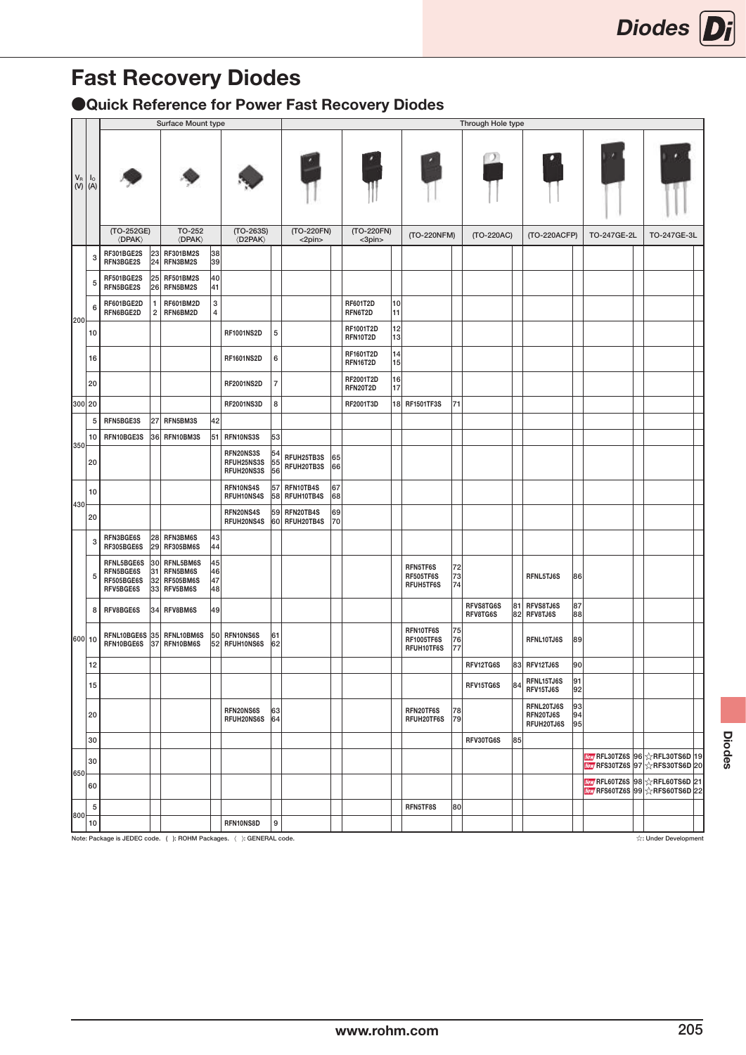# Fast Recovery Diodes

●Quick Reference for Power Fast Recovery Diodes

|                         |                               |                                                    |                       | Surface Mount type                                    |                      |                                       |                           |                          |          |                              |          |                                              |                | Through Hole type     |    |                                       |                |             |                                                                                                     |
|-------------------------|-------------------------------|----------------------------------------------------|-----------------------|-------------------------------------------------------|----------------------|---------------------------------------|---------------------------|--------------------------|----------|------------------------------|----------|----------------------------------------------|----------------|-----------------------|----|---------------------------------------|----------------|-------------|-----------------------------------------------------------------------------------------------------|
| $\mathsf{V}_\mathsf{R}$ | I <sub>o</sub><br>$(V)$ $(A)$ |                                                    |                       |                                                       |                      |                                       |                           |                          |          |                              |          |                                              |                |                       |    |                                       |                |             |                                                                                                     |
|                         |                               | (TO-252GE)<br><b><dpak></dpak></b>                 |                       | TO-252<br>$\langle$ DPAK $\rangle$                    |                      | $(TO-263S)$<br><b><d2pak></d2pak></b> |                           | (TO-220FN)<br><2pin>     |          | (TO-220FN)<br><3pin>         |          | (TO-220NFM)                                  |                | (TO-220AC)            |    | (TO-220ACFP)                          |                | TO-247GE-2L | TO-247GE-3L                                                                                         |
|                         | 3                             | RF301BGE2S<br>RFN3BGE2S                            | 23<br>24              | <b>RF301BM2S</b><br>RFN3BM2S                          | 38<br>39             |                                       |                           |                          |          |                              |          |                                              |                |                       |    |                                       |                |             |                                                                                                     |
|                         | 5                             | RF501BGE2S<br>RFN5BGE2S                            | 25<br>26              | <b>RF501BM2S</b><br>RFN5BM2S                          | 40<br>41             |                                       |                           |                          |          |                              |          |                                              |                |                       |    |                                       |                |             |                                                                                                     |
|                         | 6                             | RF601BGE2D<br>RFN6BGE2D                            | 1<br>$\boldsymbol{2}$ | <b>RF601BM2D</b><br>RFN6BM2D                          | 3<br>4               |                                       |                           |                          |          | <b>RF601T2D</b><br>RFN6T2D   | 10<br>11 |                                              |                |                       |    |                                       |                |             |                                                                                                     |
| 200                     | 10                            |                                                    |                       |                                                       |                      | <b>RF1001NS2D</b>                     | 5                         |                          |          | RF1001T2D<br>RFN10T2D        | 12<br>13 |                                              |                |                       |    |                                       |                |             |                                                                                                     |
|                         | 16                            |                                                    |                       |                                                       |                      | <b>RF1601NS2D</b>                     | 6                         |                          |          | RF1601T2D<br>RFN16T2D        | 14<br>15 |                                              |                |                       |    |                                       |                |             |                                                                                                     |
|                         | 20                            |                                                    |                       |                                                       |                      | <b>RF2001NS2D</b>                     | $\overline{\mathfrak{c}}$ |                          |          | <b>RF2001T2D</b><br>RFN20T2D | 16<br>17 |                                              |                |                       |    |                                       |                |             |                                                                                                     |
|                         | 300 20                        |                                                    |                       |                                                       |                      | <b>RF2001NS3D</b>                     | 8                         |                          |          | RF2001T3D                    |          | 18 RF1501TF3S                                | 71             |                       |    |                                       |                |             |                                                                                                     |
|                         | 5                             | RFN5BGE3S                                          | 27                    | RFN5BM3S                                              | 42                   |                                       |                           |                          |          |                              |          |                                              |                |                       |    |                                       |                |             |                                                                                                     |
|                         | 10                            | RFN10BGE3S                                         | 36                    | RFN10BM3S                                             |                      | 51 RFN10NS3S                          | 53                        |                          |          |                              |          |                                              |                |                       |    |                                       |                |             |                                                                                                     |
| 350                     | 20                            |                                                    |                       |                                                       |                      | RFN20NS3S<br>RFUH25NS3S<br>RFUH20NS3S | 54<br>55<br>56            | RFUH25TB3S<br>RFUH20TB3S | 65<br>66 |                              |          |                                              |                |                       |    |                                       |                |             |                                                                                                     |
|                         | 10                            |                                                    |                       |                                                       |                      | RFN10NS4S<br>RFUH10NS4S               | 57<br>58                  | RFN10TB4S<br>RFUH10TB4S  | 67<br>68 |                              |          |                                              |                |                       |    |                                       |                |             |                                                                                                     |
| 430                     | 20                            |                                                    |                       |                                                       |                      | RFN20NS4S<br>RFUH20NS4S               | 59<br>60                  | RFN20TB4S<br>RFUH20TB4S  | 69<br>70 |                              |          |                                              |                |                       |    |                                       |                |             |                                                                                                     |
|                         | 3                             | RFN3BGE6S<br>RF305BGE6S                            | 29                    | 28 RFN3BM6S<br><b>RF305BM6S</b>                       | 43<br>44             |                                       |                           |                          |          |                              |          |                                              |                |                       |    |                                       |                |             |                                                                                                     |
|                         | 5                             | RFNL5BGE6S<br>RFN5BGE6S<br>RF505BGE6S<br>RFV5BGE6S | 30<br>31<br>32<br>33  | RFNL5BM6S<br>RFN5BM6S<br><b>RF505BM6S</b><br>RFV5BM6S | 45<br>46<br>47<br>48 |                                       |                           |                          |          |                              |          | RFN5TF6S<br>RF505TF6S<br>RFUH5TF6S           | 72<br>73<br>74 |                       |    | RFNL5TJ6S                             | 86             |             |                                                                                                     |
|                         | 8                             | RFV8BGE6S                                          | 34                    | RFV8BM6S                                              | 49                   |                                       |                           |                          |          |                              |          |                                              |                | RFVS8TG6S<br>RFV8TG6S | 81 | RFVS8TJ6S<br>82 RFV8TJ6S              | 87<br>88       |             |                                                                                                     |
|                         | 600 10                        | RFNL10BGE6S<br>RFN10BGE6S                          | 35<br>37              | RFNL10BM6S<br>RFN10BM6S                               | 50<br>52             | RFN10NS6S<br><b>RFUH10NS6S</b>        | 61<br>62                  |                          |          |                              |          | RFN10TF6S<br><b>RF1005TF6S</b><br>RFUH10TF6S | 75<br>76<br>77 |                       |    | RFNL10TJ6S                            | 89             |             |                                                                                                     |
|                         | 12                            |                                                    |                       |                                                       |                      |                                       |                           |                          |          |                              |          |                                              |                | RFV12TG6S             |    | 83 RFV12TJ6S                          | 90             |             |                                                                                                     |
|                         | 15                            |                                                    |                       |                                                       |                      |                                       |                           |                          |          |                              |          |                                              |                | RFV15TG6S             |    | 84 RFNL15TJ6S<br>RFV15TJ6S            | 91<br>92       |             |                                                                                                     |
|                         | 20                            |                                                    |                       |                                                       |                      | RFN20NS6S<br>RFUH20NS6S               | 63<br>64                  |                          |          |                              |          | RFN20TF6S<br>RFUH20TF6S                      | 78<br>79       |                       |    | RFNL20TJ6S<br>RFN20TJ6S<br>RFUH20TJ6S | 93<br>94<br>95 |             |                                                                                                     |
|                         | 30                            |                                                    |                       |                                                       |                      |                                       |                           |                          |          |                              |          |                                              |                | RFV30TG6S             | 85 |                                       |                |             |                                                                                                     |
| 650                     | 30                            |                                                    |                       |                                                       |                      |                                       |                           |                          |          |                              |          |                                              |                |                       |    |                                       |                |             | <mark>/ew</mark> /RFL30TZ6S 96 ☆RFL30TS6D 19<br><b>Mew</b> RFS30TZ6S 97 $\frac{1}{24}$ RFS30TS6D 20 |
|                         | 60                            |                                                    |                       |                                                       |                      |                                       |                           |                          |          |                              |          |                                              |                |                       |    |                                       |                |             | Way RFL60TZ6S 98 $\chi$ RFL60TS6D 21<br>Wew RFS60TZ6S 99 ARTS60TS6D 22                              |
| 800                     | 5                             |                                                    |                       |                                                       |                      |                                       |                           |                          |          |                              |          | RFN5TF8S                                     | 80             |                       |    |                                       |                |             |                                                                                                     |
|                         | 10                            |                                                    |                       |                                                       |                      | RFN10NS8D                             | $\boldsymbol{9}$          |                          |          |                              |          |                                              |                |                       |    |                                       |                |             |                                                                                                     |

www.community.community.community.community.community.community.community.community.community.community.community.community.community.community.community.community.community.community.community.community.community.com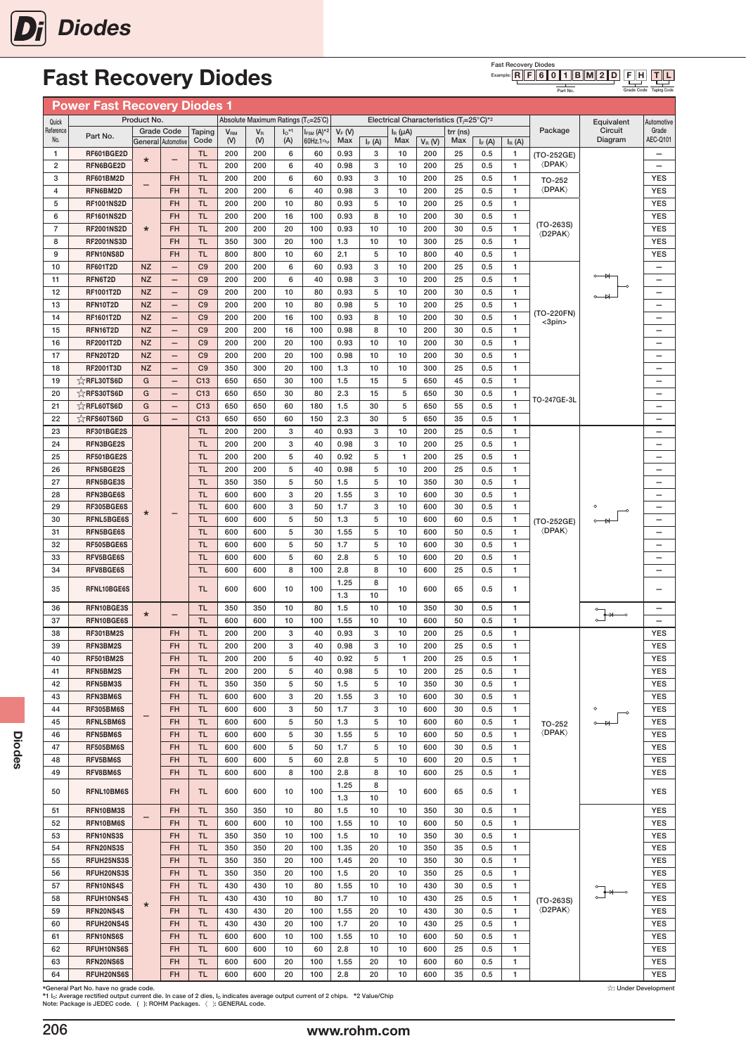# Fast Recovery Diodes

#### **Fast Recovery Diodes**<br>Example: **R** F 6 C F H T L  $R \| F \| 6 \| 0 \| 1 \| B \| M \| 2 \| D$

Part No.

Grade Code Taping Code

|                  | <b>Power Fast Recovery Diodes 1</b> |                        |                                         |                                  |                        |                                    |                            |                                           |                 |          |                     |            |                                                     |            |                              |                                          |                                                                |                               |
|------------------|-------------------------------------|------------------------|-----------------------------------------|----------------------------------|------------------------|------------------------------------|----------------------------|-------------------------------------------|-----------------|----------|---------------------|------------|-----------------------------------------------------|------------|------------------------------|------------------------------------------|----------------------------------------------------------------|-------------------------------|
| Quick            |                                     | Product No.            |                                         |                                  |                        | Absolute Maximum Ratings (Tc=25°C) |                            |                                           |                 |          |                     |            | Electrical Characteristics (T <sub>i</sub> =25°C)*2 |            |                              |                                          | Equivalent                                                     | Automotive                    |
| Reference<br>No. | Part No.                            |                        | <b>Grade Code</b><br>General Automotive | Taping<br>Code                   | V <sub>RM</sub><br>(V) | $V_R$<br>(V)                       | $I_0$ <sup>*1</sup><br>(A) | $I_{FSM}$ (A) $*2$<br>60Hz.1 <sup>o</sup> | $V_F(V)$<br>Max | $I_F(A)$ | $I_R(\mu A)$<br>Max | $V_R(V)$   | trr (ns)<br>Max                                     | $I_F(A)$   | $I_R(A)$                     | Package                                  | Circuit<br>Diagram                                             | Grade<br>AEC-Q101             |
| $\mathbf{1}$     | RF601BGE2D                          |                        |                                         | <b>TL</b>                        | 200                    | 200                                | 6                          | 60                                        | 0.93            | 3        | 10                  | 200        | 25                                                  | 0.5        | $\mathbf{1}$                 | (TO-252GE)                               |                                                                | $\qquad \qquad -$             |
| $\overline{2}$   | RFN6BGE2D                           | $\star$                | -                                       | <b>TL</b>                        | 200                    | 200                                | 6                          | 40                                        | 0.98            | 3        | 10                  | 200        | 25                                                  | 0.5        | $\mathbf{1}$                 | $\langle$ DPAK $\rangle$                 |                                                                | $\overline{\phantom{0}}$      |
| 3                | <b>RF601BM2D</b>                    |                        | FH                                      | <b>TL</b>                        | 200                    | 200                                | 6                          | 60                                        | 0.93            | 3        | 10                  | 200        | 25                                                  | 0.5        | $\mathbf{1}$                 | TO-252                                   |                                                                | <b>YES</b>                    |
| 4                | RFN6BM2D                            |                        | <b>FH</b>                               | <b>TL</b>                        | 200                    | 200                                | 6                          | 40                                        | 0.98            | 3        | 10                  | 200        | 25                                                  | 0.5        | $\mathbf{1}$                 | <b><dpak></dpak></b>                     |                                                                | <b>YES</b>                    |
| 5                | <b>RF1001NS2D</b>                   |                        | FH                                      | <b>TL</b>                        | 200                    | 200                                | 10                         | 80                                        | 0.93            | 5        | 10                  | 200        | 25                                                  | 0.5        | $\mathbf{1}$                 |                                          |                                                                | <b>YES</b>                    |
| 6                | <b>RF1601NS2D</b>                   |                        | <b>FH</b>                               | <b>TL</b>                        | 200                    | 200                                | 16                         | 100                                       | 0.93            | 8        | 10                  | 200        | 30                                                  | 0.5        | $\mathbf{1}$                 |                                          |                                                                | <b>YES</b>                    |
| $\overline{7}$   | <b>RF2001NS2D</b>                   | $\star$                | <b>FH</b>                               | <b>TL</b>                        | 200                    | 200                                | 20                         | 100                                       | 0.93            | 10       | 10                  | 200        | 30                                                  | 0.5        | $\mathbf{1}$                 | $(TO-263S)$<br><b>(D2PAK)</b>            |                                                                | <b>YES</b>                    |
| 8                | <b>RF2001NS3D</b>                   |                        | <b>FH</b>                               | <b>TL</b>                        | 350                    | 300                                | 20                         | 100                                       | 1.3             | 10       | 10                  | 300        | 25                                                  | 0.5        | $\mathbf{1}$                 |                                          |                                                                | <b>YES</b>                    |
| 9                | RFN10NS8D                           |                        | FH                                      | <b>TL</b>                        | 800                    | 800                                | 10                         | 60                                        | 2.1             | 5        | 10                  | 800        | 40                                                  | 0.5        | 1                            |                                          |                                                                | <b>YES</b>                    |
| 10               | <b>RF601T2D</b>                     | <b>NZ</b>              | $\qquad \qquad -$                       | C <sub>9</sub>                   | 200                    | 200                                | 6                          | 60                                        | 0.93            | 3        | 10                  | 200        | 25                                                  | 0.5        | 1                            |                                          |                                                                | $\overline{\phantom{0}}$      |
| 11               | RFN6T2D                             | <b>NZ</b>              |                                         | C <sub>9</sub>                   | 200                    | 200                                | 6                          | 40                                        | 0.98            | 3        | 10                  | 200        | 25                                                  | 0.5        | $\mathbf{1}$                 |                                          |                                                                | $\qquad \qquad -$             |
| 12               | <b>RF1001T2D</b>                    | <b>NZ</b>              | $\qquad \qquad -$                       | C <sub>9</sub>                   | 200                    | 200                                | 10                         | 80                                        | 0.93            | 5        | 10                  | 200        | 30                                                  | 0.5        | 1                            |                                          |                                                                | $\overline{\phantom{0}}$      |
| 13               | RFN10T2D                            | <b>NZ</b>              | $\overline{\phantom{m}}$                | C <sub>9</sub>                   | 200                    | 200                                | 10                         | 80                                        | 0.98            | 5        | 10                  | 200        | 25                                                  | 0.5        | 1                            | (TO-220FN)                               |                                                                | $\overline{\phantom{0}}$      |
| 14               | <b>RF1601T2D</b>                    | <b>NZ</b>              | $\qquad \qquad -$                       | C <sub>9</sub>                   | 200                    | 200                                | 16                         | 100                                       | 0.93            | 8        | 10                  | 200        | 30                                                  | 0.5        | $\mathbf{1}$                 | $<$ 3pin $>$                             |                                                                | -                             |
| 15<br>16         | RFN16T2D<br><b>RF2001T2D</b>        | <b>NZ</b><br><b>NZ</b> | $\qquad \qquad -$                       | C <sub>9</sub><br>C <sub>9</sub> | 200<br>200             | 200<br>200                         | 16<br>20                   | 100<br>100                                | 0.98<br>0.93    | 8<br>10  | 10<br>10            | 200<br>200 | 30<br>30                                            | 0.5<br>0.5 | $\mathbf{1}$<br>1            |                                          |                                                                | -<br>$\overline{\phantom{0}}$ |
| 17               | RFN20T2D                            | <b>NZ</b>              | $\qquad \qquad -$<br>$\qquad \qquad -$  | C <sub>9</sub>                   | 200                    | 200                                | 20                         | 100                                       | 0.98            | 10       | 10                  | 200        | 30                                                  | 0.5        | $\mathbf{1}$                 |                                          |                                                                | $\overline{\phantom{0}}$      |
| 18               | RF2001T3D                           | <b>NZ</b>              | $\qquad \qquad -$                       | C <sub>9</sub>                   | 350                    | 300                                | 20                         | 100                                       | 1.3             | 10       | 10                  | 300        | 25                                                  | 0.5        | 1                            |                                          |                                                                | $\overline{\phantom{0}}$      |
| 19               | ☆RFL30TS6D                          | G                      |                                         | C <sub>13</sub>                  | 650                    | 650                                | 30                         | 100                                       | 1.5             | 15       | 5                   | 650        | 45                                                  | 0.5        | 1                            |                                          |                                                                | $\overline{\phantom{0}}$      |
| 20               | $\sqrt{x}$ RFS30TS6D                | G                      | $\overline{\phantom{0}}$                | C13                              | 650                    | 650                                | 30                         | 80                                        | 2.3             | 15       | 5                   | 650        | 30                                                  | 0.5        | $\mathbf{1}$                 |                                          |                                                                | $\overline{\phantom{0}}$      |
| 21               | $\sqrt{x}$ RFL60TS6D                | G                      | $\qquad \qquad -$                       | C <sub>13</sub>                  | 650                    | 650                                | 60                         | 180                                       | 1.5             | 30       | 5                   | 650        | 55                                                  | 0.5        | $\mathbf{1}$                 | TO-247GE-3L                              |                                                                | $\qquad \qquad -$             |
| 22               | $\&$ RFS60TS6D                      | G                      |                                         | C <sub>13</sub>                  | 650                    | 650                                | 60                         | 150                                       | 2.3             | 30       | 5                   | 650        | 35                                                  | 0.5        | 1                            |                                          |                                                                | $\overline{\phantom{0}}$      |
| 23               | RF301BGE2S                          |                        |                                         | <b>TL</b>                        | 200                    | 200                                | 3                          | 40                                        | 0.93            | 3        | 10                  | 200        | 25                                                  | 0.5        | 1                            |                                          |                                                                | $\overline{\phantom{0}}$      |
| 24               | RFN3BGE2S                           |                        |                                         | <b>TL</b>                        | 200                    | 200                                | 3                          | 40                                        | 0.98            | 3        | 10                  | 200        | 25                                                  | 0.5        | 1                            |                                          |                                                                | $\overline{\phantom{0}}$      |
| 25               | RF501BGE2S                          |                        |                                         | <b>TL</b>                        | 200                    | 200                                | 5                          | 40                                        | 0.92            | 5        | $\mathbf{1}$        | 200        | 25                                                  | 0.5        | 1                            |                                          |                                                                | -                             |
| 26               | RFN5BGE2S                           |                        |                                         | <b>TL</b>                        | 200                    | 200                                | 5                          | 40                                        | 0.98            | 5        | 10                  | 200        | 25                                                  | 0.5        | 1                            |                                          |                                                                | —                             |
| 27               | RFN5BGE3S                           |                        |                                         | <b>TL</b>                        | 350                    | 350                                | $\,$ 5 $\,$                | 50                                        | 1.5             | 5        | 10                  | 350        | 30                                                  | 0.5        | 1                            |                                          |                                                                | —                             |
| 28               | RFN3BGE6S                           |                        |                                         | <b>TL</b>                        | 600                    | 600                                | 3                          | 20                                        | 1.55            | 3        | 10                  | 600        | 30                                                  | 0.5        | 1                            |                                          |                                                                | -                             |
| 29               | RF305BGE6S                          | $\star$                | $\overline{\phantom{0}}$                | <b>TL</b>                        | 600                    | 600                                | 3                          | 50                                        | 1.7             | 3        | 10                  | 600        | 30                                                  | 0.5        | $\mathbf{1}$                 |                                          | $\circ$<br>$\overline{\phantom{0}}$                            | —                             |
| 30               | RFNL5BGE6S                          |                        |                                         | <b>TL</b>                        | 600                    | 600                                | 5                          | 50                                        | 1.3             | 5        | 10                  | 600        | 60                                                  | 0.5        | $\mathbf{1}$                 | (TO-252GE)                               |                                                                | —                             |
| 31               | RFN5BGE6S                           |                        |                                         | <b>TL</b>                        | 600                    | 600                                | 5                          | 30                                        | 1.55            | 5        | 10                  | 600        | 50                                                  | 0.5        | $\mathbf{1}$                 | $\langle$ DPAK $\rangle$                 |                                                                | -                             |
| 32               | RF505BGE6S                          |                        |                                         | <b>TL</b>                        | 600                    | 600                                | 5                          | 50                                        | 1.7             | 5        | 10                  | 600        | 30                                                  | 0.5        | 1                            |                                          |                                                                | —                             |
| 33               | RFV5BGE6S                           |                        |                                         | <b>TL</b>                        | 600                    | 600                                | 5                          | 60                                        | 2.8             | 5        | 10                  | 600        | 20                                                  | 0.5        | 1                            |                                          |                                                                | —                             |
| 34               | RFV8BGE6S                           |                        |                                         | <b>TL</b>                        | 600                    | 600                                | 8                          | 100                                       | 2.8             | 8        | 10                  | 600        | 25                                                  | 0.5        | 1                            |                                          |                                                                | $\overline{\phantom{0}}$      |
| 35               | RFNL10BGE6S                         |                        |                                         | <b>TL</b>                        | 600                    | 600                                | 10                         | 100                                       | 1.25            | 8<br>10  | 10                  | 600        | 65                                                  | 0.5        | 1                            |                                          |                                                                | -                             |
| 36               | RFN10BGE3S                          |                        |                                         | <b>TL</b>                        | 350                    | 350                                | 10                         | 80                                        | 1.3<br>1.5      | 10       | 10                  | 350        | 30                                                  | 0.5        | $\mathbf{1}$                 |                                          |                                                                | $\overline{\phantom{0}}$      |
| 37               | RFN10BGE6S                          | $\star$                | -                                       | <b>TL</b>                        | 600                    | 600                                | 10                         | 100                                       | 1.55            | 10       | 10                  | 600        | 50                                                  | 0.5        | 1                            |                                          | $\rightarrow$                                                  | $\overline{\phantom{0}}$      |
| 38               | <b>RF301BM2S</b>                    |                        | <b>FH</b>                               | <b>TL</b>                        | 200                    | 200                                | 3                          | 40                                        | 0.93            | 3        | 10                  | 200        | 25                                                  | 0.5        | 1                            |                                          |                                                                | <b>YES</b>                    |
| 39               | RFN3BM2S                            |                        | FH                                      | <b>TL</b>                        | 200                    | 200                                | 3                          | 40                                        | 0.98            | 3        | 10                  | 200        | 25                                                  | 0.5        | $\mathbf{1}$                 |                                          |                                                                | <b>YES</b>                    |
| 40               | <b>RF501BM2S</b>                    |                        | FH                                      | <b>TL</b>                        | 200                    | 200                                | 5                          | 40                                        | 0.92            | 5        | 1                   | 200        | 25                                                  | 0.5        | $\mathbf{1}$                 |                                          |                                                                | <b>YES</b>                    |
| 41               | RFN5BM2S                            |                        | <b>FH</b>                               | <b>TL</b>                        | 200                    | 200                                | 5                          | 40                                        | 0.98            | 5        | 10                  | 200        | 25                                                  | 0.5        | 1                            |                                          |                                                                | <b>YES</b>                    |
| 42               | RFN5BM3S                            |                        | <b>FH</b>                               | <b>TL</b>                        | 350                    | 350                                | 5                          | 50                                        | 1.5             | 5        | 10                  | 350        | 30                                                  | 0.5        | $\mathbf{1}$                 |                                          |                                                                | <b>YES</b>                    |
| 43               | RFN3BM6S                            |                        | <b>FH</b>                               | <b>TL</b>                        | 600                    | 600                                | 3                          | 20                                        | 1.55            | 3        | 10                  | 600        | 30                                                  | 0.5        | 1                            |                                          |                                                                | <b>YES</b>                    |
| 44               | RF305BM6S                           | -                      | <b>FH</b>                               | <b>TL</b>                        | 600                    | 600                                | 3                          | 50                                        | 1.7             | 3        | 10                  | 600        | 30                                                  | 0.5        | 1                            |                                          | $\circ$                                                        | <b>YES</b>                    |
| 45               | RFNL5BM6S                           |                        | <b>FH</b>                               | <b>TL</b>                        | 600                    | 600                                | 5                          | 50                                        | 1.3             | 5        | 10                  | 600        | 60                                                  | 0.5        | $\mathbf{1}$                 | TO-252                                   | $\circ$ $\rightarrow$                                          | <b>YES</b>                    |
| 46               | RFN5BM6S                            |                        | <b>FH</b>                               | <b>TL</b>                        | 600                    | 600                                | 5                          | 30                                        | 1.55            | 5        | 10                  | 600        | 50                                                  | 0.5        | $\mathbf{1}$                 | $\langle$ DPAK $\rangle$                 |                                                                | <b>YES</b>                    |
| 47               | <b>RF505BM6S</b>                    |                        | <b>FH</b>                               | <b>TL</b>                        | 600                    | 600                                | 5                          | 50                                        | 1.7             | 5        | 10                  | 600        | 30                                                  | 0.5        | 1                            |                                          |                                                                | <b>YES</b>                    |
| 48               | RFV5BM6S                            |                        | <b>FH</b>                               | <b>TL</b>                        | 600                    | 600                                | 5                          | 60                                        | 2.8             | 5        | 10                  | 600        | 20                                                  | 0.5        | $\mathbf{1}$                 |                                          |                                                                | <b>YES</b>                    |
| 49               | RFV8BM6S                            |                        | <b>FH</b>                               | <b>TL</b>                        | 600                    | 600                                | 8                          | 100                                       | 2.8             | 8        | 10                  | 600        | 25                                                  | 0.5        | $\mathbf{1}$                 |                                          |                                                                | <b>YES</b>                    |
| 50               | RFNL10BM6S                          |                        | <b>FH</b>                               | <b>TL</b>                        | 600                    | 600                                | 10                         | 100                                       | 1.25<br>1.3     | 8<br>10  | 10                  | 600        | 65                                                  | 0.5        | $\mathbf{1}$                 |                                          |                                                                | <b>YES</b>                    |
| 51               | RFN10BM3S                           |                        | <b>FH</b>                               | <b>TL</b>                        | 350                    | 350                                | 10                         | 80                                        | 1.5             | 10       | 10                  | 350        | 30                                                  | 0.5        | 1                            |                                          |                                                                | <b>YES</b>                    |
| 52               | RFN10BM6S                           |                        | <b>FH</b>                               | <b>TL</b>                        | 600                    | 600                                | 10                         | 100                                       | 1.55            | 10       | 10                  | 600        | 50                                                  | 0.5        | 1                            |                                          |                                                                | <b>YES</b>                    |
| 53               | RFN10NS3S                           |                        | <b>FH</b>                               | <b>TL</b>                        | 350                    | 350                                | 10                         | 100                                       | 1.5             | 10       | 10                  | 350        | 30                                                  | 0.5        | $\mathbf{1}$                 |                                          |                                                                | <b>YES</b>                    |
| 54               | RFN20NS3S                           |                        | <b>FH</b>                               | <b>TL</b>                        | 350                    | 350                                | 20                         | 100                                       | 1.35            | 20       | 10                  | 350        | 35                                                  | 0.5        | $\mathbf{1}$                 |                                          |                                                                | <b>YES</b>                    |
| 55               | RFUH25NS3S                          |                        | FH                                      | <b>TL</b>                        | 350                    | 350                                | 20                         | 100                                       | 1.45            | 20       | 10                  | 350        | 30                                                  | 0.5        | $\mathbf{1}$                 |                                          |                                                                | <b>YES</b>                    |
| 56               | RFUH20NS3S                          |                        | <b>FH</b>                               | <b>TL</b>                        | 350                    | 350                                | 20                         | 100                                       | 1.5             | 20       | 10                  | 350        | 25                                                  | 0.5        | $\mathbf{1}$                 |                                          |                                                                | <b>YES</b>                    |
| 57               | RFN10NS4S                           |                        | <b>FH</b>                               | <b>TL</b>                        | 430                    | 430                                | 10                         | 80                                        | 1.55            | 10       | 10                  | 430        | 30                                                  | 0.5        | $\mathbf{1}$                 |                                          | $\begin{array}{c}\n\bullet \\ \bullet \\ \bullet\n\end{array}$ | <b>YES</b>                    |
| 58               | RFUH10NS4S                          | $\star$                | FH                                      | <b>TL</b>                        | 430                    | 430                                | 10                         | 80                                        | 1.7             | 10       | 10                  | 430        | 25                                                  | 0.5        | $\mathbf{1}$                 | $(TO-263S)$<br>$\langle$ D2PAK $\rangle$ |                                                                | <b>YES</b>                    |
| 59<br>60         | RFN20NS4S<br>RFUH20NS4S             |                        | FH<br><b>FH</b>                         | <b>TL</b><br><b>TL</b>           | 430<br>430             | 430<br>430                         | 20<br>20                   | 100<br>100                                | 1.55<br>1.7     | 20<br>20 | 10<br>10            | 430<br>430 | 30<br>25                                            | 0.5<br>0.5 | $\mathbf{1}$<br>$\mathbf{1}$ |                                          |                                                                | <b>YES</b><br><b>YES</b>      |
| 61               | RFN10NS6S                           |                        | <b>FH</b>                               | <b>TL</b>                        | 600                    | 600                                | 10                         | 100                                       | 1.55            | 10       | 10                  | 600        | 50                                                  | 0.5        | 1                            |                                          |                                                                | <b>YES</b>                    |
| 62               | RFUH10NS6S                          |                        | <b>FH</b>                               | <b>TL</b>                        | 600                    | 600                                | 10                         | 60                                        | 2.8             | 10       | 10                  | 600        | 25                                                  | 0.5        | $\mathbf{1}$                 |                                          |                                                                | <b>YES</b>                    |
| 63               | RFN20NS6S                           |                        | <b>FH</b>                               | <b>TL</b>                        | 600                    | 600                                | 20                         | 100                                       | 1.55            | 20       | 10                  | 600        | 60                                                  | 0.5        | $\mathbf{1}$                 |                                          |                                                                | <b>YES</b>                    |
| 64               | RFUH20NS6S                          |                        | <b>FH</b>                               | <b>TL</b>                        | 600                    | 600                                | 20                         | 100                                       | 2.8             | 20       | 10                  | 600        | 35                                                  | 0.5        | 1                            |                                          |                                                                | <b>YES</b>                    |
|                  |                                     |                        |                                         |                                  |                        |                                    |                            |                                           |                 |          |                     |            |                                                     |            |                              |                                          |                                                                |                               |

\*General Part No. have no grade code.<br>\*1 |c: Average rectified output current die. In case of 2 dies, I<sub>o</sub> indicates average output current of 2 chips. \*2 Value/Chip<br>Mote: Package is JEDEC code. (): ROHM Packages. 〈)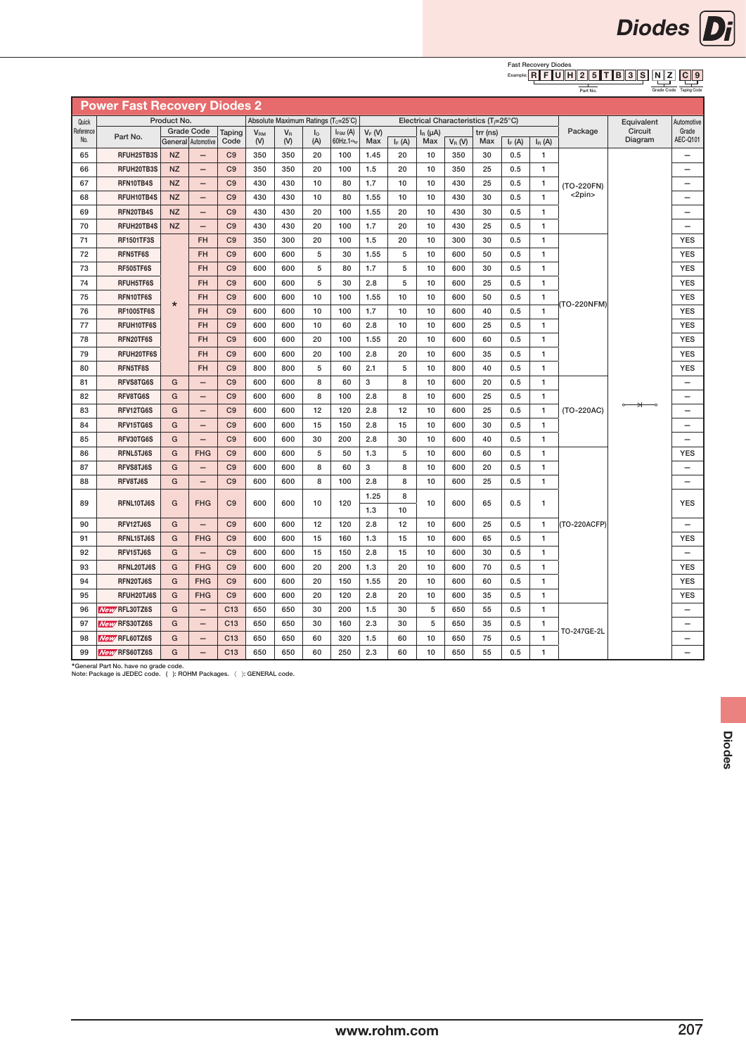

#### **Fast Recovery Diodes**<br>Example: REFUUE  $N \mid Z$  $C \parallel 9$ R F U H 2 5 T B 3 S

Grade Code Taping Code

|                  |                                     |             |                                         |                 |                          |                |                       |                                                 |                 |          |                     |                                                   |                 |          |                                                   | Part No.     |                    | Grade Code Taping Code   |
|------------------|-------------------------------------|-------------|-----------------------------------------|-----------------|--------------------------|----------------|-----------------------|-------------------------------------------------|-----------------|----------|---------------------|---------------------------------------------------|-----------------|----------|---------------------------------------------------|--------------|--------------------|--------------------------|
|                  | <b>Power Fast Recovery Diodes 2</b> |             |                                         |                 |                          |                |                       |                                                 |                 |          |                     |                                                   |                 |          |                                                   |              |                    |                          |
| Quick            |                                     | Product No. |                                         |                 |                          |                |                       | Absolute Maximum Ratings (T <sub>c</sub> =25°C) |                 |          |                     | Electrical Characteristics (T <sub>i</sub> =25°C) |                 |          |                                                   |              | Equivalent         | Automotive               |
| Reference<br>No. | Part No.                            |             | <b>Grade Code</b><br>General Automotive | Taping<br>Code  | V <sub>RM</sub><br>$(V)$ | $V_{R}$<br>(V) | I <sub>o</sub><br>(A) | $I_{FSM}$ (A)<br>60Hz.14                        | $V_F(W)$<br>Max | $I_F(A)$ | $I_R(\mu A)$<br>Max | $V_R(W)$                                          | trr (ns)<br>Max | $I_F(A)$ | $I_R(A)$                                          | Package      | Circuit<br>Diagram | Grade<br>AEC-Q101        |
| 65               | RFUH25TB3S                          | <b>NZ</b>   |                                         | C <sub>9</sub>  | 350                      | 350            | 20                    | 100                                             | 1.45            | 20       | 10                  | 350                                               | 30              | 0.5      | 1                                                 |              |                    | -                        |
| 66               | RFUH20TB3S                          | <b>NZ</b>   | $\overline{\phantom{0}}$                | C <sub>9</sub>  | 350                      | 350            | 20                    | 100                                             | 1.5             | 20       | 10                  | 350                                               | 25              | 0.5      | $\mathbf{1}$                                      |              |                    |                          |
| 67               | RFN10TB4S                           | <b>NZ</b>   | $\overline{\phantom{0}}$                | C <sub>9</sub>  | 430                      | 430            | 10                    | 80                                              | 1.7             | 10       | 10                  | 430                                               | 25              | 0.5      | $\mathbf{1}$                                      | (TO-220FN)   |                    |                          |
| 68               | RFUH10TB4S                          | <b>NZ</b>   | $\overline{\phantom{0}}$                | C <sub>9</sub>  | 430                      | 430            | 10                    | 80                                              | 1.55            | 10       | 10                  | 430                                               | 30              | 0.5      | $\mathbf{1}$                                      | $<$ 2pin $>$ |                    |                          |
| 69               | RFN20TB4S                           | <b>NZ</b>   | $\overline{\phantom{m}}$                | C <sub>9</sub>  | 430                      | 430            | 20                    | 100                                             | 1.55            | 20       | 10                  | 430                                               | 30              | 0.5      | $\mathbf{1}$                                      |              |                    | $\overline{\phantom{0}}$ |
| 70               | RFUH20TB4S                          | <b>NZ</b>   | $\overline{\phantom{m}}$                | C <sub>9</sub>  | 430                      | 430            | 20                    | 100                                             | 1.7             | 20       | 10                  | 430                                               | 25              | 0.5      | $\mathbf{1}$                                      |              |                    | $\overline{\phantom{0}}$ |
| 71               | <b>RF1501TF3S</b>                   |             | <b>FH</b>                               | C <sub>9</sub>  | 350                      | 300            | 20                    | 100                                             | 1.5             | 20       | 10                  | 300                                               | 30              | 0.5      | $\mathbf{1}$                                      |              |                    | <b>YES</b>               |
| 72               | RFN5TF6S                            |             | <b>FH</b>                               | C <sub>9</sub>  | 600                      | 600            | 5                     | 30                                              | 1.55            | 5        | 10                  | 600                                               | 50              | 0.5      | $\mathbf{1}$                                      |              |                    | <b>YES</b>               |
| 73               | <b>RF505TF6S</b>                    |             | <b>FH</b>                               | C <sub>9</sub>  | 600                      | 600            | 5                     | 80                                              | 1.7             | 5        | 10                  | 600                                               | 30              | 0.5      | $\mathbf{1}$                                      |              |                    | <b>YES</b>               |
| 74               | RFUH5TF6S                           |             | <b>FH</b>                               | C <sub>9</sub>  | 600                      | 600            | 5                     | 30                                              | 2.8             | 5        | 10                  | 600                                               | 25              | 0.5      | 1                                                 |              |                    | <b>YES</b>               |
| 75               | RFN10TF6S                           | $\star$     | <b>FH</b>                               | C <sub>9</sub>  | 600                      | 600            | 10                    | 100                                             | 1.55            | 10       | 10                  | 600                                               | 50              | 0.5      | 1                                                 | (TO-220NFM)  |                    | <b>YES</b>               |
| 76               | <b>RF1005TF6S</b>                   |             | <b>FH</b>                               | C <sub>9</sub>  | 600                      | 600            | 10                    | 100                                             | 1.7             | 10       | 10                  | 600                                               | 40              | 0.5      | $\mathbf{1}$<br>$\mathbf{1}$<br>1<br>$\mathbf{1}$ |              |                    | <b>YES</b>               |
| 77               | RFUH10TF6S                          |             | <b>FH</b>                               | C <sub>9</sub>  | 600                      | 600            | 10                    | 60                                              | 2.8             | 10       | 10                  | 600                                               | 25              | 0.5      |                                                   |              |                    | <b>YES</b>               |
| 78               | RFN20TF6S                           |             | <b>FH</b>                               | C <sub>9</sub>  | 600                      | 600            | 20                    | 100                                             | 1.55            | 20       | 10                  | 600                                               | 60              | 0.5      |                                                   |              |                    | <b>YES</b>               |
| 79               | RFUH20TF6S                          |             | <b>FH</b>                               | C <sub>9</sub>  | 600                      | 600            | 20                    | 100                                             | 2.8             | 20       | 10                  | 600                                               | 35              | 0.5      |                                                   |              |                    | <b>YES</b>               |
| 80               | RFN5TF8S                            |             | <b>FH</b>                               | C <sub>9</sub>  | 800                      | 800            | 5                     | 60                                              | 2.1             | 5        | 10                  | 800                                               | 40              | 0.5      | $\mathbf{1}$                                      |              |                    | <b>YES</b>               |
| 81               | RFVS8TG6S                           | G           | $\qquad \qquad -$                       | C <sub>9</sub>  | 600                      | 600            | 8                     | 60                                              | 3               | 8        | 10                  | 600                                               | 20              | 0.5      | $\mathbf{1}$                                      |              |                    | —                        |
| 82               | RFV8TG6S                            | G           | $\overline{\phantom{0}}$                | C <sub>9</sub>  | 600                      | 600            | 8                     | 100                                             | 2.8             | 8        | 10                  | 600                                               | 25              | 0.5      | $\mathbf{1}$                                      |              |                    |                          |
| 83               | RFV12TG6S                           | G           | $\overline{\phantom{0}}$                | C <sub>9</sub>  | 600                      | 600            | 12                    | 120                                             | 2.8             | 12       | 10                  | 600                                               | 25              | 0.5      | 1                                                 | (TO-220AC)   |                    | $\overline{\phantom{0}}$ |
| 84               | RFV15TG6S                           | G           | $\overline{\phantom{m}}$                | C <sub>9</sub>  | 600                      | 600            | 15                    | 150                                             | 2.8             | 15       | 10                  | 600                                               | 30              | 0.5      | $\mathbf{1}$                                      |              |                    | $\overline{\phantom{0}}$ |
| 85               | RFV30TG6S                           | G           | $\overline{\phantom{m}}$                | C <sub>9</sub>  | 600                      | 600            | 30                    | 200                                             | 2.8             | 30       | 10                  | 600                                               | 40              | 0.5      | 1                                                 |              |                    | $\overline{\phantom{0}}$ |
| 86               | RFNL5TJ6S                           | G           | <b>FHG</b>                              | C <sub>9</sub>  | 600                      | 600            | 5                     | 50                                              | 1.3             | 5        | 10                  | 600                                               | 60              | 0.5      | $\mathbf{1}$                                      |              |                    | <b>YES</b>               |
| 87               | RFVS8TJ6S                           | G           | $\overline{\phantom{0}}$                | C <sub>9</sub>  | 600                      | 600            | 8                     | 60                                              | 3               | 8        | 10                  | 600                                               | 20              | 0.5      | $\mathbf{1}$                                      |              |                    | $\overline{\phantom{0}}$ |
| 88               | RFV8TJ6S                            | G           | $\overline{\phantom{0}}$                | C <sub>9</sub>  | 600                      | 600            | 8                     | 100                                             | 2.8             | 8        | 10                  | 600                                               | 25              | 0.5      | $\mathbf{1}$                                      |              |                    |                          |
| 89               | RFNL10TJ6S                          | G           | <b>FHG</b>                              | C <sub>9</sub>  | 600                      | 600            | 10                    | 120                                             | 1.25            | 8        | 10                  | 600                                               | 65              | 0.5      | 1                                                 |              |                    | <b>YES</b>               |
|                  |                                     |             |                                         |                 |                          |                |                       |                                                 | 1.3             | 10       |                     |                                                   |                 |          |                                                   |              |                    |                          |
| 90               | RFV12TJ6S                           | G           | $\qquad \qquad -$                       | C <sub>9</sub>  | 600                      | 600            | 12                    | 120                                             | 2.8             | 12       | 10                  | 600                                               | 25              | 0.5      | $\mathbf{1}$                                      | (TO-220ACFP) |                    | $\overline{\phantom{0}}$ |
| 91               | RFNL15TJ6S                          | G           | <b>FHG</b>                              | C <sub>9</sub>  | 600                      | 600            | 15                    | 160                                             | 1.3             | 15       | 10                  | 600                                               | 65              | 0.5      | 1                                                 |              |                    | <b>YES</b>               |
| 92               | RFV15TJ6S                           | G           | $\overline{\phantom{m}}$                | C <sub>9</sub>  | 600                      | 600            | 15                    | 150                                             | 2.8             | 15       | 10                  | 600                                               | 30              | 0.5      | $\mathbf{1}$                                      |              |                    | $\overline{\phantom{0}}$ |
| 93               | RFNL20TJ6S                          | G           | <b>FHG</b>                              | C <sub>9</sub>  | 600                      | 600            | 20                    | 200                                             | 1.3             | 20       | 10                  | 600                                               | 70              | 0.5      | $\mathbf{1}$<br>$\mathbf{1}$                      |              |                    | <b>YES</b>               |
| 94               | RFN20TJ6S                           | G           | <b>FHG</b>                              | C <sub>9</sub>  | 600                      | 600            | 20                    | 150                                             | 1.55            | 20       | 10                  | 600                                               | 60              | 0.5      |                                                   |              |                    | <b>YES</b>               |
| 95               | RFUH20TJ6S                          | G           | <b>FHG</b>                              | C <sub>9</sub>  | 600                      | 600            | 20                    | 120                                             | 2.8             | 20       | 10                  | 600                                               | 35              | 0.5      | 1                                                 |              |                    | <b>YES</b>               |
| 96               | New RFL30TZ6S                       | G           | $\qquad \qquad -$                       | C13             | 650                      | 650            | 30                    | 200                                             | 1.5             | 30       | 5                   | 650                                               | 55              | 0.5      | 1                                                 |              |                    |                          |
| 97               | <b>New RFS30TZ6S</b>                | G           | $\qquad \qquad -$                       | C <sub>13</sub> | 650                      | 650            | 30                    | 160                                             | 2.3             | 30       | 5                   | 650                                               | 35              | 0.5      | $\mathbf{1}$                                      | TO-247GE-2L  |                    | $\overline{\phantom{0}}$ |
| 98               | <b>New RFL60TZ6S</b>                | G           | $\overline{\phantom{0}}$                | C13             | 650                      | 650            | 60                    | 320                                             | 1.5             | 60       | 10                  | 650                                               | 75              | 0.5      | $\mathbf{1}$                                      |              |                    |                          |
| 99               | <b>New RFS60TZ6S</b>                | G           | $\overline{\phantom{0}}$                | C <sub>13</sub> | 650                      | 650            | 60                    | 250                                             | 2.3             | 60       | 10                  | 650                                               | 55              | 0.5      | $\mathbf{1}$                                      |              |                    |                          |

\*General Part No. have no grade code. Note: Package is JEDEC code. ( ): ROHM Packages. 〈 〉: GENERAL code.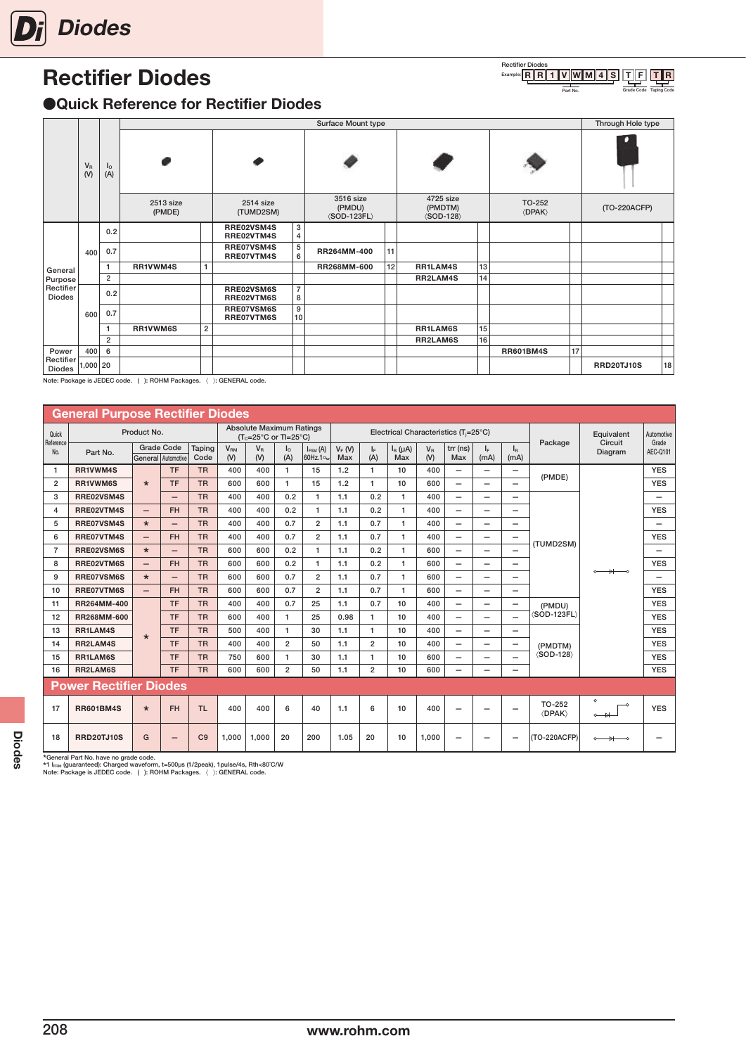<span id="page-17-0"></span>

# Rectifier Diodes

#### Part No. **Grade Code Taping Code** Rectifier Diodes<br>Example: R R R 1 V W M 4 S T F T R

### ●Quick Reference for Rectifier Diodes

|                            |              |                   |                     |                |                          |                                       | Surface Mount type                                   |    |                                                     |    |                                    |    | Through Hole type |    |
|----------------------------|--------------|-------------------|---------------------|----------------|--------------------------|---------------------------------------|------------------------------------------------------|----|-----------------------------------------------------|----|------------------------------------|----|-------------------|----|
|                            | $V_R$<br>(V) | <b>l</b> o<br>(A) | ø                   |                |                          |                                       |                                                      |    |                                                     |    |                                    |    |                   |    |
|                            |              |                   | 2513 size<br>(PMDE) |                | 2514 size<br>(TUMD2SM)   |                                       | 3516 size<br>(PMDU)<br>$\langle$ SOD-123FL $\rangle$ |    | 4725 size<br>(PMDTM)<br>$\langle$ SOD-128 $\rangle$ |    | TO-252<br>$\langle$ DPAK $\rangle$ |    | (TO-220ACFP)      |    |
|                            |              | 0.2               |                     |                | RRE02VSM4S<br>RRE02VTM4S | 3<br>4                                |                                                      |    |                                                     |    |                                    |    |                   |    |
|                            | 400          | 0.7               |                     |                | RRE07VSM4S<br>RRE07VTM4S | $\begin{array}{c} 5 \\ 6 \end{array}$ | RR264MM-400                                          | 11 |                                                     |    |                                    |    |                   |    |
| General                    |              |                   | RR1VWM4S            | 1              |                          |                                       | RR268MM-600                                          | 12 | RR1LAM4S                                            | 13 |                                    |    |                   |    |
| Purpose                    |              | $\overline{2}$    |                     |                |                          |                                       |                                                      |    | RR2LAM4S                                            | 14 |                                    |    |                   |    |
| Rectifier<br><b>Diodes</b> |              | 0.2               |                     |                | RRE02VSM6S<br>RRE02VTM6S | $\overline{7}$<br>8                   |                                                      |    |                                                     |    |                                    |    |                   |    |
|                            | 600          | 0.7               |                     |                | RRE07VSM6S<br>RRE07VTM6S | 9<br>10                               |                                                      |    |                                                     |    |                                    |    |                   |    |
|                            |              |                   | RR1VWM6S            | $\overline{2}$ |                          |                                       |                                                      |    | RR1LAM6S                                            | 15 |                                    |    |                   |    |
|                            |              | $\overline{2}$    |                     |                |                          |                                       |                                                      |    | RR2LAM6S                                            | 16 |                                    |    |                   |    |
| Power                      | 400          | 6                 |                     |                |                          |                                       |                                                      |    |                                                     |    | <b>RR601BM4S</b>                   | 17 |                   |    |
| Rectifier<br>Diodes        | 1,000 20     |                   |                     |                |                          |                                       |                                                      |    |                                                     |    |                                    |    | <b>RRD20TJ10S</b> | 18 |

Note: Package is JEDEC code. ( ): ROHM Packages. 〈 〉: GENERAL code.

|                  | <b>General Purpose Rectifier Diodes</b> |                          |                          |                |                              |                                                                                  |                |                                   |                 |                |                     |                |                                                   |                                 |                                   |                                |                                  |                          |
|------------------|-----------------------------------------|--------------------------|--------------------------|----------------|------------------------------|----------------------------------------------------------------------------------|----------------|-----------------------------------|-----------------|----------------|---------------------|----------------|---------------------------------------------------|---------------------------------|-----------------------------------|--------------------------------|----------------------------------|--------------------------|
| Quick            |                                         | Product No.              |                          |                |                              | <b>Absolute Maximum Ratings</b><br>$(T_c=25^{\circ}C \text{ or } T=25^{\circ}C)$ |                |                                   |                 |                |                     |                | Electrical Characteristics (T <sub>i</sub> =25°C) |                                 |                                   |                                | Equivalent                       | Automotive               |
| Reference<br>No. | Part No.                                | General Automotive       | <b>Grade Code</b>        | Taping<br>Code | <b>V<sub>RM</sub></b><br>(V) | $V_{\rm R}$<br>(V)                                                               | Ιo<br>(A)      | $I_{FSM}$ (A)<br>$60$ Hz.1 $\sim$ | $V_F(V)$<br>Max | IF.<br>(A)     | $I_R(\mu A)$<br>Max | $V_{R}$<br>(V) | $trr$ (ns)<br>Max                                 | $\mathsf{I}_\mathsf{F}$<br>(mA) | $\mathsf{I}_{\mathsf{R}}$<br>(mA) | Package                        | Circuit<br>Diagram               | Grade<br>AEC-Q101        |
| -1               | RR1VWM4S                                |                          | <b>TF</b>                | <b>TR</b>      | 400                          | 400                                                                              | $\mathbf{1}$   | 15                                | 1.2             | $\mathbf{1}$   | 10                  | 400            | $\overline{\phantom{0}}$                          | $\overline{\phantom{0}}$        | $\qquad \qquad -$                 | (PMDE)                         |                                  | <b>YES</b>               |
| $\overline{2}$   | RR1VWM6S                                | $\star$                  | <b>TF</b>                | <b>TR</b>      | 600                          | 600                                                                              | 1              | 15                                | 1.2             | 1              | 10                  | 600            | $\overline{\phantom{0}}$                          | $\overline{\phantom{0}}$        |                                   |                                |                                  | <b>YES</b>               |
| 3                | RRE02VSM4S                              |                          |                          | <b>TR</b>      | 400                          | 400                                                                              | 0.2            | $\mathbf{1}$                      | 1.1             | 0.2            | 1                   | 400            | $\overline{\phantom{0}}$                          | $\overline{\phantom{0}}$        |                                   |                                |                                  | $\overline{\phantom{0}}$ |
| 4                | RRE02VTM4S                              | $\overline{\phantom{0}}$ | <b>FH</b>                | <b>TR</b>      | 400                          | 400                                                                              | 0.2            | $\mathbf{1}$                      | 1.1             | 0.2            | 1                   | 400            | $\overline{\phantom{0}}$                          | —                               |                                   |                                |                                  | <b>YES</b>               |
| 5                | RRE07VSM4S                              | $\star$                  |                          | <b>TR</b>      | 400                          | 400                                                                              | 0.7            | $\overline{2}$                    | 1.1             | 0.7            | 1                   | 400            | $\overline{\phantom{0}}$                          | —                               |                                   |                                |                                  |                          |
| 6                | RRE07VTM4S                              | $\overline{\phantom{0}}$ | <b>FH</b>                | <b>TR</b>      | 400                          | 400                                                                              | 0.7            | $\overline{2}$                    | 1.1             | 0.7            | 1                   | 400            | $\overline{\phantom{0}}$                          | —                               | $\qquad \qquad -$                 | (TUMD2SM)                      |                                  | <b>YES</b>               |
| $\overline{7}$   | RRE02VSM6S                              | $\star$                  |                          | <b>TR</b>      | 600                          | 600                                                                              | 0.2            | $\mathbf{1}$                      | 1.1             | 0.2            | 1                   | 600            | $\overline{\phantom{0}}$                          | —                               |                                   |                                |                                  | —                        |
| 8                | RRE02VTM6S                              | $\overline{\phantom{0}}$ | <b>FH</b>                | <b>TR</b>      | 600                          | 600                                                                              | 0.2            | $\mathbf{1}$                      | 1.1             | 0.2            | $\mathbf{1}$        | 600            | $\overline{\phantom{0}}$                          | $\overline{\phantom{0}}$        |                                   |                                |                                  | <b>YES</b>               |
| 9                | RRE07VSM6S                              | $\star$                  |                          | <b>TR</b>      | 600                          | 600                                                                              | 0.7            | $\overline{2}$                    | 1.1             | 0.7            | 1                   | 600            | $\overline{\phantom{0}}$                          | $\overline{\phantom{0}}$        |                                   |                                | $\circ$ $\rightarrow$ $\circ$    | $\overline{\phantom{0}}$ |
| 10               | RRE07VTM6S                              | $\overline{\phantom{0}}$ | <b>FH</b>                | <b>TR</b>      | 600                          | 600                                                                              | 0.7            | $\overline{2}$                    | 1.1             | 0.7            | 1                   | 600            | $\overline{\phantom{0}}$                          | $\overline{\phantom{0}}$        |                                   |                                |                                  | <b>YES</b>               |
| 11               | RR264MM-400                             |                          | <b>TF</b>                | <b>TR</b>      | 400                          | 400                                                                              | 0.7            | 25                                | 1.1             | 0.7            | 10                  | 400            | $\overline{\phantom{0}}$                          | $\overline{\phantom{0}}$        | $\overline{\phantom{0}}$          | (PMDU)                         |                                  | <b>YES</b>               |
| 12               | RR268MM-600                             |                          | <b>TF</b>                | <b>TR</b>      | 600                          | 400                                                                              | 1              | 25                                | 0.98            | $\mathbf{1}$   | 10                  | 400            | $\overline{\phantom{0}}$                          | $\overline{\phantom{0}}$        |                                   | (SOD-123FL)                    |                                  | <b>YES</b>               |
| 13               | RR1LAM4S                                | $\star$                  | <b>TF</b>                | <b>TR</b>      | 500                          | 400                                                                              | 1              | 30                                | 1.1             | $\mathbf{1}$   | 10                  | 400            | $\overline{\phantom{0}}$                          | —                               |                                   |                                |                                  | <b>YES</b>               |
| 14               | RR2LAM4S                                |                          | <b>TF</b>                | <b>TR</b>      | 400                          | 400                                                                              | $\overline{2}$ | 50                                | 1.1             | $\overline{2}$ | 10                  | 400            | —                                                 | —                               | $\qquad \qquad$                   | (PMDTM)                        |                                  | <b>YES</b>               |
| 15               | RR1LAM6S                                |                          | <b>TF</b>                | <b>TR</b>      | 750                          | 600                                                                              | 1              | 30                                | 1.1             | $\mathbf{1}$   | 10                  | 600            | $\overline{\phantom{0}}$                          | $\overline{\phantom{0}}$        |                                   | $\langle$ SOD-128 $\rangle$    |                                  | <b>YES</b>               |
| 16               | RR2LAM6S                                |                          | <b>TF</b>                | <b>TR</b>      | 600                          | 600                                                                              | $\overline{2}$ | 50                                | 1.1             | $\overline{2}$ | 10                  | 600            | —                                                 | $\overline{\phantom{0}}$        |                                   |                                |                                  | <b>YES</b>               |
|                  | <b>Power Rectifier Diodes</b>           |                          |                          |                |                              |                                                                                  |                |                                   |                 |                |                     |                |                                                   |                                 |                                   |                                |                                  |                          |
| 17               | <b>RR601BM4S</b>                        | $\star$                  | <b>FH</b>                | <b>TL</b>      | 400                          | 400                                                                              | 6              | 40                                | 1.1             | 6              | 10                  | 400            | -                                                 | -                               |                                   | TO-252<br><b><dpak></dpak></b> | $\circ$<br>$\circ$ $\rightarrow$ | <b>YES</b>               |
| 18               | <b>RRD20TJ10S</b>                       | G                        | $\overline{\phantom{0}}$ | C9             | 1.000                        | 1,000                                                                            | 20             | 200                               | 1.05            | 20             | 10                  | 1,000          | -                                                 |                                 |                                   | (TO-220ACFP)                   | $\rightarrow$<br>$\sim$          |                          |

\*General Part No. have no grade code.<br>\*1 I<sub>Fraw</sub> (guaranteed): Charged waveform, t=500µs (1/2peak), 1pulse/4s, Rth<80˚C/W<br>Note: Package is JEDEC code. (): ROHM Packages. 〈 ): GENERAL code.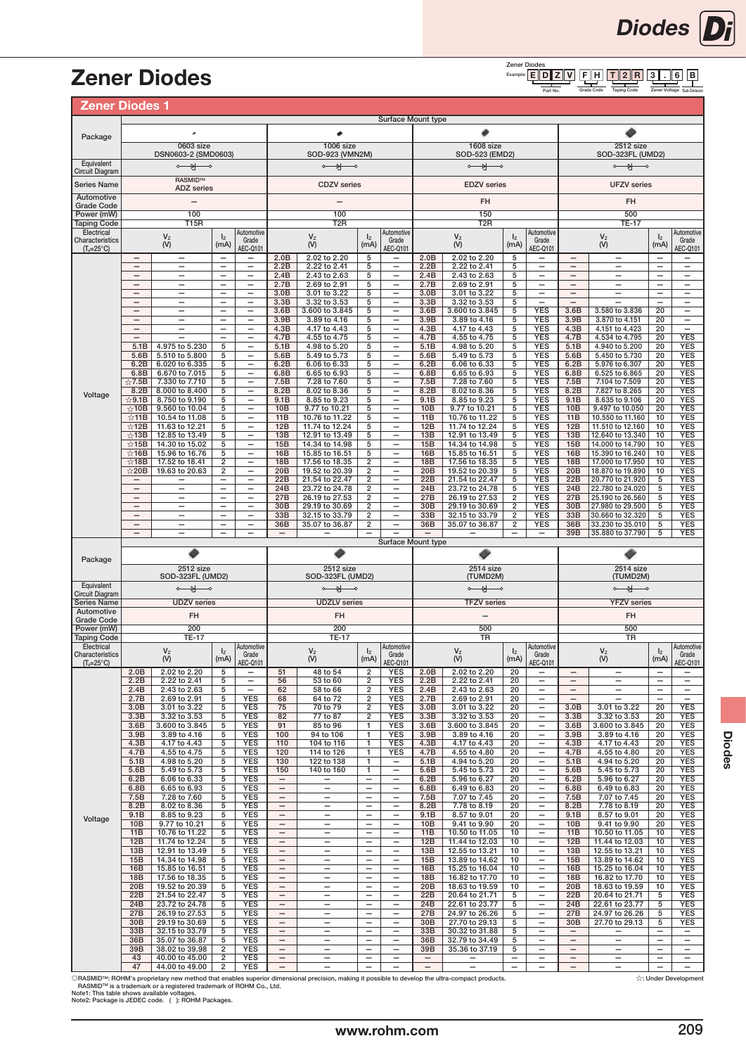#### Zener Diodes<br>Example: E F H 3 ∥. ∥6  $T \| 2 \| R \| 3 \| . \| 6 \| B$ E D Z V

Part No. Grade Code Taping Code Zener Voltage Sub Division Grade Code Zener Voltage Taping Code

Diodes Di

## <span id="page-18-0"></span>Zener Diodes

| <b>Zener Diodes 1</b>                |                                               |                                                      |                                               |                                                      |                                               |                                                      |                                                      |                                                      |                          |                                     |                          |                                               |                                               |                                               |                                               |                                                      |
|--------------------------------------|-----------------------------------------------|------------------------------------------------------|-----------------------------------------------|------------------------------------------------------|-----------------------------------------------|------------------------------------------------------|------------------------------------------------------|------------------------------------------------------|--------------------------|-------------------------------------|--------------------------|-----------------------------------------------|-----------------------------------------------|-----------------------------------------------|-----------------------------------------------|------------------------------------------------------|
|                                      |                                               |                                                      |                                               |                                                      |                                               |                                                      |                                                      | Surface Mount type                                   |                          |                                     |                          |                                               |                                               |                                               |                                               |                                                      |
| Package                              |                                               |                                                      |                                               |                                                      |                                               |                                                      |                                                      |                                                      |                          |                                     |                          |                                               |                                               |                                               |                                               |                                                      |
|                                      |                                               | 0603 size<br>DSN0603-2 (SMD0603)                     |                                               |                                                      |                                               | <b>1006 size</b><br>SOD-923 (VMN2M)                  |                                                      |                                                      |                          | 1608 size<br>SOD-523 (EMD2)         |                          |                                               |                                               | 2512 size<br>SOD-323FL (UMD2)                 |                                               |                                                      |
| Equivalent<br><b>Circuit Diagram</b> |                                               | $\circ$ and $\circ$                                  |                                               |                                                      |                                               | $\circ$ $\rightarrow$                                |                                                      |                                                      |                          | $\circ$ $\rightarrow$               |                          |                                               |                                               | $\circ$ $\rightarrow$                         |                                               |                                                      |
| Series Name                          |                                               | <b>RASMIDTM</b>                                      |                                               |                                                      |                                               | <b>CDZV</b> series                                   |                                                      |                                                      |                          | <b>EDZV</b> series                  |                          |                                               |                                               | <b>UFZV</b> series                            |                                               |                                                      |
| Automotive                           |                                               | <b>ADZ</b> series                                    |                                               |                                                      |                                               |                                                      |                                                      |                                                      |                          |                                     |                          |                                               |                                               |                                               |                                               |                                                      |
| <b>Grade Code</b><br>Power (mW)      |                                               | 100                                                  |                                               |                                                      |                                               | 100                                                  |                                                      |                                                      |                          | FH<br>150                           |                          |                                               |                                               | FH<br>500                                     |                                               |                                                      |
| <b>Taping Code</b>                   |                                               | <b>T15R</b>                                          |                                               |                                                      |                                               | T <sub>2</sub> R                                     |                                                      |                                                      |                          | T <sub>2</sub> R                    |                          |                                               |                                               | <b>TE-17</b>                                  |                                               |                                                      |
| Electrical<br>Characteristics        |                                               | $\mathsf{V}_\mathsf{Z}$                              | $I_{Z}$                                       | Automotive<br>Grade                                  |                                               | $\mathsf{V}_\mathsf{Z}$                              | $I_{Z}$                                              | Automotive<br>Grade                                  |                          | $\mathsf{V}_\mathsf{Z}$             | $I_{Z}$                  | Automotive<br>Grade                           |                                               | $\mathsf{V}_\mathsf{Z}$                       | $I_{Z}$                                       | Automotive<br>Grade                                  |
| $(T_a=25^{\circ}C)$                  | $\overline{\phantom{0}}$                      | (V)<br>$\overline{\phantom{0}}$                      | (mA)                                          | AEC-Q101<br>$\overline{\phantom{0}}$                 | 2.0B                                          | (V)<br>2.02 to 2.20                                  | (mA)<br>5                                            | <b>AEC-Q101</b><br>$\overline{\phantom{0}}$          | 2.0B                     | (V)<br>2.02 to 2.20                 | (mA)<br>5                | <b>AEC-Q101</b>                               |                                               | (V)<br>$\overline{\phantom{0}}$               | (mA)<br>$\overline{\phantom{0}}$              | AEC-Q101                                             |
|                                      |                                               | $\overline{\phantom{0}}$                             | $\overline{\phantom{0}}$                      | $\qquad \qquad -$                                    | 2.2B                                          | 2.22 to 2.41                                         | 5                                                    | —                                                    | 2.2B                     | 2.22 to 2.41                        | 5                        |                                               |                                               | —                                             | $\overline{\phantom{0}}$                      |                                                      |
|                                      | $\qquad \qquad -$<br>$\overline{\phantom{0}}$ | $\qquad \qquad -$<br>$\overline{\phantom{0}}$        | $\qquad \qquad -$<br>$\overline{\phantom{0}}$ | -<br>$\overline{\phantom{0}}$                        | 2.4B<br>2.7B                                  | 2.43 to 2.63<br>2.69 to 2.91                         | 5<br>5                                               | -<br>$\overline{\phantom{0}}$                        | 2.4B<br>2.7B             | 2.43 to 2.63<br>2.69 to 2.91        | 5<br>5                   | $\qquad \qquad -$<br>$\overline{\phantom{0}}$ | $\overline{\phantom{m}}$                      | -<br>$\overline{\phantom{0}}$                 | $\qquad \qquad -$<br>$\overline{\phantom{0}}$ | $\overline{\phantom{m}}$<br>$\overline{\phantom{0}}$ |
|                                      | $\qquad \qquad -$<br>$\qquad \qquad -$        | $\overline{\phantom{0}}$<br>$\overline{\phantom{0}}$ | $\qquad \qquad -$<br>$\qquad \qquad -$        | $\overline{\phantom{0}}$<br>$\overline{\phantom{0}}$ | 3.0B<br>3.3B                                  | 3.01 to 3.22<br>3.32 to 3.53                         | 5<br>5                                               | $\overline{\phantom{0}}$<br>$\overline{\phantom{m}}$ | 3.0B<br>3.3B             | 3.01 to 3.22<br>3.32 to 3.53        | 5<br>5                   | $\qquad \qquad -$<br>$\overline{\phantom{m}}$ | $\qquad \qquad -$<br>$\overline{\phantom{m}}$ | $\qquad \qquad -$<br>$\overline{\phantom{0}}$ | —<br>$\overline{\phantom{0}}$                 | $\overline{\phantom{m}}$<br>$\overline{\phantom{m}}$ |
|                                      | $\overline{\phantom{0}}$                      | $\overline{\phantom{0}}$                             | $\qquad \qquad -$                             | $\overline{\phantom{0}}$                             | 3.6B                                          | 3.600 to 3.845                                       | 5                                                    | $\overline{\phantom{0}}$                             | 3.6B                     | 3.600 to 3.845                      | 5                        | <b>YES</b>                                    | 3.6B                                          | 3.580 to 3.836                                | 20                                            | $\overline{\phantom{0}}$                             |
|                                      | —                                             | -<br>$\overline{\phantom{0}}$                        | $\qquad \qquad -$<br>$\qquad \qquad -$        | -<br>$\overline{\phantom{0}}$                        | 3.9B<br>4.3B                                  | 3.89 to 4.16<br>4.17 to 4.43                         | 5<br>5                                               | —<br>-                                               | 3.9B<br>4.3B             | 3.89 to 4.16<br>4.17 to 4.43        | 5<br>5                   | <b>YES</b><br><b>YES</b>                      | 3.9B<br>4.3B                                  | 3.870 to 4.151<br>4.151 to 4.423              | 20<br>20                                      | $\qquad \qquad -$<br>$\overline{\phantom{0}}$        |
|                                      |                                               |                                                      | $\overline{\phantom{0}}$                      |                                                      | 4.7B                                          | 4.55 to 4.75                                         | 5                                                    | $\overline{\phantom{0}}$                             | 4.7B                     | 4.55 to 4.75                        | 5                        | <b>YES</b>                                    | 4.7B                                          | 4.534 to 4.795                                | 20                                            | <b>YES</b>                                           |
|                                      | 5.1B<br>5.6B                                  | 4.975 to 5.230<br>5.510 to 5.800                     | 5<br>5                                        | -<br>$\overline{\phantom{0}}$                        | 5.1B<br>5.6B                                  | 4.98 to 5.20<br>5.49 to 5.73                         | 5<br>5                                               | $\qquad \qquad -$<br>$\overline{\phantom{0}}$        | 5.1B<br>5.6B             | 4.98 to 5.20<br>5.49 to 5.73        | 5<br>5                   | YES<br><b>YES</b>                             | 5.1B<br>5.6B                                  | 4.940 to 5.200<br>5.450 to 5.730              | 20<br>20                                      | <b>YES</b><br><b>YES</b>                             |
|                                      | 6.2B                                          | 6.020 to 6.335                                       | 5                                             | $\qquad \qquad -$                                    | 6.2B                                          | 6.06 to 6.33<br>6.65 to 6.93                         | 5                                                    | —                                                    | 6.2B                     | 6.06 to 6.33                        | 5                        | <b>YES</b>                                    | 6.2B                                          | 5.976 to 6.307                                | 20                                            | <b>YES</b>                                           |
|                                      | 6.8B<br>☆7.5B                                 | 6.670 to 7.015<br>7.330 to 7.710                     | 5<br>5                                        | $\qquad \qquad -$<br>$\overline{\phantom{0}}$        | 6.8B<br>7.5B                                  | 7.28 to 7.60                                         | 5<br>5                                               | -<br>$\overline{\phantom{0}}$                        | 6.8B<br>7.5B             | 6.65 to 6.93<br>7.28 to 7.60        | 5<br>5                   | <b>YES</b><br><b>YES</b>                      | 6.8B<br>7.5B                                  | 6.525 to 6.865<br>7.104 to 7.509              | 20<br>20                                      | <b>YES</b><br><b>YES</b>                             |
| Voltage                              | 8.2B<br>☆9.1B                                 | 8.000 to 8.400<br>8.750 to 9.190                     | 5<br>5                                        | $\overline{\phantom{0}}$<br>$\qquad \qquad -$        | 8.2B<br>9.1B                                  | 8.02 to 8.36<br>8.85 to 9.23                         | 5<br>5                                               | $\overline{\phantom{0}}$<br>$\overline{\phantom{m}}$ | 8.2B<br>9.1B             | 8.02 to 8.36<br>8.85 to 9.23        | 5<br>5                   | <b>YES</b><br><b>YES</b>                      | 8.2B<br>9.1B                                  | 7.827 to 8.265<br>8.635 to 9.106              | 20<br>20                                      | <b>YES</b><br><b>YES</b>                             |
|                                      | $\triangle$ 10B                               | 9.560 to 10.04                                       | 5                                             | $\overline{\phantom{0}}$                             | 10B                                           | 9.77 to 10.21                                        | 5                                                    | $\overline{\phantom{0}}$                             | 10B                      | 9.77 to 10.21                       | 5                        | <b>YES</b>                                    | 10B                                           | 9.497 to 10.050                               | 20                                            | <b>YES</b>                                           |
|                                      | $\triangle$ 11B<br>$\triangle$ 12B            | 10.54 to 11.08<br>11.63 to 12.21                     | 5<br>5                                        | $\overline{\phantom{0}}$<br>$\overline{\phantom{0}}$ | 11B<br>12B                                    | 10.76 to 11.22<br>11.74 to 12.24                     | 5<br>5                                               | —<br>-                                               | 11B<br>12B               | 10.76 to 11.22<br>11.74 to 12.24    | 5<br>5                   | <b>YES</b><br><b>YES</b>                      | 11B<br>12B                                    | 10.550 to 11.160<br>11.510 to 12.160          | 10<br>10                                      | <b>YES</b><br><b>YES</b>                             |
|                                      | $\chi$ 13B                                    | 12.85 to 13.49                                       | 5<br>5                                        | $\overline{\phantom{0}}$                             | 13B                                           | 12.91 to 13.49                                       | 5                                                    | $\qquad \qquad -$                                    | 13B                      | 12.91 to 13.49<br>14.34 to 14.98    | 5                        | <b>YES</b>                                    | 13B<br>15B                                    | 12.640 to 13.340                              | 10                                            | <b>YES</b>                                           |
|                                      | $\&$ 15B<br>$\chi$ 16B                        | 14.30 to 15.02<br>15.96 to 16.76                     | 5                                             | $\overline{\phantom{m}}$<br>$\overline{\phantom{0}}$ | 15B<br>16B                                    | 14.34 to 14.98<br>15.85 to 16.51                     | 5<br>5                                               | $\overline{\phantom{0}}$<br>$\overline{\phantom{0}}$ | 15B<br>16B               | 15.85 to 16.51                      | 5<br>5                   | <b>YES</b><br><b>YES</b>                      | 16B                                           | 14.000 to 14.790<br>15.390 to 16.240          | 10<br>10                                      | <b>YES</b><br><b>YES</b>                             |
|                                      | $\sqrt{18B}$<br>$\angle 20B$                  | 17.52 to 18.41<br>19.63 to 20.63                     | $\overline{2}$<br>$\overline{\mathbf{c}}$     | $\qquad \qquad -$<br>$\qquad \qquad -$               | <b>18B</b><br>20 <sub>B</sub>                 | 17.56 to 18.35<br>19.52 to 20.39                     | $\overline{\mathbf{2}}$<br>2                         | $\qquad \qquad -$<br>$\qquad \qquad -$               | 18B<br>20B               | 17.56 to 18.35<br>19.52 to 20.39    | 5<br>5                   | <b>YES</b><br><b>YES</b>                      | 18B<br>20B                                    | 17.000 to 17.950<br>18.870 to 19.890          | 10<br>10                                      | <b>YES</b><br><b>YES</b>                             |
|                                      |                                               |                                                      | $\overline{\phantom{0}}$                      | $\overline{\phantom{0}}$                             | 22B                                           | 21.54 to 22.47                                       | $\overline{\mathbf{2}}$                              | $\overline{\phantom{0}}$                             | 22B                      | 21.54 to 22.47                      | 5                        | <b>YES</b>                                    | 22B                                           | 20.770 to 21.920                              | 5                                             | <b>YES</b>                                           |
|                                      | $\overline{\phantom{0}}$                      | $\overline{\phantom{0}}$<br>$\qquad \qquad -$        | $\qquad \qquad -$<br>$\qquad \qquad -$        | $\overline{\phantom{0}}$<br>$\qquad \qquad -$        | 24B<br>27B                                    | 23.72 to 24.78<br>26.19 to 27.53                     | $\overline{\mathbf{2}}$<br>2                         | $\overline{\phantom{0}}$<br>$\overline{\phantom{m}}$ | 24B<br>27B               | 23.72 to 24.78<br>26.19 to 27.53    | 5<br>$\overline{2}$      | <b>YES</b><br><b>YES</b>                      | 24B<br>27B                                    | 22.780 to 24.020<br>25.190 to 26.560          | 5<br>5                                        | <b>YES</b><br><b>YES</b>                             |
|                                      | $\overline{\phantom{0}}$                      | $\overline{\phantom{0}}$                             | $\qquad \qquad -$                             | $\overline{\phantom{0}}$                             | 30 <sub>B</sub>                               | 29.19 to 30.69                                       | 2                                                    | $\overline{\phantom{0}}$                             | 30B                      | 29.19 to 30.69                      | 2                        | <b>YES</b>                                    | 30 <sub>B</sub>                               | 27.980 to 29.500                              | 5                                             | <b>YES</b>                                           |
|                                      |                                               | $\qquad \qquad -$<br>$\overline{\phantom{0}}$        | $\qquad \qquad -$<br>$\qquad \qquad -$        | —<br>$\overline{\phantom{0}}$                        | 33B<br>36B                                    | 32.15 to 33.79<br>35.07 to 36.87                     | 2<br>$\overline{2}$                                  | —<br>$\overline{\phantom{0}}$                        | 33B<br>36B               | 32.15 to 33.79<br>35.07 to 36.87    | 2<br>$\overline{2}$      | <b>YES</b><br><b>YES</b>                      | 33B<br>36B                                    | 30.660 to 32.320<br>33.230 to 35.010          | 5<br>5                                        | <b>YES</b><br><b>YES</b>                             |
|                                      | $\overline{\phantom{0}}$                      | $\overline{\phantom{0}}$                             | $\overline{\phantom{0}}$                      |                                                      |                                               |                                                      |                                                      |                                                      |                          |                                     |                          |                                               |                                               |                                               |                                               |                                                      |
|                                      |                                               |                                                      |                                               |                                                      | $\overbrace{\phantom{123221111}}$             |                                                      |                                                      | Surface Mount type                                   |                          |                                     | $\overline{\phantom{0}}$ |                                               | 39B                                           | 35.880 to 37.790                              | 5                                             | <b>YES</b>                                           |
|                                      |                                               |                                                      |                                               |                                                      |                                               |                                                      |                                                      |                                                      |                          |                                     |                          |                                               |                                               |                                               |                                               |                                                      |
| Package                              |                                               | 2512 size                                            |                                               |                                                      |                                               | 2512 size                                            |                                                      |                                                      |                          | 2514 size                           |                          |                                               |                                               | 2514 size                                     |                                               |                                                      |
| Equivalent                           |                                               | SOD-323FL (UMD2)                                     |                                               |                                                      |                                               | <b>SOD-323FL (UMD2)</b>                              |                                                      |                                                      |                          | (TUMD2M)                            |                          |                                               |                                               | (TUMD2M)                                      |                                               |                                                      |
| Circuit Diagram                      |                                               | $\circ$ $\rightarrow$                                |                                               |                                                      |                                               | $\circ$ $\rightarrow$                                |                                                      |                                                      |                          | $\circ$ and $\circ$                 |                          |                                               |                                               | $\circ$ and $\circ$                           |                                               |                                                      |
| <b>Series Name</b><br>Automotive     |                                               | <b>UDZV</b> series                                   |                                               |                                                      |                                               | <b>UDZLV</b> series<br>FH                            |                                                      |                                                      |                          | <b>TFZV</b> series                  |                          |                                               |                                               | <b>YFZV</b> series<br>FH                      |                                               |                                                      |
| Grade Code<br>Power (mW)             |                                               | FH<br>200                                            |                                               |                                                      |                                               | 200                                                  |                                                      |                                                      |                          | 500                                 |                          |                                               |                                               | 500                                           |                                               |                                                      |
| <b>Taping Code</b>                   |                                               | <b>TE-17</b>                                         |                                               |                                                      |                                               | <b>TE-17</b>                                         |                                                      |                                                      |                          | TR                                  |                          |                                               |                                               | TR                                            |                                               |                                                      |
| Electrical<br>Characteristics        |                                               | $V_{Z}$                                              | $I_{Z}$                                       | Automotive<br>Grade                                  |                                               | $V_{Z}$                                              | $I_{Z}$                                              | Automotive<br>Grade                                  |                          | $\mathsf{V}_\mathsf{Z}$             | $I_{Z}$                  | Automotive<br>Grade                           |                                               | $\mathsf{V}_\mathsf{Z}$                       | $I_{Z}$                                       | Automotive<br>Grade                                  |
| $(T_a=25^{\circ}C)$                  | 2.0B                                          | (V)<br>2.02 to 2.20                                  | (mA)<br>5                                     | AEC-Q101<br>$\overline{\phantom{m}}$                 | 51                                            | (V)<br>48 to 54                                      | (mA)<br>$\overline{2}$                               | AEC-Q101<br><b>YES</b>                               | 2.0B                     | (V)<br>2.02 to 2.20                 | (mA)<br>20               | AEC-Q101                                      | $\overline{\phantom{a}}$                      | (V)<br>$\qquad \qquad -$                      | (mA)<br>$\qquad \qquad -$                     | AEC-Q101<br>$\qquad \qquad -$                        |
|                                      | 2.2B                                          | 2.22 to 2.41                                         | 5                                             | $\qquad \qquad -$                                    | 56                                            | 53 to 60                                             | 2                                                    | <b>YES</b>                                           | 2.2B                     | 2.22 to 2.41                        | 20                       | -                                             | $\overline{\phantom{m}}$                      | $\qquad \qquad -$                             |                                               | $\overline{\phantom{m}}$                             |
|                                      | 2.4B<br>2.7B                                  | 2.43 to 2.63<br>2.69 to 2.91                         | 5<br>5                                        | <b>YES</b>                                           | 62<br>68                                      | 58 to 66<br>64 to 72                                 | 2<br>$\overline{2}$                                  | YES<br><b>YES</b>                                    | 2.4B<br>2.7B             | 2.43 to 2.63<br>2.69 to 2.91        | 20<br>20                 | $\qquad \qquad -$<br>—                        | $\overline{\phantom{m}}$                      | $\qquad \qquad -$<br>$\qquad \qquad -$        | $\overbrace{\phantom{12322111}}$              | $\qquad \qquad -$<br>$\overline{\phantom{m}}$        |
|                                      | 3.0B<br>3.3B                                  | 3.01 to 3.22<br>3.32 to 3.53                         | 5<br>5                                        | YES<br>YES                                           | 75<br>82                                      | 70 to 79<br>77 to 87                                 | $\overline{2}$<br>2                                  | <b>YES</b><br>YES                                    | 3.0B<br>3.3B             | 3.01 to 3.22<br>3.32 to 3.53        | 20<br>20                 | $\qquad \qquad -$<br>$\overline{\phantom{0}}$ | 3.0B<br>3.3B                                  | 3.01 to 3.22<br>3.32 to 3.53                  | 20<br>20                                      | <b>YES</b><br>YES                                    |
|                                      | 3.6B                                          | 3.600 to 3.845                                       | 5                                             | YES                                                  | 91                                            | 85 to 96                                             | 1                                                    | <b>YES</b>                                           | 3.6B                     | 3.600 to 3.845                      | 20                       | —                                             | 3.6B                                          | 3.600 to 3.845                                | 20                                            | <b>YES</b>                                           |
|                                      | 3.9B<br>4.3B                                  | 3.89 to 4.16<br>4.17 to 4.43                         | 5<br>5                                        | <b>YES</b><br>YES                                    | 100<br>110                                    | 94 to 106<br>104 to 116                              | 1<br>$\mathbf{1}$                                    | <b>YES</b><br><b>YES</b>                             | 3.9B<br>4.3B             | 3.89 to 4.16<br>4.17 to 4.43        | 20<br>20                 | $\qquad \qquad -$<br>$\overline{\phantom{0}}$ | 3.9B<br>4.3B                                  | 3.89 to 4.16<br>4.17 to 4.43                  | 20<br>20                                      | YES<br><b>YES</b>                                    |
|                                      | 4.7B                                          | 4.55 to 4.75                                         | 5                                             | <b>YES</b>                                           | 120                                           | 114 to 126                                           | 1                                                    | <b>YES</b><br>$\overline{\phantom{m}}$               | 4.7B                     | 4.55 to 4.80                        | 20                       | -<br>$\overline{\phantom{0}}$                 | 4.7B                                          | 4.55 to 4.80                                  | 20                                            | <b>YES</b>                                           |
|                                      | 5.1B<br>5.6B                                  | 4.98 to 5.20<br>5.49 to 5.73                         | 5<br>5                                        | YES<br><b>YES</b>                                    | 130<br>150                                    | 122 to 138<br>140 to 160                             | 1<br>$\mathbf{1}$                                    | -                                                    | 5.1B<br>5.6B             | 4.94 to 5.20<br>5.45 to 5.73        | 20<br>20                 | —                                             | 5.1B<br>5.6B                                  | 4.94 to 5.20<br>5.45 to 5.73                  | 20<br>20                                      | YES<br>YES                                           |
|                                      | 6.2B<br>6.8B                                  | 6.06 to 6.33<br>6.65 to 6.93                         | 5<br>5                                        | <b>YES</b><br>YES                                    | $\overline{\phantom{m}}$<br>$\qquad \qquad -$ | $\overline{\phantom{m}}$<br>—                        | $\overline{\phantom{m}}$<br>$\overline{\phantom{m}}$ | $\overline{\phantom{m}}$<br>$\overline{\phantom{0}}$ | 6.2B<br>6.8B             | 5.96 to 6.27<br>6.49 to 6.83        | 20<br>20                 | $\qquad \qquad -$<br>—                        | 6.2B<br>6.8B                                  | 5.96 to 6.27<br>6.49 to 6.83                  | 20<br>20                                      | YES<br><b>YES</b>                                    |
|                                      | 7.5B                                          | 7.28 to 7.60                                         | 5                                             | YES                                                  | —                                             | —                                                    | $\overline{\phantom{m}}$                             | $\overline{\phantom{0}}$                             | 7.5B                     | 7.07 to 7.45                        | 20                       | —                                             | 7.5B                                          | 7.07 to 7.45                                  | 20                                            | <b>YES</b>                                           |
|                                      | 8.2B<br>9.1B                                  | 8.02 to 8.36<br>8.85 to 9.23                         | 5<br>5                                        | YES<br><b>YES</b>                                    | $\overline{\phantom{0}}$<br>—                 | $\overline{\phantom{0}}$<br>-                        | $\overline{\phantom{a}}$<br>$\overline{\phantom{m}}$ | $\overline{\phantom{0}}$<br>—                        | 8.2B<br>9.1B             | 7.78 to 8.19<br>8.57 to 9.01        | 20<br>20                 | $\qquad \qquad -$<br>—                        | 8.2B<br>9.1B                                  | 7.78 to 8.19<br>8.57 to 9.01                  | 20<br>20                                      | <b>YES</b><br><b>YES</b>                             |
| Voltage                              | 10B                                           | 9.77 to 10.21                                        | 5                                             | YES                                                  | $\overline{\phantom{m}}$                      | —<br>$\overline{\phantom{0}}$                        | $\overline{\phantom{m}}$                             | $\qquad \qquad -$<br>$\overline{\phantom{0}}$        | 10B                      | 9.41 to 9.90                        | 20                       | —                                             | 10B                                           | 9.41 to 9.90                                  | 20                                            | <b>YES</b>                                           |
|                                      | 11B<br>12B                                    | 10.76 to 11.22<br>11.74 to 12.24                     | 5<br>5                                        | <b>YES</b><br>YES                                    | —                                             | —                                                    | $\overline{\phantom{m}}$                             | $\qquad \qquad -$                                    | 11B<br>12B               | 10.50 to 11.05<br>11.44 to 12.03    | 10<br>10                 | —<br>-                                        | 11B<br>12B                                    | 10.50 to 11.05<br>11.44 to 12.03              | 10<br>10                                      | YES<br><b>YES</b>                                    |
|                                      | 13B<br>15B                                    | 12.91 to 13.49<br>14.34 to 14.98                     | 5<br>5                                        | YES<br><b>YES</b>                                    | $\overline{\phantom{m}}$<br>$\qquad \qquad -$ | $\overline{\phantom{0}}$<br>—                        | $\overline{\phantom{m}}$<br>$\overline{\phantom{m}}$ | $\overline{\phantom{m}}$<br>$\overline{\phantom{0}}$ | 13B<br>15B               | 12.55 to 13.21<br>13.89 to 14.62    | 10<br>10                 | $\qquad \qquad -$<br>—                        | 13B<br>15B                                    | 12.55 to 13.21<br>13.89 to 14.62              | 10<br>10                                      | YES<br>YES                                           |
|                                      | 16B                                           | 15.85 to 16.51                                       | 5                                             | YES                                                  | $\qquad \qquad -$                             | -                                                    | $\overline{\phantom{m}}$                             | -                                                    | 16B                      | 15.25 to 16.04                      | 10                       | -                                             | 16B                                           | 15.25 to 16.04                                | 10                                            | YES                                                  |
|                                      | 18B<br>20B                                    | 17.56 to 18.35<br>19.52 to 20.39                     | 5<br>5                                        | YES<br><b>YES</b>                                    | $\qquad \qquad -$                             | $\overline{\phantom{0}}$                             | $\overline{\phantom{a}}$<br>$\overline{\phantom{m}}$ | $\overline{\phantom{0}}$<br>—                        | <b>18B</b><br>20B        | 16.82 to 17.70<br>18.63 to 19.59    | 10<br>10                 | $\qquad \qquad -$<br>—                        | <b>18B</b><br>20B                             | 16.82 to 17.70<br>18.63 to 19.59              | 10<br>10                                      | YES<br><b>YES</b>                                    |
|                                      | 22B                                           | 21.54 to 22.47                                       | 5                                             | YES                                                  | $\qquad \qquad -$                             | —<br>—                                               | $\overline{\phantom{m}}$                             | $\overline{\phantom{m}}$<br>$\overline{\phantom{0}}$ | 22B                      | 20.64 to 21.71                      | 5                        | $\qquad \qquad -$<br>—                        | 22B                                           | 20.64 to 21.71                                | 5                                             | <b>YES</b>                                           |
|                                      | 24B<br>27B                                    | 23.72 to 24.78<br>26.19 to 27.53                     | 5<br>5                                        | <b>YES</b><br>YES                                    | $\overline{\phantom{0}}$                      | $\qquad \qquad -$                                    | $\overline{\phantom{0}}$<br>$\overline{\phantom{m}}$ | $\overline{\phantom{0}}$                             | 24B<br>27B               | 22.61 to 23.77<br>24.97 to 26.26    | 5<br>5                   | —                                             | 24B<br>27B                                    | 22.61 to 23.77<br>24.97 to 26.26              | 5<br>5                                        | YES<br><b>YES</b>                                    |
|                                      | 30B<br>33B                                    | 29.19 to 30.69                                       | 5                                             | <b>YES</b>                                           | $\overline{\phantom{m}}$                      | $\overline{\phantom{0}}$<br>$\overline{\phantom{0}}$ | $\overline{\phantom{m}}$<br>$\overline{\phantom{m}}$ | $\overline{\phantom{m}}$<br>$\qquad \qquad -$        | 30B<br>33B               | 27.70 to 29.13                      | 5                        | $\qquad \qquad -$<br>—                        | 30B<br>$\overline{\phantom{m}}$               | 27.70 to 29.13                                | 5<br>$\overline{\phantom{0}}$                 | YES                                                  |
|                                      | 36B                                           | 32.15 to 33.79<br>35.07 to 36.87                     | 5<br>5                                        | YES<br>YES                                           | $\qquad \qquad -$                             | —                                                    | $\overline{\phantom{m}}$                             | -                                                    | 36B                      | 30.32 to 31.88<br>32.79 to 34.49    | 5<br>5                   | -                                             | $\overline{\phantom{m}}$                      | <u>—</u><br>-                                 | -                                             | $\qquad \qquad -$<br>$\qquad \qquad -$               |
|                                      | 39B<br>43<br>47                               | 38.02 to 39.98<br>40.00 to 45.00<br>44.00 to 49.00   | 2<br>$\overline{2}$<br>$\overline{2}$         | YES<br><b>YES</b><br>YES                             | $\overline{\phantom{0}}$<br>$\qquad \qquad -$ | $\overline{\phantom{0}}$<br>-                        | $\qquad \qquad -$<br>$\overline{\phantom{m}}$        | $\overline{\phantom{0}}$<br>-                        | 39B<br>$\qquad \qquad -$ | 35.36 to 37.19<br>$\qquad \qquad -$ | 5<br>-                   | $\overline{\phantom{0}}$<br>-                 | $\overline{\phantom{0}}$<br>$\qquad \qquad -$ | $\qquad \qquad -$<br>-                        | $\overline{\phantom{0}}$<br>$\qquad \qquad -$ | $\overline{\phantom{a}}$<br>$\overline{\phantom{m}}$ |

©RASMID™: ROHM's proprietary new method that enables superior dimensional precision, making it possible to develop the ultra-compact products.<br>FAASMID™ is a trademark or a registered trademark of ROHM Co., Ltd.<br>Note1: Pac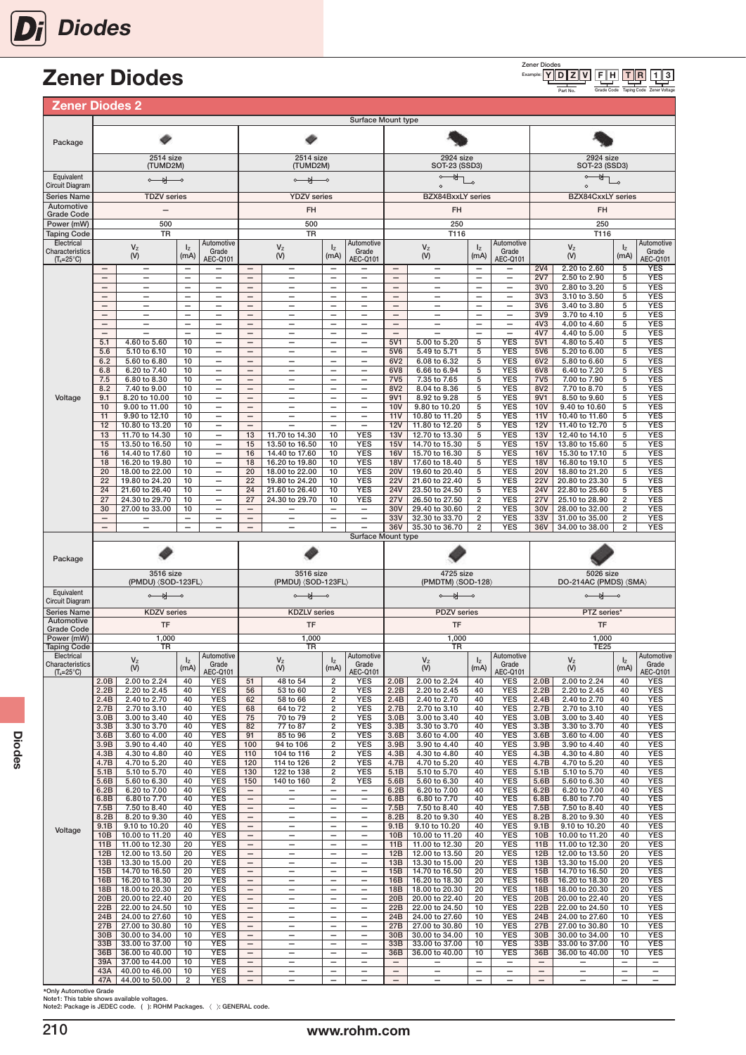# Zener Diodes

| <b>Zener Diodes 2</b>                  |                                               |                                                      |                                                      |                                                      |                                               |                                                      |                                                      |                                                      |                                               |                                                      |                                                      |                                                      |                                    |                                         |                                           |                                                      |
|----------------------------------------|-----------------------------------------------|------------------------------------------------------|------------------------------------------------------|------------------------------------------------------|-----------------------------------------------|------------------------------------------------------|------------------------------------------------------|------------------------------------------------------|-----------------------------------------------|------------------------------------------------------|------------------------------------------------------|------------------------------------------------------|------------------------------------|-----------------------------------------|-------------------------------------------|------------------------------------------------------|
|                                        |                                               |                                                      |                                                      |                                                      |                                               |                                                      |                                                      | Surface Mount type                                   |                                               |                                                      |                                                      |                                                      |                                    |                                         |                                           |                                                      |
| Package                                |                                               |                                                      |                                                      |                                                      |                                               |                                                      |                                                      |                                                      |                                               |                                                      |                                                      |                                                      |                                    |                                         |                                           |                                                      |
|                                        |                                               | 2514 size<br>(TUMD2M)                                |                                                      |                                                      |                                               | 2514 size<br>(TUMD2M)                                |                                                      |                                                      |                                               | 2924 size<br>SOT-23 (SSD3)                           |                                                      |                                                      |                                    | 2924 size<br><b>SOT-23 (SSD3)</b>       |                                           |                                                      |
| Equivalent                             |                                               | $\circ$ $\rightarrow$                                |                                                      |                                                      |                                               | $\circ$ $\rightarrow$                                |                                                      |                                                      |                                               |                                                      |                                                      |                                                      |                                    | ₩                                       |                                           |                                                      |
| <b>Circuit Diagram</b>                 |                                               |                                                      |                                                      |                                                      |                                               |                                                      |                                                      |                                                      |                                               |                                                      |                                                      |                                                      |                                    |                                         |                                           |                                                      |
| <b>Series Name</b><br>Automotive       |                                               | <b>TDZV</b> series                                   |                                                      |                                                      |                                               | <b>YDZV</b> series                                   |                                                      |                                                      |                                               | <b>BZX84BxxLY</b> series                             |                                                      |                                                      |                                    | <b>BZX84CxxLY</b> series                |                                           |                                                      |
| <b>Grade Code</b>                      |                                               | $\overline{\phantom{0}}$                             |                                                      |                                                      |                                               | FH                                                   |                                                      |                                                      |                                               | FH                                                   |                                                      |                                                      |                                    | FH                                      |                                           |                                                      |
| Power (mW)                             |                                               | 500                                                  |                                                      |                                                      |                                               | 500                                                  |                                                      |                                                      |                                               | 250                                                  |                                                      |                                                      |                                    | 250                                     |                                           |                                                      |
| <b>Taping Code</b><br>Electrical       |                                               | <b>TR</b>                                            |                                                      | Automotive                                           |                                               | <b>TR</b>                                            |                                                      | Automotive                                           |                                               | T116                                                 |                                                      | Automotive                                           |                                    | T116                                    |                                           | Automotive                                           |
| Characteristics<br>$(T_a=25^{\circ}C)$ | —                                             | $\mathsf{V}_\mathsf{Z}$<br>(V)<br>-                  | $I_{Z}$<br>(mA)<br>$\qquad \qquad -$                 | Grade<br>AEC-Q101<br>-                               | $\qquad \qquad -$                             | $V_{Z}$<br>(V)<br>$\overline{\phantom{m}}$           | $I_{Z}$<br>(mA)<br>$\qquad \qquad -$                 | Grade<br>AEC-Q101<br>-                               | —                                             | $V_{Z}$<br>(V)<br>-                                  | $I_{Z}$<br>(mA)<br>—                                 | Grade<br><b>AEC-Q101</b><br>-                        | <b>2V4</b>                         | $V_{Z}$<br>$(V)$<br>2.20 to 2.60        | $I_{Z}$<br>(mA)<br>5                      | Grade<br><b>AEC-Q101</b><br><b>YES</b>               |
|                                        | $\overline{\phantom{0}}$                      | $\overline{\phantom{0}}$                             | $\overline{\phantom{0}}$                             | $\overline{\phantom{0}}$                             | $\overline{\phantom{0}}$                      | $\overline{\phantom{0}}$                             |                                                      | $\overline{\phantom{0}}$                             | $\overline{\phantom{0}}$                      | $\overline{\phantom{0}}$                             | $\equiv$                                             | $\overline{\phantom{0}}$                             | 2V7                                | 2.50 to 2.90                            | 5                                         | YES                                                  |
|                                        | $\qquad \qquad -$<br>$\overline{\phantom{0}}$ | -<br>$\overline{\phantom{0}}$                        | $\overline{\phantom{m}}$<br>$\overline{\phantom{0}}$ | -<br>$\overline{\phantom{0}}$                        | $\qquad \qquad -$<br>$\overline{\phantom{0}}$ | -<br>$\overline{\phantom{0}}$                        | $\qquad \qquad -$<br>$\overline{\phantom{0}}$        | -<br>$\overline{\phantom{0}}$                        | —<br>$\overline{\phantom{0}}$                 | -<br>$\overline{\phantom{0}}$                        | $\overline{\phantom{0}}$<br>$\overline{\phantom{0}}$ | -<br>$\overline{\phantom{0}}$                        | 3V <sub>0</sub><br>3V3             | 2.80 to 3.20<br>3.10 to 3.50            | 5<br>5                                    | <b>YES</b><br><b>YES</b>                             |
|                                        | $\overbrace{\phantom{123221111}}$             | -                                                    | $\overline{\phantom{0}}$                             | $\overline{\phantom{0}}$                             | $\qquad \qquad -$                             | —                                                    | $\qquad \qquad -$                                    | $\overline{\phantom{0}}$                             | —                                             | -                                                    | $\overline{\phantom{0}}$                             | —                                                    | 3V6                                | 3.40 to 3.80                            | 5                                         | <b>YES</b>                                           |
|                                        | $\overline{\phantom{0}}$                      | $\overline{\phantom{0}}$                             |                                                      | $\overline{\phantom{0}}$                             |                                               | $\overline{\phantom{0}}$                             |                                                      | $\overline{\phantom{0}}$                             | $\overline{\phantom{0}}$                      | $\overline{\phantom{0}}$                             | $\overline{\phantom{0}}$<br>$\overline{\phantom{0}}$ | $\overline{\phantom{0}}$                             | 3V9                                | 3.70 to 4.10                            | 5                                         | <b>YES</b>                                           |
|                                        | $\overline{\phantom{0}}$<br>$\qquad \qquad -$ | $\overline{\phantom{0}}$<br>$\overline{\phantom{0}}$ | $\overline{\phantom{0}}$<br>$\qquad \qquad -$        | $\overline{\phantom{0}}$<br>$\overline{\phantom{0}}$ | $\qquad \qquad -$<br>$\overline{\phantom{0}}$ | $\overline{\phantom{0}}$<br>$\overline{\phantom{0}}$ | $\qquad \qquad -$<br>$\overline{\phantom{0}}$        | $\overline{\phantom{0}}$<br>$\qquad \qquad -$        | —<br>$\overline{\phantom{0}}$                 | $\overline{\phantom{0}}$<br>$\overline{\phantom{0}}$ | $\overline{\phantom{0}}$                             | $\overline{\phantom{0}}$<br>$\overline{\phantom{0}}$ | 4V3<br>4V7                         | 4.00 to 4.60<br>4.40 to 5.00            | 5<br>5                                    | <b>YES</b><br><b>YES</b>                             |
|                                        | 5.1                                           | 4.60 to 5.60                                         | 10                                                   | -                                                    | $\qquad \qquad -$                             |                                                      | $\overline{\phantom{0}}$                             | -                                                    | 5V1                                           | 5.00 to 5.20                                         | 5                                                    | <b>YES</b>                                           | 5V1                                | 4.80 to 5.40                            | 5                                         | <b>YES</b>                                           |
|                                        | 5.6<br>6.2                                    | 5.10 to 6.10<br>5.60 to 6.80                         | 10<br>10                                             | $\overline{\phantom{0}}$<br>$\overline{\phantom{0}}$ | $\qquad \qquad -$<br>$\qquad \qquad -$        | $\overline{\phantom{0}}$<br>$\overline{\phantom{0}}$ | $\qquad \qquad -$<br>$\overline{\phantom{0}}$        | $\qquad \qquad -$                                    | 5V6<br>6V <sub>2</sub>                        | 5.49 to 5.71<br>6.08 to 6.32                         | 5<br>5                                               | <b>YES</b><br><b>YES</b>                             | 5V6<br>6V2                         | 5.20 to 6.00<br>5.80 to 6.60            | 5<br>5                                    | <b>YES</b><br><b>YES</b>                             |
|                                        | 6.8                                           | 6.20 to 7.40                                         | 10                                                   | -                                                    | $\qquad \qquad -$                             | $\overline{\phantom{0}}$                             | $\qquad \qquad -$                                    | $\qquad \qquad -$                                    | 6V8                                           | 6.66 to 6.94                                         | 5                                                    | <b>YES</b>                                           | 6V8                                | 6.40 to 7.20                            | 5                                         | <b>YES</b>                                           |
|                                        | 7.5                                           | 6.80 to 8.30                                         | 10<br>10                                             | —                                                    | $\qquad \qquad -$                             | $\overline{\phantom{0}}$                             |                                                      | $\overline{\phantom{0}}$                             | <b>7V5</b><br>8V <sub>2</sub>                 | 7.35 to 7.65<br>8.04 to 8.36                         | 5                                                    | <b>YES</b><br><b>YES</b>                             | 7V <sub>5</sub><br>8V <sub>2</sub> | 7.00 to 7.90<br>7.70 to 8.70            | 5<br>5                                    | <b>YES</b><br><b>YES</b>                             |
| Voltage                                | 8.2<br>9.1                                    | 7.40 to 9.00<br>8.20 to 10.00                        | 10                                                   | -<br>$\overline{\phantom{0}}$                        | $\qquad \qquad -$<br>$\overline{\phantom{0}}$ | $\qquad \qquad -$<br>$\overline{\phantom{0}}$        | $\qquad \qquad -$                                    | $\qquad \qquad -$<br>$\overline{\phantom{0}}$        | 9V1                                           | 8.92 to 9.28                                         | 5<br>5                                               | <b>YES</b>                                           | 9V1                                | 8.50 to 9.60                            | 5                                         | YES                                                  |
|                                        | 10                                            | 9.00 to 11.00                                        | 10                                                   | —                                                    | $\qquad \qquad -$                             | —                                                    | $\qquad \qquad -$                                    | $\overline{\phantom{0}}$                             | <b>10V</b>                                    | 9.80 to 10.20                                        | 5                                                    | <b>YES</b>                                           | <b>10V</b>                         | 9.40 to 10.60                           | 5                                         | <b>YES</b>                                           |
|                                        | 11<br>12                                      | 9.90 to 12.10<br>10.80 to 13.20                      | 10<br>10                                             | $\overline{\phantom{0}}$<br>-                        | $\qquad \qquad -$<br>$\qquad \qquad -$        | $\overline{\phantom{0}}$                             | $\overline{\phantom{0}}$                             | -<br>$\overline{\phantom{m}}$                        | 11V<br>12V                                    | 10.80 to 11.20<br>11.80 to 12.20                     | 5<br>5                                               | <b>YES</b><br><b>YES</b>                             | 11V<br><b>12V</b>                  | 10.40 to 11.60<br>11.40 to 12.70        | 5<br>5                                    | <b>YES</b><br><b>YES</b>                             |
|                                        | 13                                            | 11.70 to 14.30                                       | 10                                                   | -                                                    | 13                                            | 11.70 to 14.30                                       | 10                                                   | <b>YES</b>                                           | 13V                                           | 12.70 to 13.30                                       | 5                                                    | <b>YES</b>                                           | 13V                                | 12.40 to 14.10                          | 5                                         | <b>YES</b>                                           |
|                                        | 15<br>16                                      | 13.50 to 16.50                                       | 10<br>10                                             | -<br>-                                               | 15<br>16                                      | 13.50 to 16.50<br>14.40 to 17.60                     | 10<br>10                                             | <b>YES</b><br><b>YES</b>                             | 15V<br><b>16V</b>                             | 14.70 to 15.30<br>15.70 to 16.30                     | 5<br>5                                               | <b>YES</b><br><b>YES</b>                             | 15V<br><b>16V</b>                  | 13.80 to 15.60                          | 5<br>5                                    | <b>YES</b><br><b>YES</b>                             |
|                                        | 18                                            | 14.40 to 17.60<br>16.20 to 19.80                     | 10                                                   | —                                                    | 18                                            | 16.20 to 19.80                                       | 10                                                   | <b>YES</b>                                           | <b>18V</b>                                    | 17.60 to 18.40                                       | 5                                                    | <b>YES</b>                                           | <b>18V</b>                         | 15.30 to 17.10<br>16.80 to 19.10        | 5                                         | <b>YES</b>                                           |
|                                        | 20                                            | 18.00 to 22.00                                       | 10                                                   | -                                                    | 20                                            | 18.00 to 22.00                                       | 10                                                   | <b>YES</b>                                           | <b>20V</b>                                    | 19.60 to 20.40                                       | 5                                                    | <b>YES</b>                                           | <b>20V</b>                         | 18.80 to 21.20                          | 5                                         | <b>YES</b>                                           |
|                                        | 22<br>24                                      | 19.80 to 24.20<br>21.60 to 26.40                     | 10<br>10                                             | $\overline{\phantom{0}}$<br>-                        | 22<br>24                                      | 19.80 to 24.20<br>21.60 to 26.40                     | 10<br>10                                             | <b>YES</b><br><b>YES</b>                             | <b>22V</b><br><b>24V</b>                      | 21.60 to 22.40<br>23.50 to 24.50                     | 5<br>5                                               | <b>YES</b><br><b>YES</b>                             | <b>22V</b><br>24V                  | 20.80 to 23.30<br>22.80 to 25.60        | 5<br>5                                    | <b>YES</b><br><b>YES</b>                             |
|                                        | 27                                            | 24.30 to 29.70                                       | 10                                                   | $\overline{\phantom{0}}$                             | 27                                            | 24.30 to 29.70                                       | 10                                                   | <b>YES</b>                                           | 27V                                           | 26.50 to 27.50                                       | 2                                                    | <b>YES</b>                                           | 27V                                | 25.10 to 28.90                          | $\overline{2}$                            | <b>YES</b>                                           |
|                                        | 30<br>$\overline{\phantom{0}}$                | 27.00 to 33.00                                       | 10<br>$\qquad \qquad -$                              | -<br>$\overline{\phantom{0}}$                        | $\qquad \qquad -$<br>$\qquad \qquad -$        | $\qquad \qquad -$                                    | $\qquad \qquad -$<br>$\overline{\phantom{0}}$        | $\qquad \qquad -$<br>$\overline{\phantom{0}}$        | 30V<br>33V                                    | 29.40 to 30.60<br>32.30 to 33.70                     | 2<br>2                                               | <b>YES</b><br><b>YES</b>                             | 30V<br>33V                         | 28.00 to 32.00<br>31.00 to 35.00        | $\overline{2}$<br>$\overline{\mathbf{c}}$ | YES<br><b>YES</b>                                    |
|                                        | $\overline{\phantom{0}}$                      |                                                      | $\qquad \qquad -$                                    | -                                                    | $\overline{\phantom{a}}$                      | $\overline{\phantom{0}}$                             | $\overline{\phantom{0}}$                             |                                                      | 36V                                           | 35.30 to 36.70                                       | 2                                                    | <b>YES</b>                                           | 36V                                | 34.00 to 38.00                          | $\overline{2}$                            | <b>YES</b>                                           |
|                                        |                                               |                                                      |                                                      |                                                      |                                               |                                                      |                                                      | Surface Mount type                                   |                                               |                                                      |                                                      |                                                      |                                    |                                         |                                           |                                                      |
|                                        |                                               |                                                      |                                                      |                                                      |                                               |                                                      |                                                      |                                                      |                                               |                                                      |                                                      |                                                      |                                    |                                         |                                           |                                                      |
| Package                                |                                               |                                                      |                                                      |                                                      |                                               |                                                      |                                                      |                                                      |                                               |                                                      |                                                      |                                                      |                                    |                                         |                                           |                                                      |
|                                        |                                               | 3516 size                                            |                                                      |                                                      |                                               | 3516 size                                            |                                                      |                                                      |                                               | 4725 size                                            |                                                      |                                                      |                                    | 5026 size                               |                                           |                                                      |
|                                        |                                               | (PMDU) (SOD-123FL)                                   |                                                      |                                                      |                                               | (PMDU) (SOD-123FL)                                   |                                                      |                                                      |                                               | (PMDTM) <sod-128></sod-128>                          |                                                      |                                                      |                                    | DO-214AC (PMDS) $\langle$ SMA $\rangle$ |                                           |                                                      |
| Equivalent<br><b>Circuit Diagram</b>   |                                               | $\circ$ and $\circ$                                  |                                                      |                                                      |                                               | $\circ$ $\rightarrow$                                |                                                      |                                                      |                                               | $\circ$ $\rightarrow$                                |                                                      |                                                      |                                    | $\circ$ $\rightarrow$                   |                                           |                                                      |
| <b>Series Name</b>                     |                                               | <b>KDZV</b> series                                   |                                                      |                                                      |                                               | <b>KDZLV</b> series                                  |                                                      |                                                      |                                               | <b>PDZV</b> series                                   |                                                      |                                                      |                                    | PTZ series*                             |                                           |                                                      |
| Automotive<br><b>Grade Code</b>        |                                               | TF                                                   |                                                      |                                                      |                                               | TF                                                   |                                                      |                                                      |                                               | TF                                                   |                                                      |                                                      |                                    | TF                                      |                                           |                                                      |
| Power (mW)                             |                                               | 1,000                                                |                                                      |                                                      |                                               | 1,000                                                |                                                      |                                                      |                                               | 1,000                                                |                                                      |                                                      |                                    | 1,000                                   |                                           |                                                      |
| <b>Taping Code</b><br>Electrical       |                                               | TR                                                   |                                                      | Automotive                                           |                                               | TR                                                   |                                                      | Automotive                                           |                                               | TR                                                   |                                                      | Automotive                                           |                                    | <b>TE25</b>                             |                                           | Automotive                                           |
| Characteristics<br>$(T_a=25^{\circ}C)$ |                                               | V <sub>z</sub><br>(V)                                | (mA)                                                 | Grade<br><b>AEC-Q101</b>                             |                                               | V <sub>z</sub><br>(V)                                | (mA)                                                 | Grade<br>AEC-Q101                                    |                                               | V <sub>7</sub><br>$($ V)                             | (mA)                                                 | Grade<br><b>AEC-Q101</b>                             |                                    | V <sub>7</sub><br>$($ V $)$             | $\mathsf{I}$<br>(mA)                      | Grade<br>AEC-Q101                                    |
|                                        | 2.0B                                          | 2.00 to 2.24                                         | 40                                                   | YES                                                  | 51                                            | 48 to 54                                             | $\overline{2}$                                       | <b>YES</b>                                           | 2.0B                                          | 2.00 to 2.24                                         | 40                                                   | YES                                                  | 2.0B                               | 2.00 to 2.24                            | 40                                        | YES                                                  |
|                                        | 2.2B<br>2.4B                                  | 2.20 to 2.45<br>2.40 to 2.70                         | 40<br>40                                             | <b>YES</b><br><b>YES</b>                             | 56<br>62                                      | 53 to 60<br>58 to 66                                 | $\overline{2}$<br>$\overline{2}$                     | <b>YES</b><br><b>YES</b>                             | 2.2B<br>2.4B                                  | 2.20 to 2.45<br>2.40 to 2.70                         | 40<br>40                                             | YES<br><b>YES</b>                                    | 2.2B<br>2.4B                       | 2.20 to 2.45<br>2.40 to 2.70            | 40<br>40                                  | YES<br><b>YES</b>                                    |
|                                        | 2.7B                                          | 2.70 to 3.10                                         | 40                                                   | YES                                                  | 68                                            | 64 to 72                                             | $\overline{2}$                                       | <b>YES</b>                                           | 2.7B                                          | 2.70 to 3.10                                         | 40                                                   | <b>YES</b>                                           | 2.7B                               | 2.70 to 3.10                            | 40                                        | <b>YES</b>                                           |
|                                        | 3.0B<br>3.3B                                  | 3.00 to 3.40<br>3.30 to 3.70                         | 40<br>40                                             | YES<br><b>YES</b>                                    | 75<br>82                                      | 70 to 79<br>77 to 87                                 | $\boldsymbol{2}$<br>$\overline{2}$                   | YES<br><b>YES</b>                                    | 3.0B<br>3.3B                                  | 3.00 to 3.40<br>3.30 to 3.70                         | 40<br>40                                             | YES<br>YES                                           | 3.0B<br>3.3B                       | 3.00 to 3.40<br>3.30 to 3.70            | 40<br>40                                  | YES<br>YES                                           |
|                                        | 3.6B                                          | 3.60 to 4.00                                         | 40                                                   | <b>YES</b>                                           | 91                                            | 85 to 96                                             | $\overline{2}$                                       | <b>YES</b>                                           | 3.6B                                          | 3.60 to 4.00                                         | 40                                                   | <b>YES</b>                                           | 3.6B                               | 3.60 to 4.00                            | 40                                        | YES                                                  |
|                                        | 3.9B<br>4.3B                                  | 3.90 to 4.40<br>4.30 to 4.80                         | 40<br>40                                             | <b>YES</b><br>YES                                    | 100<br>110                                    | 94 to 106<br>104 to 116                              | $\overline{2}$<br>$\overline{2}$                     | <b>YES</b><br><b>YES</b>                             | 3.9B<br>4.3B                                  | 3.90 to 4.40<br>4.30 to 4.80                         | 40<br>40                                             | <b>YES</b><br><b>YES</b>                             | 3.9B<br>4.3B                       | 3.90 to 4.40<br>4.30 to 4.80            | 40<br>40                                  | <b>YES</b><br><b>YES</b>                             |
|                                        | 4.7B                                          | 4.70 to 5.20                                         | 40                                                   | <b>YES</b>                                           | 120                                           | 114 to 126                                           | $\overline{\mathbf{2}}$                              | <b>YES</b>                                           | 4.7B                                          | 4.70 to 5.20                                         | 40                                                   | <b>YES</b>                                           | 4.7B                               | 4.70 to 5.20                            | 40                                        | <b>YES</b>                                           |
|                                        | 5.1B                                          | 5.10 to 5.70                                         | 40<br>40                                             | YES                                                  | 130                                           | 122 to 138                                           | $\overline{\mathbf{c}}$                              | <b>YES</b>                                           | 5.1B                                          | 5.10 to 5.70                                         | 40                                                   | <b>YES</b>                                           | 5.1B                               | 5.10 to 5.70                            | 40                                        | YES                                                  |
|                                        | 5.6B<br>6.2B                                  | 5.60 to 6.30<br>6.20 to 7.00                         | 40                                                   | <b>YES</b><br><b>YES</b>                             | 150<br>$\overline{\phantom{0}}$               | 140 to 160<br>$\overline{\phantom{0}}$               | 2<br>$\qquad \qquad -$                               | <b>YES</b><br>$\overline{\phantom{m}}$               | 5.6B<br>6.2B                                  | 5.60 to 6.30<br>6.20 to 7.00                         | 40<br>40                                             | <b>YES</b><br><b>YES</b>                             | 5.6B<br>6.2B                       | 5.60 to 6.30<br>6.20 to 7.00            | 40<br>40                                  | YES<br><b>YES</b>                                    |
|                                        | 6.8B                                          | 6.80 to 7.70                                         | 40                                                   | <b>YES</b>                                           | $\overline{\phantom{0}}$                      | $\overline{\phantom{m}}$                             | $\overline{\phantom{m}}$<br>$\overline{\phantom{0}}$ | $\qquad \qquad -$                                    | 6.8B                                          | 6.80 to 7.70                                         | 40                                                   | <b>YES</b>                                           | 6.8B                               | 6.80 to 7.70                            | 40                                        | <b>YES</b>                                           |
|                                        | 7.5B<br>8.2B                                  | 7.50 to 8.40<br>8.20 to 9.30                         | 40<br>40                                             | <b>YES</b><br>YES                                    | $\qquad \qquad -$<br>$\qquad \qquad -$        | $\overline{\phantom{m}}$                             |                                                      | $\overline{\phantom{0}}$<br>$\overline{\phantom{0}}$ | 7.5B<br>8.2B                                  | 7.50 to 8.40<br>8.20 to 9.30                         | 40<br>40                                             | <b>YES</b><br><b>YES</b>                             | 7.5B<br>8.2B                       | 7.50 to 8.40<br>8.20 to 9.30            | 40<br>40                                  | <b>YES</b><br>YES                                    |
| Voltage                                | 9.1B                                          | 9.10 to 10.20                                        | 40                                                   | YES                                                  | $\qquad \qquad -$                             |                                                      |                                                      | $\overline{\phantom{0}}$                             | 9.1B                                          | 9.10 to 10.20                                        | 40                                                   | <b>YES</b>                                           | 9.1B                               | 9.10 to 10.20                           | 40                                        | <b>YES</b>                                           |
|                                        | 10B<br>11 <sub>B</sub>                        | 10.00 to 11.20<br>11.00 to 12.30                     | 40<br>20                                             | YES<br><b>YES</b>                                    | $\qquad \qquad -$<br>$\overline{\phantom{0}}$ | $\overline{\phantom{0}}$<br>$\qquad \qquad -$        | $\qquad \qquad -$<br>$\overline{\phantom{0}}$        | $\overline{\phantom{0}}$<br>$\qquad \qquad -$        | 10B<br>11B                                    | 10.00 to 11.20<br>11.00 to 12.30                     | 40<br>20                                             | <b>YES</b><br><b>YES</b>                             | 10B<br>11B                         | 10.00 to 11.20<br>11.00 to 12.30        | 40<br>20                                  | <b>YES</b><br><b>YES</b>                             |
|                                        | 12B                                           | 12.00 to 13.50                                       | 20                                                   | <b>YES</b>                                           | $\qquad \qquad -$                             | $\qquad \qquad -$                                    | $\overline{\phantom{0}}$                             | $\overline{\phantom{0}}$                             | 12B                                           | 12.00 to 13.50                                       | 20                                                   | <b>YES</b>                                           | 12B                                | 12.00 to 13.50                          | 20                                        | <b>YES</b>                                           |
|                                        | 13B                                           | 13.30 to 15.00                                       | 20<br>20                                             | YES                                                  | $\overline{\phantom{a}}$<br>$\qquad \qquad -$ | $\overline{\phantom{0}}$<br>$\overline{\phantom{0}}$ | $\overline{\phantom{0}}$<br>$\overline{\phantom{0}}$ | $\qquad \qquad -$<br>$\overline{\phantom{0}}$        | 13B<br>15B                                    | 13.30 to 15.00                                       | 20                                                   | <b>YES</b>                                           | 13B<br>15B                         | 13.30 to 15.00                          | 20                                        | <b>YES</b>                                           |
|                                        | 15B<br>16B                                    | 14.70 to 16.50<br>16.20 to 18.30                     | 20                                                   | YES<br>YES                                           | $\overline{\phantom{0}}$                      | $\qquad \qquad -$                                    | $\overline{\phantom{0}}$                             | $\qquad \qquad -$                                    | 16B                                           | 14.70 to 16.50<br>16.20 to 18.30                     | 20<br>20                                             | <b>YES</b><br><b>YES</b>                             | 16B                                | 14.70 to 16.50<br>16.20 to 18.30        | 20<br>20                                  | YES<br><b>YES</b>                                    |
|                                        | 18B                                           | 18.00 to 20.30                                       | 20                                                   | <b>YES</b>                                           | $\overline{\phantom{0}}$                      |                                                      |                                                      | $\overline{\phantom{0}}$                             | 18B                                           | 18.00 to 20.30                                       | 20                                                   | <b>YES</b>                                           | 18B                                | 18.00 to 20.30                          | 20                                        | <b>YES</b>                                           |
|                                        | 20B<br>22B                                    | 20.00 to 22.40<br>22.00 to 24.50                     | 20<br>10                                             | YES<br>YES                                           | $\qquad \qquad -$<br>$\qquad \qquad -$        | $\qquad \qquad -$<br>$\qquad \qquad -$               | $\overline{\phantom{0}}$<br>$\overline{\phantom{0}}$ | -<br>$\qquad \qquad -$                               | 20 <sub>B</sub><br>22B                        | 20.00 to 22.40<br>22.00 to 24.50                     | 20<br>10                                             | <b>YES</b><br><b>YES</b>                             | 20 <sub>B</sub><br>22B             | 20.00 to 22.40<br>22.00 to 24.50        | 20<br>10                                  | <b>YES</b><br>YES                                    |
|                                        | 24B                                           | 24.00 to 27.60                                       | 10                                                   | <b>YES</b>                                           | $\qquad \qquad -$                             | $\overline{\phantom{0}}$                             | $\overline{\phantom{0}}$                             | $\overline{\phantom{0}}$                             | 24B                                           | 24.00 to 27.60                                       | 10                                                   | <b>YES</b>                                           | 24B                                | 24.00 to 27.60                          | 10                                        | <b>YES</b>                                           |
|                                        | 27B<br>30B                                    | 27.00 to 30.80<br>30.00 to 34.00                     | 10<br>10                                             | YES<br>YES                                           | $\qquad \qquad -$<br>$\overline{\phantom{0}}$ | $\overline{\phantom{0}}$                             | $\overline{\phantom{0}}$                             | -<br>$\qquad \qquad -$                               | 27B<br>30B                                    | 27.00 to 30.80<br>30.00 to 34.00                     | 10<br>10                                             | YES<br><b>YES</b>                                    | 27B<br>30B                         | 27.00 to 30.80<br>30.00 to 34.00        | 10<br>10                                  | <b>YES</b><br><b>YES</b>                             |
|                                        | 33B                                           | 33.00 to 37.00                                       | 10                                                   | YES                                                  | $\qquad \qquad -$                             | $\overline{\phantom{m}}$                             | $\overline{\phantom{0}}$                             | $\qquad \qquad -$                                    | 33B                                           | 33.00 to 37.00                                       | 10                                                   | <b>YES</b>                                           | 33B                                | 33.00 to 37.00                          | 10                                        | <b>YES</b>                                           |
|                                        | 36B<br>39A                                    | 36.00 to 40.00                                       | 10<br>10                                             | YES                                                  | $\overline{\phantom{0}}$<br>$\qquad \qquad -$ | $\overline{\phantom{0}}$<br>$\overline{\phantom{0}}$ | $\overline{\phantom{0}}$<br>$\overline{\phantom{0}}$ | $\qquad \qquad -$<br>$\overline{\phantom{0}}$        | 36B                                           | 36.00 to 40.00                                       | 10<br>$\overline{\phantom{0}}$                       | <b>YES</b>                                           | 36B                                | 36.00 to 40.00                          | 10                                        | <b>YES</b><br>—                                      |
|                                        | 43A<br>47A                                    | 37.00 to 44.00<br>40.00 to 46.00<br>44.00 to 50.00   | 10<br>2                                              | <b>YES</b><br>YES<br>YES                             | $\qquad \qquad -$<br>$\qquad \qquad -$        | $\qquad \qquad -$<br>$\overline{\phantom{0}}$        | $\qquad \qquad -$                                    | $\qquad \qquad -$<br>$\overline{\phantom{0}}$        | $\qquad \qquad -$<br>$\overline{\phantom{0}}$ | -<br>$\overline{\phantom{0}}$                        | -<br>$\overline{\phantom{0}}$                        | -<br>$\overline{\phantom{0}}$                        | $\overline{\phantom{a}}$           |                                         | -<br>$\overline{\phantom{0}}$             | $\overline{\phantom{m}}$<br>$\overline{\phantom{0}}$ |

\*Only Automotive Grade Note1: This table shows available voltages. Note2: Package is JEDEC code. ( ): ROHM Packages. 〈 〉: GENERAL code.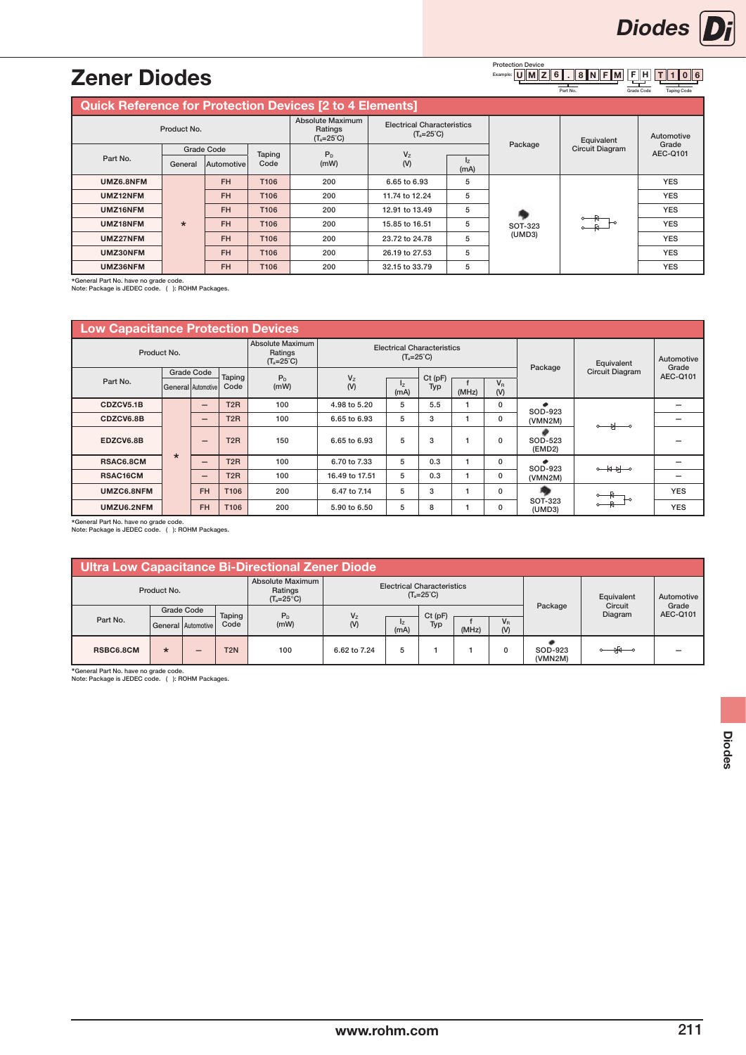#### $U\|M\|Z\|6\|$  .  $\|8\|N\|F\|M\|F\|H\|TH\|1\|0\|6$ F H Protection Device<br>Example: U M Z 6 . 8 N

#### Part No. **Taping Code Part No.** Grade Code **Taping Code** Grade Code Quick Reference for Protection Devices [2 to 4 Elements] Product No. Absolute Maximum Ratings (Ta=25˚C) Electrical Characteristics (Ta=25˚C) Package Equivalent<br>Circuit Diagram Automotive Grade<br>AEC-Q101 Part No.  $\frac{Q_1 Q_2 Q_3 Q_4}{Q_1 Q_2 Q_3 Q_4 Q_5 Q_5 Q_6 Q_7 Q_7 Q_8 Q_8 Q_9 Q_9 Q_9 Q_1 Q_1 Q_1 Q_2 Q_1 Q_1 Q_2 Q_1 Q_2 Q_1 Q_2 Q_1 Q_2 Q_1 Q_2 Q_1 Q_2 Q_1 Q_2 Q_2 Q_3 Q_1 Q_2 Q_1 Q_2 Q_2 Q_3 Q_1 Q_2 Q_1 Q_2 Q_2 Q_3 Q_1 Q_2 Q_2 Q_3 Q_3 Q_1 Q_2 Q_3 Q_3 Q_4 Q_4 Q_5 Q_5 Q_7 Q_7 Q_7 Q_8 Q_7$ Grade Code Taping Code P<sub>D</sub><br>(mW)  $V_z$ <br>(V) General Automotive (V) IZ  $(mA)$ UMZ6.8NFM \* FH | T106 | 200 | 6.65 to 6.93 | 5 SOT-323 (UMD3) YES UMZ12NFM | | | FH | T106 | 200 | 11.74 to 12.24 | 5 | | | | | | | | | | YES UMZ16NFM | | | FH | T106 | 200 | 12.91 to 13.49 | 5 | | | | | | | | | | | | YES <code>UMZ18NFM | \* | FH | T106 | 200 | 15.85 to 16.51 | 5 |  $_{\rm SOT-323}$  |  $_{\sim 5}$  T $^{\circ}$  | YES</code> <code>UMZ27NFM | FH | T106 | 200 | 23.72</code> to 24.78 | 5 |  $^{(OW1D3)}$  |  $\rightarrow$  YES UMZ30NFM | | | FH | T106 | 200 | 26.19 to 27.53 | 5 | | | | | | | | | | YES UMZ36NFM | | | FH | T106 | 200 | 32.15 to 33.79 | 5 | | | | | | | | | | YES

<span id="page-20-0"></span>Zener Diodes

\*General Part No. have no grade code. Note: Package is JEDEC code. ( ): ROHM Packages.

| <b>Low Capacitance Protection Devices</b> |         |                                              |                  |                                                   |                |                                                         |        |       |                    |                          |                                   |                          |
|-------------------------------------------|---------|----------------------------------------------|------------------|---------------------------------------------------|----------------|---------------------------------------------------------|--------|-------|--------------------|--------------------------|-----------------------------------|--------------------------|
| Product No.                               |         |                                              |                  | Absolute Maximum<br>Ratings<br>$(T_a=25^\circ C)$ |                | <b>Electrical Characteristics</b><br>$(T_a=25^\circ C)$ |        |       |                    |                          | Equivalent                        | Automotive               |
|                                           |         |                                              | Taping           | P <sub>D</sub>                                    | $V_{Z}$        |                                                         | Ct(pF) |       |                    | Package                  | <b>Circuit Diagram</b>            | Grade<br><b>AEC-Q101</b> |
| Part No.                                  |         | <b>Grade Code</b><br>General Automotive<br>— | Code             | (mW)                                              | (V)            | $I_{Z}$<br>(mA)                                         | Typ    | (MHz) | $V_{\rm R}$<br>(V) |                          |                                   |                          |
| CDZCV5.1B                                 |         |                                              | T <sub>2</sub> R | 100                                               | 4.98 to 5.20   | 5                                                       | 5.5    |       | $\mathbf{0}$       | ۰<br>SOD-923             |                                   |                          |
| CDZCV6.8B                                 |         | —                                            | T <sub>2</sub> R | 100                                               | 6.65 to 6.93   | 5                                                       | 3      |       | $\mathbf{0}$       | (VMN2M)                  | $\circ$ $\rightarrow$             |                          |
| EDZCV6.8B                                 |         | $\overline{\phantom{0}}$                     | T <sub>2</sub> R | 150                                               | 6.65 to 6.93   | 5                                                       | 3      |       | $\Omega$           | SOD-523<br>(EMD2)        |                                   |                          |
| RSAC6.8CM                                 | $\star$ | —                                            | T <sub>2</sub> R | 100                                               | 6.70 to 7.33   | 5                                                       | 0.3    |       | $\mathbf{0}$       | ۰<br>SOD-923             | $\circ$ $\leftrightarrow$ $\circ$ |                          |
| RSAC16CM                                  |         | —                                            | T <sub>2</sub> R | 100                                               | 16.49 to 17.51 | 5                                                       | 0.3    |       | $\Omega$           | (VMN2M)                  |                                   | $\overline{\phantom{0}}$ |
| UMZC6.8NFM                                |         | <b>FH</b>                                    | T106             | 200                                               | 6.47 to 7.14   | 5                                                       | 3      |       | $\mathbf{0}$       |                          |                                   | <b>YES</b>               |
| UMZU6.2NFM                                |         | <b>FH</b>                                    | T106             | 200                                               | 5.90 to 6.50   | 5                                                       | 8      |       | $\Omega$           | <b>SOT-323</b><br>(UMD3) |                                   | <b>YES</b>               |

\*General Part No. have no grade code. Note: Package is JEDEC code. ( ): ROHM Packages.

| Ultra Low Capacitance Bi-Directional Zener Diode |             |                    |            |                                                    |              |            |                                                         |       |                       |                    |                                          |                   |
|--------------------------------------------------|-------------|--------------------|------------|----------------------------------------------------|--------------|------------|---------------------------------------------------------|-------|-----------------------|--------------------|------------------------------------------|-------------------|
|                                                  | Product No. |                    |            | Absolute Maximum<br>Ratings<br>$(T_a=25^{\circ}C)$ |              |            | <b>Electrical Characteristics</b><br>$(T_a=25^\circ C)$ |       |                       |                    | Equivalent<br>Circuit                    | Automotive        |
|                                                  |             | Grade Code         | Taping     | P <sub>D</sub>                                     | Vz           |            | $Ct$ (pF)                                               |       |                       | Package            | Diagram                                  | Grade<br>AEC-Q101 |
| Part No.                                         |             | General Automotive | Code       | (mW)                                               | (V)          | Iz<br>(mA) | Typ                                                     | (MHz) | V <sub>R</sub><br>(V) |                    |                                          |                   |
| RSBC6.8CM                                        | $\star$     |                    | <b>T2N</b> | 100                                                | 6.62 to 7.24 | 5          |                                                         |       | 0                     | SOD-923<br>(VMN2M) | $\circ$ $\rightarrow$ $\overline{\circ}$ |                   |

\*General Part No. have no grade code. Note: Package is JEDEC code. ( ): ROHM Packages.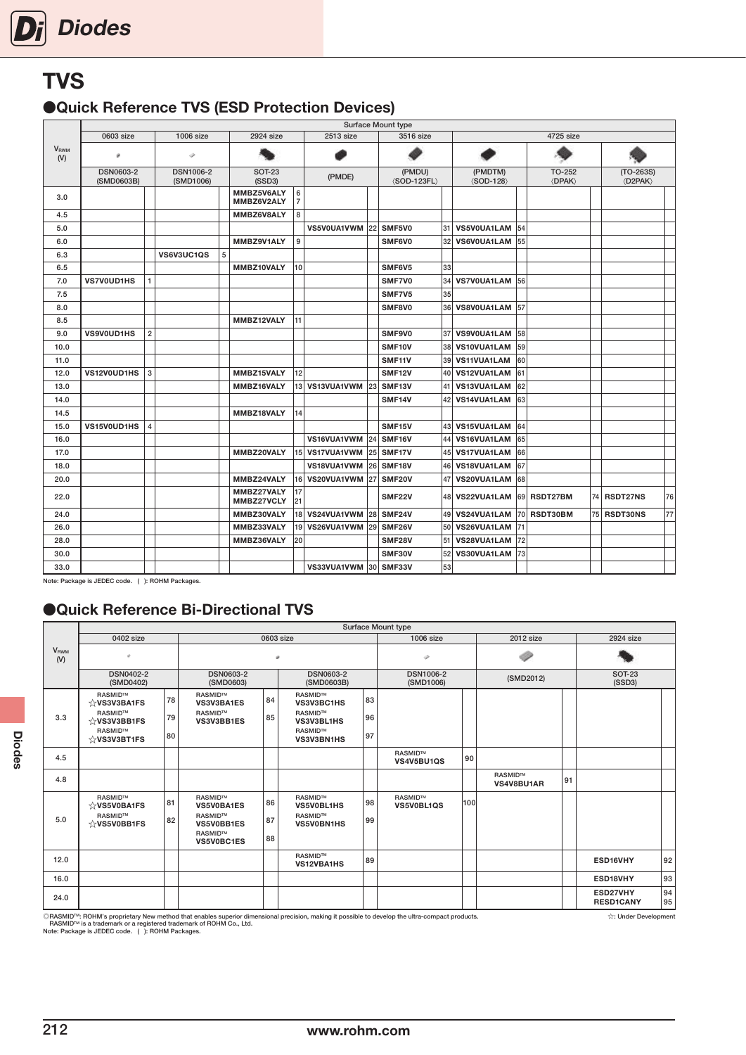# <span id="page-21-0"></span>**TVS**

### ●Quick Reference TVS (ESD Protection Devices)

| 0603 size<br>2924 size<br>2513 size<br>3516 size<br>4725 size<br>$1006$ size<br><b>V</b> <sub>RWM</sub><br>Ò<br>ø<br>(V)<br><b>DSN1006-2</b><br><b>DSN0603-2</b><br><b>SOT-23</b><br>(PMDU)<br>(PMDTM)<br>TO-252<br>$(TO-263S)$<br>(PMDE)<br>(SSD3)<br>$\langle$ SOD-123FL $\rangle$<br><b><dpak></dpak></b><br>$\langle$ D2PAK $\rangle$<br>(SMD0603B)<br>(SMD1006)<br>$\langle$ SOD-128 $\rangle$<br>MMBZ5V6ALY<br>6<br>3.0<br>$\overline{7}$<br>MMBZ6V2ALY<br>8<br>MMBZ6V8ALY<br>4.5<br>VS5V0UA1VWM<br>SMF5V0<br>31<br>VS5V0UA1LAM 54<br>5.0<br>22<br>9<br>55<br>MMBZ9V1ALY<br>SMF6V0<br>32 VS6V0UA1LAM<br>6.0<br>5<br>6.3<br>VS6V3UC1QS<br>10 <sup>1</sup><br>33<br>6.5<br>MMBZ10VALY<br>SMF6V5<br>34<br>7.0<br>SMF7V0<br>VS7V0UA1LAM 56<br><b>VS7V0UD1HS</b><br>$\mathbf{1}$<br>SMF7V5<br>35<br>7.5<br>36 VS8V0UA1LAM 57<br>8.0<br>SMF8V0<br>MMBZ12VALY<br>11<br>8.5<br>$\overline{\mathbf{c}}$<br>SMF9V0<br>37 VS9V0UA1LAM 58<br>9.0<br><b>VS9V0UD1HS</b><br>SMF10V<br>38<br>VS10VUA1LAM 59<br>10.0<br>SMF11V<br>39<br>VS11VUA1LAM<br>60<br>11.0<br>3<br>VS12VUA1LAM 61<br>12.0<br>VS12V0UD1HS<br>MMBZ15VALY<br>12<br><b>SMF12V</b><br>40 <sup>1</sup><br>VS13VUA1LAM<br>62<br>MMBZ16VALY<br>13 VS13VUA1VWM<br>23<br>SMF13V<br>41<br>13.0<br>42 VS14VUA1LAM<br>SMF14V<br>63<br>14.0<br>MMBZ18VALY<br>14<br>14.5<br>4<br>SMF15V<br>43 VS15VUA1LAM 64<br>15.0<br>VS15V0UD1HS<br>44<br>VS16VUA1VWM<br>24<br>SMF16V<br>VS16VUA1LAM<br>65<br>16.0<br>15 VS17VUA1VWM<br>25<br>SMF17V<br>45<br>VS17VUA1LAM 66<br>17.0<br>MMBZ20VALY<br>VS18VUA1VWM<br>26 SMF18V<br>VS18VUA1LAM<br>67<br>18.0<br>46<br>47<br>VS20VUA1LAM 68<br>MMBZ24VALY<br>16 VS20VUA1VWM<br>SMF <sub>20</sub> V<br>20.0<br>27<br>MMBZ27VALY<br>17<br>48 VS22VUA1LAM 69 RSDT27BM<br>74 RSDT27NS<br>22.0<br><b>SMF22V</b><br>21<br>MMBZ27VCLY<br>18 VS24VUA1VWM<br>28<br>SMF24V<br>49 VS24VUA1LAM<br> 70 <br>RSDT30BM<br>24.0<br>MMBZ30VALY<br>75 RSDT30NS<br>50<br>MMBZ33VALY<br>19 VS26VUA1VWM<br>29<br>SMF26V<br>VS26VUA1LAM 71<br>26.0 |      |  |  |            |    |  | <b>Surface Mount type</b> |    |                |  |  |    |
|-----------------------------------------------------------------------------------------------------------------------------------------------------------------------------------------------------------------------------------------------------------------------------------------------------------------------------------------------------------------------------------------------------------------------------------------------------------------------------------------------------------------------------------------------------------------------------------------------------------------------------------------------------------------------------------------------------------------------------------------------------------------------------------------------------------------------------------------------------------------------------------------------------------------------------------------------------------------------------------------------------------------------------------------------------------------------------------------------------------------------------------------------------------------------------------------------------------------------------------------------------------------------------------------------------------------------------------------------------------------------------------------------------------------------------------------------------------------------------------------------------------------------------------------------------------------------------------------------------------------------------------------------------------------------------------------------------------------------------------------------------------------------------------------------------------------------------------------------------------------------------------------------------------------------------------------------------------------------------------------------------------|------|--|--|------------|----|--|---------------------------|----|----------------|--|--|----|
|                                                                                                                                                                                                                                                                                                                                                                                                                                                                                                                                                                                                                                                                                                                                                                                                                                                                                                                                                                                                                                                                                                                                                                                                                                                                                                                                                                                                                                                                                                                                                                                                                                                                                                                                                                                                                                                                                                                                                                                                           |      |  |  |            |    |  |                           |    |                |  |  |    |
|                                                                                                                                                                                                                                                                                                                                                                                                                                                                                                                                                                                                                                                                                                                                                                                                                                                                                                                                                                                                                                                                                                                                                                                                                                                                                                                                                                                                                                                                                                                                                                                                                                                                                                                                                                                                                                                                                                                                                                                                           |      |  |  |            |    |  |                           |    |                |  |  |    |
|                                                                                                                                                                                                                                                                                                                                                                                                                                                                                                                                                                                                                                                                                                                                                                                                                                                                                                                                                                                                                                                                                                                                                                                                                                                                                                                                                                                                                                                                                                                                                                                                                                                                                                                                                                                                                                                                                                                                                                                                           |      |  |  |            |    |  |                           |    |                |  |  |    |
|                                                                                                                                                                                                                                                                                                                                                                                                                                                                                                                                                                                                                                                                                                                                                                                                                                                                                                                                                                                                                                                                                                                                                                                                                                                                                                                                                                                                                                                                                                                                                                                                                                                                                                                                                                                                                                                                                                                                                                                                           |      |  |  |            |    |  |                           |    |                |  |  |    |
|                                                                                                                                                                                                                                                                                                                                                                                                                                                                                                                                                                                                                                                                                                                                                                                                                                                                                                                                                                                                                                                                                                                                                                                                                                                                                                                                                                                                                                                                                                                                                                                                                                                                                                                                                                                                                                                                                                                                                                                                           |      |  |  |            |    |  |                           |    |                |  |  |    |
|                                                                                                                                                                                                                                                                                                                                                                                                                                                                                                                                                                                                                                                                                                                                                                                                                                                                                                                                                                                                                                                                                                                                                                                                                                                                                                                                                                                                                                                                                                                                                                                                                                                                                                                                                                                                                                                                                                                                                                                                           |      |  |  |            |    |  |                           |    |                |  |  |    |
|                                                                                                                                                                                                                                                                                                                                                                                                                                                                                                                                                                                                                                                                                                                                                                                                                                                                                                                                                                                                                                                                                                                                                                                                                                                                                                                                                                                                                                                                                                                                                                                                                                                                                                                                                                                                                                                                                                                                                                                                           |      |  |  |            |    |  |                           |    |                |  |  |    |
|                                                                                                                                                                                                                                                                                                                                                                                                                                                                                                                                                                                                                                                                                                                                                                                                                                                                                                                                                                                                                                                                                                                                                                                                                                                                                                                                                                                                                                                                                                                                                                                                                                                                                                                                                                                                                                                                                                                                                                                                           |      |  |  |            |    |  |                           |    |                |  |  |    |
|                                                                                                                                                                                                                                                                                                                                                                                                                                                                                                                                                                                                                                                                                                                                                                                                                                                                                                                                                                                                                                                                                                                                                                                                                                                                                                                                                                                                                                                                                                                                                                                                                                                                                                                                                                                                                                                                                                                                                                                                           |      |  |  |            |    |  |                           |    |                |  |  |    |
|                                                                                                                                                                                                                                                                                                                                                                                                                                                                                                                                                                                                                                                                                                                                                                                                                                                                                                                                                                                                                                                                                                                                                                                                                                                                                                                                                                                                                                                                                                                                                                                                                                                                                                                                                                                                                                                                                                                                                                                                           |      |  |  |            |    |  |                           |    |                |  |  |    |
|                                                                                                                                                                                                                                                                                                                                                                                                                                                                                                                                                                                                                                                                                                                                                                                                                                                                                                                                                                                                                                                                                                                                                                                                                                                                                                                                                                                                                                                                                                                                                                                                                                                                                                                                                                                                                                                                                                                                                                                                           |      |  |  |            |    |  |                           |    |                |  |  |    |
|                                                                                                                                                                                                                                                                                                                                                                                                                                                                                                                                                                                                                                                                                                                                                                                                                                                                                                                                                                                                                                                                                                                                                                                                                                                                                                                                                                                                                                                                                                                                                                                                                                                                                                                                                                                                                                                                                                                                                                                                           |      |  |  |            |    |  |                           |    |                |  |  |    |
|                                                                                                                                                                                                                                                                                                                                                                                                                                                                                                                                                                                                                                                                                                                                                                                                                                                                                                                                                                                                                                                                                                                                                                                                                                                                                                                                                                                                                                                                                                                                                                                                                                                                                                                                                                                                                                                                                                                                                                                                           |      |  |  |            |    |  |                           |    |                |  |  |    |
|                                                                                                                                                                                                                                                                                                                                                                                                                                                                                                                                                                                                                                                                                                                                                                                                                                                                                                                                                                                                                                                                                                                                                                                                                                                                                                                                                                                                                                                                                                                                                                                                                                                                                                                                                                                                                                                                                                                                                                                                           |      |  |  |            |    |  |                           |    |                |  |  |    |
|                                                                                                                                                                                                                                                                                                                                                                                                                                                                                                                                                                                                                                                                                                                                                                                                                                                                                                                                                                                                                                                                                                                                                                                                                                                                                                                                                                                                                                                                                                                                                                                                                                                                                                                                                                                                                                                                                                                                                                                                           |      |  |  |            |    |  |                           |    |                |  |  |    |
|                                                                                                                                                                                                                                                                                                                                                                                                                                                                                                                                                                                                                                                                                                                                                                                                                                                                                                                                                                                                                                                                                                                                                                                                                                                                                                                                                                                                                                                                                                                                                                                                                                                                                                                                                                                                                                                                                                                                                                                                           |      |  |  |            |    |  |                           |    |                |  |  |    |
|                                                                                                                                                                                                                                                                                                                                                                                                                                                                                                                                                                                                                                                                                                                                                                                                                                                                                                                                                                                                                                                                                                                                                                                                                                                                                                                                                                                                                                                                                                                                                                                                                                                                                                                                                                                                                                                                                                                                                                                                           |      |  |  |            |    |  |                           |    |                |  |  |    |
|                                                                                                                                                                                                                                                                                                                                                                                                                                                                                                                                                                                                                                                                                                                                                                                                                                                                                                                                                                                                                                                                                                                                                                                                                                                                                                                                                                                                                                                                                                                                                                                                                                                                                                                                                                                                                                                                                                                                                                                                           |      |  |  |            |    |  |                           |    |                |  |  |    |
|                                                                                                                                                                                                                                                                                                                                                                                                                                                                                                                                                                                                                                                                                                                                                                                                                                                                                                                                                                                                                                                                                                                                                                                                                                                                                                                                                                                                                                                                                                                                                                                                                                                                                                                                                                                                                                                                                                                                                                                                           |      |  |  |            |    |  |                           |    |                |  |  |    |
|                                                                                                                                                                                                                                                                                                                                                                                                                                                                                                                                                                                                                                                                                                                                                                                                                                                                                                                                                                                                                                                                                                                                                                                                                                                                                                                                                                                                                                                                                                                                                                                                                                                                                                                                                                                                                                                                                                                                                                                                           |      |  |  |            |    |  |                           |    |                |  |  |    |
|                                                                                                                                                                                                                                                                                                                                                                                                                                                                                                                                                                                                                                                                                                                                                                                                                                                                                                                                                                                                                                                                                                                                                                                                                                                                                                                                                                                                                                                                                                                                                                                                                                                                                                                                                                                                                                                                                                                                                                                                           |      |  |  |            |    |  |                           |    |                |  |  |    |
|                                                                                                                                                                                                                                                                                                                                                                                                                                                                                                                                                                                                                                                                                                                                                                                                                                                                                                                                                                                                                                                                                                                                                                                                                                                                                                                                                                                                                                                                                                                                                                                                                                                                                                                                                                                                                                                                                                                                                                                                           |      |  |  |            |    |  |                           |    |                |  |  |    |
|                                                                                                                                                                                                                                                                                                                                                                                                                                                                                                                                                                                                                                                                                                                                                                                                                                                                                                                                                                                                                                                                                                                                                                                                                                                                                                                                                                                                                                                                                                                                                                                                                                                                                                                                                                                                                                                                                                                                                                                                           |      |  |  |            |    |  |                           |    |                |  |  |    |
|                                                                                                                                                                                                                                                                                                                                                                                                                                                                                                                                                                                                                                                                                                                                                                                                                                                                                                                                                                                                                                                                                                                                                                                                                                                                                                                                                                                                                                                                                                                                                                                                                                                                                                                                                                                                                                                                                                                                                                                                           |      |  |  |            |    |  |                           |    |                |  |  |    |
|                                                                                                                                                                                                                                                                                                                                                                                                                                                                                                                                                                                                                                                                                                                                                                                                                                                                                                                                                                                                                                                                                                                                                                                                                                                                                                                                                                                                                                                                                                                                                                                                                                                                                                                                                                                                                                                                                                                                                                                                           |      |  |  |            |    |  |                           |    |                |  |  |    |
|                                                                                                                                                                                                                                                                                                                                                                                                                                                                                                                                                                                                                                                                                                                                                                                                                                                                                                                                                                                                                                                                                                                                                                                                                                                                                                                                                                                                                                                                                                                                                                                                                                                                                                                                                                                                                                                                                                                                                                                                           |      |  |  |            |    |  |                           |    |                |  |  | 76 |
|                                                                                                                                                                                                                                                                                                                                                                                                                                                                                                                                                                                                                                                                                                                                                                                                                                                                                                                                                                                                                                                                                                                                                                                                                                                                                                                                                                                                                                                                                                                                                                                                                                                                                                                                                                                                                                                                                                                                                                                                           |      |  |  |            |    |  |                           |    |                |  |  | 77 |
|                                                                                                                                                                                                                                                                                                                                                                                                                                                                                                                                                                                                                                                                                                                                                                                                                                                                                                                                                                                                                                                                                                                                                                                                                                                                                                                                                                                                                                                                                                                                                                                                                                                                                                                                                                                                                                                                                                                                                                                                           |      |  |  |            |    |  |                           |    |                |  |  |    |
|                                                                                                                                                                                                                                                                                                                                                                                                                                                                                                                                                                                                                                                                                                                                                                                                                                                                                                                                                                                                                                                                                                                                                                                                                                                                                                                                                                                                                                                                                                                                                                                                                                                                                                                                                                                                                                                                                                                                                                                                           | 28.0 |  |  | MMBZ36VALY | 20 |  | <b>SMF28V</b>             | 51 | VS28VUA1LAM 72 |  |  |    |
| 52<br>VS30VUA1LAM 73<br>30.0<br>SMF30V                                                                                                                                                                                                                                                                                                                                                                                                                                                                                                                                                                                                                                                                                                                                                                                                                                                                                                                                                                                                                                                                                                                                                                                                                                                                                                                                                                                                                                                                                                                                                                                                                                                                                                                                                                                                                                                                                                                                                                    |      |  |  |            |    |  |                           |    |                |  |  |    |
| 53<br>30 SMF33V<br>33.0<br>VS33VUA1VWM                                                                                                                                                                                                                                                                                                                                                                                                                                                                                                                                                                                                                                                                                                                                                                                                                                                                                                                                                                                                                                                                                                                                                                                                                                                                                                                                                                                                                                                                                                                                                                                                                                                                                                                                                                                                                                                                                                                                                                    |      |  |  |            |    |  |                           |    |                |  |  |    |

Note: Package is JEDEC code. ( ): ROHM Packages.

### ●Quick Reference Bi-Directional TVS

|                                |                                                                                               |                |                                                                                                      |                |                                                                                        |                | Surface Mount type            |     |                       |    |                              |          |
|--------------------------------|-----------------------------------------------------------------------------------------------|----------------|------------------------------------------------------------------------------------------------------|----------------|----------------------------------------------------------------------------------------|----------------|-------------------------------|-----|-----------------------|----|------------------------------|----------|
|                                | 0402 size                                                                                     |                |                                                                                                      | 0603 size      |                                                                                        |                | 1006 size                     |     | 2012 size             |    | 2924 size                    |          |
| <b>V</b> <sub>RWM</sub><br>(V) |                                                                                               |                |                                                                                                      | a.             |                                                                                        |                | v                             |     |                       |    |                              |          |
|                                | <b>DSN0402-2</b><br>(SMD0402)                                                                 |                | <b>DSN0603-2</b><br>(SMD0603)                                                                        |                | <b>DSN0603-2</b><br>(SMD0603B)                                                         |                | <b>DSN1006-2</b><br>(SMD1006) |     | (SMD2012)             |    | <b>SOT-23</b><br>(SSD3)      |          |
| 3.3                            | RASMID™<br>$\sqrt{x}$ VS3V3BA1FS<br>RASMID™<br>☆VS3V3BB1FS<br>RASMID™<br>$\forall$ VS3V3BT1FS | 78<br>79<br>80 | RASMID™<br>VS3V3BA1ES<br><b>RASMIDTM</b><br>VS3V3BB1ES                                               | 84<br>85       | <b>RASMID™</b><br>VS3V3BC1HS<br><b>RASMIDTM</b><br>VS3V3BL1HS<br>RASMID™<br>VS3V3BN1HS | 83<br>96<br>97 |                               |     |                       |    |                              |          |
| 4.5                            |                                                                                               |                |                                                                                                      |                |                                                                                        |                | RASMID™<br>VS4V5BU1QS         | 90  |                       |    |                              |          |
| 4.8                            |                                                                                               |                |                                                                                                      |                |                                                                                        |                |                               |     | RASMID™<br>VS4V8BU1AR | 91 |                              |          |
| 5.0                            | RASMID™<br>☆VS5V0BA1FS<br>RASMID™<br>☆VS5V0BB1FS                                              | 81<br>82       | <b>RASMID™</b><br><b>VS5V0BA1ES</b><br><b>RASMID™</b><br>VS5V0BB1ES<br><b>RASMIDTM</b><br>VS5V0BC1ES | 86<br>87<br>88 | <b>RASMIDTM</b><br>VS5V0BL1HS<br><b>RASMID™</b><br><b>VS5V0BN1HS</b>                   | 98<br>99       | RASMID™<br>VS5V0BL1QS         | 100 |                       |    |                              |          |
| 12.0                           |                                                                                               |                |                                                                                                      |                | RASMID™<br><b>VS12VBA1HS</b>                                                           | 89             |                               |     |                       |    | ESD16VHY                     | 92       |
| 16.0                           |                                                                                               |                |                                                                                                      |                |                                                                                        |                |                               |     |                       |    | ESD18VHY                     | 93       |
| 24.0                           |                                                                                               |                |                                                                                                      |                |                                                                                        |                |                               |     |                       |    | ESD27VHY<br><b>RESD1CANY</b> | 94<br>95 |

©RASMID™: ROHM's proprietary New method that enables superior dimensional precision, making it possible to develop the ultra-compact products.<br>- RASMID™ is a trademark or a registered trademark of ROHM Co., Ltd.<br>Note: Pac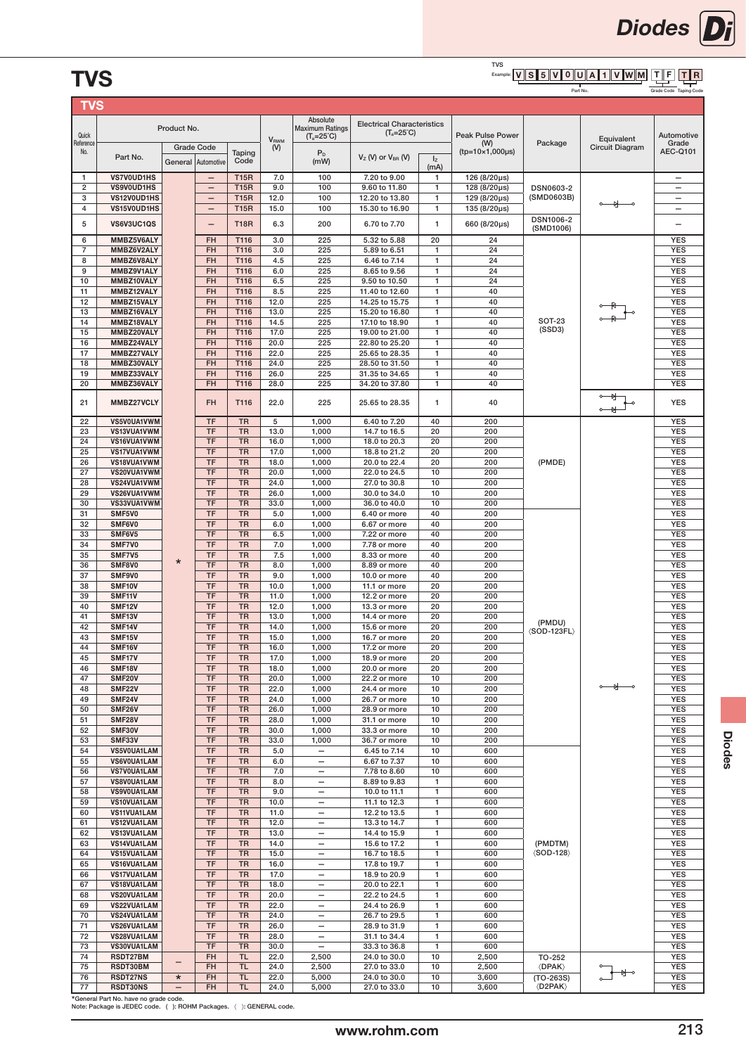#### TVS<br><sub>Example:</sub> [**v | s | 5 || v || 0 || U || A || 1 || V ||W || M** T∥R  $\overline{\text{TVS}}$  for the conduction of the conduction  $\frac{\overline{\text{V}}\text{S}}{\text{PartNo}}$  . The conduction of the code  $\overline{\text{PartNo}}$

Part No.

| Grade Code Taning Code |  |
|------------------------|--|

| <b>TVS</b>          |                             |              |                          |                        |                         |                                                      |                                   |                              |                                  |                                          |                               |                          |
|---------------------|-----------------------------|--------------|--------------------------|------------------------|-------------------------|------------------------------------------------------|-----------------------------------|------------------------------|----------------------------------|------------------------------------------|-------------------------------|--------------------------|
|                     |                             | Product No.  |                          |                        |                         | Absolute<br><b>Maximum Ratings</b>                   | <b>Electrical Characteristics</b> |                              |                                  |                                          |                               |                          |
| Quick               |                             |              |                          |                        | <b>V</b> <sub>RWM</sub> | $(T_a=25^\circ C)$                                   | $(T_a=25^\circ C)$                |                              | <b>Peak Pulse Power</b>          |                                          | Equivalent                    | Automotive               |
| Reference<br>No.    |                             |              | <b>Grade Code</b>        | Taping                 | (V)                     | $P_D$                                                |                                   |                              | (W)<br>$(tp=10\times1,000\mu s)$ | Package                                  | Circuit Diagram               | Grade<br><b>AEC-Q101</b> |
|                     | Part No.                    | General      | Automotive               | Code                   |                         | (mW)                                                 | $VZ$ (V) or $VBR$ (V)             | $I_z$<br>(mA)                |                                  |                                          |                               |                          |
| 1                   | VS7V0UD1HS                  |              | $\overline{\phantom{a}}$ | <b>T15R</b>            | 7.0                     | 100                                                  | 7.20 to 9.00                      | $\mathbf{1}$                 | 126 (8/20µs)                     |                                          |                               | $\overline{\phantom{0}}$ |
| $\mathbf 2$         | VS9V0UD1HS                  |              | $\qquad \qquad -$        | <b>T15R</b>            | 9.0                     | 100                                                  | 9.60 to 11.80                     | $\mathbf{1}$                 | 128 (8/20µs)                     | DSN0603-2                                |                               | $\overline{\phantom{0}}$ |
| 3                   | VS12V0UD1HS                 |              | $\overline{\phantom{0}}$ | <b>T15R</b>            | 12.0                    | 100                                                  | 12.20 to 13.80                    | $\mathbf{1}$                 | 129 (8/20µs)                     | (SMD0603B)                               | ₩                             | $\qquad \qquad -$        |
| 4                   | VS15V0UD1HS                 |              | $\qquad \qquad -$        | <b>T15R</b>            | 15.0                    | 100                                                  | 15.30 to 16.90                    | $\mathbf{1}$                 | 135 (8/20µs)                     | DSN1006-2                                |                               | $\overline{\phantom{0}}$ |
| 5                   | VS6V3UC1QS                  |              | -                        | <b>T18R</b>            | 6.3                     | 200                                                  | 6.70 to 7.70                      | $\mathbf{1}$                 | 660 (8/20µs)                     | (SMD1006)                                |                               |                          |
| 6                   | MMBZ5V6ALY                  |              | FH                       | T116                   | 3.0                     | 225                                                  | 5.32 to 5.88                      | 20                           | 24                               |                                          |                               | <b>YES</b>               |
| $\overline{7}$<br>8 | MMBZ6V2ALY<br>MMBZ6V8ALY    |              | <b>FH</b><br>FH          | T116<br>T116           | 3.0<br>4.5              | 225<br>225                                           | 5.89 to 6.51<br>6.46 to 7.14      | $\mathbf{1}$<br>$\mathbf{1}$ | 24<br>24                         |                                          |                               | <b>YES</b><br><b>YES</b> |
| 9                   | MMBZ9V1ALY                  |              | FH                       | T116                   | 6.0                     | 225                                                  | 8.65 to 9.56                      | $\mathbf{1}$                 | 24                               |                                          |                               | <b>YES</b>               |
| 10                  | MMBZ10VALY                  |              | FH                       | T116                   | 6.5                     | 225                                                  | 9.50 to 10.50                     | 1                            | 24                               |                                          |                               | <b>YES</b>               |
| 11                  | MMBZ12VALY                  |              | FH                       | T116                   | 8.5                     | 225                                                  | 11.40 to 12.60                    | 1                            | 40                               |                                          |                               | <b>YES</b>               |
| 12<br>13            | MMBZ15VALY<br>MMBZ16VALY    |              | FH<br><b>FH</b>          | T116<br>T116           | 12.0<br>13.0            | 225<br>225                                           | 14.25 to 15.75<br>15.20 to 16.80  | $\mathbf{1}$<br>1            | 40<br>40                         |                                          |                               | <b>YES</b><br><b>YES</b> |
| 14                  | MMBZ18VALY                  |              | FH                       | T116                   | 14.5                    | 225                                                  | 17.10 to 18.90                    | $\mathbf{1}$                 | 40                               | <b>SOT-23</b>                            |                               | <b>YES</b>               |
| 15                  | MMBZ20VALY                  |              | FH                       | T116                   | 17.0                    | 225                                                  | 19.00 to 21.00                    | $\mathbf{1}$                 | 40                               | (SSD3)                                   |                               | <b>YES</b>               |
| 16                  | MMBZ24VALY                  |              | FH                       | T116                   | 20.0                    | 225                                                  | 22.80 to 25.20                    | $\mathbf{1}$                 | 40                               |                                          |                               | <b>YES</b>               |
| 17<br>18            | MMBZ27VALY<br>MMBZ30VALY    |              | <b>FH</b><br>FH          | T116<br>T116           | 22.0<br>24.0            | 225<br>225                                           | 25.65 to 28.35<br>28,50 to 31,50  | $\mathbf{1}$<br>$\mathbf{1}$ | 40<br>40                         |                                          |                               | <b>YES</b><br><b>YES</b> |
| 19                  | MMBZ33VALY                  |              | <b>FH</b>                | T116                   | 26.0                    | 225                                                  | 31.35 to 34.65                    | $\mathbf{1}$                 | 40                               |                                          |                               | <b>YES</b>               |
| 20                  | MMBZ36VALY                  |              | FH                       | T116                   | 28.0                    | 225                                                  | 34.20 to 37.80                    | 1                            | 40                               |                                          |                               | <b>YES</b>               |
| 21                  | MMBZ27VCLY                  |              | <b>FH</b>                | T116                   | 22.0                    | 225                                                  | 25.65 to 28.35                    | $\mathbf{1}$                 | 40                               |                                          |                               | <b>YES</b>               |
| 22                  | VS5V0UA1VWM                 |              | <b>TF</b>                | <b>TR</b>              | 5                       | 1,000                                                | 6.40 to 7.20                      | 40                           | 200                              |                                          |                               | <b>YES</b>               |
| 23                  | VS13VUA1VWM                 |              | <b>TF</b>                | <b>TR</b>              | 13.0                    | 1,000                                                | 14.7 to 16.5                      | 20                           | 200                              |                                          |                               | <b>YES</b>               |
| 24                  | VS16VUA1VWM                 |              | <b>TF</b>                | <b>TR</b>              | 16.0                    | 1,000                                                | 18.0 to 20.3                      | 20                           | 200                              |                                          |                               | <b>YES</b>               |
| 25                  | VS17VUA1VWM                 |              | <b>TF</b>                | <b>TR</b>              | 17.0                    | 1,000                                                | 18.8 to 21.2                      | 20                           | 200                              |                                          |                               | <b>YES</b>               |
| 26<br>27            | VS18VUA1VWM<br>VS20VUA1VWM  |              | <b>TF</b><br><b>TF</b>   | <b>TR</b><br><b>TR</b> | 18.0<br>20.0            | 1,000<br>1,000                                       | 20.0 to 22.4<br>22.0 to 24.5      | 20<br>10                     | 200<br>200                       | (PMDE)                                   |                               | <b>YES</b><br><b>YES</b> |
| 28                  | VS24VUA1VWM                 |              | <b>TF</b>                | <b>TR</b>              | 24.0                    | 1,000                                                | 27.0 to 30.8                      | 10                           | 200                              |                                          |                               | <b>YES</b>               |
| 29                  | VS26VUA1VWM                 |              | <b>TF</b>                | <b>TR</b>              | 26.0                    | 1,000                                                | 30.0 to 34.0                      | 10                           | 200                              |                                          |                               | <b>YES</b>               |
| 30                  | VS33VUA1VWM                 |              | <b>TF</b>                | <b>TR</b>              | 33.0                    | 1,000                                                | 36.0 to 40.0                      | 10                           | 200                              |                                          |                               | <b>YES</b>               |
| 31<br>32            | SMF5V0<br>SMF6V0            |              | <b>TF</b><br><b>TF</b>   | <b>TR</b><br><b>TR</b> | 5.0<br>6.0              | 1,000<br>1,000                                       | 6.40 or more<br>6.67 or more      | 40<br>40                     | 200<br>200                       |                                          |                               | <b>YES</b><br><b>YES</b> |
| 33                  | SMF6V5                      |              | <b>TF</b>                | <b>TR</b>              | 6.5                     | 1,000                                                | 7.22 or more                      | 40                           | 200                              |                                          |                               | <b>YES</b>               |
| 34                  | SMF7V0                      |              | <b>TF</b>                | <b>TR</b>              | 7.0                     | 1,000                                                | 7.78 or more                      | 40                           | 200                              |                                          |                               | <b>YES</b>               |
| 35                  | SMF7V5                      | $\star$      | <b>TF</b>                | <b>TR</b>              | 7.5                     | 1,000                                                | 8.33 or more                      | 40                           | 200                              |                                          |                               | <b>YES</b>               |
| 36<br>37            | SMF8V0<br>SMF9V0            |              | <b>TF</b><br><b>TF</b>   | <b>TR</b><br><b>TR</b> | 8.0<br>9.0              | 1,000<br>1,000                                       | 8.89 or more<br>10.0 or more      | 40<br>40                     | 200<br>200                       |                                          |                               | <b>YES</b><br><b>YES</b> |
| 38                  | SMF10V                      |              | <b>TF</b>                | <b>TR</b>              | 10.0                    | 1,000                                                | 11.1 or more                      | 20                           | 200                              |                                          |                               | <b>YES</b>               |
| 39                  | SMF11V                      |              | <b>TF</b>                | <b>TR</b>              | 11.0                    | 1,000                                                | 12.2 or more                      | 20                           | 200                              |                                          |                               | <b>YES</b>               |
| 40                  | SMF12V                      |              | <b>TF</b>                | <b>TR</b>              | 12.0                    | 1,000                                                | 13.3 or more                      | 20                           | 200                              |                                          |                               | <b>YES</b>               |
| 41<br>42            | SMF13V<br>SMF14V            |              | <b>TF</b><br><b>TF</b>   | <b>TR</b><br><b>TR</b> | 13.0<br>14.0            | 1,000<br>1,000                                       | 14.4 or more<br>15.6 or more      | 20<br>20                     | 200<br>200                       | (PMDU)                                   |                               | <b>YES</b><br><b>YES</b> |
| 43                  | SMF15V                      |              | <b>TF</b>                | <b>TR</b>              | 15.0                    | 1,000                                                | 16.7 or more                      | 20                           | 200                              | $\langle$ SOD-123FL $\rangle$            |                               | <b>YES</b>               |
| 44                  | SMF16V                      |              | <b>TF</b>                | <b>TR</b>              | 16.0                    | 1,000                                                | 17.2 or more                      | 20                           | 200                              |                                          |                               | <b>YES</b>               |
| 45                  | SMF17V                      |              | <b>TF</b>                | <b>TR</b>              | 17.0                    | 1.000                                                | 18.9 or more                      | 20                           | 200                              |                                          |                               | <b>YES</b>               |
| 46<br>47            | <b>SMF18V</b><br>SMF20V     |              | <b>TF</b><br><b>TF</b>   | <b>TR</b><br><b>TR</b> | 18.0<br>20.0            | 1,000<br>1,000                                       | 20.0 or more<br>22.2 or more      | 20<br>10                     | 200<br>200                       |                                          |                               | <b>YES</b><br><b>YES</b> |
| 48                  | <b>SMF22V</b>               |              | <b>TF</b>                | <b>TR</b>              | 22.0                    | 1,000                                                | 24.4 or more                      | 10                           | 200                              |                                          | $\circ$ $\rightarrow$ $\circ$ | <b>YES</b>               |
| 49                  | <b>SMF24V</b>               |              | <b>TF</b>                | <b>TR</b>              | 24.0                    | 1,000                                                | 26.7 or more                      | 10                           | 200                              |                                          |                               | <b>YES</b>               |
| 50                  | <b>SMF26V</b>               |              | <b>TF</b>                | <b>TR</b>              | 26.0                    | 1,000                                                | 28.9 or more                      | 10                           | 200                              |                                          |                               | <b>YES</b>               |
| 51<br>52            | <b>SMF28V</b><br>SMF30V     |              | <b>TF</b><br><b>TF</b>   | <b>TR</b><br><b>TR</b> | 28.0<br>30.0            | 1,000<br>1,000                                       | 31.1 or more<br>33.3 or more      | 10<br>10                     | 200<br>200                       |                                          |                               | <b>YES</b><br><b>YES</b> |
| 53                  | SMF33V                      |              | <b>TF</b>                | <b>TR</b>              | 33.0                    | 1,000                                                | 36.7 or more                      | 10                           | 200                              |                                          |                               | <b>YES</b>               |
| 54                  | VS5V0UA1LAM                 |              | <b>TF</b>                | <b>TR</b>              | 5.0                     | $\qquad \qquad -$                                    | 6.45 to 7.14                      | 10                           | 600                              |                                          |                               | <b>YES</b>               |
| 55                  | VS6V0UA1LAM                 |              | <b>TF</b>                | <b>TR</b>              | 6.0                     | $\qquad \qquad -$                                    | 6.67 to 7.37                      | 10                           | 600                              |                                          |                               | <b>YES</b>               |
| 56<br>57            | VS7V0UA1LAM<br>VS8V0UA1LAM  |              | <b>TF</b><br><b>TF</b>   | <b>TR</b><br><b>TR</b> | 7.0<br>8.0              | $\overline{\phantom{0}}$<br>$\overline{\phantom{0}}$ | 7.78 to 8.60<br>8.89 to 9.83      | 10<br>$\mathbf{1}$           | 600<br>600                       |                                          |                               | <b>YES</b><br><b>YES</b> |
| 58                  | VS9V0UA1LAM                 |              | <b>TF</b>                | <b>TR</b>              | 9.0                     | $\overline{\phantom{m}}$                             | 10.0 to 11.1                      | $\mathbf{1}$                 | 600                              |                                          |                               | <b>YES</b>               |
| 59                  | VS10VUA1LAM                 |              | <b>TF</b>                | <b>TR</b>              | 10.0                    | $\qquad \qquad -$                                    | 11.1 to 12.3                      | 1                            | 600                              |                                          |                               | <b>YES</b>               |
| 60                  | VS11VUA1LAM                 |              | <b>TF</b>                | <b>TR</b>              | 11.0                    | $\overline{\phantom{0}}$                             | 12.2 to 13.5                      | $\mathbf{1}$                 | 600                              |                                          |                               | <b>YES</b>               |
| 61<br>62            | VS12VUA1LAM<br>VS13VUA1LAM  |              | <b>TF</b><br><b>TF</b>   | <b>TR</b><br><b>TR</b> | 12.0<br>13.0            | $\overline{\phantom{m}}$<br>$\qquad \qquad -$        | 13.3 to 14.7<br>14.4 to 15.9      | 1<br>$\mathbf{1}$            | 600<br>600                       |                                          |                               | <b>YES</b><br><b>YES</b> |
| 63                  | VS14VUA1LAM                 |              | <b>TF</b>                | <b>TR</b>              | 14.0                    | $\qquad \qquad -$                                    | 15.6 to 17.2                      | $\mathbf{1}$                 | 600                              | (PMDTM)                                  |                               | <b>YES</b>               |
| 64                  | VS15VUA1LAM                 |              | <b>TF</b>                | <b>TR</b>              | 15.0                    | $\qquad \qquad -$                                    | 16.7 to 18.5                      | $\mathbf{1}$                 | 600                              | $\langle$ SOD-128 $\rangle$              |                               | <b>YES</b>               |
| 65                  | VS16VUA1LAM                 |              | <b>TF</b>                | <b>TR</b>              | 16.0                    | $\overline{\phantom{0}}$                             | 17.8 to 19.7                      | 1                            | 600                              |                                          |                               | <b>YES</b>               |
| 66<br>67            | VS17VUA1LAM<br>VS18VUA1LAM  |              | <b>TF</b><br><b>TF</b>   | <b>TR</b><br><b>TR</b> | 17.0<br>18.0            | $\overline{\phantom{0}}$<br>$\overline{\phantom{0}}$ | 18.9 to 20.9<br>20.0 to 22.1      | 1<br>1                       | 600<br>600                       |                                          |                               | <b>YES</b><br><b>YES</b> |
| 68                  | VS20VUA1LAM                 |              | <b>TF</b>                | <b>TR</b>              | 20.0                    | $\qquad \qquad -$                                    | 22.2 to 24.5                      | $\mathbf{1}$                 | 600                              |                                          |                               | <b>YES</b>               |
| 69                  | VS22VUA1LAM                 |              | <b>TF</b>                | <b>TR</b>              | 22.0                    | $\overline{\phantom{a}}$                             | 24.4 to 26.9                      | 1                            | 600                              |                                          |                               | <b>YES</b>               |
| 70                  | VS24VUA1LAM                 |              | <b>TF</b>                | <b>TR</b>              | 24.0                    | $\overline{\phantom{0}}$                             | 26.7 to 29.5                      | $\mathbf{1}$                 | 600                              |                                          |                               | <b>YES</b>               |
| 71<br>72            | VS26VUA1LAM<br>VS28VUA1LAM  |              | <b>TF</b><br><b>TF</b>   | <b>TR</b><br><b>TR</b> | 26.0<br>28.0            | $\qquad \qquad -$<br>$\qquad \qquad -$               | 28.9 to 31.9<br>31.1 to 34.4      | $\mathbf{1}$<br>1            | 600<br>600                       |                                          |                               | <b>YES</b><br><b>YES</b> |
| 73                  | VS30VUA1LAM                 |              | <b>TF</b>                | <b>TR</b>              | 30.0                    | $\overline{\phantom{m}}$                             | 33.3 to 36.8                      | 1                            | 600                              |                                          |                               | <b>YES</b>               |
| 74                  | RSDT27BM                    |              | <b>FH</b>                | <b>TL</b>              | 22.0                    | 2,500                                                | 24.0 to 30.0                      | 10                           | 2,500                            | TO-252                                   |                               | <b>YES</b>               |
| 75                  | RSDT30BM                    |              | FH                       | <b>TL</b>              | 24.0                    | 2,500                                                | 27.0 to 33.0                      | 10                           | 2,500                            | $\langle$ DPAK $\rangle$                 |                               | <b>YES</b>               |
| 76<br>77            | <b>RSDT27NS</b><br>RSDT30NS | $\star$<br>- | <b>FH</b><br><b>FH</b>   | <b>TL</b><br><b>TL</b> | 22.0<br>24.0            | 5,000<br>5,000                                       | 24.0 to 30.0<br>27.0 to 33.0      | 10<br>10                     | 3,600<br>3,600                   | $(TO-263S)$<br>$\langle$ D2PAK $\rangle$ |                               | <b>YES</b><br><b>YES</b> |
|                     |                             |              |                          |                        |                         |                                                      |                                   |                              |                                  |                                          |                               |                          |

\*General Part No. have no grade code. Note: Package is JEDEC code. ( ): ROHM Packages. 〈 〉: GENERAL code.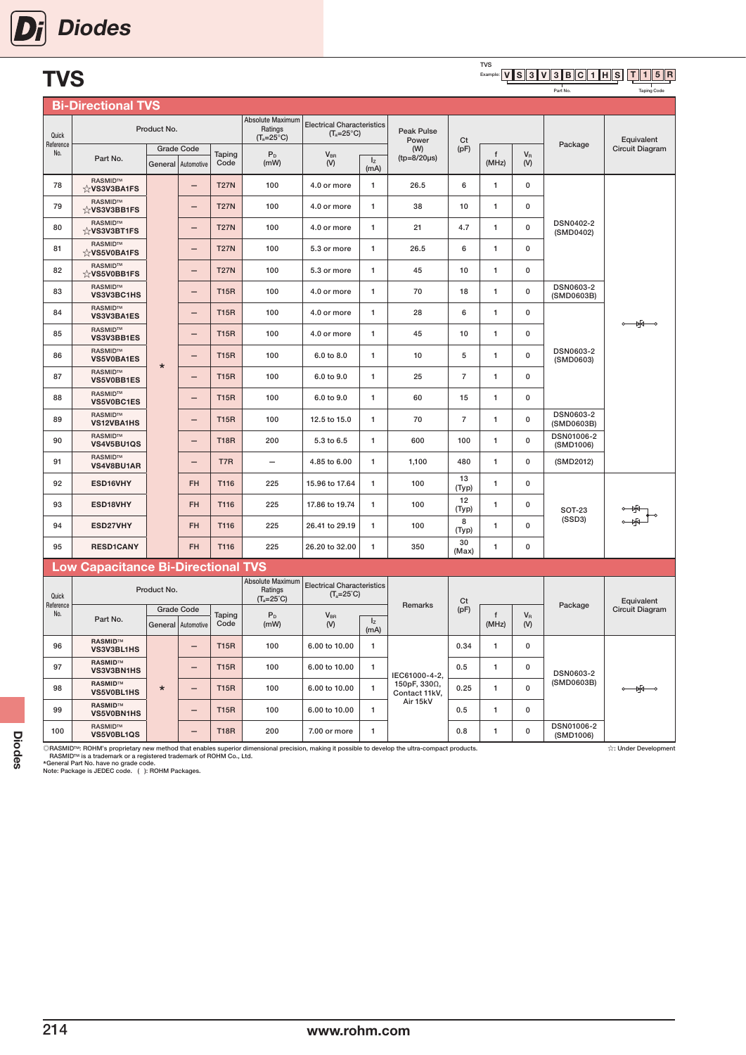| <b>TVS</b>         | <b>Diodes</b>                       |             |                                         |                |                                                    |                                                          |                        |                         |                | <b>TVS</b><br>Example |
|--------------------|-------------------------------------|-------------|-----------------------------------------|----------------|----------------------------------------------------|----------------------------------------------------------|------------------------|-------------------------|----------------|-----------------------|
|                    | <b>Bi-Directional TVS</b>           |             |                                         |                |                                                    |                                                          |                        |                         |                |                       |
| Quick<br>Reference |                                     | Product No. |                                         |                | Absolute Maximum<br>Ratings<br>$(T_a=25^{\circ}C)$ | <b>Electrical Characteristics</b><br>$(T_a=25^{\circ}C)$ |                        | Peak Pulse<br>Power     | Ct             |                       |
| No.                | Part No.                            |             | <b>Grade Code</b><br>General Automotive | Taping<br>Code | P <sub>D</sub><br>(mW)                             | $V_{BR}$<br>(V)                                          | I <sub>z</sub><br>(mA) | (W)<br>$(tp=8/20\mu s)$ | (pF)           | $\mathbf{f}$<br>(MH   |
| 78                 | RASMID™<br>☆VS3V3BA1FS              |             | —                                       | <b>T27N</b>    | 100                                                | 4.0 or more                                              | $\mathbf{1}$           | 26.5                    | 6              | 1                     |
| 79                 | RASMID™<br>$\forall$ VS3V3BB1FS     |             | -                                       | <b>T27N</b>    | 100                                                | 4.0 or more                                              | $\mathbf{1}$           | 38                      | 10             | 1                     |
| 80                 | <b>RASMID™</b><br>☆VS3V3BT1FS       |             | $\overline{\phantom{0}}$                | <b>T27N</b>    | 100                                                | 4.0 or more                                              | $\mathbf{1}$           | 21                      | 4.7            | 1                     |
| 81                 | <b>RASMID™</b><br>☆VS5V0BA1FS       |             | —                                       | <b>T27N</b>    | 100                                                | 5.3 or more                                              | $\mathbf{1}$           | 26.5                    | 6              | 1                     |
| 82                 | RASMID™<br>☆VS5V0BB1FS              |             | —                                       | <b>T27N</b>    | 100                                                | 5.3 or more                                              | 1                      | 45                      | 10             | 1                     |
| 83                 | <b>RASMID™</b><br>VS3V3BC1HS        |             | —                                       | <b>T15R</b>    | 100                                                | 4.0 or more                                              | $\mathbf{1}$           | 70                      | 18             | 1                     |
| 84                 | RASMID™<br><b>VS3V3BA1ES</b>        |             | —                                       | <b>T15R</b>    | 100                                                | 4.0 or more                                              | $\mathbf{1}$           | 28                      | 6              | $\mathbf{1}$          |
| 85                 | <b>RASMID™</b><br><b>VS3V3BB1ES</b> |             | —                                       | <b>T15R</b>    | 100                                                | 4.0 or more                                              | 1                      | 45                      | 10             | 1                     |
| 86                 | <b>RASMID™</b><br><b>VS5V0BA1ES</b> | $\star$     | $\overline{\phantom{0}}$                | <b>T15R</b>    | 100                                                | 6.0 to 8.0                                               | $\mathbf{1}$           | 10                      | 5              | $\mathbf{1}$          |
| 87                 | RASMID™<br><b>VS5V0BB1ES</b>        |             | -                                       | <b>T15R</b>    | 100                                                | 6.0 to 9.0                                               | $\mathbf{1}$           | 25                      | $\overline{7}$ | 1                     |
| 88                 | <b>RASMID™</b><br><b>VS5V0BC1ES</b> |             | —                                       | <b>T15R</b>    | 100                                                | 6.0 to 9.0                                               | $\mathbf{1}$           | 60                      | 15             | 1                     |
| 89                 | RASMID™<br><b>VS12VBA1HS</b>        |             | -                                       | <b>T15R</b>    | 100                                                | 12.5 to 15.0                                             | $\mathbf{1}$           | 70                      | $\overline{7}$ | 1                     |
|                    |                                     |             |                                         |                |                                                    |                                                          |                        |                         |                |                       |

#### TVS V S 3 V 3 B C 1 H S T | 1 | 5 | R

Part No.

Taping Code

| Quick            |                                                                                      | Product No.       |                          |             | Absolute Maximum<br>Ratings<br>$(T_a=25^{\circ}C)$ | <b>Electrical Characteristics</b><br>$(T_a=25^{\circ}C)$ |                 | Peak Pulse<br>Power                                      | Ct             |              |                  |                                | Equivalent                |
|------------------|--------------------------------------------------------------------------------------|-------------------|--------------------------|-------------|----------------------------------------------------|----------------------------------------------------------|-----------------|----------------------------------------------------------|----------------|--------------|------------------|--------------------------------|---------------------------|
| Reference<br>No. |                                                                                      | <b>Grade Code</b> |                          | Taping      | $\mathsf{P}_{\mathsf{D}}$                          | $V_{BR}$                                                 |                 | (W)                                                      | (pF)           | f            | $V_R$            | Package                        | Circuit Diagram           |
|                  | Part No.                                                                             | General           | Automotive               | Code        | (mW)                                               | (V)                                                      | $I_{Z}$<br>(mA) | $(tp = 8/20 \mu s)$                                      |                | (MHz)        | (V)              |                                |                           |
| 78               | RASMID™<br>☆VS3V3BA1FS                                                               |                   |                          | <b>T27N</b> | 100                                                | 4.0 or more                                              | 1               | 26.5                                                     | 6              | $\mathbf{1}$ | 0                |                                |                           |
| 79               | RASMID™<br>☆VS3V3BB1FS                                                               |                   |                          | <b>T27N</b> | 100                                                | 4.0 or more                                              | 1               | 38                                                       | 10             | $\mathbf{1}$ | $\pmb{0}$        |                                |                           |
| 80               | RASMID™<br>☆VS3V3BT1FS                                                               |                   | $\overline{\phantom{0}}$ | <b>T27N</b> | 100                                                | 4.0 or more                                              | 1               | 21                                                       | 4.7            | $\mathbf{1}$ | $\pmb{0}$        | DSN0402-2<br>(SMD0402)         |                           |
| 81               | RASMID™<br>☆VS5V0BA1FS                                                               |                   | -                        | <b>T27N</b> | 100                                                | 5.3 or more                                              | 1               | 26.5                                                     | 6              | 1            | $\mathbf 0$      |                                |                           |
| 82               | RASMID™<br>$\&$ VS5V0BB1FS                                                           |                   | -                        | <b>T27N</b> | 100                                                | 5.3 or more                                              | 1               | 45                                                       | 10             | 1            | $\mathbf 0$      |                                |                           |
| 83               | RASMID™<br>VS3V3BC1HS                                                                |                   | -                        | <b>T15R</b> | 100                                                | 4.0 or more                                              | 1               | 70                                                       | 18             | 1            | $\mathbf 0$      | DSN0603-2<br>(SMD0603B)        |                           |
| 84               | RASMID™<br>VS3V3BA1ES                                                                |                   | -                        | <b>T15R</b> | 100                                                | 4.0 or more                                              | 1               | 28                                                       | 6              | 1            | 0                |                                | −¥                        |
| 85               | RASMID™<br>VS3V3BB1ES                                                                |                   | —                        | <b>T15R</b> | 100                                                | 4.0 or more                                              | 1               | 45                                                       | 10             | 1            | 0                |                                |                           |
| 86               | RASMID™<br>VS5V0BA1ES                                                                | $\star$           | -                        | <b>T15R</b> | 100                                                | 6.0 to 8.0                                               | $\mathbf{1}$    | 10                                                       | 5              | $\mathbf{1}$ | $\mathbf 0$      | DSN0603-2<br>(SMD0603)         |                           |
| 87               | RASMID™<br><b>VS5V0BB1ES</b>                                                         |                   | -                        | <b>T15R</b> | 100                                                | 6.0 to 9.0                                               | 1               | 25                                                       | $\overline{7}$ | 1            | $\mathbf 0$      |                                |                           |
| 88               | RASMID™<br><b>VS5V0BC1ES</b>                                                         |                   | -                        | <b>T15R</b> | 100                                                | 6.0 to 9.0                                               | 1               | 60                                                       | 15             | $\mathbf{1}$ | $\mathbf 0$      |                                |                           |
| 89               | RASMID™<br>VS12VBA1HS                                                                |                   | -                        | <b>T15R</b> | 100                                                | 12.5 to 15.0                                             | 1               | 70                                                       | $\overline{7}$ | 1            | $\mathbf 0$      | <b>DSN0603-2</b><br>(SMD0603B) |                           |
| 90               | RASMID™<br>VS4V5BU1QS                                                                |                   | $\overline{\phantom{0}}$ | <b>T18R</b> | 200                                                | 5.3 to 6.5                                               | $\mathbf{1}$    | 600                                                      | 100            | $\mathbf{1}$ | $\mathbf 0$      | DSN01006-2<br>(SMD1006)        |                           |
| 91               | <b>RASMID™</b><br>VS4V8BU1AR                                                         |                   | $\overline{\phantom{0}}$ | T7R         |                                                    | 4.85 to 6.00                                             | 1               | 1,100                                                    | 480            | $\mathbf{1}$ | $\mathbf{0}$     | (SMD2012)                      |                           |
| 92               | ESD16VHY                                                                             |                   | <b>FH</b>                | T116        | 225                                                | 15.96 to 17.64                                           | 1               | 100                                                      | 13<br>(Typ)    | 1            | $\pmb{0}$        |                                |                           |
| 93               | ESD18VHY                                                                             |                   | <b>FH</b>                | T116        | 225                                                | 17.86 to 19.74                                           | 1               | 100                                                      | 12<br>(Typ)    | $\mathbf{1}$ | $\mathbf 0$      | <b>SOT-23</b>                  |                           |
| 94               | ESD27VHY                                                                             |                   | <b>FH</b>                | T116        | 225                                                | 26.41 to 29.19                                           | 1               | 100                                                      | 8<br>(Typ)     | 1            | 0                | (SSD3)                         |                           |
| 95               | <b>RESD1CANY</b>                                                                     |                   | <b>FH</b>                | T116        | 225                                                | 26.20 to 32.00                                           | 1               | 350                                                      | 30<br>(Max)    | $\mathbf{1}$ | $\mathbf 0$      |                                |                           |
|                  | <b>Low Capacitance Bi-Directional TVS</b>                                            |                   |                          |             |                                                    |                                                          |                 |                                                          |                |              |                  |                                |                           |
| Quick            |                                                                                      | Product No.       |                          |             | Absolute Maximum<br>Ratings<br>$(T_a=25^{\circ}C)$ | <b>Electrical Characteristics</b><br>$(T_a=25^\circ C)$  |                 |                                                          | Ct             |              |                  |                                | Equivalent                |
| Reference<br>No. | Part No.                                                                             | <b>Grade Code</b> |                          | Taping      | $P_D$                                              | $V_{BR}$                                                 |                 | <b>Remarks</b>                                           | (pF)           | f            | $V_{\mathsf{R}}$ | Package                        | Circuit Diagram           |
|                  |                                                                                      | General           | Automotive               | Code        | (mW)                                               | (V)                                                      | $I_{Z}$<br>(mA) |                                                          |                | (MHz)        | (V)              |                                |                           |
| 96               | <b>RASMID™</b><br>VS3V3BL1HS                                                         |                   | $\overline{\phantom{0}}$ | <b>T15R</b> | 100                                                | 6.00 to 10.00                                            | $\mathbf{1}$    |                                                          | 0.34           | $\mathbf{1}$ | $\mathbf 0$      |                                |                           |
| 97               | <b>RASMID™</b><br><b>VS3V3BN1HS</b>                                                  |                   | $\overline{\phantom{0}}$ | <b>T15R</b> | 100                                                | 6.00 to 10.00                                            | 1               | IEC61000-4-2.                                            | 0.5            | $\mathbf{1}$ | $\mathbf 0$      | <b>DSN0603-2</b>               |                           |
| 98               | <b>RASMID™</b><br><b>VS5V0BL1HS</b>                                                  | $\star$           |                          | <b>T15R</b> | 100                                                | 6.00 to 10.00                                            | $\mathbf{1}$    | 150pF, 330Ω,<br>Contact 11kV,<br>Air 15kV                | 0.25           | $\mathbf{1}$ | $\mathbf{0}$     | (SMD0603B)                     | $\frac{1}{2}$             |
| 99               | <b>RASMID™</b><br>VS5V0BN1HS                                                         |                   | $\overline{\phantom{0}}$ | <b>T15R</b> | 100                                                | 6.00 to 10.00                                            | $\mathbf{1}$    |                                                          | 0.5            | $\mathbf{1}$ | $\mathbf 0$      |                                |                           |
| 100              | RASMID™<br>VS5V0BL1QS                                                                |                   |                          | <b>T18R</b> | 200                                                | 7.00 or more                                             | $\mathbf{1}$    |                                                          | 0.8            | $\mathbf{1}$ | $\mathbf 0$      | DSN01006-2<br>(SMD1006)        |                           |
|                  | DACMIDIM: DOLIM's propriatory now mothod that applies synoriar dimensional procision |                   |                          |             |                                                    |                                                          |                 | making it poopible to douglan the ultra compact products |                |              |                  |                                | <b>Au Hoder Developed</b> |

©RASMID™: ROHM's proprietary new method that enables superior dimensional precision, making it possible to develop the ultra-compact products.<br>FAASMID™ is a trademark or a registered trademark of ROHM Co., Ltd.<br>\*General P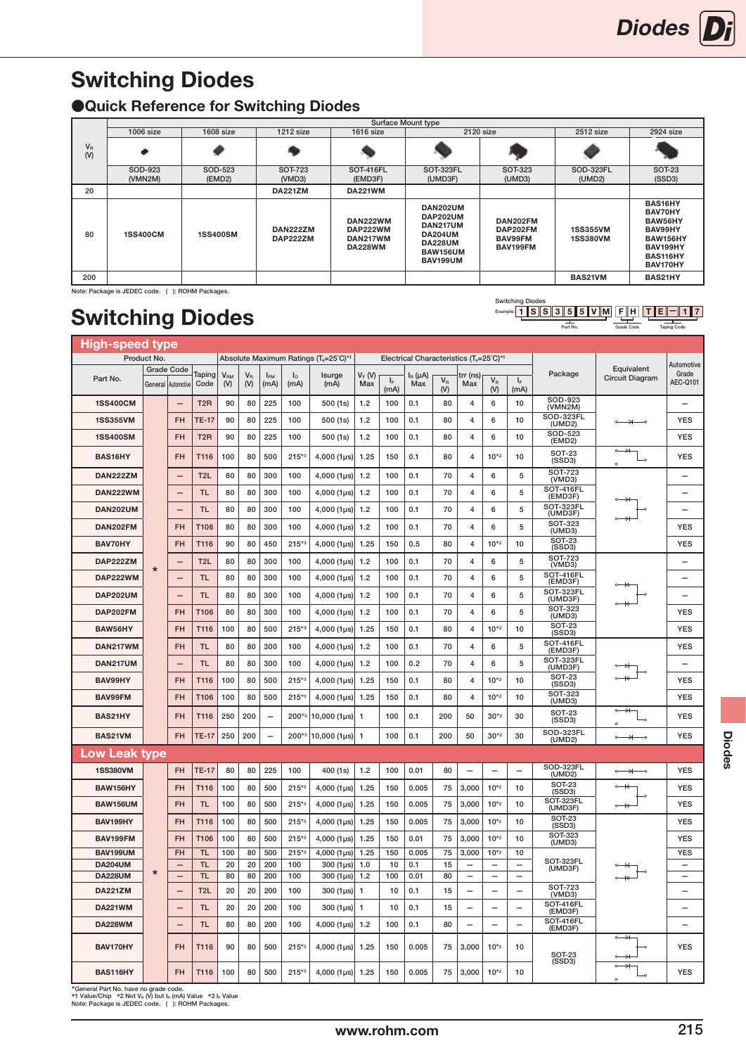# <span id="page-24-0"></span>Switching Diodes

### ●Quick Reference for Switching Diodes

|                    |                    |                   |                      |                                                    | <b>Surface Mount type</b>                                                                                  |                                             |                                    |                                                                                          |
|--------------------|--------------------|-------------------|----------------------|----------------------------------------------------|------------------------------------------------------------------------------------------------------------|---------------------------------------------|------------------------------------|------------------------------------------------------------------------------------------|
|                    | $1006$ size        | $1608$ size       | 1212 size            | <b>1616 size</b>                                   |                                                                                                            | 2120 size                                   | 2512 size                          | 2924 size                                                                                |
| $V_{\rm R}$<br>(V) | ∙                  |                   |                      |                                                    |                                                                                                            |                                             |                                    |                                                                                          |
|                    | SOD-923<br>(VMN2M) | SOD-523<br>(EMD2) | SOT-723<br>(VMD3)    | <b>SOT-416FL</b><br>(EMD3F)                        | SOT-323FL<br>(UMD3F)                                                                                       | <b>SOT-323</b><br>(UMD3)                    | SOD-323FL<br>(UMD2)                | <b>SOT-23</b><br>(SSD3)                                                                  |
| 20                 |                    |                   | <b>DA221ZM</b>       | <b>DA221WM</b>                                     |                                                                                                            |                                             |                                    |                                                                                          |
| 80                 | <b>1SS400CM</b>    | <b>1SS400SM</b>   | DAN222ZM<br>DAP222ZM | DAN222WM<br>DAP222WM<br>DAN217WM<br><b>DA228WM</b> | DAN202UM<br>DAP202UM<br>DAN217UM<br><b>DA204UM</b><br><b>DA228UM</b><br><b>BAW156UM</b><br><b>BAV199UM</b> | DAN202FM<br>DAP202FM<br>BAV99FM<br>BAV199FM | <b>1SS355VM</b><br><b>1SS380VM</b> | BAS16HY<br>BAV70HY<br>BAW56HY<br>BAV99HY<br>BAW156HY<br>BAV199HY<br>BAS116HY<br>BAV170HY |
| 200                |                    |                   |                      |                                                    |                                                                                                            |                                             | BAS21VM                            | BAS21HY                                                                                  |

Note: Package is JEDEC code. ( ): ROHM Packages.

# Switching Diodes

| High-speed type                  |             |                                 |                        |                                      |                                |                          |                     |                                    |                 |                                        |                     |                |                          |                          |                                                      |                                |                                                      |                          |
|----------------------------------|-------------|---------------------------------|------------------------|--------------------------------------|--------------------------------|--------------------------|---------------------|------------------------------------|-----------------|----------------------------------------|---------------------|----------------|--------------------------|--------------------------|------------------------------------------------------|--------------------------------|------------------------------------------------------|--------------------------|
|                                  | Product No. |                                 |                        | Absolute Maximum Ratings (Ta=25°C)*1 |                                |                          |                     |                                    |                 | Electrical Characteristics (Ta=25°C)*1 |                     |                |                          |                          |                                                      |                                |                                                      | Automotive               |
| Part No.                         | General     | <b>Grade Code</b><br>Automotive | Taping<br>Code         | $V_{\rm RM}$<br>(V)                  | $\mathsf{V}_\mathsf{R}$<br>(V) | I <sub>FM</sub><br>(mA)  | $I_{\rm O}$<br>(mA) | Isurge<br>(mA)                     | $V_F(M)$<br>Max | $I_F$<br>(mA)                          | $I_R(\mu A)$<br>Max | $V_{R}$<br>(V) | trr (ns)<br>Max          | $V_R$<br>(V)             | $I_F$<br>(mA)                                        | Package                        | Equivalent<br>Circuit Diagram                        | Grade<br>AEC-Q101        |
| <b>1SS400CM</b>                  |             |                                 | T <sub>2</sub> R       | 90                                   | 80                             | 225                      | 100                 | 500 (1s)                           | 1.2             | 100                                    | 0.1                 | 80             | 4                        | 6                        | 10                                                   | SOD-923<br>(VMN2M)             |                                                      | $\overline{\phantom{0}}$ |
| <b>1SS355VM</b>                  |             | <b>FH</b>                       | TE-17                  | 90                                   | 80                             | 225                      | 100                 | 500(1s)                            | 1.2             | 100                                    | 0.1                 | 80             | 4                        | 6                        | 10                                                   | <b>SOD-323FL</b><br>(UMD2)     | ₩                                                    | <b>YES</b>               |
| <b>1SS400SM</b>                  |             | <b>FH</b>                       | T <sub>2</sub> R       | 90                                   | 80                             | 225                      | 100                 | 500(1s)                            | 1.2             | 100                                    | 0.1                 | 80             | $\overline{4}$           | 6                        | 10                                                   | SOD-523<br>(EMD2)              |                                                      | <b>YES</b>               |
| BAS16HY                          |             | <b>FH</b>                       | T116                   | 100                                  | 80                             | 500                      | $215*3$             | $4,000(1 \,\mu s)$                 | 1.25            | 150                                    | 0.1                 | 80             | $\overline{4}$           | $10*2$                   | 10                                                   | <b>SOT-23</b><br>(SSD3)        | $\sim$<br>₩<br>$\overline{\phantom{0}}$<br>Ō         | <b>YES</b>               |
| DAN222ZM                         |             | $\overline{\phantom{0}}$        | T2L                    | 80                                   | 80                             | 300                      | 100                 | $4,000$ (1 $\mu$ s)                | 1.2             | 100                                    | 0.1                 | 70             | $\overline{4}$           | 6                        | 5                                                    | <b>SOT-723</b><br>(VMD3)       |                                                      | $\overline{\phantom{0}}$ |
| <b>DAN222WM</b>                  |             |                                 | <b>TL</b>              | 80                                   | 80                             | 300                      | 100                 | $4,000$ (1 $\mu$ s)                | 1.2             | 100                                    | 0.1                 | 70             | 4                        | 6                        | 5                                                    | <b>SOT-416FL</b><br>(EMD3F)    |                                                      | $\overline{\phantom{0}}$ |
| <b>DAN202UM</b>                  |             | $\overline{\phantom{0}}$        | <b>TL</b>              | 80                                   | 80                             | 300                      | 100                 | $4,000(1 \,\mu s)$                 | 1.2             | 100                                    | 0.1                 | 70             | 4                        | 6                        | 5                                                    | SOT-323FL<br>(UMD3F)           |                                                      |                          |
| DAN202FM                         |             | <b>FH</b>                       | T106                   | 80                                   | 80                             | 300                      | 100                 | $4,000$ (1µs)                      | 1.2             | 100                                    | 0.1                 | 70             | 4                        | 6                        | 5                                                    | <b>SOT-323</b><br>(UMD3)       |                                                      | <b>YES</b>               |
| BAV70HY                          |             | <b>FH</b>                       | T116                   | 90                                   | 80                             | 450                      | $215*3$             | $4,000$ (1 $\mu$ s)                | 1.25            | 150                                    | 0.5                 | 80             | $\overline{4}$           | $10*2$                   | 10                                                   | <b>SOT-23</b><br>(SSD3)        |                                                      | <b>YES</b>               |
| DAP222ZM                         |             |                                 | T <sub>2</sub> L       | 80                                   | 80                             | 300                      | 100                 | $4,000$ (1 $\mu$ s)                | 1.2             | 100                                    | 0.1                 | 70             | $\overline{4}$           | 6                        | 5                                                    | <b>SOT-723</b><br>(VMD3)       |                                                      |                          |
| DAP222WM                         | $\star$     | $\qquad \qquad$                 | <b>TL</b>              | 80                                   | 80                             | 300                      | 100                 | $4,000$ (1 $\mu$ s)                | 1.2             | 100                                    | 0.1                 | 70             | $\overline{4}$           | 6                        | 5                                                    | <b>SOT-416FL</b><br>(EMD3F)    |                                                      |                          |
| <b>DAP202UM</b>                  |             |                                 | <b>TL</b>              | 80                                   | 80                             | 300                      | 100                 | $4,000$ (1 $\mu$ s)                | 1.2             | 100                                    | 0.1                 | 70             | 4                        | 6                        | 5                                                    | SOT-323FL<br>(UMD3F)           |                                                      |                          |
| DAP202FM                         |             | <b>FH</b>                       | T106                   | 80                                   | 80                             | 300                      | 100                 | $4,000$ (1µs)                      | 1.2             | 100                                    | 0.1                 | 70             | $\overline{4}$           | 6                        | 5                                                    | <b>SOT-323</b><br>(UMD3)       |                                                      | <b>YES</b>               |
| BAW56HY                          |             | <b>FH</b>                       | T116                   | 100                                  | 80                             | 500                      | $215**3$            | $4,000$ (1 $\mu$ s)                | 1.25            | 150                                    | 0.1                 | 80             | $\overline{4}$           | $10*2$                   | 10                                                   | <b>SOT-23</b><br>(SSD3)        |                                                      | <b>YES</b>               |
| DAN217WM                         |             | <b>FH</b>                       | <b>TL</b>              | 80                                   | 80                             | 300                      | 100                 | $4,000$ (1µs)                      | 1.2             | 100                                    | 0.1                 | 70             | 4                        | 6                        | 5                                                    | <b>SOT-416FL</b><br>(EMD3F)    |                                                      | <b>YES</b>               |
| DAN217UM                         |             |                                 | <b>TL</b>              | 80                                   | 80                             | 300                      | 100                 | $4,000$ (1µs)                      | 1.2             | 100                                    | 0.2                 | 70             | $\overline{\mathbf{4}}$  | 6                        | 5                                                    | SOT-323FL<br>(UMD3F)           |                                                      |                          |
| BAV99HY                          |             | <b>FH</b>                       | T116                   | 100                                  | 80                             | 500                      | $215**3$            | $4,000$ (1 $\mu$ s)                | 1.25            | 150                                    | 0.1                 | 80             | $\overline{4}$           | $10*2$                   | 10                                                   | <b>SOT-23</b><br>(SSD3)        |                                                      | <b>YES</b>               |
| <b>BAV99FM</b>                   |             | <b>FH</b>                       | T106                   | 100                                  | 80                             | 500                      | $215*3$             | $4,000$ (1 $\mu$ s)                | 1.25            | 150                                    | 0.1                 | 80             | $\overline{4}$           | $10*2$                   | 10                                                   | <b>SOT-323</b><br>(UMD3)       |                                                      | <b>YES</b>               |
| BAS21HY                          |             | <b>FH</b>                       | T116                   | 250                                  | 200                            | $\overline{\phantom{0}}$ | $200*3$             | $10,000$ (1 $\mu$ s)               | $\mathbf{1}$    | 100                                    | 0.1                 | 200            | 50                       | $30*2$                   | 30                                                   | <b>SOT-23</b><br>(SSD3)        | ⇥<br>$\overline{\circ}$<br>Ō                         | <b>YES</b>               |
| BAS21VM                          |             | <b>FH</b>                       | <b>TE-17</b>           | 250                                  | 200                            |                          | $200*3$             | $10,000$ (1µs)                     | $\overline{1}$  | 100                                    | 0.1                 | 200            | 50                       | $30*2$                   | 30                                                   | SOD-323FL<br>(UMD2)            | $\circ$ $\rightarrow$                                | <b>YES</b>               |
| <b>Low Leak type</b>             |             |                                 |                        |                                      |                                |                          |                     |                                    |                 |                                        |                     |                |                          |                          |                                                      |                                |                                                      |                          |
| <b>1SS380VM</b>                  |             | <b>FH</b>                       | <b>TE-17</b>           | 80                                   | 80                             | 225                      | 100                 | 400 (1s)                           | 1.2             | 100                                    | 0.01                | 80             |                          |                          | $\equiv$                                             | SOD-323FL<br>(UMD2)            | $\rightarrow$<br>$\overline{\phantom{0}}$<br>$\sim$  | <b>YES</b>               |
| BAW156HY                         |             | <b>FH</b>                       | T116                   | 100                                  | 80                             | 500                      | $215*3$             | $4,000$ (1 $\mu$ s)                | 1.25            | 150                                    | 0.005               | 75             | 3.000                    | $10^{*2}$                | 10                                                   | SOT-23<br>(SSD3)               | 44                                                   | <b>YES</b>               |
| <b>BAW156UM</b>                  |             | <b>FH</b>                       | <b>TL</b>              | 100                                  | 80                             | 500                      | $215**3$            | $4,000$ (1 $\mu$ s)                | 1.25            | 150                                    | 0.005               | 75             | 3,000                    | $10^{*2}$                | 10                                                   | SOT-323FL<br>(UMD3F)           | $\sim$                                               | <b>YES</b>               |
| BAV199HY                         |             | <b>FH</b>                       | T116                   | 100                                  | 80                             | 500                      | $215**3$            | $4,000$ (1 $\mu$ s)                | 1.25            | 150                                    | 0.005               | 75             | 3,000                    | $10^{*2}$                | 10                                                   | <b>SOT-23</b><br>(SSD3)        |                                                      | <b>YES</b>               |
| BAV199FM                         |             | <b>FH</b>                       | T106                   | 100                                  | 80                             | 500                      | $215*3$             | $4,000$ (1 $\mu$ s)                | 1.25            | 150                                    | 0.01                | 75             | 3,000                    | $10^{*2}$                | 10                                                   | SOT-323<br>(UMD3)              |                                                      | <b>YES</b>               |
| <b>BAV199UM</b>                  |             | FH                              | <b>TL</b>              | 100                                  | 80                             | 500                      | $215*3$             | $4,000$ (1 $\mu$ s)                | 1.25            | 150                                    | 0.005               | 75             | 3,000                    | $10^{*2}$                | 10                                                   | SOT-323FL                      |                                                      | YES                      |
| <b>DA204UM</b><br><b>DA228UM</b> | $\star$     | $\overline{\phantom{m}}$        | <b>TL</b><br><b>TL</b> | 20<br>80                             | 20<br>80                       | 200<br>200               | 100<br>100          | $300(1 \,\mu s)$<br>$300(1 \mu s)$ | 1.0<br>1.2      | 10<br>100                              | 0.1<br>0.01         | 15<br>80       | $\qquad \qquad -$        | $\overline{\phantom{m}}$ | $\overline{\phantom{a}}$<br>$\overline{\phantom{m}}$ | (UMD3F)                        |                                                      | $\overline{\phantom{a}}$ |
| <b>DA221ZM</b>                   |             |                                 | T <sub>2L</sub>        | 20                                   | 20                             | 200                      | 100                 | $300(1 \,\mu s)$                   | $\mathbf{1}$    | 10                                     | 0.1                 | 15             | $\overline{\phantom{0}}$ | $\overline{a}$           | $\overline{\phantom{0}}$                             | <b>SOT-723</b>                 |                                                      |                          |
| <b>DA221WM</b>                   |             |                                 | <b>TL</b>              | 20                                   | 20                             | 200                      | 100                 | $300(1 \,\mu s)$                   | $\mathbf{1}$    | 10                                     | 0.1                 | 15             | $\overline{\phantom{0}}$ | $\overline{\phantom{0}}$ | $\overline{\phantom{0}}$                             | (VMD3)<br>SOT-416FL<br>(EMD3F) |                                                      |                          |
| <b>DA228WM</b>                   |             |                                 | <b>TL</b>              | 80                                   | 80                             | 200                      | 100                 | $4,000$ (1 $\mu$ s)                | 1.2             | 100                                    | 0.1                 | 80             | $\overline{\phantom{0}}$ | $\overline{\phantom{0}}$ | $\overline{\phantom{0}}$                             | SOT-416FL<br>(EMD3F)           |                                                      |                          |
| BAV170HY                         |             | FH                              | T116                   | 90                                   | 80                             | 500                      | $215*3$             | $4,000$ (1 $\mu$ s)                | 1.25            | 150                                    | 0.005               | 75             | 3,000                    | $10^{*2}$                | 10                                                   | <b>SOT-23</b>                  | $\rightarrow$<br>÷                                   | <b>YES</b>               |
| BAS116HY                         |             | <b>FH</b>                       | T116                   | 100                                  | 80                             | 500                      | $215**3$            | 4,000 $(1 \mu s)$                  | 1.25            | 150                                    | 0.005               | 75             | 3,000                    | $10^{*2}$                | 10                                                   | (SSD3)                         | $\rightarrow$<br>$\sim$<br>$\overline{a}$<br>$\circ$ | <b>YES</b>               |

\*General Part No. have no grade code. \*1 Value/Chip \*2 Not VR (V) but IR (mA) Value \*3 IF Value Note: Package is JEDEC code. ( ): ROHM Packages.

F H T || E || − || 1 || 7 Taping Code 1 SSS355VM|FH|TE-

Switching Diodes<br>Example: 1 S S Part No. Grade Code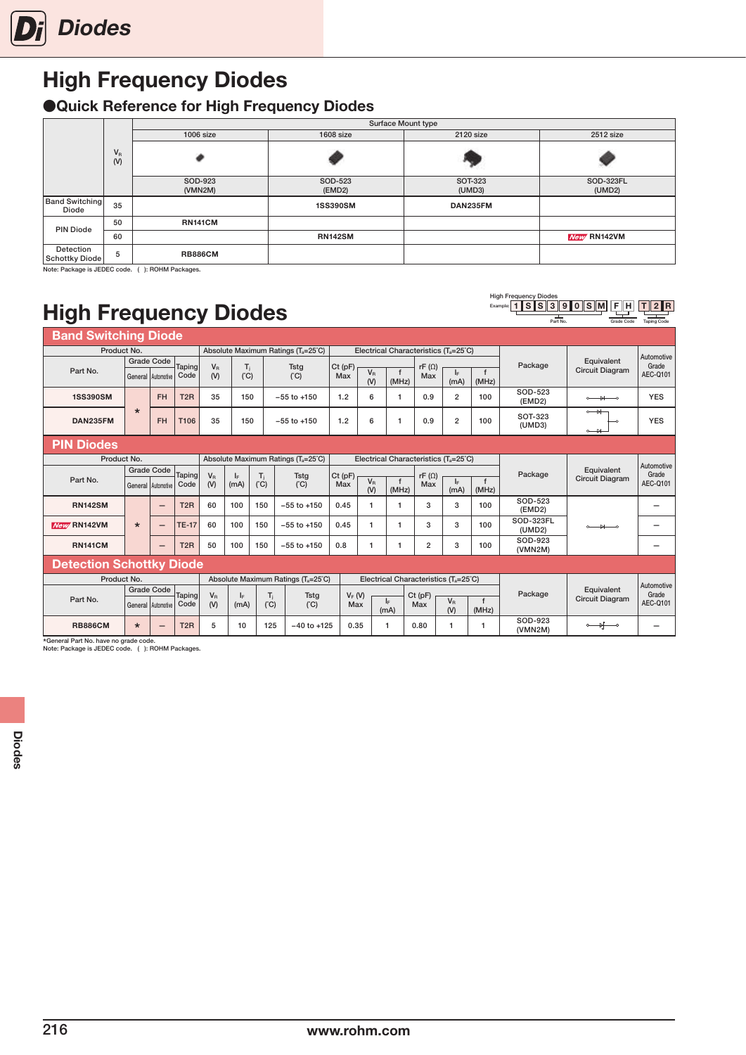## <span id="page-25-0"></span>High Frequency Diodes

### ●Quick Reference for High Frequency Diodes

|                                |              | Surface Mount type |                   |                          |                     |  |  |  |  |  |  |
|--------------------------------|--------------|--------------------|-------------------|--------------------------|---------------------|--|--|--|--|--|--|
|                                |              | $1006$ size        | 1608 size         | 2120 size                | 2512 size           |  |  |  |  |  |  |
|                                | $V_R$<br>(V) |                    |                   |                          |                     |  |  |  |  |  |  |
|                                |              | SOD-923<br>(VMN2M) | SOD-523<br>(EMD2) | <b>SOT-323</b><br>(UMD3) | SOD-323FL<br>(UMD2) |  |  |  |  |  |  |
| <b>Band Switching</b><br>Diode | 35           |                    | <b>1SS390SM</b>   | DAN235FM                 |                     |  |  |  |  |  |  |
| <b>PIN Diode</b>               | 50           | <b>RN141CM</b>     |                   |                          |                     |  |  |  |  |  |  |
|                                | 60           |                    | <b>RN142SM</b>    |                          | New RN142VM         |  |  |  |  |  |  |
| Detection<br>Schottky Diode    | 5            | <b>RB886CM</b>     |                   |                          |                     |  |  |  |  |  |  |

High Frequency Diodes<br>Example: 1 SSS

1 SSS390 SM

F H Grade Code T 2 R Taping Code

Note: Package is JEDEC code. ( ): ROHM Packages.

# High Frequency Diodes

| Part No.<br>Grade Code          |                   |                                                 |                  |                    |              |                       |                                                 |                  |                                                   |              |                     | <b>Taping Code</b> |             |                        |                                               |                          |  |
|---------------------------------|-------------------|-------------------------------------------------|------------------|--------------------|--------------|-----------------------|-------------------------------------------------|------------------|---------------------------------------------------|--------------|---------------------|--------------------|-------------|------------------------|-----------------------------------------------|--------------------------|--|
| <b>Band Switching Diode</b>     |                   |                                                 |                  |                    |              |                       |                                                 |                  |                                                   |              |                     |                    |             |                        |                                               |                          |  |
| Product No.                     |                   |                                                 |                  |                    |              |                       | Absolute Maximum Ratings (T <sub>a</sub> =25°C) |                  | Electrical Characteristics $(T_s = 25^{\circ}C)$  |              |                     |                    |             |                        | Equivalent                                    | Automotive<br>Grade      |  |
|                                 |                   | <b>Grade Code</b>                               |                  |                    |              |                       |                                                 |                  |                                                   |              |                     |                    |             | Package                |                                               |                          |  |
| Part No.                        |                   | General Automotive                              | Taping<br>Code   | $V_{R}$<br>(V)     | $T_i$<br>(C) |                       | <b>Tstg</b><br>(C)                              | $Ct$ (pF)<br>Max | $V_R$                                             | $\mathbf{f}$ | $rF(\Omega)$<br>Max | $I_{\rm F}$        | $\mathbf f$ |                        | <b>Circuit Diagram</b>                        | AEC-Q101                 |  |
|                                 |                   |                                                 |                  |                    |              |                       |                                                 |                  | (V)                                               | (MHz)        |                     | (mA)               | (MHz)       |                        |                                               |                          |  |
| <b>1SS390SM</b>                 |                   | <b>FH</b>                                       | T <sub>2</sub> R | 35                 | 150          |                       | $-55$ to $+150$                                 | 1.2              | 6                                                 | 1            | 0.9                 | $\overline{2}$     | 100         | SOD-523<br>(EMD2)      | $\rightarrow$<br>$\sim$                       | <b>YES</b>               |  |
|                                 | $\star$           |                                                 |                  |                    |              |                       |                                                 |                  |                                                   |              |                     |                    |             |                        | $\circ$ $\rightarrow$                         |                          |  |
| DAN235FM                        |                   | <b>FH</b>                                       | T106             | 35                 | 150          |                       | $-55$ to $+150$                                 | 1.2              | 6                                                 | 1            | 0.9                 | $\overline{2}$     | 100         | SOT-323                |                                               | <b>YES</b>               |  |
|                                 |                   |                                                 |                  |                    |              |                       |                                                 |                  |                                                   |              |                     |                    |             | (UMD3)                 | $\rightarrow$                                 |                          |  |
| <b>PIN Diodes</b>               |                   |                                                 |                  |                    |              |                       |                                                 |                  |                                                   |              |                     |                    |             |                        |                                               |                          |  |
| Product No.                     |                   |                                                 |                  |                    |              |                       | Absolute Maximum Ratings (T <sub>a</sub> =25°C) |                  | Electrical Characteristics (T <sub>a</sub> =25°C) |              |                     |                    |             |                        |                                               | Automotive               |  |
| Part No.                        | <b>Grade Code</b> |                                                 | Taping           | $V_{\rm R}$<br>lE. |              | $T_i$<br><b>Tstg</b>  |                                                 | $Ct$ (pF)        |                                                   |              |                     | $rF(\Omega)$       |             | Package                | Equivalent                                    | Grade                    |  |
|                                 |                   | Code<br>General Automotive                      | (V)              | (mA)               | (C)          | (C)                   | Max                                             | $V_{R}$          | f                                                 | Max          | ΙF.                 | $\mathbf{f}$       |             | <b>Circuit Diagram</b> | AEC-Q101                                      |                          |  |
|                                 |                   |                                                 |                  |                    |              |                       |                                                 |                  | (V)                                               | (MHz)        |                     | (mA)               | (MHz)       |                        |                                               |                          |  |
| <b>RN142SM</b>                  |                   | $\overline{\phantom{0}}$                        | T <sub>2</sub> R | 60                 | 100          | 150                   | $-55$ to $+150$                                 | 0.45             | $\mathbf{1}$                                      | 1            | 3                   | 3                  | 100         | SOD-523<br>(EMD2)      |                                               | $\overline{\phantom{0}}$ |  |
| <b>New RN142VM</b>              | $\star$           | $\overline{\phantom{0}}$                        | <b>TE-17</b>     | 60                 | 100          | 150                   | $-55$ to $+150$                                 | 0.45             | $\mathbf{1}$                                      | 1            | 3                   | 3                  | 100         | SOD-323FL              | $\rightarrow$                                 |                          |  |
|                                 |                   |                                                 |                  |                    |              |                       |                                                 |                  |                                                   |              |                     |                    |             |                        | (UMD2)                                        |                          |  |
| <b>RN141CM</b>                  |                   | $\overline{\phantom{0}}$                        | T <sub>2</sub> R | 50                 | 100          | 150                   | $-55$ to $+150$                                 | 0.8              | $\mathbf{1}$                                      | 1            | $\overline{2}$      | 3                  | 100         | SOD-923<br>(VMN2M)     |                                               |                          |  |
| <b>Detection Schottky Diode</b> |                   |                                                 |                  |                    |              |                       |                                                 |                  |                                                   |              |                     |                    |             |                        |                                               |                          |  |
| Product No.                     |                   | Absolute Maximum Ratings (T <sub>a</sub> =25°C) |                  |                    |              |                       | Electrical Characteristics (Ta=25°C)            |                  |                                                   |              |                     |                    |             |                        |                                               |                          |  |
|                                 |                   | <b>Grade Code</b>                               |                  |                    |              |                       |                                                 |                  |                                                   |              | $Ct$ (pF)           |                    |             | Package                | Equivalent                                    | Automotive<br>Grade      |  |
| Part No.                        |                   | General Automotive                              | Taping<br>Code   | $V_R$<br>(V)       | ΙF<br>(mA)   | T <sub>i</sub><br>(C) | <b>Tstg</b><br>(C)                              |                  | $V_F(W)$<br>Max                                   | lF.          | Max                 | $V_{R}$            | f           |                        | <b>Circuit Diagram</b>                        | AEC-Q101                 |  |
|                                 |                   |                                                 |                  |                    |              |                       |                                                 |                  |                                                   | (mA)         |                     | (V)                | (MHz)       |                        |                                               |                          |  |
| <b>RB886CM</b>                  | $\star$           | -                                               | T <sub>2</sub> R | 5                  | 10           | 125                   | $-40$ to $+125$                                 | 0.35             |                                                   | 1            | 0.80                | 1                  |             | SOD-923<br>(VMN2M)     | $\longrightarrow$<br>$\overline{\phantom{0}}$ |                          |  |

\*General Part No. have no grade code. Note: Package is JEDEC code. ( ): ROHM Packages.

216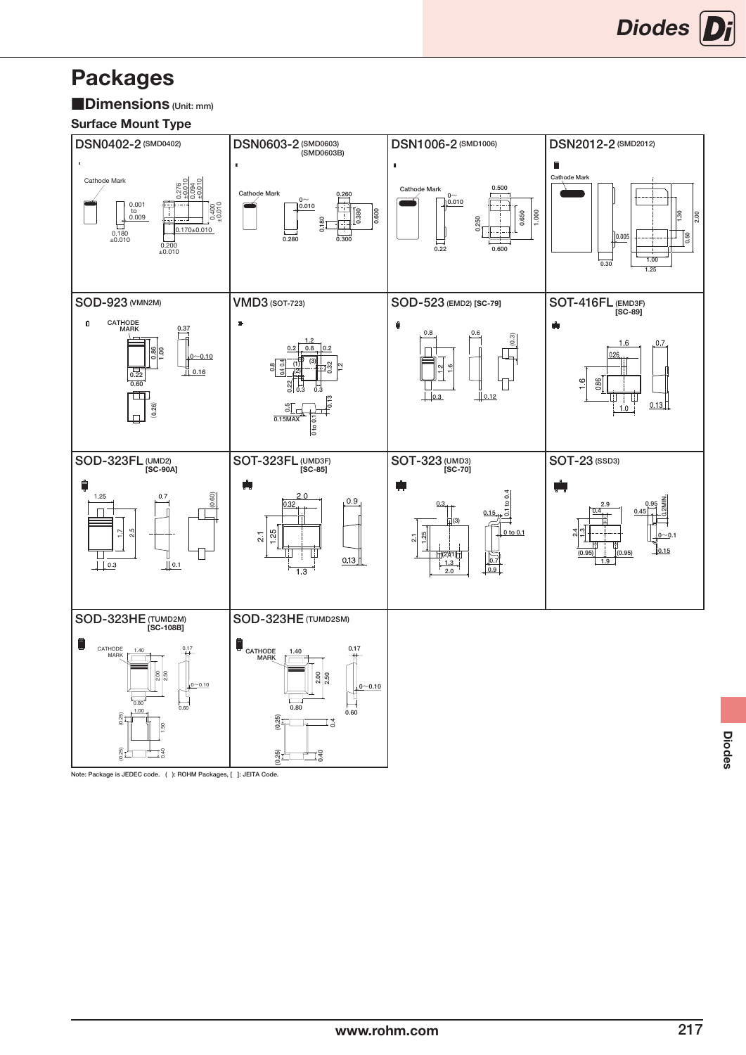## <span id="page-26-0"></span>Packages

■Dimensions (Unit: mm)

### Surface Mount Type



Note: Package is JEDEC code. ( ): ROHM Packages, [ ]: JEITA Code.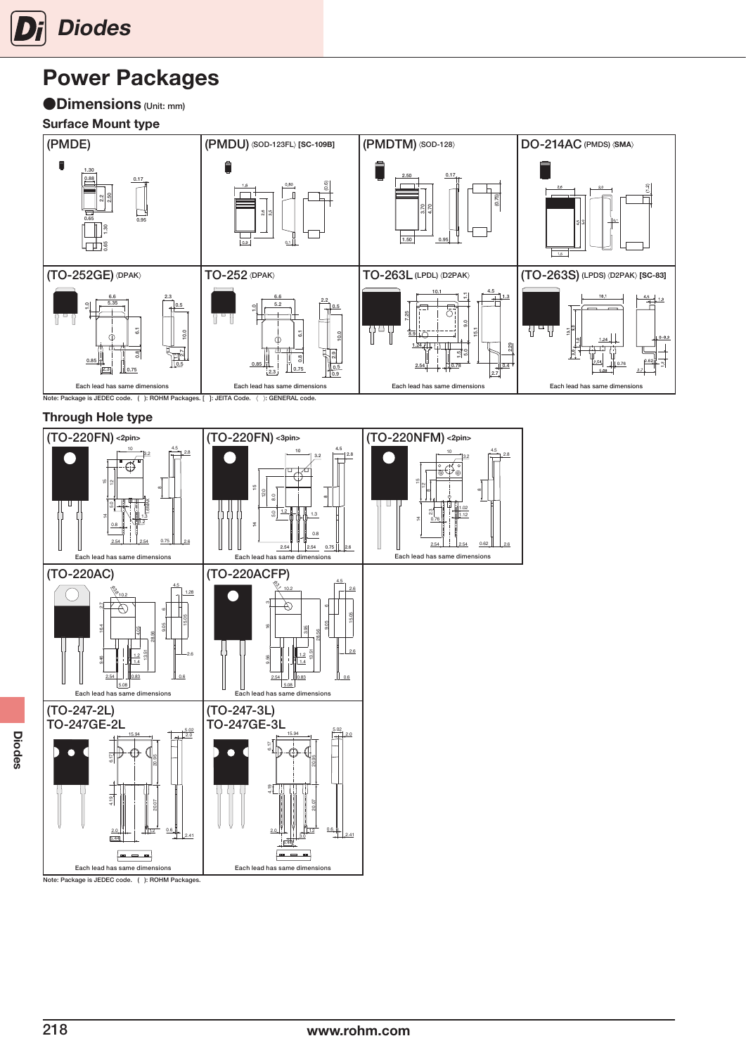

## Power Packages

### ●**Dimensions** (Unit: mm)

### Surface Mount type



#### Through Hole type



Diodes

Note: Package is JEDEC code. ( ): ROHM Packages.